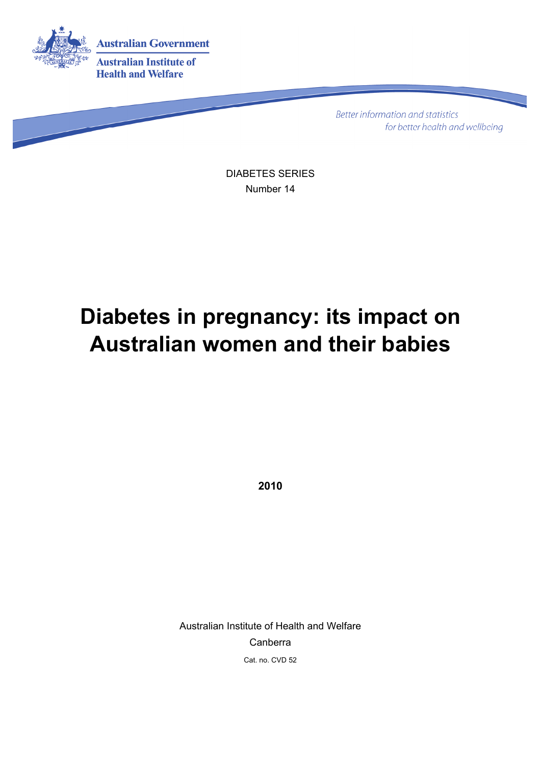

**Better information and statistics** for better health and wellbeing

DIABETES SERIES Number 14

# **Diabetes in pregnancy: its impact on Australian women and their babies**

**2010** 

Australian Institute of Health and Welfare Canberra Cat. no. CVD 52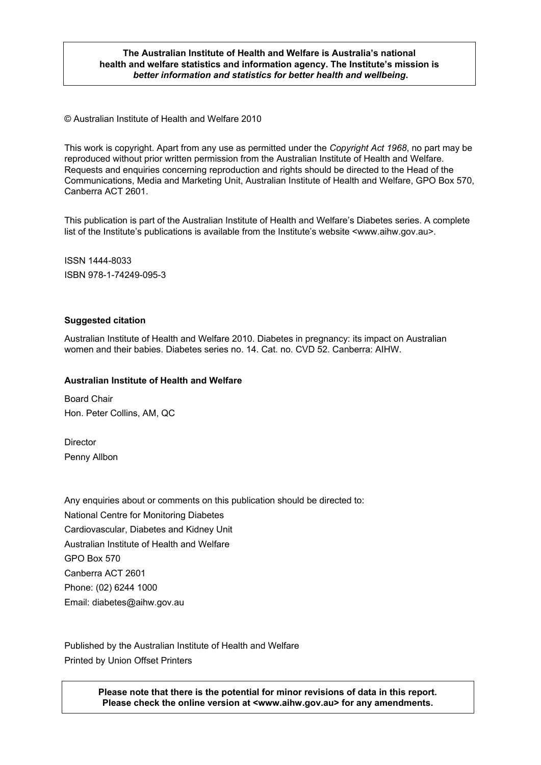#### **The Australian Institute of Health and Welfare is Australia's national health and welfare statistics and information agency. The Institute's mission is**  *better information and statistics for better health and wellbeing***.**

© Australian Institute of Health and Welfare 2010

This work is copyright. Apart from any use as permitted under the *Copyright Act 1968*, no part may be reproduced without prior written permission from the Australian Institute of Health and Welfare. Requests and enquiries concerning reproduction and rights should be directed to the Head of the Communications, Media and Marketing Unit, Australian Institute of Health and Welfare, GPO Box 570, Canberra ACT 2601.

This publication is part of the Australian Institute of Health and Welfare's Diabetes series. A complete list of the Institute's publications is available from the Institute's website <www.aihw.gov.au>.

ISSN 1444-8033 ISBN 978-1-74249-095-3

#### **Suggested citation**

Australian Institute of Health and Welfare 2010. Diabetes in pregnancy: its impact on Australian women and their babies. Diabetes series no. 14. Cat. no. CVD 52. Canberra: AIHW.

#### **Australian Institute of Health and Welfare**

Board Chair Hon. Peter Collins, AM, QC

Director Penny Allbon

Any enquiries about or comments on this publication should be directed to: National Centre for Monitoring Diabetes Cardiovascular, Diabetes and Kidney Unit Australian Institute of Health and Welfare GPO Box 570 Canberra ACT 2601 Phone: (02) 6244 1000 Email: diabetes@aihw.gov.au

Published by the Australian Institute of Health and Welfare Printed by Union Offset Printers

> **Please note that there is the potential for minor revisions of data in this report. Please check the online version at <www.aihw.gov.au> for any amendments.**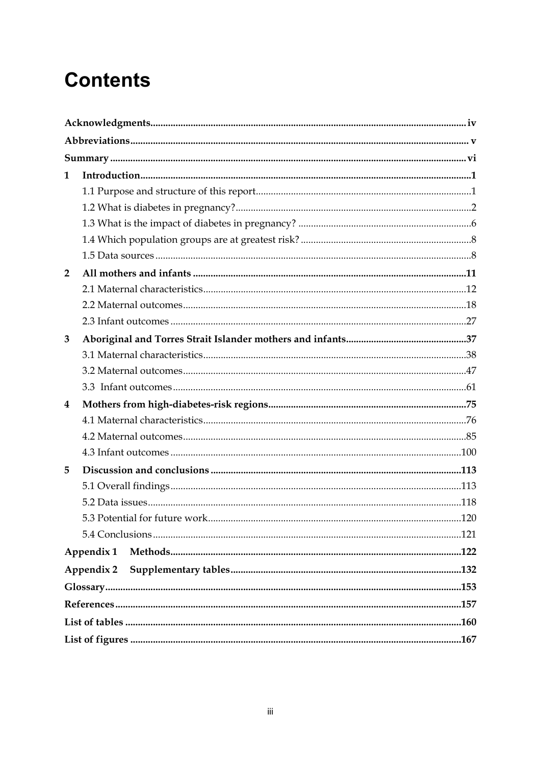# **Contents**

| 1                       |            |  |
|-------------------------|------------|--|
|                         |            |  |
|                         |            |  |
|                         |            |  |
|                         |            |  |
|                         |            |  |
| $\overline{2}$          |            |  |
|                         |            |  |
|                         |            |  |
|                         |            |  |
| 3                       |            |  |
|                         |            |  |
|                         |            |  |
|                         |            |  |
| $\overline{\mathbf{4}}$ |            |  |
|                         |            |  |
|                         |            |  |
|                         |            |  |
| 5                       |            |  |
|                         |            |  |
|                         |            |  |
|                         |            |  |
|                         |            |  |
|                         | Appendix 1 |  |
|                         | Appendix 2 |  |
|                         |            |  |
|                         |            |  |
|                         |            |  |
|                         |            |  |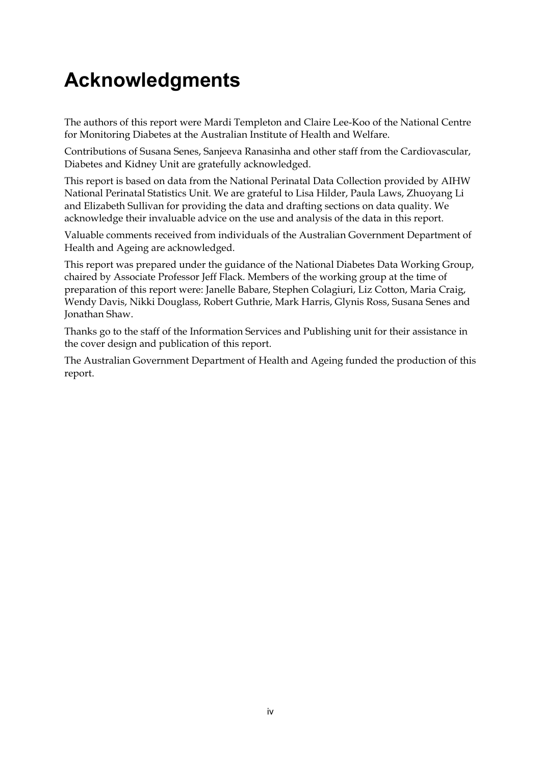# <span id="page-3-0"></span>**Acknowledgments**

The authors of this report were Mardi Templeton and Claire Lee-Koo of the National Centre for Monitoring Diabetes at the Australian Institute of Health and Welfare.

Contributions of Susana Senes, Sanjeeva Ranasinha and other staff from the Cardiovascular, Diabetes and Kidney Unit are gratefully acknowledged.

This report is based on data from the National Perinatal Data Collection provided by AIHW National Perinatal Statistics Unit. We are grateful to Lisa Hilder, Paula Laws, Zhuoyang Li and Elizabeth Sullivan for providing the data and drafting sections on data quality. We acknowledge their invaluable advice on the use and analysis of the data in this report.

Valuable comments received from individuals of the Australian Government Department of Health and Ageing are acknowledged.

This report was prepared under the guidance of the National Diabetes Data Working Group, chaired by Associate Professor Jeff Flack. Members of the working group at the time of preparation of this report were: Janelle Babare, Stephen Colagiuri, Liz Cotton, Maria Craig, Wendy Davis, Nikki Douglass, Robert Guthrie, Mark Harris, Glynis Ross, Susana Senes and Jonathan Shaw.

Thanks go to the staff of the Information Services and Publishing unit for their assistance in the cover design and publication of this report.

The Australian Government Department of Health and Ageing funded the production of this report.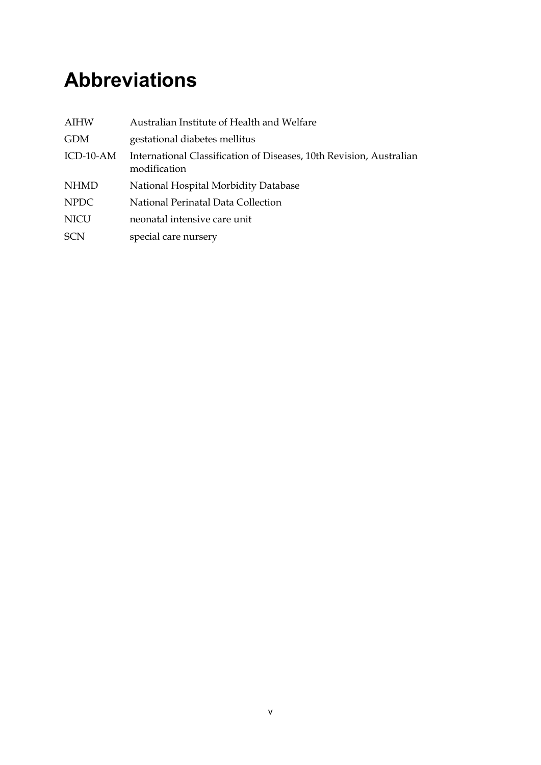# <span id="page-4-0"></span>**Abbreviations**

| <b>AIHW</b> | Australian Institute of Health and Welfare                                          |
|-------------|-------------------------------------------------------------------------------------|
| <b>GDM</b>  | gestational diabetes mellitus                                                       |
| ICD-10-AM   | International Classification of Diseases, 10th Revision, Australian<br>modification |
| <b>NHMD</b> | National Hospital Morbidity Database                                                |
| <b>NPDC</b> | National Perinatal Data Collection                                                  |
| <b>NICU</b> | neonatal intensive care unit                                                        |
| <b>SCN</b>  | special care nursery                                                                |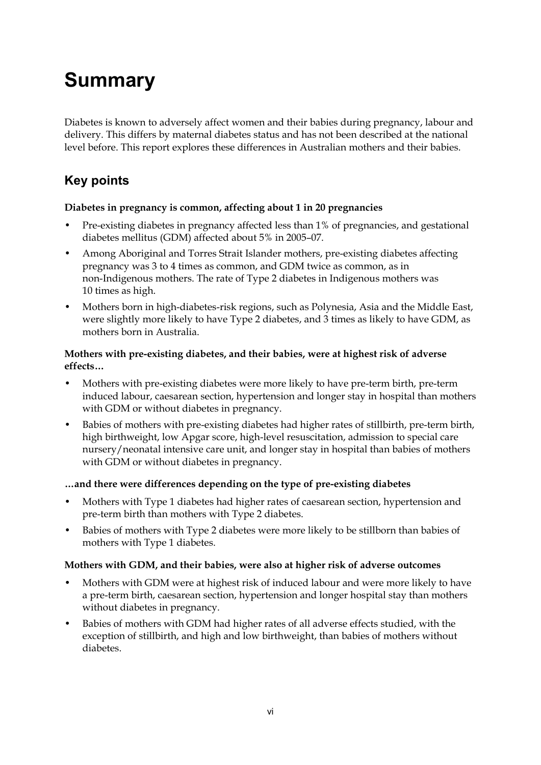# <span id="page-5-0"></span>**Summary**

Diabetes is known to adversely affect women and their babies during pregnancy, labour and delivery. This differs by maternal diabetes status and has not been described at the national level before. This report explores these differences in Australian mothers and their babies.

## **Key points**

#### **Diabetes in pregnancy is common, affecting about 1 in 20 pregnancies**

- Pre-existing diabetes in pregnancy affected less than 1% of pregnancies, and gestational diabetes mellitus (GDM) affected about 5% in 2005–07.
- Among Aboriginal and Torres Strait Islander mothers, pre-existing diabetes affecting pregnancy was 3 to 4 times as common, and GDM twice as common, as in non-Indigenous mothers. The rate of Type 2 diabetes in Indigenous mothers was 10 times as high.
- Mothers born in high-diabetes-risk regions, such as Polynesia, Asia and the Middle East, were slightly more likely to have Type 2 diabetes, and 3 times as likely to have GDM, as mothers born in Australia.

#### **Mothers with pre-existing diabetes, and their babies, were at highest risk of adverse effects…**

- Mothers with pre-existing diabetes were more likely to have pre-term birth, pre-term induced labour, caesarean section, hypertension and longer stay in hospital than mothers with GDM or without diabetes in pregnancy.
- Babies of mothers with pre-existing diabetes had higher rates of stillbirth, pre-term birth, high birthweight, low Apgar score, high-level resuscitation, admission to special care nursery/neonatal intensive care unit, and longer stay in hospital than babies of mothers with GDM or without diabetes in pregnancy.

#### **…and there were differences depending on the type of pre-existing diabetes**

- Mothers with Type 1 diabetes had higher rates of caesarean section, hypertension and pre-term birth than mothers with Type 2 diabetes.
- Babies of mothers with Type 2 diabetes were more likely to be stillborn than babies of mothers with Type 1 diabetes.

#### **Mothers with GDM, and their babies, were also at higher risk of adverse outcomes**

- Mothers with GDM were at highest risk of induced labour and were more likely to have a pre-term birth, caesarean section, hypertension and longer hospital stay than mothers without diabetes in pregnancy.
- Babies of mothers with GDM had higher rates of all adverse effects studied, with the exception of stillbirth, and high and low birthweight, than babies of mothers without diabetes.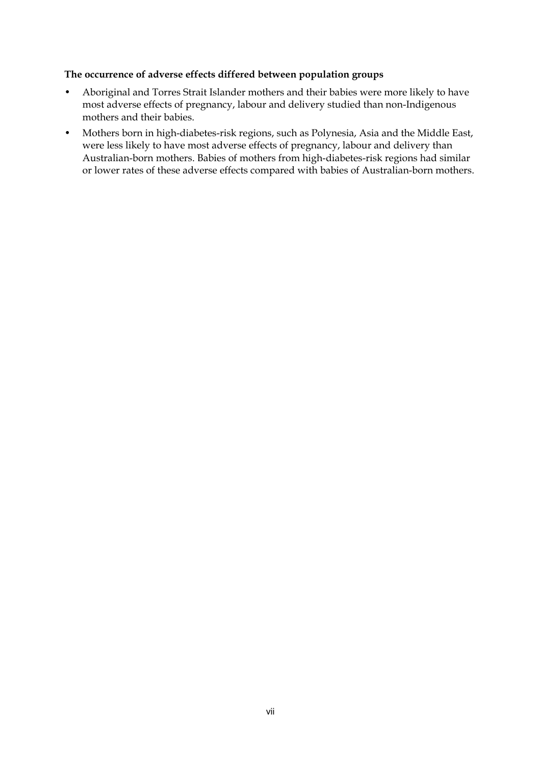#### **The occurrence of adverse effects differed between population groups**

- Aboriginal and Torres Strait Islander mothers and their babies were more likely to have most adverse effects of pregnancy, labour and delivery studied than non-Indigenous mothers and their babies.
- Mothers born in high-diabetes-risk regions, such as Polynesia, Asia and the Middle East, were less likely to have most adverse effects of pregnancy, labour and delivery than Australian-born mothers. Babies of mothers from high-diabetes-risk regions had similar or lower rates of these adverse effects compared with babies of Australian-born mothers.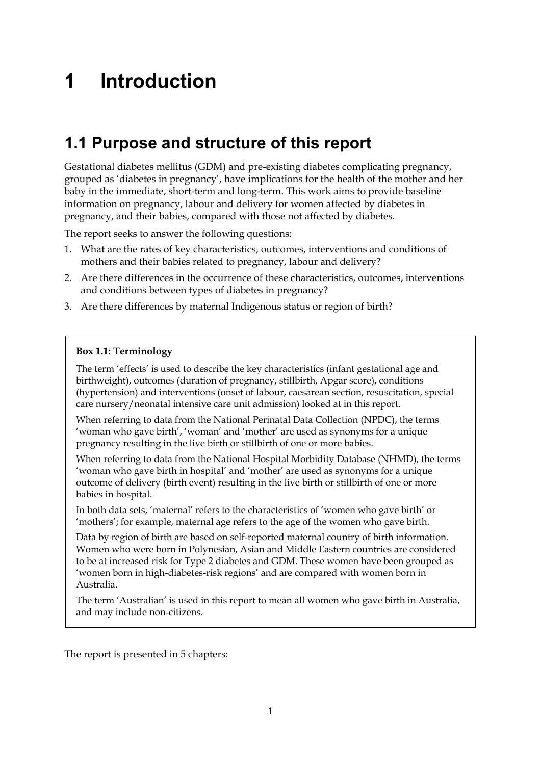# <span id="page-8-0"></span>**1 Introduction**

## <span id="page-8-1"></span>**1.1 Purpose and structure of this report**

Gestational diabetes mellitus (GDM) and pre-existing diabetes complicating pregnancy, grouped as 'diabetes in pregnancy', have implications for the health of the mother and her baby in the immediate, short-term and long-term. This work aims to provide baseline information on pregnancy, labour and delivery for women affected by diabetes in pregnancy, and their babies, compared with those not affected by diabetes.

The report seeks to answer the following questions:

- 1. What are the rates of key characteristics, outcomes, interventions and conditions of mothers and their babies related to pregnancy, labour and delivery?
- 2. Are there differences in the occurrence of these characteristics, outcomes, interventions and conditions between types of diabetes in pregnancy?
- 3. Are there differences by maternal Indigenous status or region of birth?

#### **Box 1.1: Terminology**

The term 'effects' is used to describe the key characteristics (infant gestational age and birthweight), outcomes (duration of pregnancy, stillbirth, Apgar score), conditions (hypertension) and interventions (onset of labour, caesarean section, resuscitation, special care nursery/neonatal intensive care unit admission) looked at in this report.

When referring to data from the National Perinatal Data Collection (NPDC), the terms 'woman who gave birth', 'woman' and 'mother' are used as synonyms for a unique pregnancy resulting in the live birth or stillbirth of one or more babies.

When referring to data from the National Hospital Morbidity Database (NHMD), the terms 'woman who gave birth in hospital' and 'mother' are used as synonyms for a unique outcome of delivery (birth event) resulting in the live birth or stillbirth of one or more babies in hospital.

In both data sets, 'maternal' refers to the characteristics of 'women who gave birth' or 'mothers'; for example, maternal age refers to the age of the women who gave birth.

Data by region of birth are based on self-reported maternal country of birth information. Women who were born in Polynesian, Asian and Middle Eastern countries are considered to be at increased risk for Type 2 diabetes and GDM. These women have been grouped as 'women born in high-diabetes-risk regions' and are compared with women born in Australia.

The term 'Australian' is used in this report to mean all women who gave birth in Australia, and may include non-citizens.

The report is presented in 5 chapters: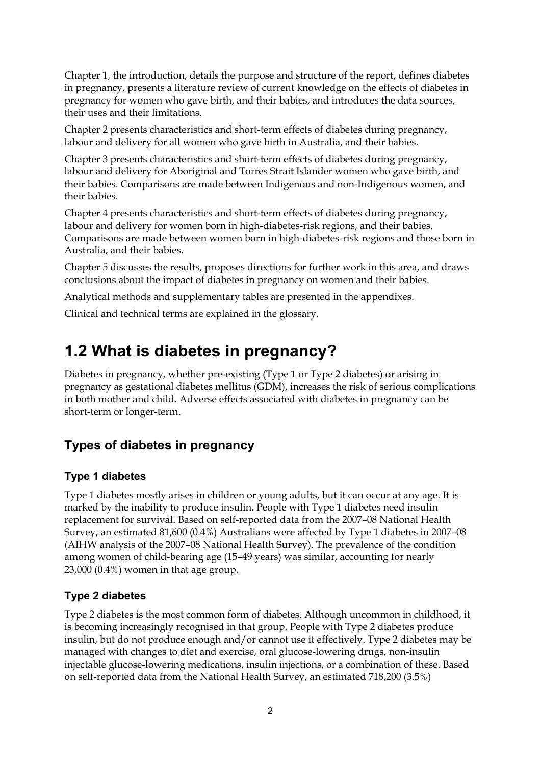Chapter 1, the introduction, details the purpose and structure of the report, defines diabetes in pregnancy, presents a literature review of current knowledge on the effects of diabetes in pregnancy for women who gave birth, and their babies, and introduces the data sources, their uses and their limitations.

Chapter 2 presents characteristics and short-term effects of diabetes during pregnancy, labour and delivery for all women who gave birth in Australia, and their babies.

Chapter 3 presents characteristics and short-term effects of diabetes during pregnancy, labour and delivery for Aboriginal and Torres Strait Islander women who gave birth, and their babies. Comparisons are made between Indigenous and non-Indigenous women, and their babies.

Chapter 4 presents characteristics and short-term effects of diabetes during pregnancy, labour and delivery for women born in high-diabetes-risk regions, and their babies. Comparisons are made between women born in high-diabetes-risk regions and those born in Australia, and their babies.

Chapter 5 discusses the results, proposes directions for further work in this area, and draws conclusions about the impact of diabetes in pregnancy on women and their babies.

Analytical methods and supplementary tables are presented in the appendixes.

Clinical and technical terms are explained in the glossary.

## <span id="page-9-0"></span>**1.2 What is diabetes in pregnancy?**

Diabetes in pregnancy, whether pre-existing (Type 1 or Type 2 diabetes) or arising in pregnancy as gestational diabetes mellitus (GDM), increases the risk of serious complications in both mother and child. Adverse effects associated with diabetes in pregnancy can be short-term or longer-term.

## **Types of diabetes in pregnancy**

### **Type 1 diabetes**

Type 1 diabetes mostly arises in children or young adults, but it can occur at any age. It is marked by the inability to produce insulin. People with Type 1 diabetes need insulin replacement for survival. Based on self-reported data from the 2007–08 National Health Survey, an estimated 81,600 (0.4%) Australians were affected by Type 1 diabetes in 2007–08 (AIHW analysis of the 2007–08 National Health Survey). The prevalence of the condition among women of child-bearing age (15–49 years) was similar, accounting for nearly 23,000 (0.4%) women in that age group.

### **Type 2 diabetes**

Type 2 diabetes is the most common form of diabetes. Although uncommon in childhood, it is becoming increasingly recognised in that group. People with Type 2 diabetes produce insulin, but do not produce enough and/or cannot use it effectively. Type 2 diabetes may be managed with changes to diet and exercise, oral glucose-lowering drugs, non-insulin injectable glucose-lowering medications, insulin injections, or a combination of these. Based on self-reported data from the National Health Survey, an estimated 718,200 (3.5%)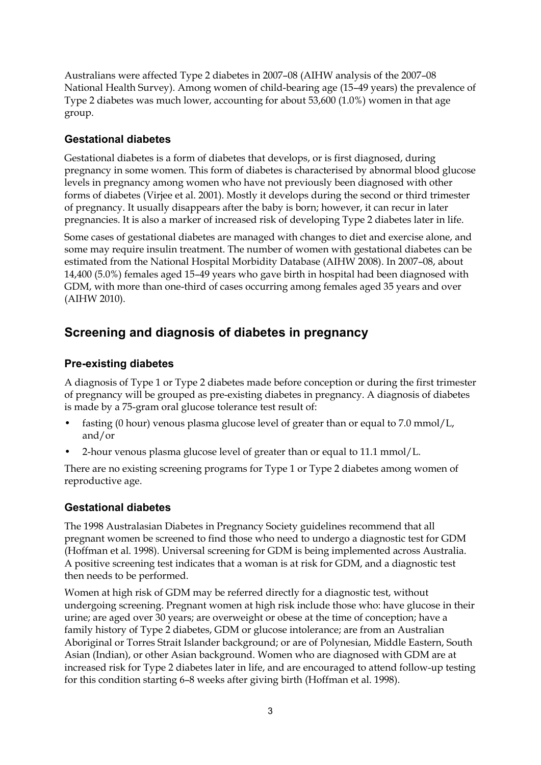Australians were affected Type 2 diabetes in 2007–08 (AIHW analysis of the 2007–08 National Health Survey). Among women of child-bearing age (15–49 years) the prevalence of Type 2 diabetes was much lower, accounting for about 53,600 (1.0%) women in that age group.

## **Gestational diabetes**

Gestational diabetes is a form of diabetes that develops, or is first diagnosed, during pregnancy in some women. This form of diabetes is characterised by abnormal blood glucose levels in pregnancy among women who have not previously been diagnosed with other forms of diabetes (Virjee et al. 2001). Mostly it develops during the second or third trimester of pregnancy. It usually disappears after the baby is born; however, it can recur in later pregnancies. It is also a marker of increased risk of developing Type 2 diabetes later in life.

Some cases of gestational diabetes are managed with changes to diet and exercise alone, and some may require insulin treatment. The number of women with gestational diabetes can be estimated from the National Hospital Morbidity Database (AIHW 2008). In 2007–08, about 14,400 (5.0%) females aged 15–49 years who gave birth in hospital had been diagnosed with GDM, with more than one-third of cases occurring among females aged 35 years and over (AIHW 2010).

## **Screening and diagnosis of diabetes in pregnancy**

## **Pre-existing diabetes**

A diagnosis of Type 1 or Type 2 diabetes made before conception or during the first trimester of pregnancy will be grouped as pre-existing diabetes in pregnancy. A diagnosis of diabetes is made by a 75-gram oral glucose tolerance test result of:

- fasting (0 hour) venous plasma glucose level of greater than or equal to 7.0 mmol/L, and/or
- 2-hour venous plasma glucose level of greater than or equal to 11.1 mmol/L.

There are no existing screening programs for Type 1 or Type 2 diabetes among women of reproductive age.

## **Gestational diabetes**

The 1998 Australasian Diabetes in Pregnancy Society guidelines recommend that all pregnant women be screened to find those who need to undergo a diagnostic test for GDM (Hoffman et al. 1998). Universal screening for GDM is being implemented across Australia. A positive screening test indicates that a woman is at risk for GDM, and a diagnostic test then needs to be performed.

Women at high risk of GDM may be referred directly for a diagnostic test, without undergoing screening. Pregnant women at high risk include those who: have glucose in their urine; are aged over 30 years; are overweight or obese at the time of conception; have a family history of Type 2 diabetes, GDM or glucose intolerance; are from an Australian Aboriginal or Torres Strait Islander background; or are of Polynesian, Middle Eastern, South Asian (Indian), or other Asian background. Women who are diagnosed with GDM are at increased risk for Type 2 diabetes later in life, and are encouraged to attend follow-up testing for this condition starting 6–8 weeks after giving birth (Hoffman et al. 1998).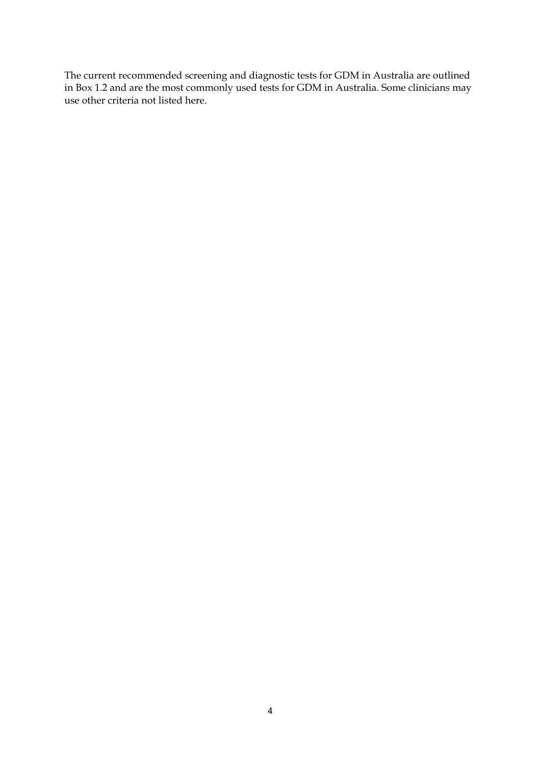The current recommended screening and diagnostic tests for GDM in Australia are outlined in Box 1.2 and are the most commonly used tests for GDM in Australia. Some clinicians may use other criteria not listed here.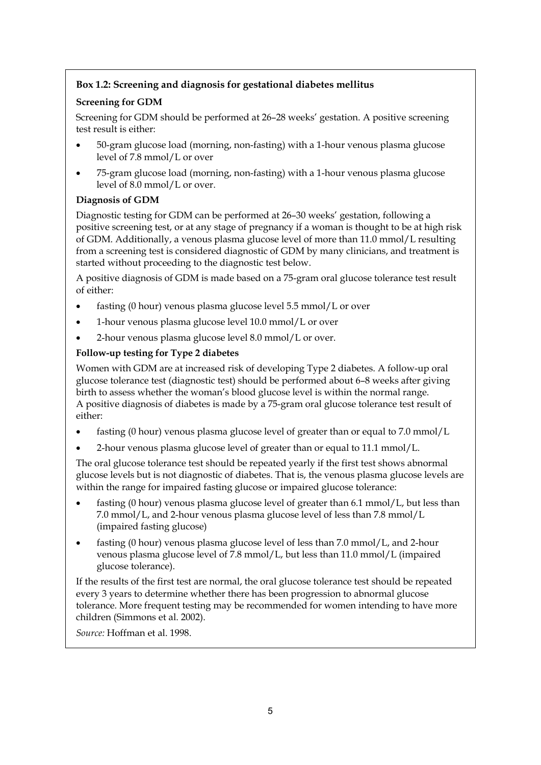#### **Box 1.2: Screening and diagnosis for gestational diabetes mellitus**

#### **Screening for GDM**

Screening for GDM should be performed at 26–28 weeks' gestation. A positive screening test result is either:

- 50-gram glucose load (morning, non-fasting) with a 1-hour venous plasma glucose level of 7.8 mmol/L or over
- 75-gram glucose load (morning, non-fasting) with a 1-hour venous plasma glucose level of 8.0 mmol/L or over.

#### **Diagnosis of GDM**

Diagnostic testing for GDM can be performed at 26–30 weeks' gestation, following a positive screening test, or at any stage of pregnancy if a woman is thought to be at high risk of GDM. Additionally, a venous plasma glucose level of more than 11.0 mmol/L resulting from a screening test is considered diagnostic of GDM by many clinicians, and treatment is started without proceeding to the diagnostic test below.

A positive diagnosis of GDM is made based on a 75-gram oral glucose tolerance test result of either:

- fasting (0 hour) venous plasma glucose level 5.5 mmol/L or over
- 1-hour venous plasma glucose level 10.0 mmol/L or over
- 2-hour venous plasma glucose level 8.0 mmol/L or over.

#### **Follow-up testing for Type 2 diabetes**

Women with GDM are at increased risk of developing Type 2 diabetes. A follow-up oral glucose tolerance test (diagnostic test) should be performed about 6–8 weeks after giving birth to assess whether the woman's blood glucose level is within the normal range. A positive diagnosis of diabetes is made by a 75-gram oral glucose tolerance test result of either:

- fasting (0 hour) venous plasma glucose level of greater than or equal to 7.0 mmol/L
- 2-hour venous plasma glucose level of greater than or equal to 11.1 mmol/L.

The oral glucose tolerance test should be repeated yearly if the first test shows abnormal glucose levels but is not diagnostic of diabetes. That is, the venous plasma glucose levels are within the range for impaired fasting glucose or impaired glucose tolerance:

- fasting (0 hour) venous plasma glucose level of greater than 6.1 mmol/L, but less than 7.0 mmol/L, and 2-hour venous plasma glucose level of less than 7.8 mmol/L (impaired fasting glucose)
- fasting (0 hour) venous plasma glucose level of less than 7.0 mmol/L, and 2-hour venous plasma glucose level of 7.8 mmol/L, but less than 11.0 mmol/L (impaired glucose tolerance).

If the results of the first test are normal, the oral glucose tolerance test should be repeated every 3 years to determine whether there has been progression to abnormal glucose tolerance. More frequent testing may be recommended for women intending to have more children (Simmons et al. 2002).

*Source:* Hoffman et al. 1998.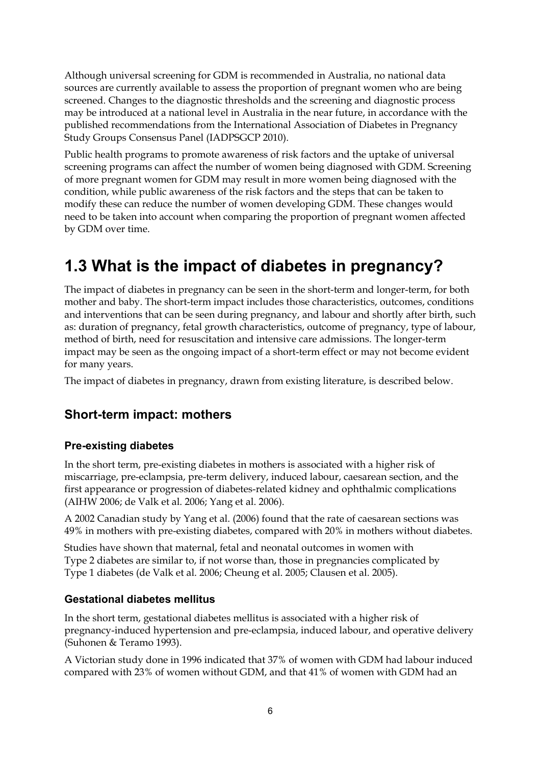Although universal screening for GDM is recommended in Australia, no national data sources are currently available to assess the proportion of pregnant women who are being screened. Changes to the diagnostic thresholds and the screening and diagnostic process may be introduced at a national level in Australia in the near future, in accordance with the published recommendations from the International Association of Diabetes in Pregnancy Study Groups Consensus Panel (IADPSGCP 2010).

Public health programs to promote awareness of risk factors and the uptake of universal screening programs can affect the number of women being diagnosed with GDM. Screening of more pregnant women for GDM may result in more women being diagnosed with the condition, while public awareness of the risk factors and the steps that can be taken to modify these can reduce the number of women developing GDM. These changes would need to be taken into account when comparing the proportion of pregnant women affected by GDM over time.

## <span id="page-13-0"></span>**1.3 What is the impact of diabetes in pregnancy?**

The impact of diabetes in pregnancy can be seen in the short-term and longer-term, for both mother and baby. The short-term impact includes those characteristics, outcomes, conditions and interventions that can be seen during pregnancy, and labour and shortly after birth, such as: duration of pregnancy, fetal growth characteristics, outcome of pregnancy, type of labour, method of birth, need for resuscitation and intensive care admissions. The longer-term impact may be seen as the ongoing impact of a short-term effect or may not become evident for many years.

The impact of diabetes in pregnancy, drawn from existing literature, is described below.

## **Short-term impact: mothers**

## **Pre-existing diabetes**

In the short term, pre-existing diabetes in mothers is associated with a higher risk of miscarriage, pre-eclampsia, pre-term delivery, induced labour, caesarean section, and the first appearance or progression of diabetes-related kidney and ophthalmic complications (AIHW 2006; de Valk et al. 2006; Yang et al. 2006).

A 2002 Canadian study by Yang et al. (2006) found that the rate of caesarean sections was 49% in mothers with pre-existing diabetes, compared with 20% in mothers without diabetes.

Studies have shown that maternal, fetal and neonatal outcomes in women with Type 2 diabetes are similar to, if not worse than, those in pregnancies complicated by Type 1 diabetes (de Valk et al. 2006; Cheung et al. 2005; Clausen et al. 2005).

### **Gestational diabetes mellitus**

In the short term, gestational diabetes mellitus is associated with a higher risk of pregnancy-induced hypertension and pre-eclampsia, induced labour, and operative delivery (Suhonen & Teramo 1993).

A Victorian study done in 1996 indicated that 37% of women with GDM had labour induced compared with 23% of women without GDM, and that 41% of women with GDM had an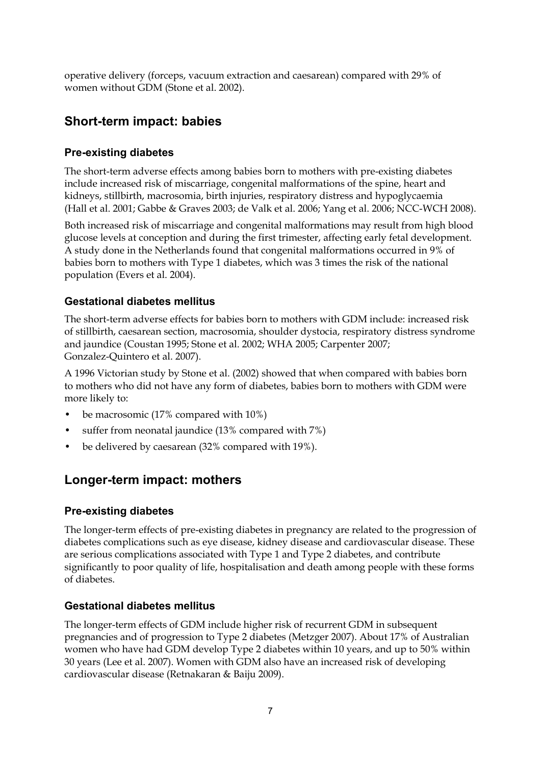operative delivery (forceps, vacuum extraction and caesarean) compared with 29% of women without GDM (Stone et al. 2002).

## **Short-term impact: babies**

### **Pre-existing diabetes**

The short-term adverse effects among babies born to mothers with pre-existing diabetes include increased risk of miscarriage, congenital malformations of the spine, heart and kidneys, stillbirth, macrosomia, birth injuries, respiratory distress and hypoglycaemia (Hall et al. 2001; Gabbe & Graves 2003; de Valk et al. 2006; Yang et al. 2006; NCC-WCH 2008).

Both increased risk of miscarriage and congenital malformations may result from high blood glucose levels at conception and during the first trimester, affecting early fetal development. A study done in the Netherlands found that congenital malformations occurred in 9% of babies born to mothers with Type 1 diabetes, which was 3 times the risk of the national population (Evers et al. 2004).

### **Gestational diabetes mellitus**

The short-term adverse effects for babies born to mothers with GDM include: increased risk of stillbirth, caesarean section, macrosomia, shoulder dystocia, respiratory distress syndrome and jaundice (Coustan 1995; Stone et al. 2002; WHA 2005; Carpenter 2007; Gonzalez-Quintero et al. 2007).

A 1996 Victorian study by Stone et al. (2002) showed that when compared with babies born to mothers who did not have any form of diabetes, babies born to mothers with GDM were more likely to:

- be macrosomic (17% compared with 10%)
- suffer from neonatal jaundice (13% compared with 7%)
- be delivered by caesarean (32% compared with 19%).

## **Longer-term impact: mothers**

### **Pre-existing diabetes**

The longer-term effects of pre-existing diabetes in pregnancy are related to the progression of diabetes complications such as eye disease, kidney disease and cardiovascular disease. These are serious complications associated with Type 1 and Type 2 diabetes, and contribute significantly to poor quality of life, hospitalisation and death among people with these forms of diabetes.

### **Gestational diabetes mellitus**

The longer-term effects of GDM include higher risk of recurrent GDM in subsequent pregnancies and of progression to Type 2 diabetes (Metzger 2007). About 17% of Australian women who have had GDM develop Type 2 diabetes within 10 years, and up to 50% within 30 years (Lee et al. 2007). Women with GDM also have an increased risk of developing cardiovascular disease (Retnakaran & Baiju 2009).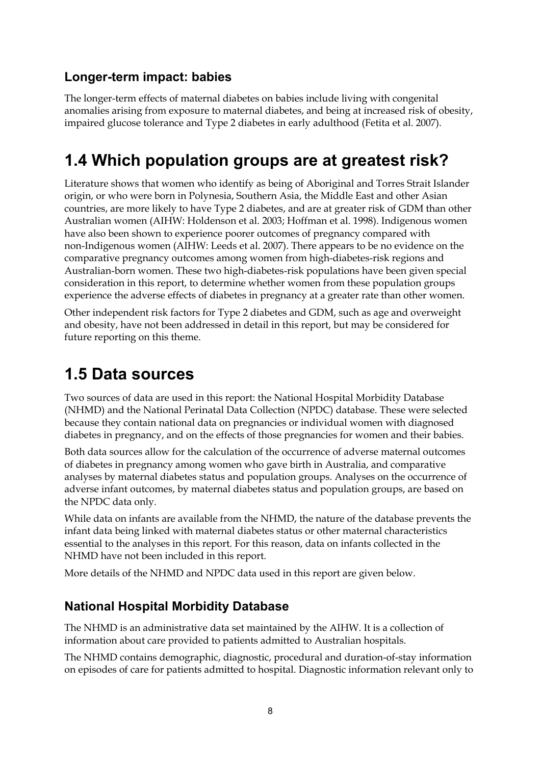## **Longer-term impact: babies**

The longer-term effects of maternal diabetes on babies include living with congenital anomalies arising from exposure to maternal diabetes, and being at increased risk of obesity, impaired glucose tolerance and Type 2 diabetes in early adulthood (Fetita et al. 2007).

# <span id="page-15-0"></span>**1.4 Which population groups are at greatest risk?**

Literature shows that women who identify as being of Aboriginal and Torres Strait Islander origin, or who were born in Polynesia, Southern Asia, the Middle East and other Asian countries, are more likely to have Type 2 diabetes, and are at greater risk of GDM than other Australian women (AIHW: Holdenson et al. 2003; Hoffman et al. 1998). Indigenous women have also been shown to experience poorer outcomes of pregnancy compared with non-Indigenous women (AIHW: Leeds et al. 2007). There appears to be no evidence on the comparative pregnancy outcomes among women from high-diabetes-risk regions and Australian-born women. These two high-diabetes-risk populations have been given special consideration in this report, to determine whether women from these population groups experience the adverse effects of diabetes in pregnancy at a greater rate than other women.

Other independent risk factors for Type 2 diabetes and GDM, such as age and overweight and obesity, have not been addressed in detail in this report, but may be considered for future reporting on this theme.

## <span id="page-15-1"></span>**1.5 Data sources**

Two sources of data are used in this report: the National Hospital Morbidity Database (NHMD) and the National Perinatal Data Collection (NPDC) database. These were selected because they contain national data on pregnancies or individual women with diagnosed diabetes in pregnancy, and on the effects of those pregnancies for women and their babies.

Both data sources allow for the calculation of the occurrence of adverse maternal outcomes of diabetes in pregnancy among women who gave birth in Australia, and comparative analyses by maternal diabetes status and population groups. Analyses on the occurrence of adverse infant outcomes, by maternal diabetes status and population groups, are based on the NPDC data only.

While data on infants are available from the NHMD, the nature of the database prevents the infant data being linked with maternal diabetes status or other maternal characteristics essential to the analyses in this report. For this reason, data on infants collected in the NHMD have not been included in this report.

More details of the NHMD and NPDC data used in this report are given below.

## **National Hospital Morbidity Database**

The NHMD is an administrative data set maintained by the AIHW. It is a collection of information about care provided to patients admitted to Australian hospitals.

The NHMD contains demographic, diagnostic, procedural and duration-of-stay information on episodes of care for patients admitted to hospital. Diagnostic information relevant only to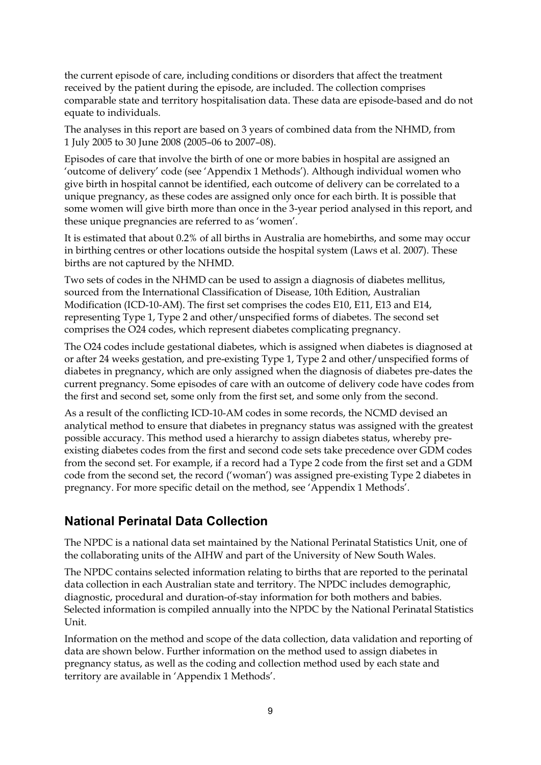the current episode of care, including conditions or disorders that affect the treatment received by the patient during the episode, are included. The collection comprises comparable state and territory hospitalisation data. These data are episode-based and do not equate to individuals.

The analyses in this report are based on 3 years of combined data from the NHMD, from 1 July 2005 to 30 June 2008 (2005–06 to 2007–08).

Episodes of care that involve the birth of one or more babies in hospital are assigned an 'outcome of delivery' code (see 'Appendix 1 Methods'). Although individual women who give birth in hospital cannot be identified, each outcome of delivery can be correlated to a unique pregnancy, as these codes are assigned only once for each birth. It is possible that some women will give birth more than once in the 3-year period analysed in this report, and these unique pregnancies are referred to as 'women'.

It is estimated that about 0.2% of all births in Australia are homebirths, and some may occur in birthing centres or other locations outside the hospital system (Laws et al. 2007). These births are not captured by the NHMD.

Two sets of codes in the NHMD can be used to assign a diagnosis of diabetes mellitus, sourced from the International Classification of Disease, 10th Edition, Australian Modification (ICD-10-AM). The first set comprises the codes E10, E11, E13 and E14, representing Type 1, Type 2 and other/unspecified forms of diabetes. The second set comprises the O24 codes, which represent diabetes complicating pregnancy.

The O24 codes include gestational diabetes, which is assigned when diabetes is diagnosed at or after 24 weeks gestation, and pre-existing Type 1, Type 2 and other/unspecified forms of diabetes in pregnancy, which are only assigned when the diagnosis of diabetes pre-dates the current pregnancy. Some episodes of care with an outcome of delivery code have codes from the first and second set, some only from the first set, and some only from the second.

As a result of the conflicting ICD-10-AM codes in some records, the NCMD devised an analytical method to ensure that diabetes in pregnancy status was assigned with the greatest possible accuracy. This method used a hierarchy to assign diabetes status, whereby preexisting diabetes codes from the first and second code sets take precedence over GDM codes from the second set. For example, if a record had a Type 2 code from the first set and a GDM code from the second set, the record ('woman') was assigned pre-existing Type 2 diabetes in pregnancy. For more specific detail on the method, see 'Appendix 1 Methods'.

## **National Perinatal Data Collection**

The NPDC is a national data set maintained by the National Perinatal Statistics Unit, one of the collaborating units of the AIHW and part of the University of New South Wales.

The NPDC contains selected information relating to births that are reported to the perinatal data collection in each Australian state and territory. The NPDC includes demographic, diagnostic, procedural and duration-of-stay information for both mothers and babies. Selected information is compiled annually into the NPDC by the National Perinatal Statistics Unit.

Information on the method and scope of the data collection, data validation and reporting of data are shown below. Further information on the method used to assign diabetes in pregnancy status, as well as the coding and collection method used by each state and territory are available in 'Appendix 1 Methods'.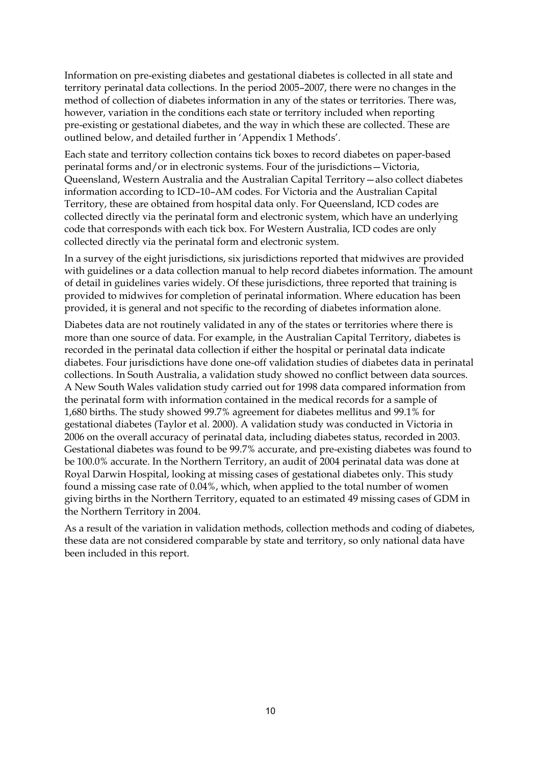Information on pre-existing diabetes and gestational diabetes is collected in all state and territory perinatal data collections. In the period 2005–2007, there were no changes in the method of collection of diabetes information in any of the states or territories. There was, however, variation in the conditions each state or territory included when reporting pre-existing or gestational diabetes, and the way in which these are collected. These are outlined below, and detailed further in 'Appendix 1 Methods'.

Each state and territory collection contains tick boxes to record diabetes on paper-based perinatal forms and/or in electronic systems. Four of the jurisdictions—Victoria, Queensland, Western Australia and the Australian Capital Territory—also collect diabetes information according to ICD–10–AM codes. For Victoria and the Australian Capital Territory, these are obtained from hospital data only. For Queensland, ICD codes are collected directly via the perinatal form and electronic system, which have an underlying code that corresponds with each tick box. For Western Australia, ICD codes are only collected directly via the perinatal form and electronic system.

In a survey of the eight jurisdictions, six jurisdictions reported that midwives are provided with guidelines or a data collection manual to help record diabetes information. The amount of detail in guidelines varies widely. Of these jurisdictions, three reported that training is provided to midwives for completion of perinatal information. Where education has been provided, it is general and not specific to the recording of diabetes information alone.

Diabetes data are not routinely validated in any of the states or territories where there is more than one source of data. For example, in the Australian Capital Territory, diabetes is recorded in the perinatal data collection if either the hospital or perinatal data indicate diabetes. Four jurisdictions have done one-off validation studies of diabetes data in perinatal collections. In South Australia, a validation study showed no conflict between data sources. A New South Wales validation study carried out for 1998 data compared information from the perinatal form with information contained in the medical records for a sample of 1,680 births. The study showed 99.7% agreement for diabetes mellitus and 99.1% for gestational diabetes (Taylor et al. 2000). A validation study was conducted in Victoria in 2006 on the overall accuracy of perinatal data, including diabetes status, recorded in 2003. Gestational diabetes was found to be 99.7% accurate, and pre-existing diabetes was found to be 100.0% accurate. In the Northern Territory, an audit of 2004 perinatal data was done at Royal Darwin Hospital, looking at missing cases of gestational diabetes only. This study found a missing case rate of 0.04%, which, when applied to the total number of women giving births in the Northern Territory, equated to an estimated 49 missing cases of GDM in the Northern Territory in 2004.

As a result of the variation in validation methods, collection methods and coding of diabetes, these data are not considered comparable by state and territory, so only national data have been included in this report.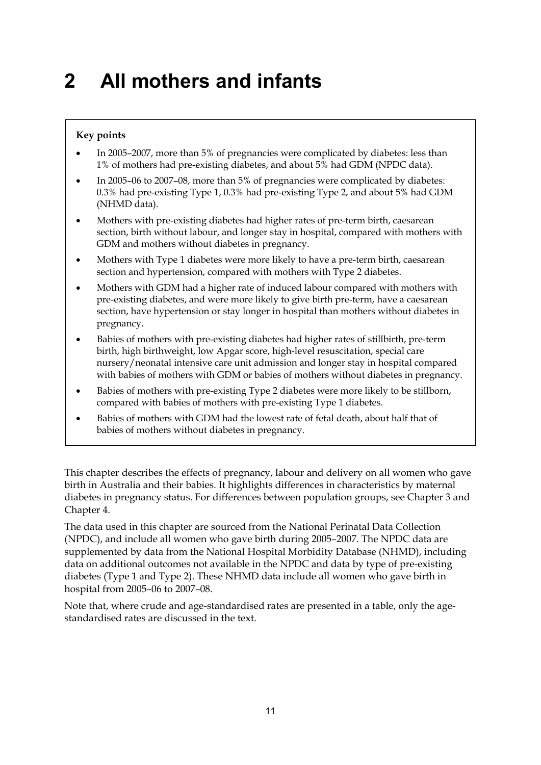# <span id="page-18-0"></span>**2 All mothers and infants**

#### **Key points**

- In 2005–2007, more than 5% of pregnancies were complicated by diabetes: less than 1% of mothers had pre-existing diabetes, and about 5% had GDM (NPDC data).
- In 2005–06 to 2007–08, more than 5% of pregnancies were complicated by diabetes: 0.3% had pre-existing Type 1, 0.3% had pre-existing Type 2, and about 5% had GDM (NHMD data).
- Mothers with pre-existing diabetes had higher rates of pre-term birth, caesarean section, birth without labour, and longer stay in hospital, compared with mothers with GDM and mothers without diabetes in pregnancy.
- Mothers with Type 1 diabetes were more likely to have a pre-term birth, caesarean section and hypertension, compared with mothers with Type 2 diabetes.
- Mothers with GDM had a higher rate of induced labour compared with mothers with pre-existing diabetes, and were more likely to give birth pre-term, have a caesarean section, have hypertension or stay longer in hospital than mothers without diabetes in pregnancy.
- Babies of mothers with pre-existing diabetes had higher rates of stillbirth, pre-term birth, high birthweight, low Apgar score, high-level resuscitation, special care nursery/neonatal intensive care unit admission and longer stay in hospital compared with babies of mothers with GDM or babies of mothers without diabetes in pregnancy.
- Babies of mothers with pre-existing Type 2 diabetes were more likely to be stillborn, compared with babies of mothers with pre-existing Type 1 diabetes.
- Babies of mothers with GDM had the lowest rate of fetal death, about half that of babies of mothers without diabetes in pregnancy.

This chapter describes the effects of pregnancy, labour and delivery on all women who gave birth in Australia and their babies. It highlights differences in characteristics by maternal diabetes in pregnancy status. For differences between population groups, see Chapter 3 and Chapter 4.

The data used in this chapter are sourced from the National Perinatal Data Collection (NPDC), and include all women who gave birth during 2005–2007. The NPDC data are supplemented by data from the National Hospital Morbidity Database (NHMD), including data on additional outcomes not available in the NPDC and data by type of pre-existing diabetes (Type 1 and Type 2). These NHMD data include all women who gave birth in hospital from 2005–06 to 2007–08.

Note that, where crude and age-standardised rates are presented in a table, only the agestandardised rates are discussed in the text.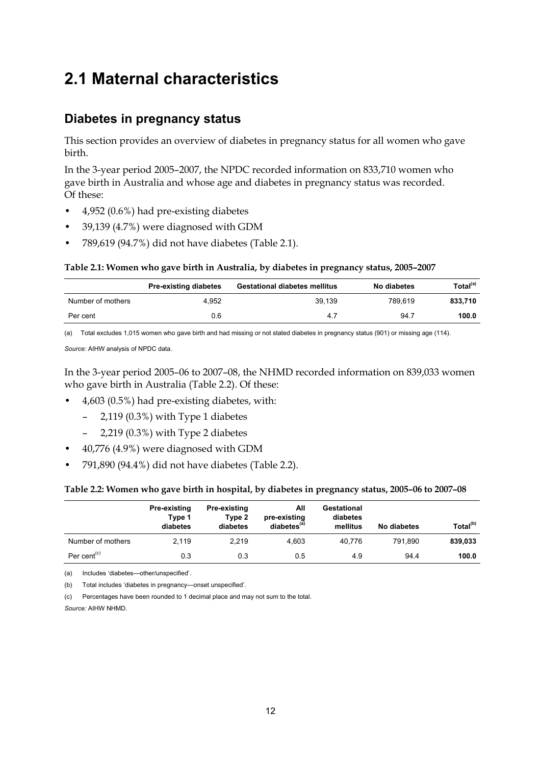## <span id="page-19-0"></span>**2.1 Maternal characteristics**

## **Diabetes in pregnancy status**

This section provides an overview of diabetes in pregnancy status for all women who gave birth.

In the 3-year period 2005–2007, the NPDC recorded information on 833,710 women who gave birth in Australia and whose age and diabetes in pregnancy status was recorded. Of these:

- 4,952 (0.6%) had pre-existing diabetes
- 39,139 (4.7%) were diagnosed with GDM
- 789,619 (94.7%) did not have diabetes (Table 2.1).

#### **Table 2.1: Women who gave birth in Australia, by diabetes in pregnancy status, 2005–2007**

|                   | <b>Pre-existing diabetes</b> | <b>Gestational diabetes mellitus</b> | No diabetes | Total <sup>(a)</sup> |
|-------------------|------------------------------|--------------------------------------|-------------|----------------------|
| Number of mothers | 4.952                        | 39.139                               | 789.619     | 833.710              |
| Per cent          | 0.6                          | 4.7                                  | 94.7        | 100.0                |

(a) Total excludes 1,015 women who gave birth and had missing or not stated diabetes in pregnancy status (901) or missing age (114).

*Source:* AIHW analysis of NPDC data.

In the 3-year period 2005–06 to 2007–08, the NHMD recorded information on 839,033 women who gave birth in Australia (Table 2.2). Of these:

- 4,603 (0.5%) had pre-existing diabetes, with:
	- 2,119 (0.3%) with Type 1 diabetes
	- 2,219 (0.3%) with Type 2 diabetes
- 40,776 (4.9%) were diagnosed with GDM
- 791,890 (94.4%) did not have diabetes (Table 2.2).

#### **Table 2.2: Women who gave birth in hospital, by diabetes in pregnancy status, 2005–06 to 2007–08**

|                                      | Pre-existing<br>Type 1<br>diabetes | Pre-existing<br>Type 2<br>diabetes | All<br>pre-existing<br>diabetes <sup>(a)</sup> | Gestational<br>diabetes<br>mellitus | No diabetes | Total <sup>(b)</sup> |
|--------------------------------------|------------------------------------|------------------------------------|------------------------------------------------|-------------------------------------|-------------|----------------------|
| Number of mothers                    | 2.119                              | 2.219                              | 4.603                                          | 40.776                              | 791.890     | 839,033              |
| Per cent <sup><math>(c)</math></sup> | 0.3                                | 0.3                                | 0.5                                            | 4.9                                 | 94.4        | 100.0                |

(a) Includes 'diabetes—other/unspecified'.

(b) Total includes 'diabetes in pregnancy—onset unspecified'.

(c) Percentages have been rounded to 1 decimal place and may not sum to the total.

*Source:* AIHW NHMD.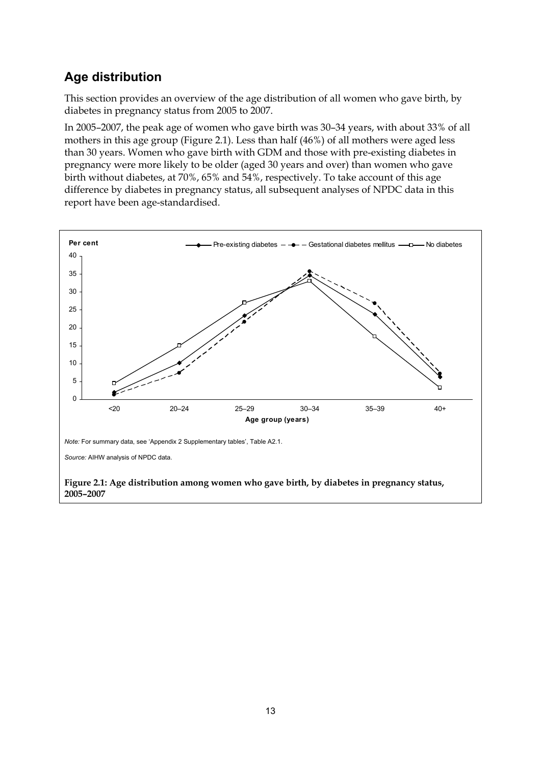## **Age distribution**

This section provides an overview of the age distribution of all women who gave birth, by diabetes in pregnancy status from 2005 to 2007.

In 2005–2007, the peak age of women who gave birth was 30–34 years, with about 33% of all mothers in this age group (Figure 2.1). Less than half (46%) of all mothers were aged less than 30 years. Women who gave birth with GDM and those with pre-existing diabetes in pregnancy were more likely to be older (aged 30 years and over) than women who gave birth without diabetes, at 70%, 65% and 54%, respectively. To take account of this age difference by diabetes in pregnancy status, all subsequent analyses of NPDC data in this report have been age-standardised.

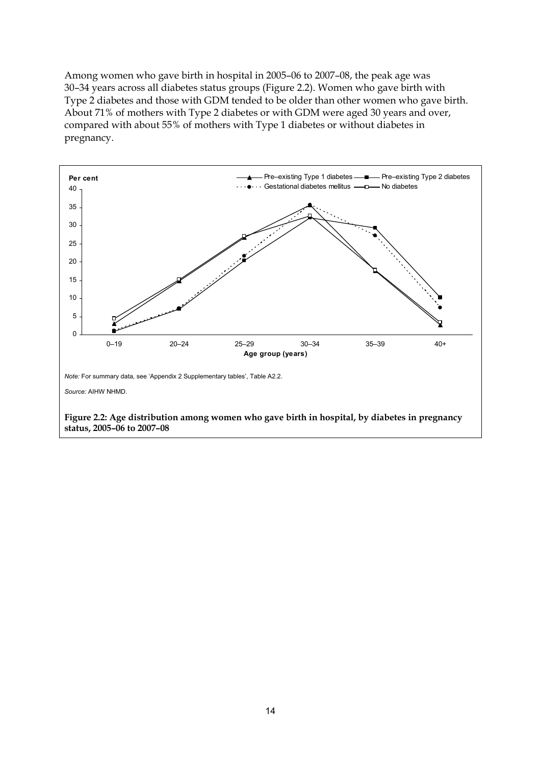Among women who gave birth in hospital in 2005–06 to 2007–08, the peak age was 30–34 years across all diabetes status groups (Figure 2.2). Women who gave birth with Type 2 diabetes and those with GDM tended to be older than other women who gave birth. About 71% of mothers with Type 2 diabetes or with GDM were aged 30 years and over, compared with about 55% of mothers with Type 1 diabetes or without diabetes in pregnancy.

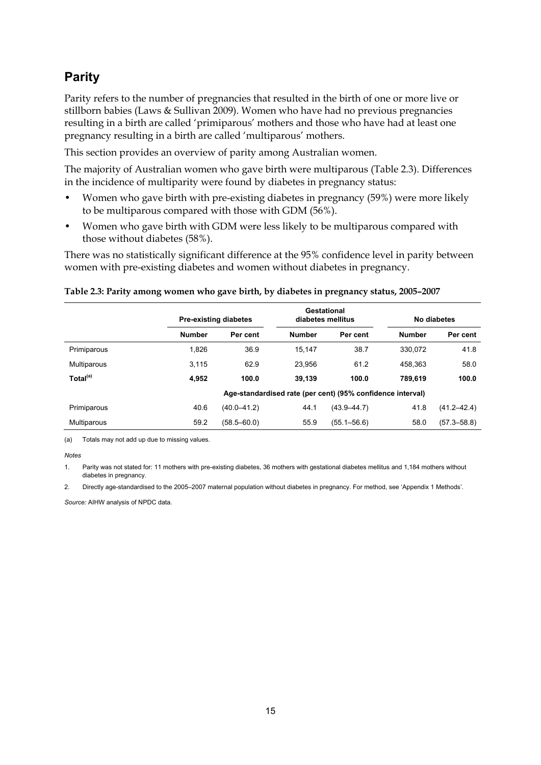## **Parity**

Parity refers to the number of pregnancies that resulted in the birth of one or more live or stillborn babies (Laws & Sullivan 2009). Women who have had no previous pregnancies resulting in a birth are called 'primiparous' mothers and those who have had at least one pregnancy resulting in a birth are called 'multiparous' mothers.

This section provides an overview of parity among Australian women.

The majority of Australian women who gave birth were multiparous (Table 2.3). Differences in the incidence of multiparity were found by diabetes in pregnancy status:

- Women who gave birth with pre-existing diabetes in pregnancy (59%) were more likely to be multiparous compared with those with GDM (56%).
- Women who gave birth with GDM were less likely to be multiparous compared with those without diabetes (58%).

There was no statistically significant difference at the 95% confidence level in parity between women with pre-existing diabetes and women without diabetes in pregnancy.

#### **Table 2.3: Parity among women who gave birth, by diabetes in pregnancy status, 2005–2007**

|                      | <b>Pre-existing diabetes</b> |                 | Gestational<br>diabetes mellitus |                                                            | No diabetes   |                 |
|----------------------|------------------------------|-----------------|----------------------------------|------------------------------------------------------------|---------------|-----------------|
|                      | <b>Number</b>                | Per cent        | <b>Number</b>                    | Per cent                                                   | <b>Number</b> | Per cent        |
| Primiparous          | 1,826                        | 36.9            | 15.147                           | 38.7                                                       | 330.072       | 41.8            |
| Multiparous          | 3,115                        | 62.9            | 23.956                           | 61.2                                                       | 458.363       | 58.0            |
| Total <sup>(a)</sup> | 4,952                        | 100.0           | 39.139                           | 100.0                                                      | 789.619       | 100.0           |
|                      |                              |                 |                                  | Age-standardised rate (per cent) (95% confidence interval) |               |                 |
| Primiparous          | 40.6                         | $(40.0 - 41.2)$ | 44.1                             | $(43.9 - 44.7)$                                            | 41.8          | $(41.2 - 42.4)$ |
| Multiparous          | 59.2                         | $(58.5 - 60.0)$ | 55.9                             | $(55.1 - 56.6)$                                            | 58.0          | $(57.3 - 58.8)$ |

(a) Totals may not add up due to missing values.

*Notes*

1. Parity was not stated for: 11 mothers with pre-existing diabetes, 36 mothers with gestational diabetes mellitus and 1,184 mothers without diabetes in pregnancy.

2. Directly age-standardised to the 2005–2007 maternal population without diabetes in pregnancy. For method, see 'Appendix 1 Methods'.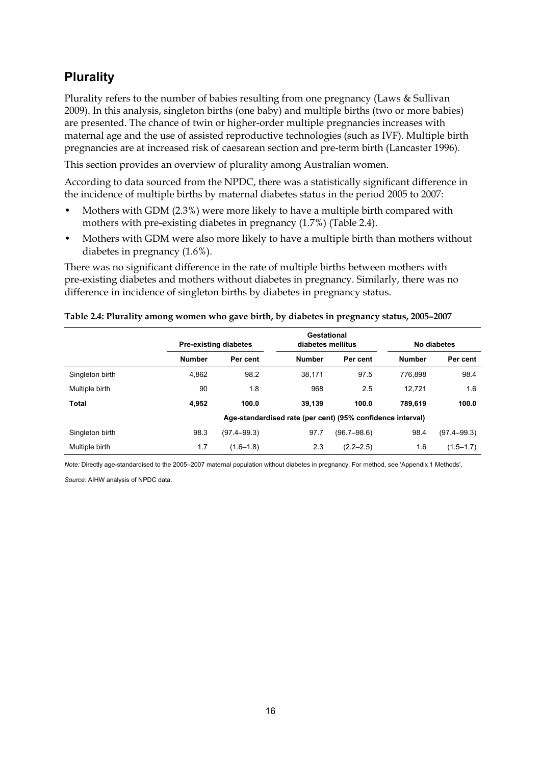## **Plurality**

Plurality refers to the number of babies resulting from one pregnancy (Laws & Sullivan 2009). In this analysis, singleton births (one baby) and multiple births (two or more babies) are presented. The chance of twin or higher-order multiple pregnancies increases with maternal age and the use of assisted reproductive technologies (such as IVF). Multiple birth pregnancies are at increased risk of caesarean section and pre-term birth (Lancaster 1996).

This section provides an overview of plurality among Australian women.

According to data sourced from the NPDC, there was a statistically significant difference in the incidence of multiple births by maternal diabetes status in the period 2005 to 2007:

- Mothers with GDM (2.3%) were more likely to have a multiple birth compared with mothers with pre-existing diabetes in pregnancy (1.7%) (Table 2.4).
- Mothers with GDM were also more likely to have a multiple birth than mothers without diabetes in pregnancy (1.6%).

There was no significant difference in the rate of multiple births between mothers with pre-existing diabetes and mothers without diabetes in pregnancy. Similarly, there was no difference in incidence of singleton births by diabetes in pregnancy status.

|                 |               | Gestational<br><b>Pre-existing diabetes</b><br>diabetes mellitus |               | No diabetes                                                |               |                 |
|-----------------|---------------|------------------------------------------------------------------|---------------|------------------------------------------------------------|---------------|-----------------|
|                 | <b>Number</b> | Per cent                                                         | <b>Number</b> | Per cent                                                   | <b>Number</b> | Per cent        |
| Singleton birth | 4,862         | 98.2                                                             | 38,171        | 97.5                                                       | 776.898       | 98.4            |
| Multiple birth  | 90            | 1.8                                                              | 968           | 2.5                                                        | 12.721        | 1.6             |
| Total           | 4,952         | 100.0                                                            | 39.139        | 100.0                                                      | 789.619       | 100.0           |
|                 |               |                                                                  |               | Age-standardised rate (per cent) (95% confidence interval) |               |                 |
| Singleton birth | 98.3          | $(97.4 - 99.3)$                                                  | 97.7          | $(96.7 - 98.6)$                                            | 98.4          | $(97.4 - 99.3)$ |
| Multiple birth  | 1.7           | $(1.6 - 1.8)$                                                    | 2.3           | $(2.2 - 2.5)$                                              | 1.6           | $(1.5 - 1.7)$   |

#### **Table 2.4: Plurality among women who gave birth, by diabetes in pregnancy status, 2005–2007**

*Note:* Directly age-standardised to the 2005–2007 maternal population without diabetes in pregnancy. For method, see 'Appendix 1 Methods'.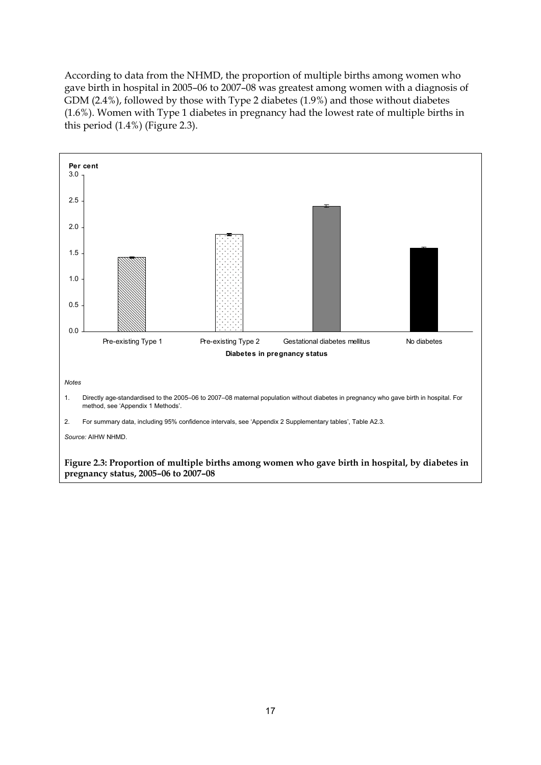According to data from the NHMD, the proportion of multiple births among women who gave birth in hospital in 2005–06 to 2007–08 was greatest among women with a diagnosis of GDM (2.4%), followed by those with Type 2 diabetes (1.9%) and those without diabetes (1.6%). Women with Type 1 diabetes in pregnancy had the lowest rate of multiple births in this period (1.4%) (Figure 2.3).



17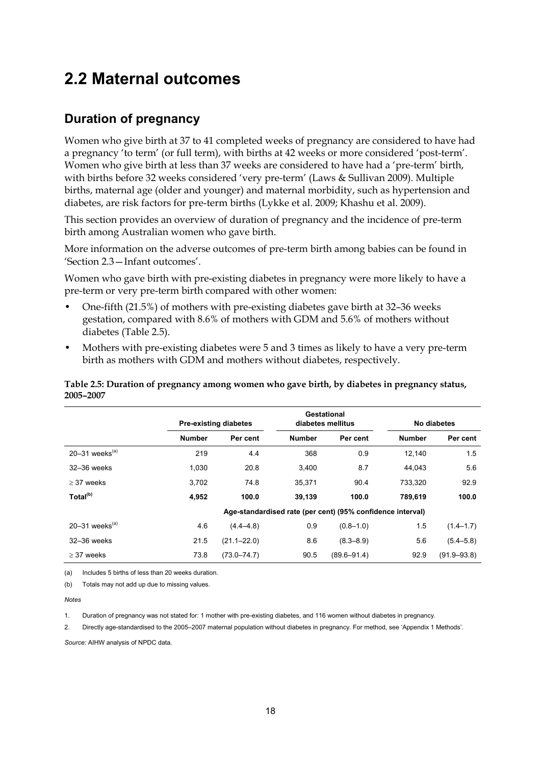## <span id="page-25-0"></span>**2.2 Maternal outcomes**

## **Duration of pregnancy**

Women who give birth at 37 to 41 completed weeks of pregnancy are considered to have had a pregnancy 'to term' (or full term), with births at 42 weeks or more considered 'post-term'. Women who give birth at less than 37 weeks are considered to have had a 'pre-term' birth, with births before 32 weeks considered 'very pre-term' (Laws & Sullivan 2009). Multiple births, maternal age (older and younger) and maternal morbidity, such as hypertension and diabetes, are risk factors for pre-term births (Lykke et al. 2009; Khashu et al. 2009).

This section provides an overview of duration of pregnancy and the incidence of pre-term birth among Australian women who gave birth.

More information on the adverse outcomes of pre-term birth among babies can be found in 'Section 2.3—Infant outcomes'.

Women who gave birth with pre-existing diabetes in pregnancy were more likely to have a pre-term or very pre-term birth compared with other women:

- One-fifth (21.5%) of mothers with pre-existing diabetes gave birth at 32–36 weeks gestation, compared with 8.6% of mothers with GDM and 5.6% of mothers without diabetes (Table 2.5).
- Mothers with pre-existing diabetes were 5 and 3 times as likely to have a very pre-term birth as mothers with GDM and mothers without diabetes, respectively.

|                              |               | Gestational<br><b>Pre-existing diabetes</b><br>diabetes mellitus |                                                            |                 | No diabetes   |                 |
|------------------------------|---------------|------------------------------------------------------------------|------------------------------------------------------------|-----------------|---------------|-----------------|
|                              | <b>Number</b> | Per cent                                                         | <b>Number</b>                                              | Per cent        | <b>Number</b> | Per cent        |
| 20-31 weeks $(a)$            | 219           | 4.4                                                              | 368                                                        | 0.9             | 12.140        | 1.5             |
| 32-36 weeks                  | 1,030         | 20.8                                                             | 3,400                                                      | 8.7             | 44.043        | 5.6             |
| $>$ 37 weeks                 | 3,702         | 74.8                                                             | 35,371                                                     | 90.4            | 733,320       | 92.9            |
| Total <sup>(b)</sup>         | 4,952         | 100.0                                                            | 39,139                                                     | 100.0           | 789.619       | 100.0           |
|                              |               |                                                                  | Age-standardised rate (per cent) (95% confidence interval) |                 |               |                 |
| $20-31$ weeks <sup>(a)</sup> | 4.6           | $(4.4 - 4.8)$                                                    | 0.9                                                        | $(0.8 - 1.0)$   | 1.5           | $(1.4 - 1.7)$   |
| 32-36 weeks                  | 21.5          | $(21.1 - 22.0)$                                                  | 8.6                                                        | $(8.3 - 8.9)$   | 5.6           | $(5.4 - 5.8)$   |
| $\geq$ 37 weeks              | 73.8          | $(73.0 - 74.7)$                                                  | 90.5                                                       | $(89.6 - 91.4)$ | 92.9          | $(91.9 - 93.8)$ |

**Table 2.5: Duration of pregnancy among women who gave birth, by diabetes in pregnancy status, 2005–2007** 

(a) Includes 5 births of less than 20 weeks duration.

(b) Totals may not add up due to missing values.

*Notes* 

1. Duration of pregnancy was not stated for: 1 mother with pre-existing diabetes, and 116 women without diabetes in pregnancy.

2. Directly age-standardised to the 2005–2007 maternal population without diabetes in pregnancy. For method, see 'Appendix 1 Methods'.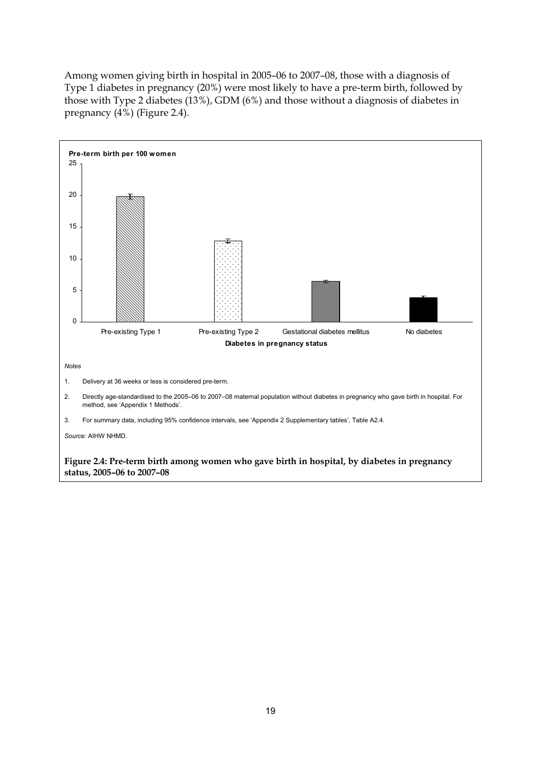Among women giving birth in hospital in 2005–06 to 2007–08, those with a diagnosis of Type 1 diabetes in pregnancy (20%) were most likely to have a pre-term birth, followed by those with Type 2 diabetes (13%), GDM (6%) and those without a diagnosis of diabetes in pregnancy (4%) (Figure 2.4).

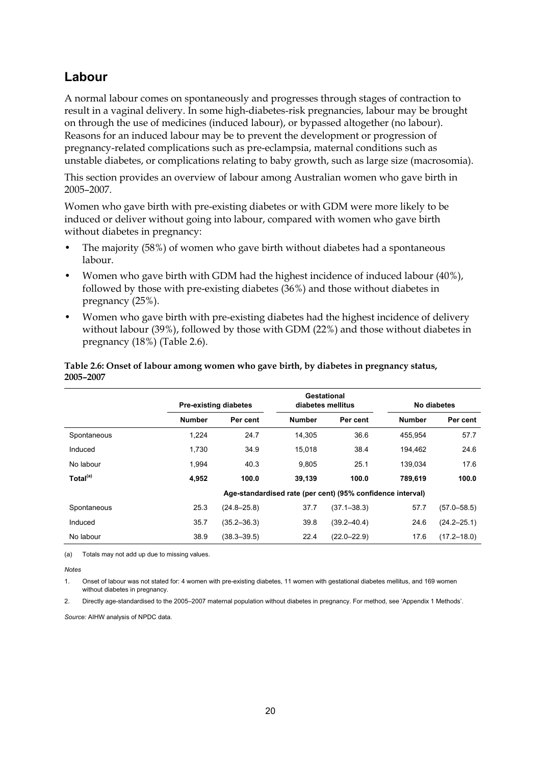## **Labour**

A normal labour comes on spontaneously and progresses through stages of contraction to result in a vaginal delivery. In some high-diabetes-risk pregnancies, labour may be brought on through the use of medicines (induced labour), or bypassed altogether (no labour). Reasons for an induced labour may be to prevent the development or progression of pregnancy-related complications such as pre-eclampsia, maternal conditions such as unstable diabetes, or complications relating to baby growth, such as large size (macrosomia).

This section provides an overview of labour among Australian women who gave birth in 2005–2007.

Women who gave birth with pre-existing diabetes or with GDM were more likely to be induced or deliver without going into labour, compared with women who gave birth without diabetes in pregnancy:

- The majority (58%) of women who gave birth without diabetes had a spontaneous labour.
- Women who gave birth with GDM had the highest incidence of induced labour (40%), followed by those with pre-existing diabetes (36%) and those without diabetes in pregnancy (25%).
- Women who gave birth with pre-existing diabetes had the highest incidence of delivery without labour (39%), followed by those with GDM (22%) and those without diabetes in pregnancy (18%) (Table 2.6).

|                      |               | Gestational<br><b>Pre-existing diabetes</b><br>diabetes mellitus |               |                                                            | No diabetes   |                 |
|----------------------|---------------|------------------------------------------------------------------|---------------|------------------------------------------------------------|---------------|-----------------|
|                      | <b>Number</b> | Per cent                                                         | <b>Number</b> | Per cent                                                   | <b>Number</b> | Per cent        |
| Spontaneous          | 1,224         | 24.7                                                             | 14.305        | 36.6                                                       | 455.954       | 57.7            |
| Induced              | 1.730         | 34.9                                                             | 15.018        | 38.4                                                       | 194.462       | 24.6            |
| No labour            | 1.994         | 40.3                                                             | 9.805         | 25.1                                                       | 139.034       | 17.6            |
| Total <sup>(a)</sup> | 4,952         | 100.0                                                            | 39,139        | 100.0                                                      | 789,619       | 100.0           |
|                      |               |                                                                  |               | Age-standardised rate (per cent) (95% confidence interval) |               |                 |
| Spontaneous          | 25.3          | $(24.8 - 25.8)$                                                  | 37.7          | $(37.1 - 38.3)$                                            | 57.7          | $(57.0 - 58.5)$ |
| Induced              | 35.7          | $(35.2 - 36.3)$                                                  | 39.8          | $(39.2 - 40.4)$                                            | 24.6          | $(24.2 - 25.1)$ |
| No labour            | 38.9          | $(38.3 - 39.5)$                                                  | 22.4          | $(22.0 - 22.9)$                                            | 17.6          | $(17.2 - 18.0)$ |

#### **Table 2.6: Onset of labour among women who gave birth, by diabetes in pregnancy status, 2005–2007**

(a) Totals may not add up due to missing values.

*Notes* 

1. Onset of labour was not stated for: 4 women with pre-existing diabetes, 11 women with gestational diabetes mellitus, and 169 women without diabetes in pregnancy.

2. Directly age-standardised to the 2005–2007 maternal population without diabetes in pregnancy. For method, see 'Appendix 1 Methods'.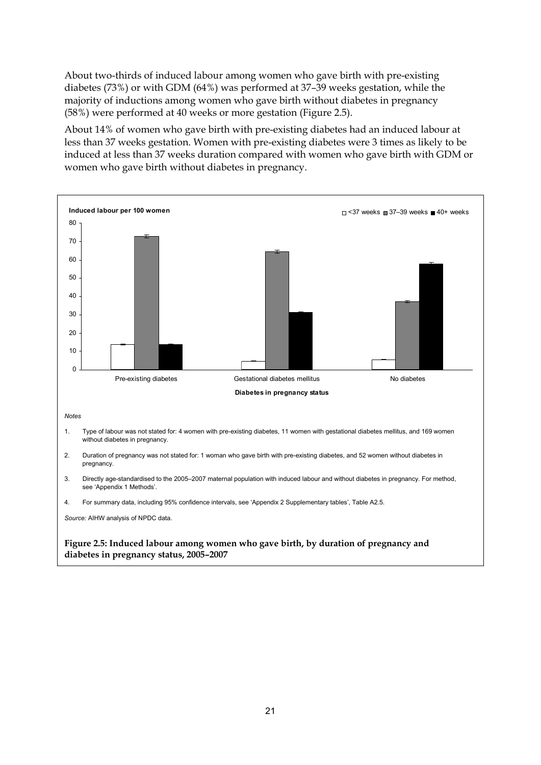About two-thirds of induced labour among women who gave birth with pre-existing diabetes (73%) or with GDM (64%) was performed at 37–39 weeks gestation, while the majority of inductions among women who gave birth without diabetes in pregnancy (58%) were performed at 40 weeks or more gestation (Figure 2.5).

About 14% of women who gave birth with pre-existing diabetes had an induced labour at less than 37 weeks gestation. Women with pre-existing diabetes were 3 times as likely to be induced at less than 37 weeks duration compared with women who gave birth with GDM or women who gave birth without diabetes in pregnancy.

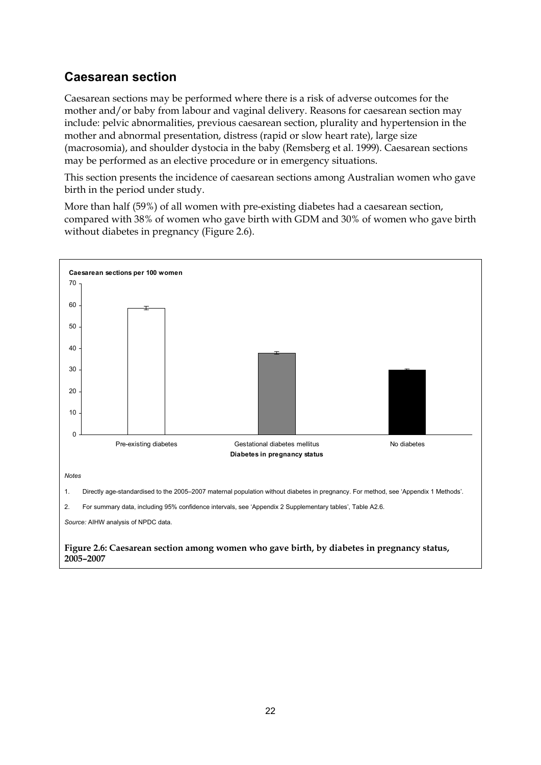## **Caesarean section**

Caesarean sections may be performed where there is a risk of adverse outcomes for the mother and/or baby from labour and vaginal delivery. Reasons for caesarean section may include: pelvic abnormalities, previous caesarean section, plurality and hypertension in the mother and abnormal presentation, distress (rapid or slow heart rate), large size (macrosomia), and shoulder dystocia in the baby (Remsberg et al. 1999). Caesarean sections may be performed as an elective procedure or in emergency situations.

This section presents the incidence of caesarean sections among Australian women who gave birth in the period under study.

More than half (59%) of all women with pre-existing diabetes had a caesarean section, compared with 38% of women who gave birth with GDM and 30% of women who gave birth without diabetes in pregnancy (Figure 2.6).

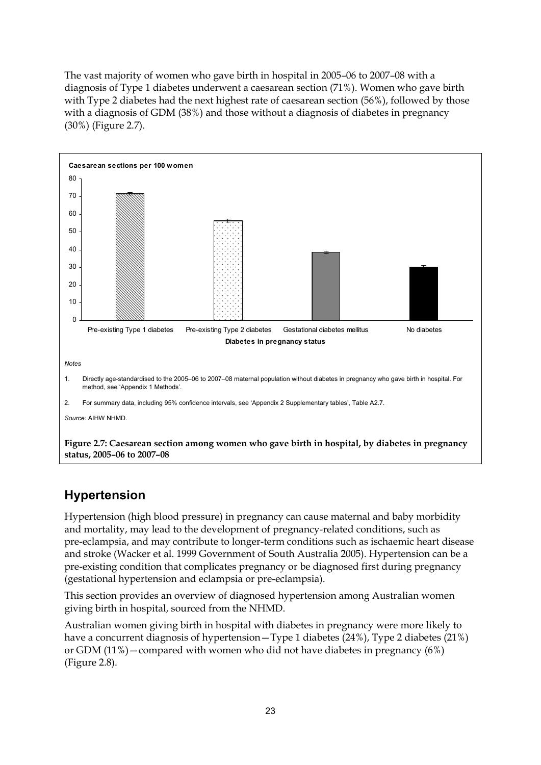The vast majority of women who gave birth in hospital in 2005–06 to 2007–08 with a diagnosis of Type 1 diabetes underwent a caesarean section (71%). Women who gave birth with Type 2 diabetes had the next highest rate of caesarean section (56%), followed by those with a diagnosis of GDM (38%) and those without a diagnosis of diabetes in pregnancy (30%) (Figure 2.7).



## **Hypertension**

Hypertension (high blood pressure) in pregnancy can cause maternal and baby morbidity and mortality, may lead to the development of pregnancy-related conditions, such as pre-eclampsia, and may contribute to longer-term conditions such as ischaemic heart disease and stroke (Wacker et al. 1999 Government of South Australia 2005). Hypertension can be a pre-existing condition that complicates pregnancy or be diagnosed first during pregnancy (gestational hypertension and eclampsia or pre-eclampsia).

This section provides an overview of diagnosed hypertension among Australian women giving birth in hospital, sourced from the NHMD.

Australian women giving birth in hospital with diabetes in pregnancy were more likely to have a concurrent diagnosis of hypertension—Type 1 diabetes (24%), Type 2 diabetes (21%) or GDM (11%)—compared with women who did not have diabetes in pregnancy (6%) (Figure 2.8).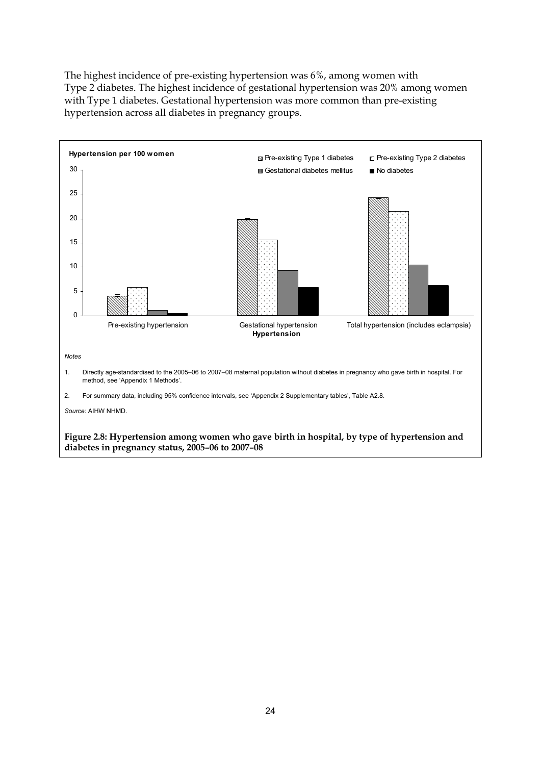The highest incidence of pre-existing hypertension was 6%, among women with Type 2 diabetes. The highest incidence of gestational hypertension was 20% among women with Type 1 diabetes. Gestational hypertension was more common than pre-existing hypertension across all diabetes in pregnancy groups.

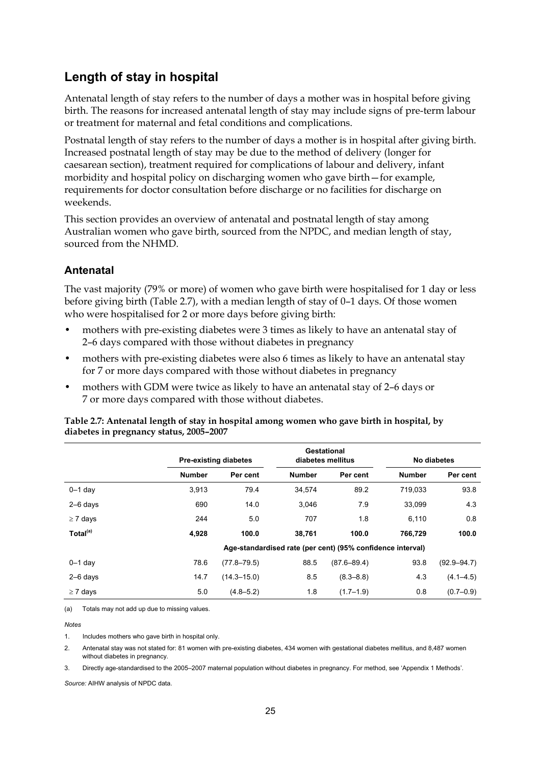## **Length of stay in hospital**

Antenatal length of stay refers to the number of days a mother was in hospital before giving birth. The reasons for increased antenatal length of stay may include signs of pre-term labour or treatment for maternal and fetal conditions and complications.

Postnatal length of stay refers to the number of days a mother is in hospital after giving birth. Increased postnatal length of stay may be due to the method of delivery (longer for caesarean section), treatment required for complications of labour and delivery, infant morbidity and hospital policy on discharging women who gave birth—for example, requirements for doctor consultation before discharge or no facilities for discharge on weekends.

This section provides an overview of antenatal and postnatal length of stay among Australian women who gave birth, sourced from the NPDC, and median length of stay, sourced from the NHMD.

### **Antenatal**

The vast majority (79% or more) of women who gave birth were hospitalised for 1 day or less before giving birth (Table 2.7), with a median length of stay of 0–1 days. Of those women who were hospitalised for 2 or more days before giving birth:

- mothers with pre-existing diabetes were 3 times as likely to have an antenatal stay of 2–6 days compared with those without diabetes in pregnancy
- mothers with pre-existing diabetes were also 6 times as likely to have an antenatal stay for 7 or more days compared with those without diabetes in pregnancy
- mothers with GDM were twice as likely to have an antenatal stay of 2–6 days or 7 or more days compared with those without diabetes.

|                      |               | <b>Pre-existing diabetes</b> | Gestational<br>diabetes mellitus |                                                            | No diabetes   |                 |
|----------------------|---------------|------------------------------|----------------------------------|------------------------------------------------------------|---------------|-----------------|
|                      | <b>Number</b> | Per cent                     | <b>Number</b>                    | Per cent                                                   | <b>Number</b> | Per cent        |
| $0-1$ day            | 3,913         | 79.4                         | 34,574                           | 89.2                                                       | 719,033       | 93.8            |
| $2-6$ days           | 690           | 14.0                         | 3,046                            | 7.9                                                        | 33,099        | 4.3             |
| $\geq 7$ days        | 244           | 5.0                          | 707                              | 1.8                                                        | 6,110         | 0.8             |
| Total <sup>(a)</sup> | 4,928         | 100.0                        | 38,761                           | 100.0                                                      | 766,729       | 100.0           |
|                      |               |                              |                                  | Age-standardised rate (per cent) (95% confidence interval) |               |                 |
| $0-1$ day            | 78.6          | $(77.8 - 79.5)$              | 88.5                             | $(87.6 - 89.4)$                                            | 93.8          | $(92.9 - 94.7)$ |
| $2-6$ days           | 14.7          | $(14.3 - 15.0)$              | 8.5                              | $(8.3 - 8.8)$                                              | 4.3           | $(4.1 - 4.5)$   |
| $\geq 7$ days        | 5.0           | $(4.8 - 5.2)$                | 1.8                              | $(1.7 - 1.9)$                                              | 0.8           | $(0.7 - 0.9)$   |

**Table 2.7: Antenatal length of stay in hospital among women who gave birth in hospital, by diabetes in pregnancy status, 2005–2007** 

(a) Totals may not add up due to missing values.

*Notes* 

1. Includes mothers who gave birth in hospital only.

2. Antenatal stay was not stated for: 81 women with pre-existing diabetes, 434 women with gestational diabetes mellitus, and 8,487 women without diabetes in pregnancy.

3. Directly age-standardised to the 2005–2007 maternal population without diabetes in pregnancy. For method, see 'Appendix 1 Methods'.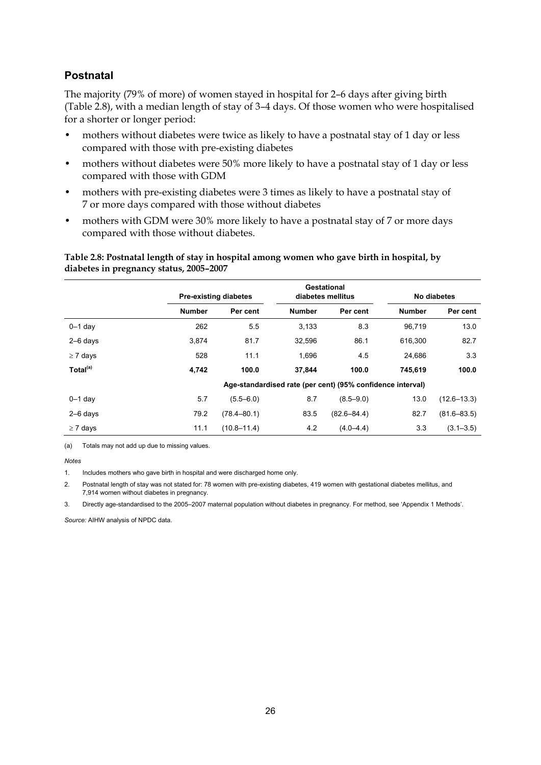#### **Postnatal**

The majority (79% of more) of women stayed in hospital for 2–6 days after giving birth (Table 2.8), with a median length of stay of 3–4 days. Of those women who were hospitalised for a shorter or longer period:

- mothers without diabetes were twice as likely to have a postnatal stay of 1 day or less compared with those with pre-existing diabetes
- mothers without diabetes were 50% more likely to have a postnatal stay of 1 day or less compared with those with GDM
- mothers with pre-existing diabetes were 3 times as likely to have a postnatal stay of 7 or more days compared with those without diabetes
- mothers with GDM were 30% more likely to have a postnatal stay of 7 or more days compared with those without diabetes.

**Table 2.8: Postnatal length of stay in hospital among women who gave birth in hospital, by diabetes in pregnancy status, 2005–2007** 

|                      | <b>Pre-existing diabetes</b> |                 | Gestational<br>diabetes mellitus |                                                            | No diabetes   |                 |
|----------------------|------------------------------|-----------------|----------------------------------|------------------------------------------------------------|---------------|-----------------|
|                      | <b>Number</b>                | Per cent        | <b>Number</b>                    | Per cent                                                   | <b>Number</b> | Per cent        |
| $0-1$ day            | 262                          | 5.5             | 3.133                            | 8.3                                                        | 96.719        | 13.0            |
| $2-6$ days           | 3.874                        | 81.7            | 32,596                           | 86.1                                                       | 616.300       | 82.7            |
| $\geq 7$ days        | 528                          | 11.1            | 1.696                            | 4.5                                                        | 24.686        | 3.3             |
| Total <sup>(a)</sup> | 4,742                        | 100.0           | 37,844                           | 100.0                                                      | 745.619       | 100.0           |
|                      |                              |                 |                                  | Age-standardised rate (per cent) (95% confidence interval) |               |                 |
| $0-1$ day            | 5.7                          | $(5.5 - 6.0)$   | 8.7                              | $(8.5 - 9.0)$                                              | 13.0          | $(12.6 - 13.3)$ |
| $2-6$ days           | 79.2                         | $(78.4 - 80.1)$ | 83.5                             | $(82.6 - 84.4)$                                            | 82.7          | $(81.6 - 83.5)$ |
| $\geq 7$ days        | 11.1                         | $(10.8 - 11.4)$ | 4.2                              | $(4.0 - 4.4)$                                              | 3.3           | $(3.1 - 3.5)$   |

(a) Totals may not add up due to missing values.

*Notes* 

1. Includes mothers who gave birth in hospital and were discharged home only.

2. Postnatal length of stay was not stated for: 78 women with pre-existing diabetes, 419 women with gestational diabetes mellitus, and 7,914 women without diabetes in pregnancy.

3. Directly age-standardised to the 2005–2007 maternal population without diabetes in pregnancy. For method, see 'Appendix 1 Methods'.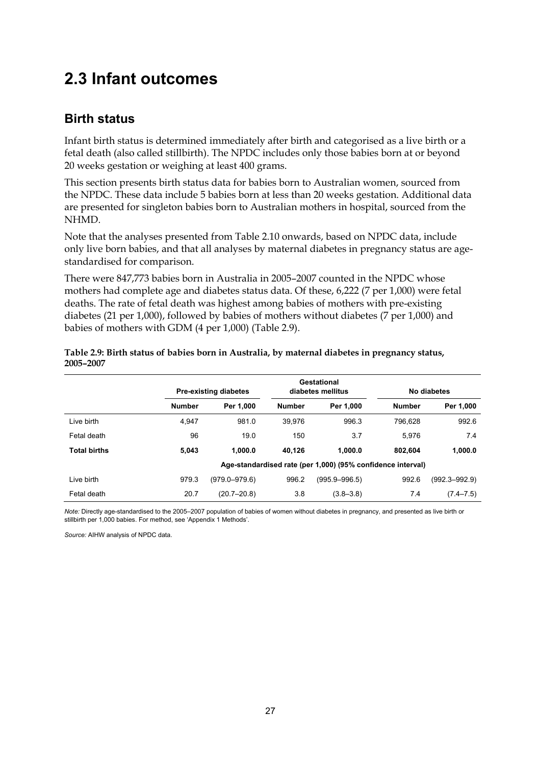## <span id="page-34-0"></span>**2.3 Infant outcomes**

## **Birth status**

Infant birth status is determined immediately after birth and categorised as a live birth or a fetal death (also called stillbirth). The NPDC includes only those babies born at or beyond 20 weeks gestation or weighing at least 400 grams.

This section presents birth status data for babies born to Australian women, sourced from the NPDC. These data include 5 babies born at less than 20 weeks gestation. Additional data are presented for singleton babies born to Australian mothers in hospital, sourced from the NHMD.

Note that the analyses presented from Table 2.10 onwards, based on NPDC data, include only live born babies, and that all analyses by maternal diabetes in pregnancy status are agestandardised for comparison.

There were 847,773 babies born in Australia in 2005–2007 counted in the NPDC whose mothers had complete age and diabetes status data. Of these, 6,222 (7 per 1,000) were fetal deaths. The rate of fetal death was highest among babies of mothers with pre-existing diabetes (21 per 1,000), followed by babies of mothers without diabetes (7 per 1,000) and babies of mothers with GDM (4 per 1,000) (Table 2.9).

|                     |               | Gestational<br><b>Pre-existing diabetes</b><br>diabetes mellitus |               | No diabetes   |                                                             |                   |
|---------------------|---------------|------------------------------------------------------------------|---------------|---------------|-------------------------------------------------------------|-------------------|
|                     | <b>Number</b> | Per 1.000                                                        | <b>Number</b> | Per 1.000     | <b>Number</b>                                               | Per 1,000         |
| Live birth          | 4.947         | 981.0                                                            | 39.976        | 996.3         | 796.628                                                     | 992.6             |
| Fetal death         | 96            | 19.0                                                             | 150           | 3.7           | 5.976                                                       | 7.4               |
| <b>Total births</b> | 5.043         | 1.000.0                                                          | 40.126        | 1.000.0       | 802.604                                                     | 1,000.0           |
|                     |               |                                                                  |               |               | Age-standardised rate (per 1,000) (95% confidence interval) |                   |
| Live birth          | 979.3         | $(979.0 - 979.6)$                                                | 996.2         | (995.9–996.5) | 992.6                                                       | $(992.3 - 992.9)$ |
| Fetal death         | 20.7          | $(20.7 - 20.8)$                                                  | 3.8           | $(3.8 - 3.8)$ | 7.4                                                         | $(7.4 - 7.5)$     |

#### **Table 2.9: Birth status of babies born in Australia, by maternal diabetes in pregnancy status, 2005–2007**

*Note:* Directly age-standardised to the 2005–2007 population of babies of women without diabetes in pregnancy, and presented as live birth or stillbirth per 1,000 babies. For method, see 'Appendix 1 Methods'.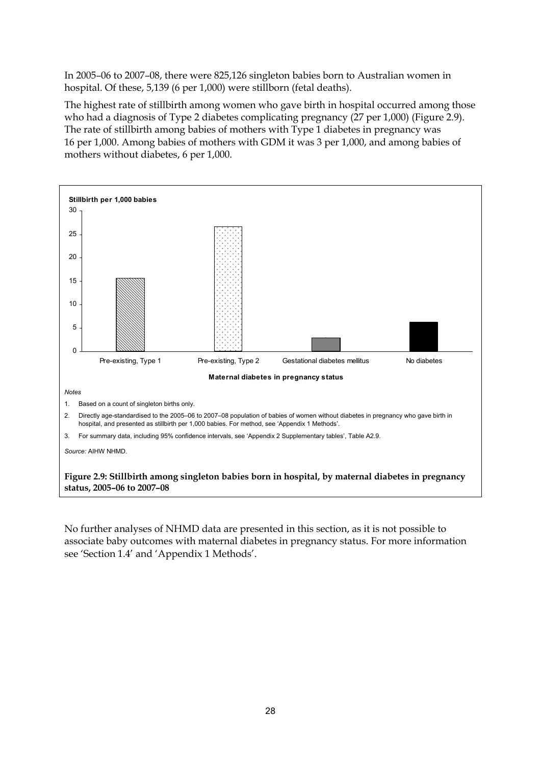In 2005–06 to 2007–08, there were 825,126 singleton babies born to Australian women in hospital. Of these, 5,139 (6 per 1,000) were stillborn (fetal deaths).

The highest rate of stillbirth among women who gave birth in hospital occurred among those who had a diagnosis of Type 2 diabetes complicating pregnancy (27 per 1,000) (Figure 2.9). The rate of stillbirth among babies of mothers with Type 1 diabetes in pregnancy was 16 per 1,000. Among babies of mothers with GDM it was 3 per 1,000, and among babies of mothers without diabetes, 6 per 1,000.



No further analyses of NHMD data are presented in this section, as it is not possible to associate baby outcomes with maternal diabetes in pregnancy status. For more information see 'Section 1.4' and 'Appendix 1 Methods'.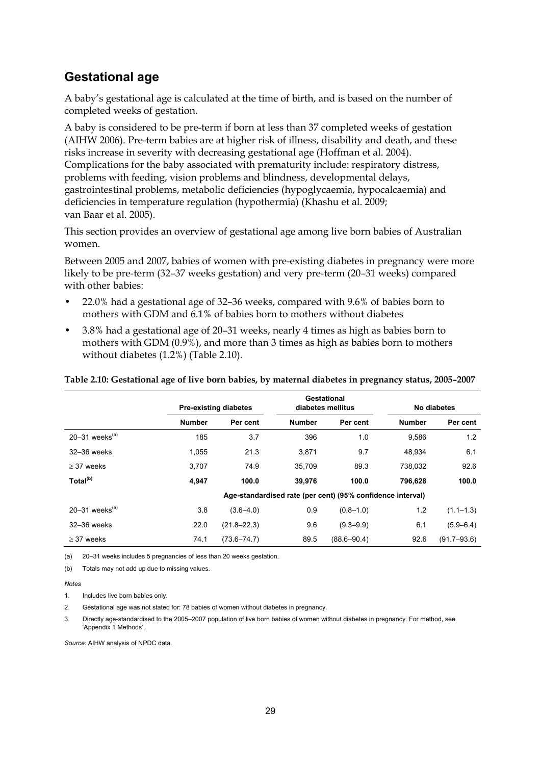### **Gestational age**

A baby's gestational age is calculated at the time of birth, and is based on the number of completed weeks of gestation.

A baby is considered to be pre-term if born at less than 37 completed weeks of gestation (AIHW 2006). Pre-term babies are at higher risk of illness, disability and death, and these risks increase in severity with decreasing gestational age (Hoffman et al. 2004). Complications for the baby associated with prematurity include: respiratory distress, problems with feeding, vision problems and blindness, developmental delays, gastrointestinal problems, metabolic deficiencies (hypoglycaemia, hypocalcaemia) and deficiencies in temperature regulation (hypothermia) (Khashu et al. 2009; van Baar et al. 2005).

This section provides an overview of gestational age among live born babies of Australian women.

Between 2005 and 2007, babies of women with pre-existing diabetes in pregnancy were more likely to be pre-term (32–37 weeks gestation) and very pre-term (20–31 weeks) compared with other babies:

- 22.0% had a gestational age of 32–36 weeks, compared with 9.6% of babies born to mothers with GDM and 6.1% of babies born to mothers without diabetes
- 3.8% had a gestational age of 20–31 weeks, nearly 4 times as high as babies born to mothers with GDM (0.9%), and more than 3 times as high as babies born to mothers without diabetes (1.2%) (Table 2.10).

#### **Table 2.10: Gestational age of live born babies, by maternal diabetes in pregnancy status, 2005–2007**

|                              | <b>Pre-existing diabetes</b> |                 |               | Gestational<br>diabetes mellitus                           |               | No diabetes     |  |
|------------------------------|------------------------------|-----------------|---------------|------------------------------------------------------------|---------------|-----------------|--|
|                              | <b>Number</b>                | Per cent        | <b>Number</b> | Per cent                                                   | <b>Number</b> | Per cent        |  |
| 20-31 weeks $(a)$            | 185                          | 3.7             | 396           | 1.0                                                        | 9,586         | 1.2             |  |
| 32-36 weeks                  | 1,055                        | 21.3            | 3.871         | 9.7                                                        | 48.934        | 6.1             |  |
| $>$ 37 weeks                 | 3.707                        | 74.9            | 35.709        | 89.3                                                       | 738.032       | 92.6            |  |
| Total <sup>(b)</sup>         | 4.947                        | 100.0           | 39,976        | 100.0                                                      | 796,628       | 100.0           |  |
|                              |                              |                 |               | Age-standardised rate (per cent) (95% confidence interval) |               |                 |  |
| $20-31$ weeks <sup>(a)</sup> | 3.8                          | $(3.6 - 4.0)$   | 0.9           | $(0.8 - 1.0)$                                              | 1.2           | $(1.1 - 1.3)$   |  |
| 32-36 weeks                  | 22.0                         | $(21.8 - 22.3)$ | 9.6           | $(9.3 - 9.9)$                                              | 6.1           | $(5.9 - 6.4)$   |  |
| $\geq$ 37 weeks              | 74.1                         | $(73.6 - 74.7)$ | 89.5          | $(88.6 - 90.4)$                                            | 92.6          | $(91.7 - 93.6)$ |  |

(a) 20–31 weeks includes 5 pregnancies of less than 20 weeks gestation.

(b) Totals may not add up due to missing values.

#### *Notes*

1. Includes live born babies only.

2. Gestational age was not stated for: 78 babies of women without diabetes in pregnancy.

3. Directly age-standardised to the 2005–2007 population of live born babies of women without diabetes in pregnancy. For method, see 'Appendix 1 Methods'.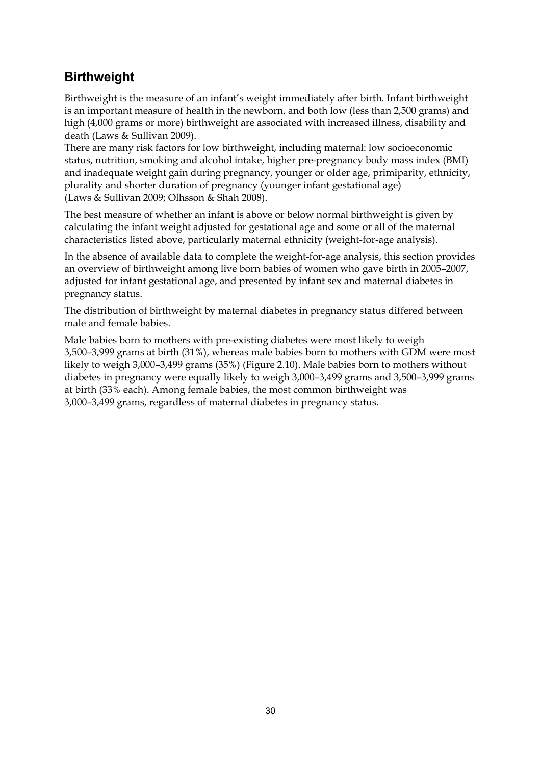### **Birthweight**

Birthweight is the measure of an infant's weight immediately after birth. Infant birthweight is an important measure of health in the newborn, and both low (less than 2,500 grams) and high (4,000 grams or more) birthweight are associated with increased illness, disability and death (Laws & Sullivan 2009).

There are many risk factors for low birthweight, including maternal: low socioeconomic status, nutrition, smoking and alcohol intake, higher pre-pregnancy body mass index (BMI) and inadequate weight gain during pregnancy, younger or older age, primiparity, ethnicity, plurality and shorter duration of pregnancy (younger infant gestational age) (Laws & Sullivan 2009; Olhsson & Shah 2008).

The best measure of whether an infant is above or below normal birthweight is given by calculating the infant weight adjusted for gestational age and some or all of the maternal characteristics listed above, particularly maternal ethnicity (weight-for-age analysis).

In the absence of available data to complete the weight-for-age analysis, this section provides an overview of birthweight among live born babies of women who gave birth in 2005–2007, adjusted for infant gestational age, and presented by infant sex and maternal diabetes in pregnancy status.

The distribution of birthweight by maternal diabetes in pregnancy status differed between male and female babies.

Male babies born to mothers with pre-existing diabetes were most likely to weigh 3,500–3,999 grams at birth (31%), whereas male babies born to mothers with GDM were most likely to weigh 3,000–3,499 grams (35%) (Figure 2.10). Male babies born to mothers without diabetes in pregnancy were equally likely to weigh 3,000–3,499 grams and 3,500–3,999 grams at birth (33% each). Among female babies, the most common birthweight was 3,000–3,499 grams, regardless of maternal diabetes in pregnancy status.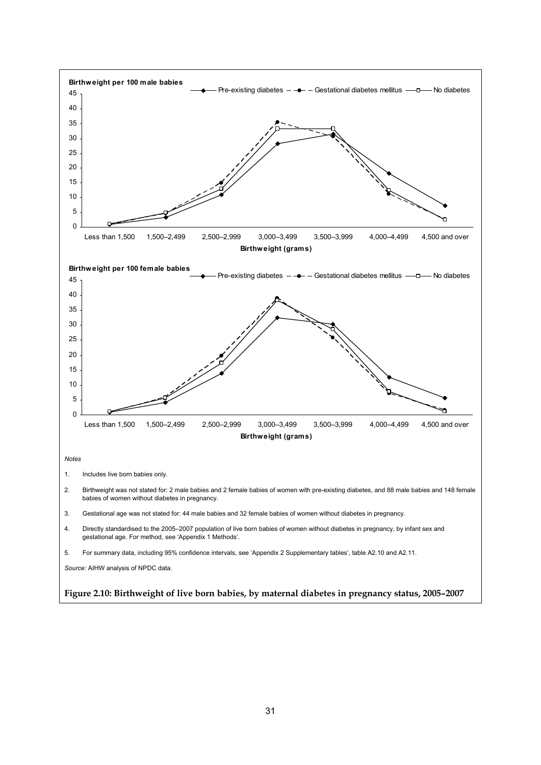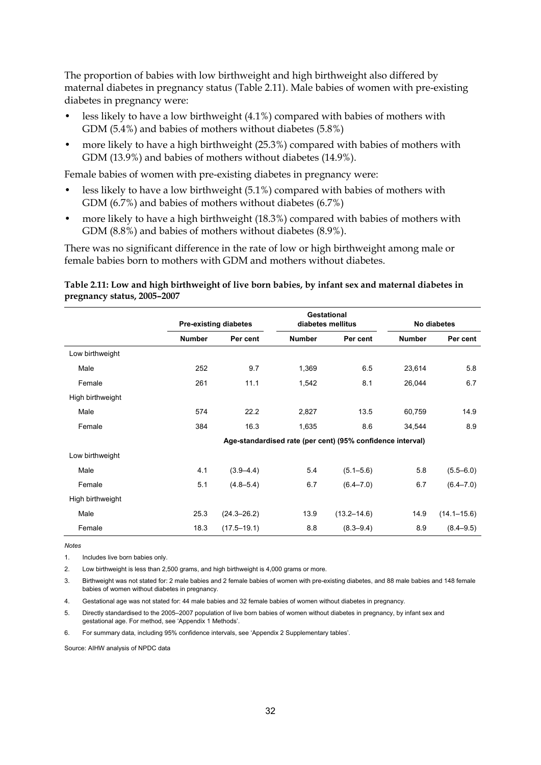The proportion of babies with low birthweight and high birthweight also differed by maternal diabetes in pregnancy status (Table 2.11). Male babies of women with pre-existing diabetes in pregnancy were:

- less likely to have a low birthweight (4.1%) compared with babies of mothers with GDM (5.4%) and babies of mothers without diabetes (5.8%)
- more likely to have a high birthweight (25.3%) compared with babies of mothers with GDM (13.9%) and babies of mothers without diabetes (14.9%).

Female babies of women with pre-existing diabetes in pregnancy were:

- less likely to have a low birthweight (5.1%) compared with babies of mothers with GDM (6.7%) and babies of mothers without diabetes (6.7%)
- more likely to have a high birthweight (18.3%) compared with babies of mothers with GDM (8.8%) and babies of mothers without diabetes (8.9%).

There was no significant difference in the rate of low or high birthweight among male or female babies born to mothers with GDM and mothers without diabetes.

#### **Table 2.11: Low and high birthweight of live born babies, by infant sex and maternal diabetes in pregnancy status, 2005–2007**

|                  | <b>Pre-existing diabetes</b> |                 |               | Gestational<br>diabetes mellitus                           |               | No diabetes     |  |
|------------------|------------------------------|-----------------|---------------|------------------------------------------------------------|---------------|-----------------|--|
|                  | <b>Number</b>                | Per cent        | <b>Number</b> | Per cent                                                   | <b>Number</b> | Per cent        |  |
| Low birthweight  |                              |                 |               |                                                            |               |                 |  |
| Male             | 252                          | 9.7             | 1,369         | 6.5                                                        | 23,614        | 5.8             |  |
| Female           | 261                          | 11.1            | 1,542         | 8.1                                                        | 26,044        | 6.7             |  |
| High birthweight |                              |                 |               |                                                            |               |                 |  |
| Male             | 574                          | 22.2            | 2,827         | 13.5                                                       | 60,759        | 14.9            |  |
| Female           | 384                          | 16.3            | 1,635         | 8.6                                                        | 34,544        | 8.9             |  |
|                  |                              |                 |               | Age-standardised rate (per cent) (95% confidence interval) |               |                 |  |
| Low birthweight  |                              |                 |               |                                                            |               |                 |  |
| Male             | 4.1                          | $(3.9 - 4.4)$   | 5.4           | $(5.1 - 5.6)$                                              | 5.8           | $(5.5 - 6.0)$   |  |
| Female           | 5.1                          | $(4.8 - 5.4)$   | 6.7           | $(6.4 - 7.0)$                                              | 6.7           | $(6.4 - 7.0)$   |  |
| High birthweight |                              |                 |               |                                                            |               |                 |  |
| Male             | 25.3                         | $(24.3 - 26.2)$ | 13.9          | $(13.2 - 14.6)$                                            | 14.9          | $(14.1 - 15.6)$ |  |
| Female           | 18.3                         | $(17.5 - 19.1)$ | 8.8           | $(8.3 - 9.4)$                                              | 8.9           | $(8.4 - 9.5)$   |  |

*Notes*

1. Includes live born babies only.

2. Low birthweight is less than 2,500 grams, and high birthweight is 4,000 grams or more.

3. Birthweight was not stated for: 2 male babies and 2 female babies of women with pre-existing diabetes, and 88 male babies and 148 female babies of women without diabetes in pregnancy.

4. Gestational age was not stated for: 44 male babies and 32 female babies of women without diabetes in pregnancy.

5. Directly standardised to the 2005–2007 population of live born babies of women without diabetes in pregnancy, by infant sex and gestational age. For method, see 'Appendix 1 Methods'.

6. For summary data, including 95% confidence intervals, see 'Appendix 2 Supplementary tables'.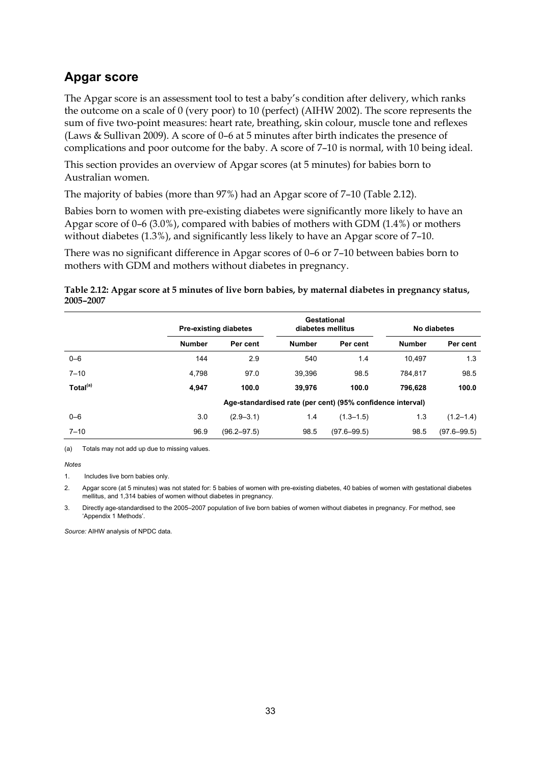### **Apgar score**

The Apgar score is an assessment tool to test a baby's condition after delivery, which ranks the outcome on a scale of 0 (very poor) to 10 (perfect) (AIHW 2002). The score represents the sum of five two-point measures: heart rate, breathing, skin colour, muscle tone and reflexes (Laws & Sullivan 2009). A score of 0–6 at 5 minutes after birth indicates the presence of complications and poor outcome for the baby. A score of 7–10 is normal, with 10 being ideal.

This section provides an overview of Apgar scores (at 5 minutes) for babies born to Australian women.

The majority of babies (more than 97%) had an Apgar score of 7–10 (Table 2.12).

Babies born to women with pre-existing diabetes were significantly more likely to have an Apgar score of 0–6 (3.0%), compared with babies of mothers with GDM (1.4%) or mothers without diabetes (1.3%), and significantly less likely to have an Apgar score of 7–10.

There was no significant difference in Apgar scores of 0–6 or 7–10 between babies born to mothers with GDM and mothers without diabetes in pregnancy.

#### **Table 2.12: Apgar score at 5 minutes of live born babies, by maternal diabetes in pregnancy status, 2005–2007**

|                      |               | <b>Pre-existing diabetes</b> |               | Gestational<br>diabetes mellitus                           |               | No diabetes     |  |
|----------------------|---------------|------------------------------|---------------|------------------------------------------------------------|---------------|-----------------|--|
|                      | <b>Number</b> | Per cent                     | <b>Number</b> | Per cent                                                   | <b>Number</b> | Per cent        |  |
| $0 - 6$              | 144           | 2.9                          | 540           | 1.4                                                        | 10.497        | 1.3             |  |
| $7 - 10$             | 4,798         | 97.0                         | 39.396        | 98.5                                                       | 784.817       | 98.5            |  |
| Total <sup>(a)</sup> | 4.947         | 100.0                        | 39.976        | 100.0                                                      | 796.628       | 100.0           |  |
|                      |               |                              |               | Age-standardised rate (per cent) (95% confidence interval) |               |                 |  |
| $0 - 6$              | 3.0           | $(2.9 - 3.1)$                | 1.4           | $(1.3 - 1.5)$                                              | 1.3           | $(1.2 - 1.4)$   |  |
| $7 - 10$             | 96.9          | $(96.2 - 97.5)$              | 98.5          | $(97.6 - 99.5)$                                            | 98.5          | $(97.6 - 99.5)$ |  |

(a) Totals may not add up due to missing values.

#### *Notes*

1. Includes live born babies only.

2. Apgar score (at 5 minutes) was not stated for: 5 babies of women with pre-existing diabetes, 40 babies of women with gestational diabetes mellitus, and 1,314 babies of women without diabetes in pregnancy.

3. Directly age-standardised to the 2005–2007 population of live born babies of women without diabetes in pregnancy. For method, see 'Appendix 1 Methods'.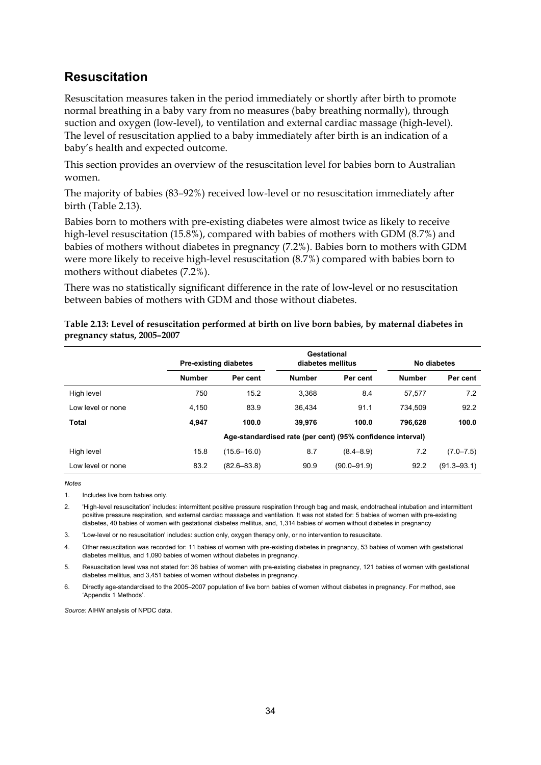### **Resuscitation**

Resuscitation measures taken in the period immediately or shortly after birth to promote normal breathing in a baby vary from no measures (baby breathing normally), through suction and oxygen (low-level), to ventilation and external cardiac massage (high-level). The level of resuscitation applied to a baby immediately after birth is an indication of a baby's health and expected outcome.

This section provides an overview of the resuscitation level for babies born to Australian women.

The majority of babies (83–92%) received low-level or no resuscitation immediately after birth (Table 2.13).

Babies born to mothers with pre-existing diabetes were almost twice as likely to receive high-level resuscitation (15.8%), compared with babies of mothers with GDM (8.7%) and babies of mothers without diabetes in pregnancy (7.2%). Babies born to mothers with GDM were more likely to receive high-level resuscitation (8.7%) compared with babies born to mothers without diabetes (7.2%).

There was no statistically significant difference in the rate of low-level or no resuscitation between babies of mothers with GDM and those without diabetes.

|                   | <b>Pre-existing diabetes</b> |                 | Gestational<br>diabetes mellitus |                                                            | No diabetes   |                 |
|-------------------|------------------------------|-----------------|----------------------------------|------------------------------------------------------------|---------------|-----------------|
|                   | <b>Number</b>                | Per cent        | <b>Number</b>                    | Per cent                                                   | <b>Number</b> | Per cent        |
| High level        | 750                          | 15.2            | 3,368                            | 8.4                                                        | 57.577        | 7.2             |
| Low level or none | 4,150                        | 83.9            | 36.434                           | 91.1                                                       | 734.509       | 92.2            |
| Total             | 4.947                        | 100.0           | 39.976                           | 100.0                                                      | 796,628       | 100.0           |
|                   |                              |                 |                                  | Age-standardised rate (per cent) (95% confidence interval) |               |                 |
| High level        | 15.8                         | $(15.6 - 16.0)$ | 8.7                              | $(8.4 - 8.9)$                                              | 7.2           | $(7.0 - 7.5)$   |
| Low level or none | 83.2                         | $(82.6 - 83.8)$ | 90.9                             | $(90.0 - 91.9)$                                            | 92.2          | $(91.3 - 93.1)$ |

#### **Table 2.13: Level of resuscitation performed at birth on live born babies, by maternal diabetes in pregnancy status, 2005–2007**

*Notes*

1. Includes live born babies only.

2. 'High-level resuscitation' includes: intermittent positive pressure respiration through bag and mask, endotracheal intubation and intermittent positive pressure respiration, and external cardiac massage and ventilation. It was not stated for: 5 babies of women with pre-existing diabetes, 40 babies of women with gestational diabetes mellitus, and, 1,314 babies of women without diabetes in pregnancy

3. 'Low-level or no resuscitation' includes: suction only, oxygen therapy only, or no intervention to resuscitate.

4. Other resuscitation was recorded for: 11 babies of women with pre-existing diabetes in pregnancy, 53 babies of women with gestational diabetes mellitus, and 1,090 babies of women without diabetes in pregnancy.

5. Resuscitation level was not stated for: 36 babies of women with pre-existing diabetes in pregnancy, 121 babies of women with gestational diabetes mellitus, and 3,451 babies of women without diabetes in pregnancy.

6. Directly age-standardised to the 2005–2007 population of live born babies of women without diabetes in pregnancy. For method, see 'Appendix 1 Methods'.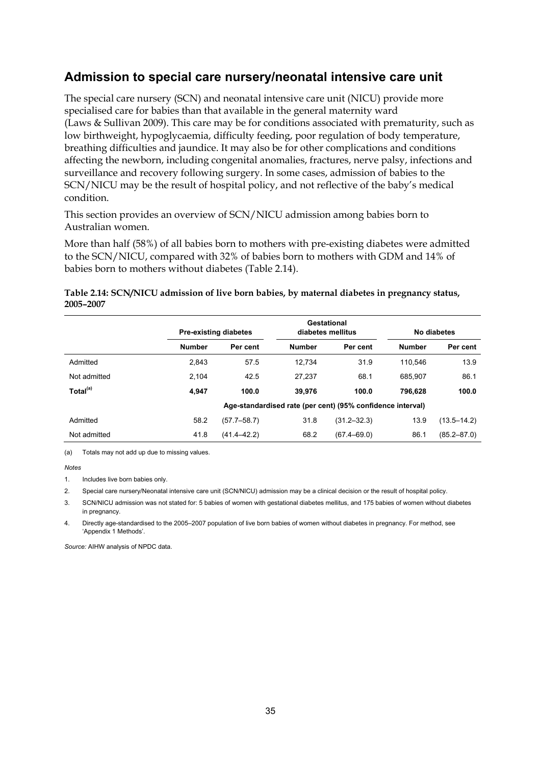### **Admission to special care nursery/neonatal intensive care unit**

The special care nursery (SCN) and neonatal intensive care unit (NICU) provide more specialised care for babies than that available in the general maternity ward (Laws & Sullivan 2009). This care may be for conditions associated with prematurity, such as low birthweight, hypoglycaemia, difficulty feeding, poor regulation of body temperature, breathing difficulties and jaundice. It may also be for other complications and conditions affecting the newborn, including congenital anomalies, fractures, nerve palsy, infections and surveillance and recovery following surgery. In some cases, admission of babies to the SCN/NICU may be the result of hospital policy, and not reflective of the baby's medical condition.

This section provides an overview of SCN/NICU admission among babies born to Australian women.

More than half (58%) of all babies born to mothers with pre-existing diabetes were admitted to the SCN/NICU, compared with 32% of babies born to mothers with GDM and 14% of babies born to mothers without diabetes (Table 2.14).

#### **Table 2.14: SCN/NICU admission of live born babies, by maternal diabetes in pregnancy status, 2005–2007**

|                      |               | Pre-existing diabetes | Gestational<br>diabetes mellitus |                                                            | No diabetes   |                 |
|----------------------|---------------|-----------------------|----------------------------------|------------------------------------------------------------|---------------|-----------------|
|                      | <b>Number</b> | Per cent              | <b>Number</b>                    | Per cent                                                   | <b>Number</b> | Per cent        |
| Admitted             | 2,843         | 57.5                  | 12.734                           | 31.9                                                       | 110.546       | 13.9            |
| Not admitted         | 2.104         | 42.5                  | 27.237                           | 68.1                                                       | 685.907       | 86.1            |
| Total <sup>(a)</sup> | 4.947         | 100.0                 | 39.976                           | 100.0                                                      | 796.628       | 100.0           |
|                      |               |                       |                                  | Age-standardised rate (per cent) (95% confidence interval) |               |                 |
| Admitted             | 58.2          | $(57.7 - 58.7)$       | 31.8                             | $(31.2 - 32.3)$                                            | 13.9          | $(13.5 - 14.2)$ |
| Not admitted         | 41.8          | $(41.4 - 42.2)$       | 68.2                             | $(67.4 - 69.0)$                                            | 86.1          | $(85.2 - 87.0)$ |

(a) Totals may not add up due to missing values.

*Notes* 

1. Includes live born babies only.

2. Special care nursery/Neonatal intensive care unit (SCN/NICU) admission may be a clinical decision or the result of hospital policy.

3. SCN/NICU admission was not stated for: 5 babies of women with gestational diabetes mellitus, and 175 babies of women without diabetes in pregnancy.

4. Directly age-standardised to the 2005–2007 population of live born babies of women without diabetes in pregnancy. For method, see 'Appendix 1 Methods'.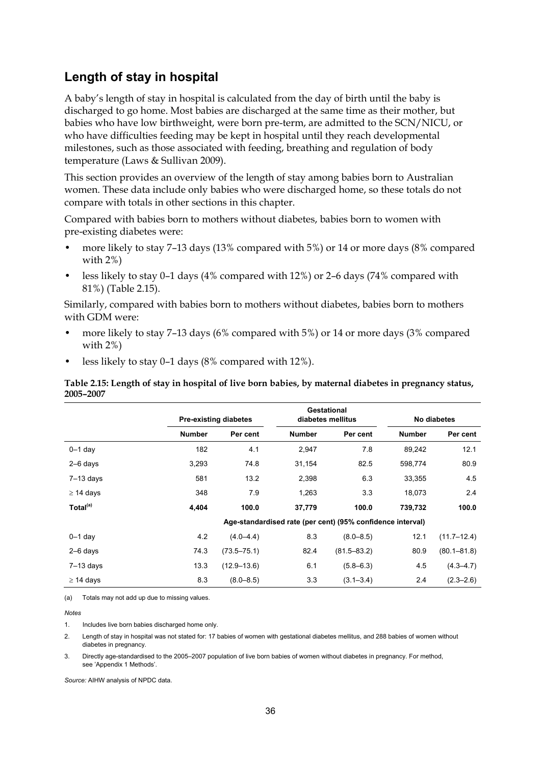### **Length of stay in hospital**

A baby's length of stay in hospital is calculated from the day of birth until the baby is discharged to go home. Most babies are discharged at the same time as their mother, but babies who have low birthweight, were born pre-term, are admitted to the SCN/NICU, or who have difficulties feeding may be kept in hospital until they reach developmental milestones, such as those associated with feeding, breathing and regulation of body temperature (Laws & Sullivan 2009).

This section provides an overview of the length of stay among babies born to Australian women. These data include only babies who were discharged home, so these totals do not compare with totals in other sections in this chapter.

Compared with babies born to mothers without diabetes, babies born to women with pre-existing diabetes were:

- more likely to stay 7–13 days (13% compared with 5%) or 14 or more days (8% compared with 2%)
- less likely to stay 0-1 days (4% compared with 12%) or 2-6 days (74% compared with 81%) (Table 2.15).

Similarly, compared with babies born to mothers without diabetes, babies born to mothers with GDM were:

- more likely to stay 7–13 days (6% compared with 5%) or 14 or more days (3% compared with 2%)
- less likely to stay 0–1 days (8% compared with 12%).

**Table 2.15: Length of stay in hospital of live born babies, by maternal diabetes in pregnancy status, 2005–2007** 

|                      | <b>Pre-existing diabetes</b> |                 |                                                            | Gestational<br>diabetes mellitus |               | No diabetes     |  |
|----------------------|------------------------------|-----------------|------------------------------------------------------------|----------------------------------|---------------|-----------------|--|
|                      | <b>Number</b>                | Per cent        | <b>Number</b>                                              | Per cent                         | <b>Number</b> | Per cent        |  |
| $0-1$ day            | 182                          | 4.1             | 2,947                                                      | 7.8                              | 89,242        | 12.1            |  |
| $2-6$ days           | 3,293                        | 74.8            | 31,154                                                     | 82.5                             | 598,774       | 80.9            |  |
| $7-13$ days          | 581                          | 13.2            | 2,398                                                      | 6.3                              | 33,355        | 4.5             |  |
| $\geq$ 14 days       | 348                          | 7.9             | 1,263                                                      | 3.3                              | 18,073        | 2.4             |  |
| Total <sup>(a)</sup> | 4,404                        | 100.0           | 37,779                                                     | 100.0                            | 739,732       | 100.0           |  |
|                      |                              |                 | Age-standardised rate (per cent) (95% confidence interval) |                                  |               |                 |  |
| $0-1$ day            | 4.2                          | $(4.0 - 4.4)$   | 8.3                                                        | $(8.0 - 8.5)$                    | 12.1          | $(11.7 - 12.4)$ |  |
| $2-6$ days           | 74.3                         | $(73.5 - 75.1)$ | 82.4                                                       | $(81.5 - 83.2)$                  | 80.9          | $(80.1 - 81.8)$ |  |
| $7-13$ days          | 13.3                         | $(12.9 - 13.6)$ | 6.1                                                        | $(5.8 - 6.3)$                    | 4.5           | $(4.3 - 4.7)$   |  |
| $\geq$ 14 days       | 8.3                          | $(8.0 - 8.5)$   | 3.3                                                        | $(3.1 - 3.4)$                    | 2.4           | $(2.3 - 2.6)$   |  |

(a) Totals may not add up due to missing values.

*Notes*

1. Includes live born babies discharged home only.

2. Length of stay in hospital was not stated for: 17 babies of women with gestational diabetes mellitus, and 288 babies of women without diabetes in pregnancy.

3. Directly age-standardised to the 2005–2007 population of live born babies of women without diabetes in pregnancy. For method, see 'Appendix 1 Methods'.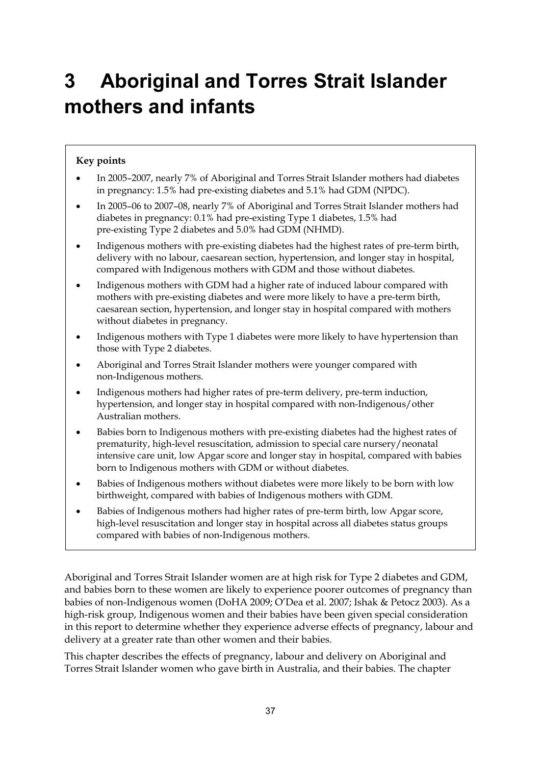# **3 Aboriginal and Torres Strait Islander mothers and infants**

### **Key points**

- In 2005–2007, nearly 7% of Aboriginal and Torres Strait Islander mothers had diabetes in pregnancy: 1.5% had pre-existing diabetes and 5.1% had GDM (NPDC).
- In 2005–06 to 2007–08, nearly 7% of Aboriginal and Torres Strait Islander mothers had diabetes in pregnancy: 0.1% had pre-existing Type 1 diabetes, 1.5% had pre-existing Type 2 diabetes and 5.0% had GDM (NHMD).
- Indigenous mothers with pre-existing diabetes had the highest rates of pre-term birth, delivery with no labour, caesarean section, hypertension, and longer stay in hospital, compared with Indigenous mothers with GDM and those without diabetes.
- Indigenous mothers with GDM had a higher rate of induced labour compared with mothers with pre-existing diabetes and were more likely to have a pre-term birth, caesarean section, hypertension, and longer stay in hospital compared with mothers without diabetes in pregnancy.
- Indigenous mothers with Type 1 diabetes were more likely to have hypertension than those with Type 2 diabetes.
- Aboriginal and Torres Strait Islander mothers were younger compared with non-Indigenous mothers.
- Indigenous mothers had higher rates of pre-term delivery, pre-term induction, hypertension, and longer stay in hospital compared with non-Indigenous/other Australian mothers.
- Babies born to Indigenous mothers with pre-existing diabetes had the highest rates of prematurity, high-level resuscitation, admission to special care nursery/neonatal intensive care unit, low Apgar score and longer stay in hospital, compared with babies born to Indigenous mothers with GDM or without diabetes.
- Babies of Indigenous mothers without diabetes were more likely to be born with low birthweight, compared with babies of Indigenous mothers with GDM.
- Babies of Indigenous mothers had higher rates of pre-term birth, low Apgar score, high-level resuscitation and longer stay in hospital across all diabetes status groups compared with babies of non-Indigenous mothers.

Aboriginal and Torres Strait Islander women are at high risk for Type 2 diabetes and GDM, and babies born to these women are likely to experience poorer outcomes of pregnancy than babies of non-Indigenous women (DoHA 2009; O'Dea et al. 2007; Ishak & Petocz 2003). As a high-risk group, Indigenous women and their babies have been given special consideration in this report to determine whether they experience adverse effects of pregnancy, labour and delivery at a greater rate than other women and their babies.

This chapter describes the effects of pregnancy, labour and delivery on Aboriginal and Torres Strait Islander women who gave birth in Australia, and their babies. The chapter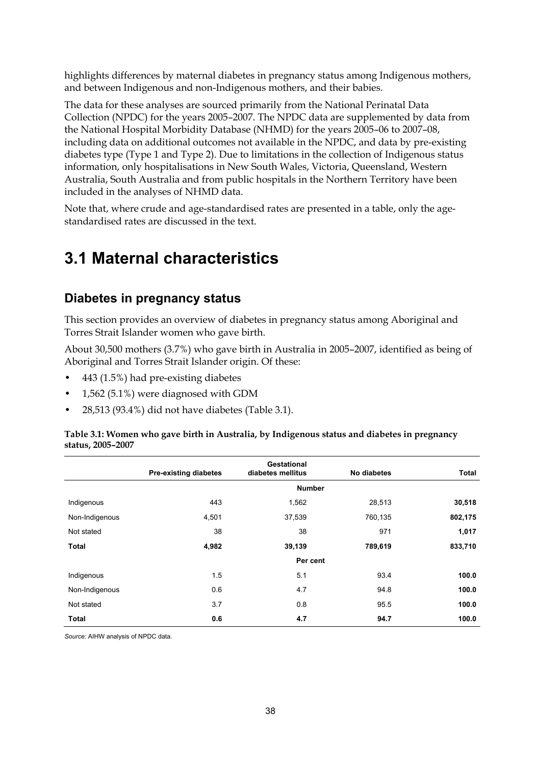highlights differences by maternal diabetes in pregnancy status among Indigenous mothers, and between Indigenous and non-Indigenous mothers, and their babies.

The data for these analyses are sourced primarily from the National Perinatal Data Collection (NPDC) for the years 2005–2007. The NPDC data are supplemented by data from the National Hospital Morbidity Database (NHMD) for the years 2005–06 to 2007–08, including data on additional outcomes not available in the NPDC, and data by pre-existing diabetes type (Type 1 and Type 2). Due to limitations in the collection of Indigenous status information, only hospitalisations in New South Wales, Victoria, Queensland, Western Australia, South Australia and from public hospitals in the Northern Territory have been included in the analyses of NHMD data.

Note that, where crude and age-standardised rates are presented in a table, only the agestandardised rates are discussed in the text.

# **3.1 Maternal characteristics**

### **Diabetes in pregnancy status**

This section provides an overview of diabetes in pregnancy status among Aboriginal and Torres Strait Islander women who gave birth.

About 30,500 mothers (3.7%) who gave birth in Australia in 2005–2007, identified as being of Aboriginal and Torres Strait Islander origin. Of these:

- 443 (1.5%) had pre-existing diabetes
- 1,562 (5.1%) were diagnosed with GDM
- 28,513 (93.4%) did not have diabetes (Table 3.1).

#### **Table 3.1: Women who gave birth in Australia, by Indigenous status and diabetes in pregnancy status, 2005–2007**

|                | <b>Pre-existing diabetes</b> | Gestational<br>diabetes mellitus | No diabetes | Total   |
|----------------|------------------------------|----------------------------------|-------------|---------|
|                |                              | <b>Number</b>                    |             |         |
| Indigenous     | 443                          | 1,562                            | 28,513      | 30,518  |
| Non-Indigenous | 4,501                        | 37,539                           | 760,135     | 802,175 |
| Not stated     | 38                           | 38                               | 971         | 1,017   |
| <b>Total</b>   | 4,982                        | 39,139                           | 789,619     | 833,710 |
|                |                              | Per cent                         |             |         |
| Indigenous     | 1.5                          | 5.1                              | 93.4        | 100.0   |
| Non-Indigenous | 0.6                          | 4.7                              | 94.8        | 100.0   |
| Not stated     | 3.7                          | 0.8                              | 95.5        | 100.0   |
| <b>Total</b>   | 0.6                          | 4.7                              | 94.7        | 100.0   |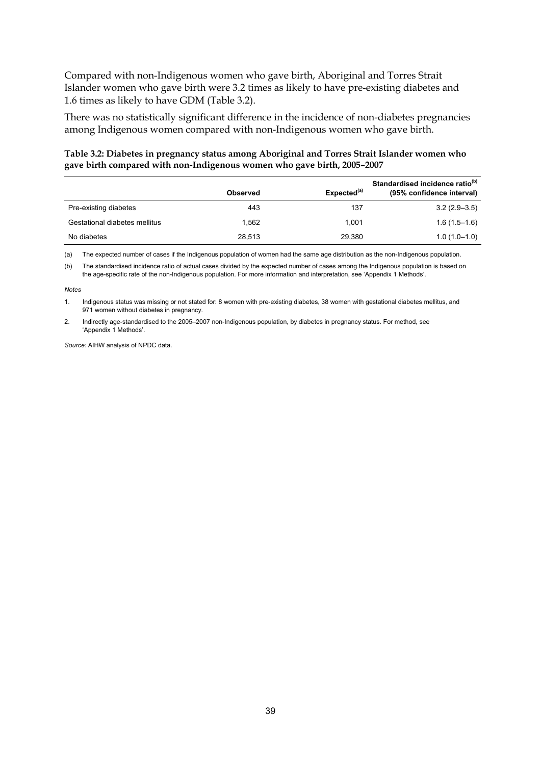Compared with non-Indigenous women who gave birth, Aboriginal and Torres Strait Islander women who gave birth were 3.2 times as likely to have pre-existing diabetes and 1.6 times as likely to have GDM (Table 3.2).

There was no statistically significant difference in the incidence of non-diabetes pregnancies among Indigenous women compared with non-Indigenous women who gave birth.

#### **Table 3.2: Diabetes in pregnancy status among Aboriginal and Torres Strait Islander women who gave birth compared with non-Indigenous women who gave birth, 2005–2007**

|                               | <b>Observed</b> | Expected <sup>(a)</sup> | Standardised incidence ratio <sup>(b)</sup><br>(95% confidence interval) |
|-------------------------------|-----------------|-------------------------|--------------------------------------------------------------------------|
| Pre-existing diabetes         | 443             | 137                     | $3.2(2.9-3.5)$                                                           |
| Gestational diabetes mellitus | 1.562           | 1.001                   | $1.6(1.5-1.6)$                                                           |
| No diabetes                   | 28.513          | 29,380                  | $1.0(1.0-1.0)$                                                           |

(a) The expected number of cases if the Indigenous population of women had the same age distribution as the non-Indigenous population.

(b) The standardised incidence ratio of actual cases divided by the expected number of cases among the Indigenous population is based on the age-specific rate of the non-Indigenous population. For more information and interpretation, see 'Appendix 1 Methods'.

#### *Notes*

1. Indigenous status was missing or not stated for: 8 women with pre-existing diabetes, 38 women with gestational diabetes mellitus, and 971 women without diabetes in pregnancy.

2. Indirectly age-standardised to the 2005–2007 non-Indigenous population, by diabetes in pregnancy status. For method, see 'Appendix 1 Methods'.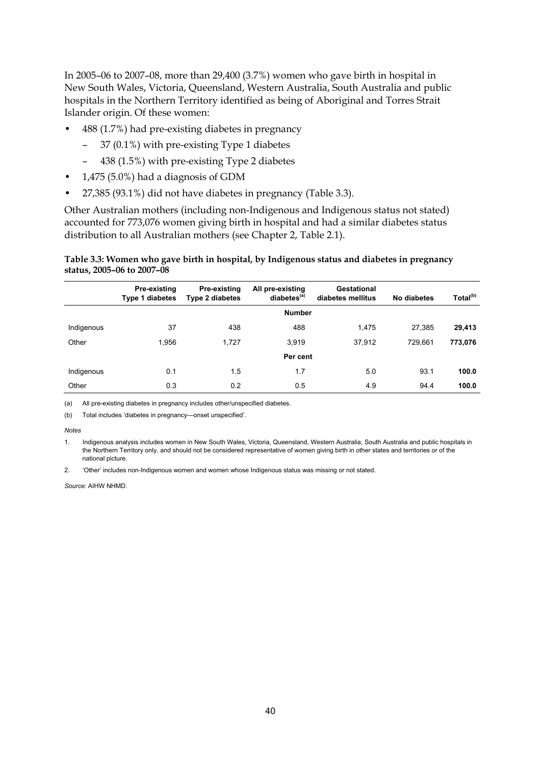In 2005–06 to 2007–08, more than 29,400 (3.7%) women who gave birth in hospital in New South Wales, Victoria, Queensland, Western Australia, South Australia and public hospitals in the Northern Territory identified as being of Aboriginal and Torres Strait Islander origin. Of these women:

- 488 (1.7%) had pre-existing diabetes in pregnancy
	- 37 (0.1%) with pre-existing Type 1 diabetes
	- 438 (1.5%) with pre-existing Type 2 diabetes
- 1,475 (5.0%) had a diagnosis of GDM
- 27,385 (93.1%) did not have diabetes in pregnancy (Table 3.3).

Other Australian mothers (including non-Indigenous and Indigenous status not stated) accounted for 773,076 women giving birth in hospital and had a similar diabetes status distribution to all Australian mothers (see Chapter 2, Table 2.1).

#### **Table 3.3: Women who gave birth in hospital, by Indigenous status and diabetes in pregnancy status, 2005–06 to 2007–08**

|            | Pre-existing<br>Type 1 diabetes | <b>Pre-existing</b><br><b>Type 2 diabetes</b> | All pre-existing<br>diabetes <sup>(a)</sup> | Gestational<br>diabetes mellitus | No diabetes | Total <sup>(b)</sup> |
|------------|---------------------------------|-----------------------------------------------|---------------------------------------------|----------------------------------|-------------|----------------------|
|            |                                 |                                               | <b>Number</b>                               |                                  |             |                      |
| Indigenous | 37                              | 438                                           | 488                                         | 1.475                            | 27,385      | 29,413               |
| Other      | 1.956                           | 1.727                                         | 3,919                                       | 37,912                           | 729.661     | 773,076              |
|            |                                 |                                               | Per cent                                    |                                  |             |                      |
| Indigenous | 0.1                             | 1.5                                           | 1.7                                         | 5.0                              | 93.1        | 100.0                |
| Other      | 0.3                             | 0.2                                           | 0.5                                         | 4.9                              | 94.4        | 100.0                |

(a) All pre-existing diabetes in pregnancy includes other/unspecified diabetes.

(b) Total includes 'diabetes in pregnancy—onset unspecified'.

#### *Notes*

1. Indigenous analysis includes women in New South Wales, Victoria, Queensland, Western Australia, South Australia and public hospitals in the Northern Territory only, and should not be considered representative of women giving birth in other states and territories or of the national picture.

2. 'Other' includes non-Indigenous women and women whose Indigenous status was missing or not stated.

*Source:* AIHW NHMD.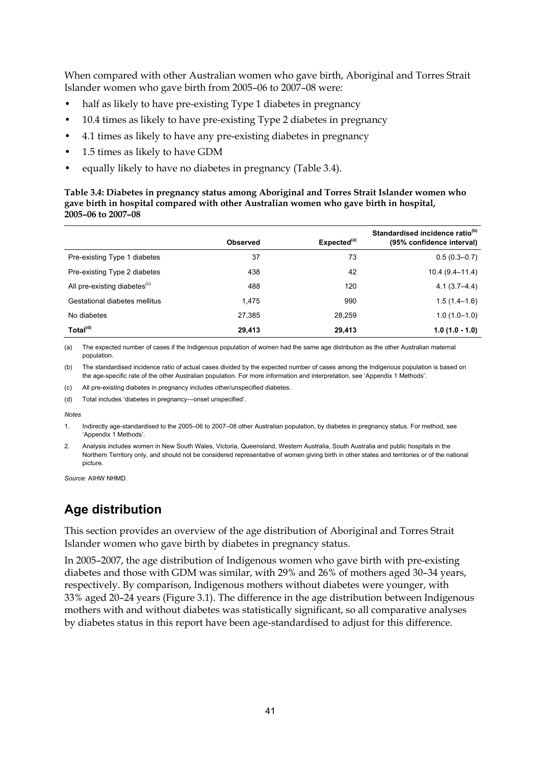When compared with other Australian women who gave birth, Aboriginal and Torres Strait Islander women who gave birth from 2005–06 to 2007–08 were:

- half as likely to have pre-existing Type 1 diabetes in pregnancy
- 10.4 times as likely to have pre-existing Type 2 diabetes in pregnancy
- 4.1 times as likely to have any pre-existing diabetes in pregnancy
- 1.5 times as likely to have GDM
- equally likely to have no diabetes in pregnancy (Table 3.4).

#### **Table 3.4: Diabetes in pregnancy status among Aboriginal and Torres Strait Islander women who gave birth in hospital compared with other Australian women who gave birth in hospital, 2005–06 to 2007–08**

|                                          | <b>Observed</b> | Expected <sup>(a)</sup> | Standardised incidence ratio <sup>(b)</sup><br>(95% confidence interval) |
|------------------------------------------|-----------------|-------------------------|--------------------------------------------------------------------------|
| Pre-existing Type 1 diabetes             | 37              | 73                      | $0.5(0.3 - 0.7)$                                                         |
| Pre-existing Type 2 diabetes             | 438             | 42                      | $10.4(9.4-11.4)$                                                         |
| All pre-existing diabetes <sup>(c)</sup> | 488             | 120                     | $4.1(3.7 - 4.4)$                                                         |
| Gestational diabetes mellitus            | 1,475           | 990                     | $1.5(1.4-1.6)$                                                           |
| No diabetes                              | 27.385          | 28.259                  | $1.0(1.0-1.0)$                                                           |
| Total <sup>(d)</sup>                     | 29,413          | 29,413                  | $1.0(1.0 - 1.0)$                                                         |

(a) The expected number of cases if the Indigenous population of women had the same age distribution as the other Australian maternal population.

(b) The standardised incidence ratio of actual cases divided by the expected number of cases among the Indigenous population is based on the age-specific rate of the other Australian population. For more information and interpretation, see 'Appendix 1 Methods'.

(c) All pre-existing diabetes in pregnancy includes other/unspecified diabetes.

(d) Total includes 'diabetes in pregnancy—onset unspecified'.

*Notes* 

1. Indirectly age-standardised to the 2005–06 to 2007–08 other Australian population, by diabetes in pregnancy status. For method, see 'Appendix 1 Methods'.

2. Analysis includes women in New South Wales, Victoria, Queensland, Western Australia, South Australia and public hospitals in the Northern Territory only, and should not be considered representative of women giving birth in other states and territories or of the national picture.

*Source:* AIHW NHMD.

### **Age distribution**

This section provides an overview of the age distribution of Aboriginal and Torres Strait Islander women who gave birth by diabetes in pregnancy status.

In 2005–2007, the age distribution of Indigenous women who gave birth with pre-existing diabetes and those with GDM was similar, with 29% and 26% of mothers aged 30–34 years, respectively. By comparison, Indigenous mothers without diabetes were younger, with 33% aged 20–24 years (Figure 3.1). The difference in the age distribution between Indigenous mothers with and without diabetes was statistically significant, so all comparative analyses by diabetes status in this report have been age-standardised to adjust for this difference.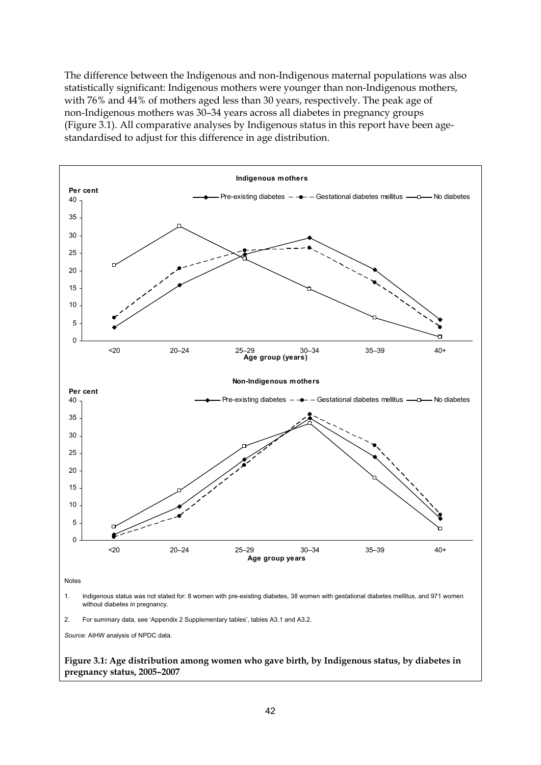The difference between the Indigenous and non-Indigenous maternal populations was also statistically significant: Indigenous mothers were younger than non-Indigenous mothers, with 76% and 44% of mothers aged less than 30 years, respectively. The peak age of non-Indigenous mothers was 30–34 years across all diabetes in pregnancy groups (Figure 3.1). All comparative analyses by Indigenous status in this report have been agestandardised to adjust for this difference in age distribution.



**Figure 3.1: Age distribution among women who gave birth, by Indigenous status, by diabetes in pregnancy status, 2005–2007**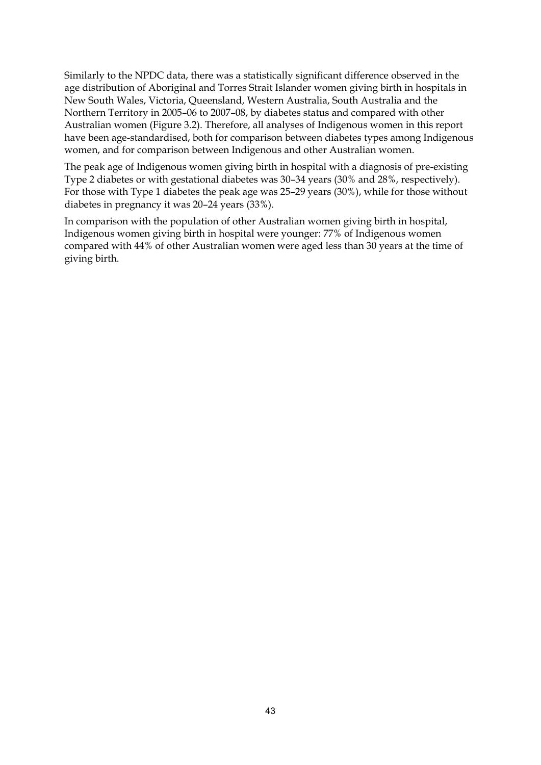Similarly to the NPDC data, there was a statistically significant difference observed in the age distribution of Aboriginal and Torres Strait Islander women giving birth in hospitals in New South Wales, Victoria, Queensland, Western Australia, South Australia and the Northern Territory in 2005–06 to 2007–08, by diabetes status and compared with other Australian women (Figure 3.2). Therefore, all analyses of Indigenous women in this report have been age-standardised, both for comparison between diabetes types among Indigenous women, and for comparison between Indigenous and other Australian women.

The peak age of Indigenous women giving birth in hospital with a diagnosis of pre-existing Type 2 diabetes or with gestational diabetes was 30–34 years (30% and 28%, respectively). For those with Type 1 diabetes the peak age was 25–29 years (30%), while for those without diabetes in pregnancy it was 20–24 years (33%).

In comparison with the population of other Australian women giving birth in hospital, Indigenous women giving birth in hospital were younger: 77% of Indigenous women compared with 44% of other Australian women were aged less than 30 years at the time of giving birth.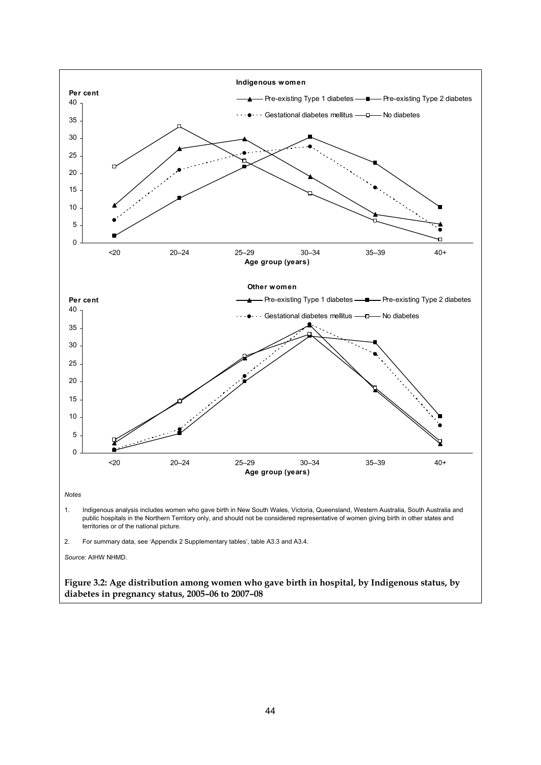

44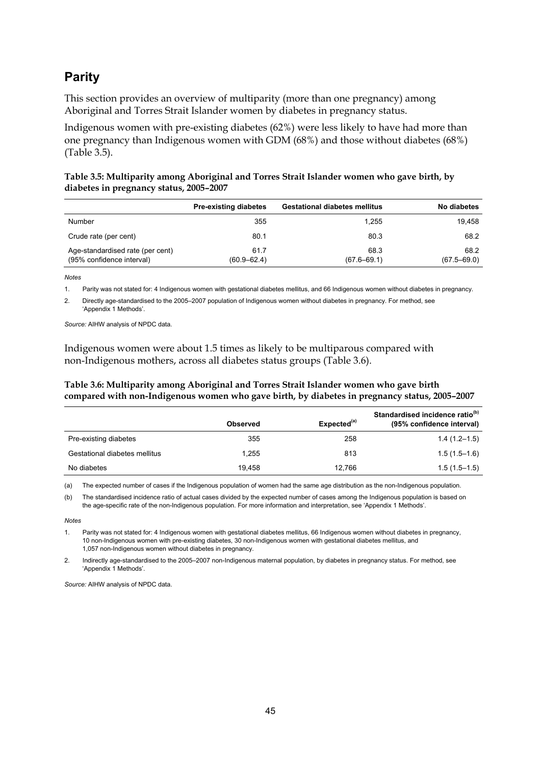### **Parity**

This section provides an overview of multiparity (more than one pregnancy) among Aboriginal and Torres Strait Islander women by diabetes in pregnancy status.

Indigenous women with pre-existing diabetes (62%) were less likely to have had more than one pregnancy than Indigenous women with GDM (68%) and those without diabetes (68%) (Table 3.5).

#### **Table 3.5: Multiparity among Aboriginal and Torres Strait Islander women who gave birth, by diabetes in pregnancy status, 2005–2007**

|                                                               | <b>Pre-existing diabetes</b> | <b>Gestational diabetes mellitus</b> | No diabetes             |
|---------------------------------------------------------------|------------------------------|--------------------------------------|-------------------------|
| Number                                                        | 355                          | 1.255                                | 19.458                  |
| Crude rate (per cent)                                         | 80.1                         | 80.3                                 | 68.2                    |
| Age-standardised rate (per cent)<br>(95% confidence interval) | 61.7<br>$(60.9 - 62.4)$      | 68.3<br>$(67.6 - 69.1)$              | 68.2<br>$(67.5 - 69.0)$ |

*Notes*

1. Parity was not stated for: 4 Indigenous women with gestational diabetes mellitus, and 66 Indigenous women without diabetes in pregnancy.

2. Directly age-standardised to the 2005–2007 population of Indigenous women without diabetes in pregnancy. For method, see 'Appendix 1 Methods'.

*Source:* AIHW analysis of NPDC data.

Indigenous women were about 1.5 times as likely to be multiparous compared with non-Indigenous mothers, across all diabetes status groups (Table 3.6).

#### **Table 3.6: Multiparity among Aboriginal and Torres Strait Islander women who gave birth compared with non-Indigenous women who gave birth, by diabetes in pregnancy status, 2005–2007**

|                               | <b>Observed</b> | Expected <sup>(a)</sup> | Standardised incidence ratio <sup>(b)</sup><br>(95% confidence interval) |
|-------------------------------|-----------------|-------------------------|--------------------------------------------------------------------------|
| Pre-existing diabetes         | 355             | 258                     | $1.4(1.2-1.5)$                                                           |
| Gestational diabetes mellitus | 1.255           | 813                     | $1.5(1.5-1.6)$                                                           |
| No diabetes                   | 19.458          | 12.766                  | $1.5(1.5-1.5)$                                                           |

(a) The expected number of cases if the Indigenous population of women had the same age distribution as the non-Indigenous population.

(b) The standardised incidence ratio of actual cases divided by the expected number of cases among the Indigenous population is based on the age-specific rate of the non-Indigenous population. For more information and interpretation, see 'Appendix 1 Methods'.

*Notes* 

1. Parity was not stated for: 4 Indigenous women with gestational diabetes mellitus, 66 Indigenous women without diabetes in pregnancy, 10 non-Indigenous women with pre-existing diabetes, 30 non-Indigenous women with gestational diabetes mellitus, and 1,057 non-Indigenous women without diabetes in pregnancy.

2. Indirectly age-standardised to the 2005–2007 non-Indigenous maternal population, by diabetes in pregnancy status. For method, see 'Appendix 1 Methods'.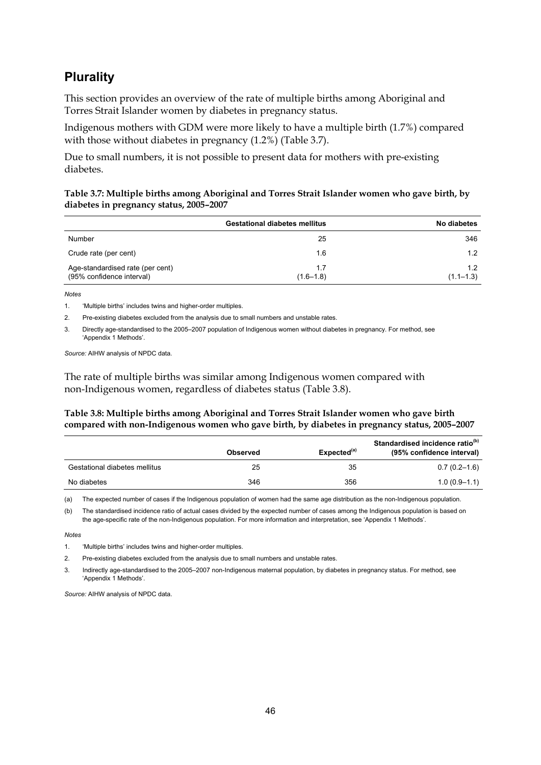### **Plurality**

This section provides an overview of the rate of multiple births among Aboriginal and Torres Strait Islander women by diabetes in pregnancy status.

Indigenous mothers with GDM were more likely to have a multiple birth (1.7%) compared with those without diabetes in pregnancy (1.2%) (Table 3.7).

Due to small numbers, it is not possible to present data for mothers with pre-existing diabetes.

#### **Table 3.7: Multiple births among Aboriginal and Torres Strait Islander women who gave birth, by diabetes in pregnancy status, 2005–2007**

|                                                               | <b>Gestational diabetes mellitus</b> | No diabetes          |
|---------------------------------------------------------------|--------------------------------------|----------------------|
| Number                                                        | 25                                   | 346                  |
| Crude rate (per cent)                                         | 1.6                                  | 1.2                  |
| Age-standardised rate (per cent)<br>(95% confidence interval) | 1.7<br>$(1.6 - 1.8)$                 | 1.2<br>$(1.1 - 1.3)$ |

*Notes*

1. 'Multiple births' includes twins and higher-order multiples.

2. Pre-existing diabetes excluded from the analysis due to small numbers and unstable rates.

3. Directly age-standardised to the 2005–2007 population of Indigenous women without diabetes in pregnancy. For method, see 'Appendix 1 Methods'.

*Source:* AIHW analysis of NPDC data.

The rate of multiple births was similar among Indigenous women compared with non-Indigenous women, regardless of diabetes status (Table 3.8).

#### **Table 3.8: Multiple births among Aboriginal and Torres Strait Islander women who gave birth compared with non-Indigenous women who gave birth, by diabetes in pregnancy status, 2005–2007**

|                               | <b>Observed</b> | Expected <sup>(a)</sup> | Standardised incidence ratio <sup>(b)</sup><br>(95% confidence interval) |
|-------------------------------|-----------------|-------------------------|--------------------------------------------------------------------------|
| Gestational diabetes mellitus | 25              | 35                      | $0.7(0.2-1.6)$                                                           |
| No diabetes                   | 346             | 356                     | $1.0(0.9-1.1)$                                                           |

(a) The expected number of cases if the Indigenous population of women had the same age distribution as the non-Indigenous population.

(b) The standardised incidence ratio of actual cases divided by the expected number of cases among the Indigenous population is based on the age-specific rate of the non-Indigenous population. For more information and interpretation, see 'Appendix 1 Methods'.

*Notes* 

1. 'Multiple births' includes twins and higher-order multiples.

2. Pre-existing diabetes excluded from the analysis due to small numbers and unstable rates.

3. Indirectly age-standardised to the 2005–2007 non-Indigenous maternal population, by diabetes in pregnancy status. For method, see 'Appendix 1 Methods'.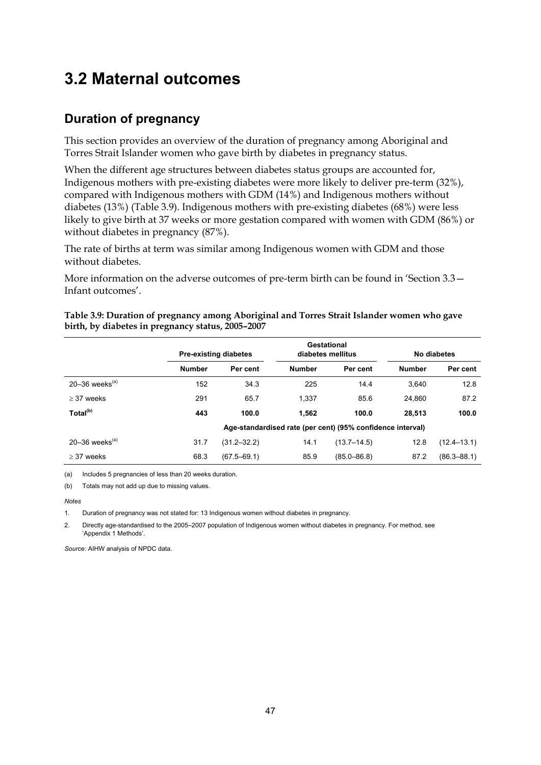# **3.2 Maternal outcomes**

### **Duration of pregnancy**

This section provides an overview of the duration of pregnancy among Aboriginal and Torres Strait Islander women who gave birth by diabetes in pregnancy status.

When the different age structures between diabetes status groups are accounted for, Indigenous mothers with pre-existing diabetes were more likely to deliver pre-term (32%), compared with Indigenous mothers with GDM (14%) and Indigenous mothers without diabetes (13%) (Table 3.9). Indigenous mothers with pre-existing diabetes (68%) were less likely to give birth at 37 weeks or more gestation compared with women with GDM (86%) or without diabetes in pregnancy (87%).

The rate of births at term was similar among Indigenous women with GDM and those without diabetes.

More information on the adverse outcomes of pre-term birth can be found in 'Section 3.3 -Infant outcomes'.

|                      |               | <b>Pre-existing diabetes</b> | Gestational<br>diabetes mellitus |                                                            |               | No diabetes     |
|----------------------|---------------|------------------------------|----------------------------------|------------------------------------------------------------|---------------|-----------------|
|                      | <b>Number</b> | Per cent                     | <b>Number</b>                    | Per cent                                                   | <b>Number</b> | Per cent        |
| 20-36 weeks $(a)$    | 152           | 34.3                         | 225                              | 14.4                                                       | 3.640         | 12.8            |
| $>$ 37 weeks         | 291           | 65.7                         | 1.337                            | 85.6                                                       | 24.860        | 87.2            |
| Total <sup>(b)</sup> | 443           | 100.0                        | 1.562                            | 100.0                                                      | 28.513        | 100.0           |
|                      |               |                              |                                  | Age-standardised rate (per cent) (95% confidence interval) |               |                 |
| 20–36 weeks $(a)$    | 31.7          | $(31.2 - 32.2)$              | 14.1                             | $(13.7 - 14.5)$                                            | 12.8          | $(12.4 - 13.1)$ |
| $\geq$ 37 weeks      | 68.3          | $(67.5 - 69.1)$              | 85.9                             | $(85.0 - 86.8)$                                            | 87.2          | $(86.3 - 88.1)$ |

**Table 3.9: Duration of pregnancy among Aboriginal and Torres Strait Islander women who gave birth, by diabetes in pregnancy status, 2005–2007** 

(a) Includes 5 pregnancies of less than 20 weeks duration.

(b) Totals may not add up due to missing values.

*Notes* 

1. Duration of pregnancy was not stated for: 13 Indigenous women without diabetes in pregnancy.

2. Directly age-standardised to the 2005–2007 population of Indigenous women without diabetes in pregnancy. For method, see 'Appendix 1 Methods'.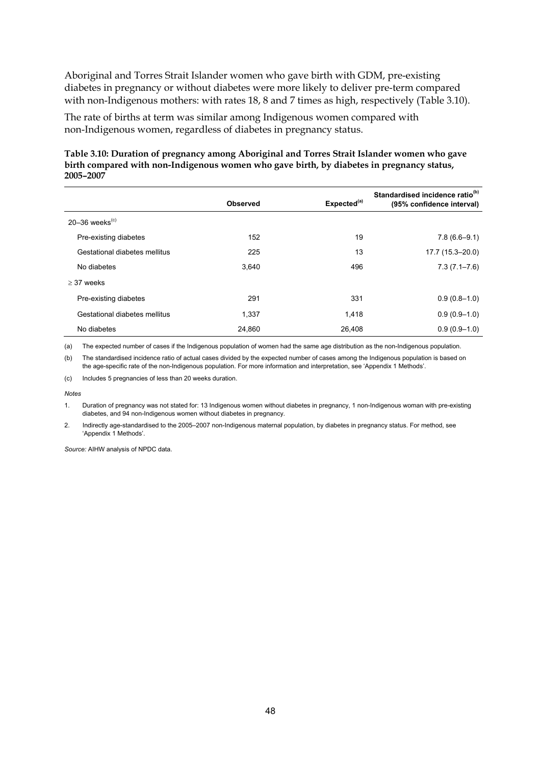Aboriginal and Torres Strait Islander women who gave birth with GDM, pre-existing diabetes in pregnancy or without diabetes were more likely to deliver pre-term compared with non-Indigenous mothers: with rates 18, 8 and 7 times as high, respectively (Table 3.10).

The rate of births at term was similar among Indigenous women compared with non-Indigenous women, regardless of diabetes in pregnancy status.

#### **Table 3.10: Duration of pregnancy among Aboriginal and Torres Strait Islander women who gave birth compared with non-Indigenous women who gave birth, by diabetes in pregnancy status, 2005–2007**

|                               | <b>Observed</b> | Expected <sup>(a)</sup> | Standardised incidence ratio <sup>(b)</sup><br>(95% confidence interval) |
|-------------------------------|-----------------|-------------------------|--------------------------------------------------------------------------|
| 20-36 weeks $(c)$             |                 |                         |                                                                          |
| Pre-existing diabetes         | 152             | 19                      | $7.8(6.6-9.1)$                                                           |
| Gestational diabetes mellitus | 225             | 13                      | 17.7 (15.3-20.0)                                                         |
| No diabetes                   | 3.640           | 496                     | $7.3(7.1 - 7.6)$                                                         |
| $>$ 37 weeks                  |                 |                         |                                                                          |
| Pre-existing diabetes         | 291             | 331                     | $0.9(0.8-1.0)$                                                           |
| Gestational diabetes mellitus | 1.337           | 1,418                   | $0.9(0.9-1.0)$                                                           |
| No diabetes                   | 24.860          | 26.408                  | $0.9(0.9-1.0)$                                                           |

(a) The expected number of cases if the Indigenous population of women had the same age distribution as the non-Indigenous population.

(b) The standardised incidence ratio of actual cases divided by the expected number of cases among the Indigenous population is based on the age-specific rate of the non-Indigenous population. For more information and interpretation, see 'Appendix 1 Methods'.

(c) Includes 5 pregnancies of less than 20 weeks duration.

*Notes* 

1. Duration of pregnancy was not stated for: 13 Indigenous women without diabetes in pregnancy, 1 non-Indigenous woman with pre-existing diabetes, and 94 non-Indigenous women without diabetes in pregnancy.

2. Indirectly age-standardised to the 2005–2007 non-Indigenous maternal population, by diabetes in pregnancy status. For method, see 'Appendix 1 Methods'.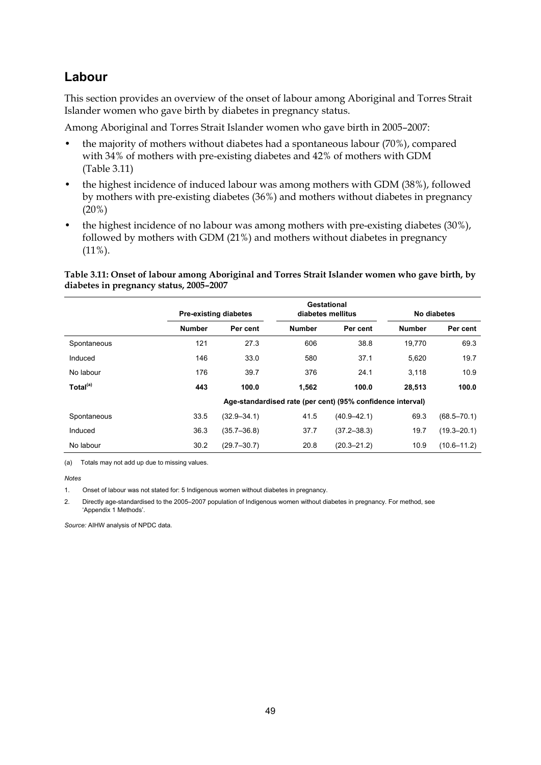### **Labour**

This section provides an overview of the onset of labour among Aboriginal and Torres Strait Islander women who gave birth by diabetes in pregnancy status.

Among Aboriginal and Torres Strait Islander women who gave birth in 2005–2007:

- the majority of mothers without diabetes had a spontaneous labour (70%), compared with 34% of mothers with pre-existing diabetes and 42% of mothers with GDM (Table 3.11)
- the highest incidence of induced labour was among mothers with GDM (38%), followed by mothers with pre-existing diabetes (36%) and mothers without diabetes in pregnancy (20%)
- the highest incidence of no labour was among mothers with pre-existing diabetes (30%), followed by mothers with GDM (21%) and mothers without diabetes in pregnancy  $(11\%)$ .

**Table 3.11: Onset of labour among Aboriginal and Torres Strait Islander women who gave birth, by diabetes in pregnancy status, 2005–2007** 

|                      |               | <b>Pre-existing diabetes</b> |               | Gestational<br>diabetes mellitus                           |               | No diabetes     |
|----------------------|---------------|------------------------------|---------------|------------------------------------------------------------|---------------|-----------------|
|                      | <b>Number</b> | Per cent                     | <b>Number</b> | Per cent                                                   | <b>Number</b> | Per cent        |
| Spontaneous          | 121           | 27.3                         | 606           | 38.8                                                       | 19.770        | 69.3            |
| Induced              | 146           | 33.0                         | 580           | 37.1                                                       | 5,620         | 19.7            |
| No labour            | 176           | 39.7                         | 376           | 24.1                                                       | 3.118         | 10.9            |
| Total <sup>(a)</sup> | 443           | 100.0                        | 1,562         | 100.0                                                      | 28.513        | 100.0           |
|                      |               |                              |               | Age-standardised rate (per cent) (95% confidence interval) |               |                 |
| Spontaneous          | 33.5          | $(32.9 - 34.1)$              | 41.5          | $(40.9 - 42.1)$                                            | 69.3          | $(68.5 - 70.1)$ |
| Induced              | 36.3          | $(35.7 - 36.8)$              | 37.7          | $(37.2 - 38.3)$                                            | 19.7          | $(19.3 - 20.1)$ |
| No labour            | 30.2          | $(29.7 - 30.7)$              | 20.8          | $(20.3 - 21.2)$                                            | 10.9          | $(10.6 - 11.2)$ |

(a) Totals may not add up due to missing values.

*Notes* 

1. Onset of labour was not stated for: 5 Indigenous women without diabetes in pregnancy.

2. Directly age-standardised to the 2005–2007 population of Indigenous women without diabetes in pregnancy. For method, see 'Appendix 1 Methods'.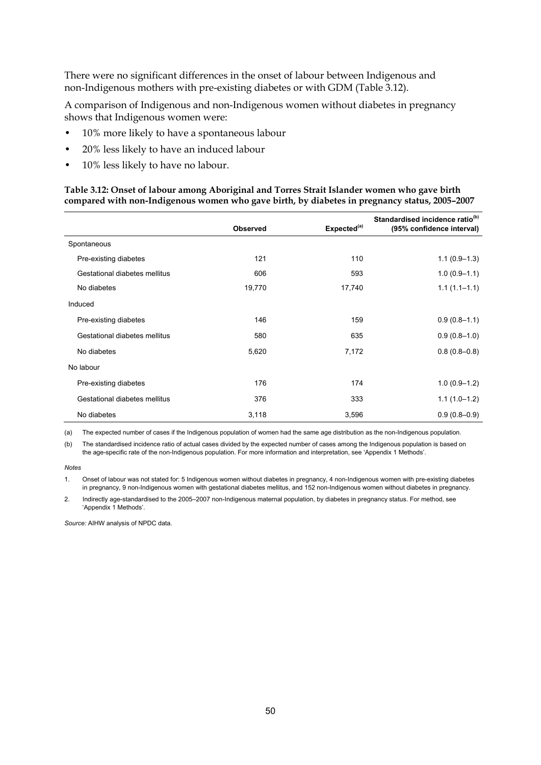There were no significant differences in the onset of labour between Indigenous and non-Indigenous mothers with pre-existing diabetes or with GDM (Table 3.12).

A comparison of Indigenous and non-Indigenous women without diabetes in pregnancy shows that Indigenous women were:

- 10% more likely to have a spontaneous labour
- 20% less likely to have an induced labour
- 10% less likely to have no labour.

#### **Table 3.12: Onset of labour among Aboriginal and Torres Strait Islander women who gave birth compared with non-Indigenous women who gave birth, by diabetes in pregnancy status, 2005–2007**

|                               | <b>Observed</b> | Expected <sup>(a)</sup> | Standardised incidence ratio <sup>(b)</sup><br>(95% confidence interval) |
|-------------------------------|-----------------|-------------------------|--------------------------------------------------------------------------|
| Spontaneous                   |                 |                         |                                                                          |
| Pre-existing diabetes         | 121             | 110                     | $1.1(0.9-1.3)$                                                           |
| Gestational diabetes mellitus | 606             | 593                     | $1.0(0.9-1.1)$                                                           |
| No diabetes                   | 19,770          | 17,740                  | $1.1(1.1 - 1.1)$                                                         |
| Induced                       |                 |                         |                                                                          |
| Pre-existing diabetes         | 146             | 159                     | $0.9(0.8-1.1)$                                                           |
| Gestational diabetes mellitus | 580             | 635                     | $0.9(0.8-1.0)$                                                           |
| No diabetes                   | 5,620           | 7,172                   | $0.8(0.8-0.8)$                                                           |
| No labour                     |                 |                         |                                                                          |
| Pre-existing diabetes         | 176             | 174                     | $1.0(0.9-1.2)$                                                           |
| Gestational diabetes mellitus | 376             | 333                     | $1.1(1.0-1.2)$                                                           |
| No diabetes                   | 3,118           | 3,596                   | $0.9(0.8-0.9)$                                                           |

(a) The expected number of cases if the Indigenous population of women had the same age distribution as the non-Indigenous population.

(b) The standardised incidence ratio of actual cases divided by the expected number of cases among the Indigenous population is based on the age-specific rate of the non-Indigenous population. For more information and interpretation, see 'Appendix 1 Methods'.

*Notes* 

1. Onset of labour was not stated for: 5 Indigenous women without diabetes in pregnancy, 4 non-Indigenous women with pre-existing diabetes in pregnancy, 9 non-Indigenous women with gestational diabetes mellitus, and 152 non-Indigenous women without diabetes in pregnancy.

2. Indirectly age-standardised to the 2005–2007 non-Indigenous maternal population, by diabetes in pregnancy status. For method, see 'Appendix 1 Methods'.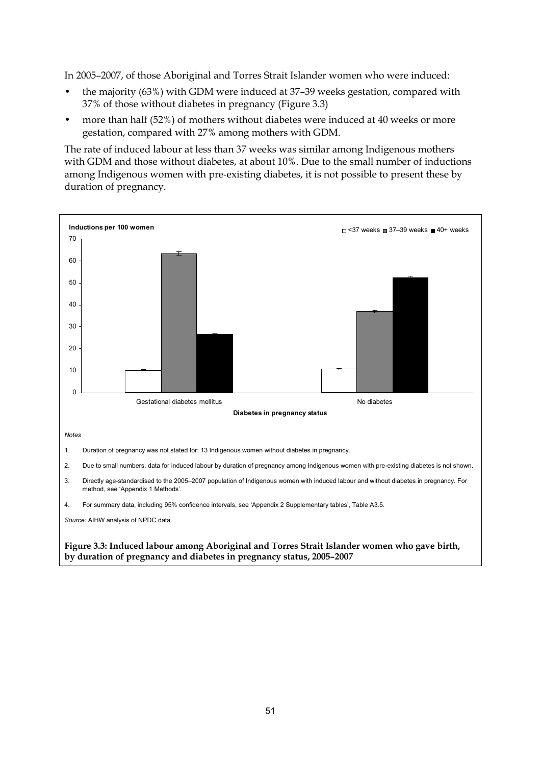In 2005–2007, of those Aboriginal and Torres Strait Islander women who were induced:

- the majority (63%) with GDM were induced at 37–39 weeks gestation, compared with 37% of those without diabetes in pregnancy (Figure 3.3)
- more than half (52%) of mothers without diabetes were induced at 40 weeks or more gestation, compared with 27% among mothers with GDM.

The rate of induced labour at less than 37 weeks was similar among Indigenous mothers with GDM and those without diabetes, at about 10%. Due to the small number of inductions among Indigenous women with pre-existing diabetes, it is not possible to present these by duration of pregnancy.

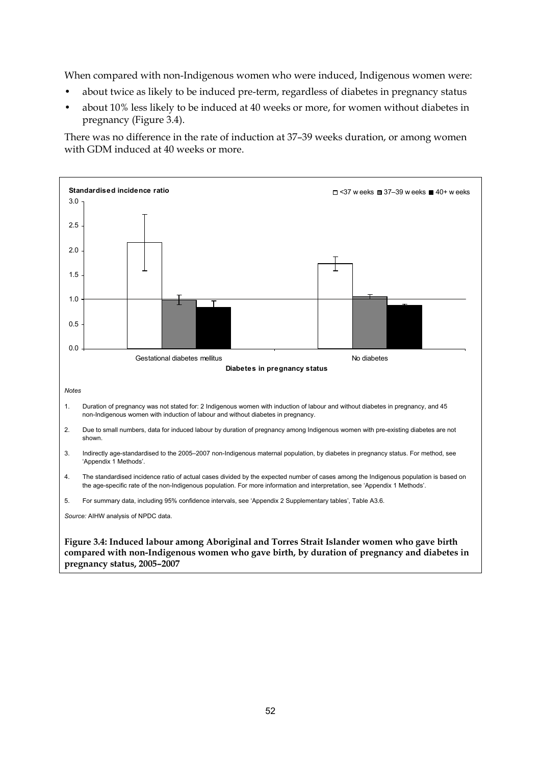When compared with non-Indigenous women who were induced, Indigenous women were:

- about twice as likely to be induced pre-term, regardless of diabetes in pregnancy status
- about 10% less likely to be induced at 40 weeks or more, for women without diabetes in pregnancy (Figure 3.4).

There was no difference in the rate of induction at 37–39 weeks duration, or among women with GDM induced at 40 weeks or more.

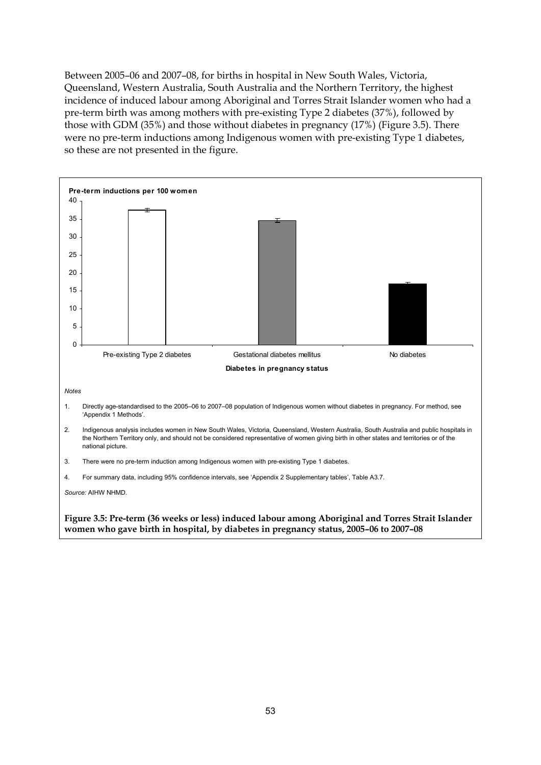Between 2005–06 and 2007–08, for births in hospital in New South Wales, Victoria, Queensland, Western Australia, South Australia and the Northern Territory, the highest incidence of induced labour among Aboriginal and Torres Strait Islander women who had a pre-term birth was among mothers with pre-existing Type 2 diabetes (37%), followed by those with GDM (35%) and those without diabetes in pregnancy (17%) (Figure 3.5). There were no pre-term inductions among Indigenous women with pre-existing Type 1 diabetes, so these are not presented in the figure.

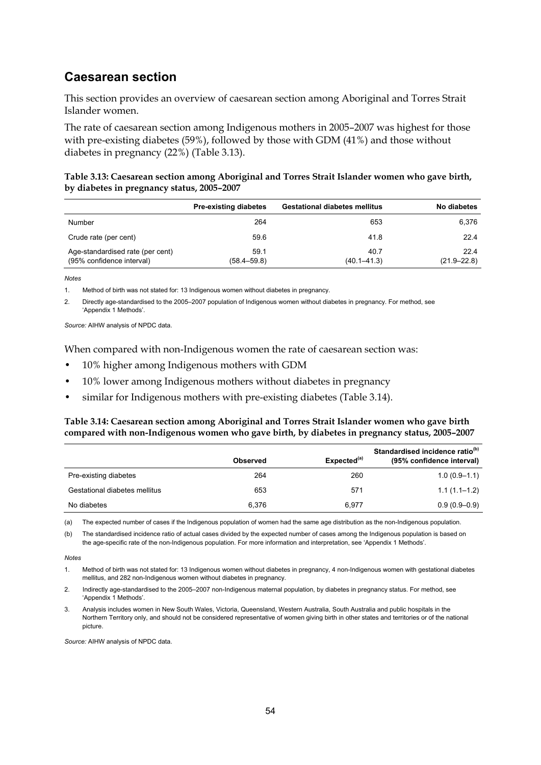### **Caesarean section**

This section provides an overview of caesarean section among Aboriginal and Torres Strait Islander women.

The rate of caesarean section among Indigenous mothers in 2005–2007 was highest for those with pre-existing diabetes (59%), followed by those with GDM (41%) and those without diabetes in pregnancy (22%) (Table 3.13).

#### **Table 3.13: Caesarean section among Aboriginal and Torres Strait Islander women who gave birth, by diabetes in pregnancy status, 2005–2007**

|                                                               | <b>Pre-existing diabetes</b> | <b>Gestational diabetes mellitus</b> | No diabetes             |
|---------------------------------------------------------------|------------------------------|--------------------------------------|-------------------------|
| Number                                                        | 264                          | 653                                  | 6.376                   |
| Crude rate (per cent)                                         | 59.6                         | 41.8                                 | 22.4                    |
| Age-standardised rate (per cent)<br>(95% confidence interval) | 59.1<br>$(58.4 - 59.8)$      | 40.7<br>$(40.1 - 41.3)$              | 22.4<br>$(21.9 - 22.8)$ |

*Notes* 

1. Method of birth was not stated for: 13 Indigenous women without diabetes in pregnancy.

2. Directly age-standardised to the 2005–2007 population of Indigenous women without diabetes in pregnancy. For method, see 'Appendix 1 Methods'.

*Source:* AIHW analysis of NPDC data.

When compared with non-Indigenous women the rate of caesarean section was:

- 10% higher among Indigenous mothers with GDM
- 10% lower among Indigenous mothers without diabetes in pregnancy
- similar for Indigenous mothers with pre-existing diabetes (Table 3.14).

#### **Table 3.14: Caesarean section among Aboriginal and Torres Strait Islander women who gave birth compared with non-Indigenous women who gave birth, by diabetes in pregnancy status, 2005–2007**

|                               | <b>Observed</b> | Expected <sup>(a)</sup> | Standardised incidence ratio <sup>(b)</sup><br>(95% confidence interval) |
|-------------------------------|-----------------|-------------------------|--------------------------------------------------------------------------|
| Pre-existing diabetes         | 264             | 260                     | $1.0(0.9-1.1)$                                                           |
| Gestational diabetes mellitus | 653             | 571                     | $1.1(1.1 - 1.2)$                                                         |
| No diabetes                   | 6.376           | 6.977                   | $0.9(0.9 - 0.9)$                                                         |

(a) The expected number of cases if the Indigenous population of women had the same age distribution as the non-Indigenous population.

(b) The standardised incidence ratio of actual cases divided by the expected number of cases among the Indigenous population is based on the age-specific rate of the non-Indigenous population. For more information and interpretation, see 'Appendix 1 Methods'.

*Notes* 

<sup>1.</sup> Method of birth was not stated for: 13 Indigenous women without diabetes in pregnancy, 4 non-Indigenous women with gestational diabetes mellitus, and 282 non-Indigenous women without diabetes in pregnancy.

<sup>2.</sup> Indirectly age-standardised to the 2005–2007 non-Indigenous maternal population, by diabetes in pregnancy status. For method, see 'Appendix 1 Methods'.

<sup>3.</sup> Analysis includes women in New South Wales, Victoria, Queensland, Western Australia, South Australia and public hospitals in the Northern Territory only, and should not be considered representative of women giving birth in other states and territories or of the national picture.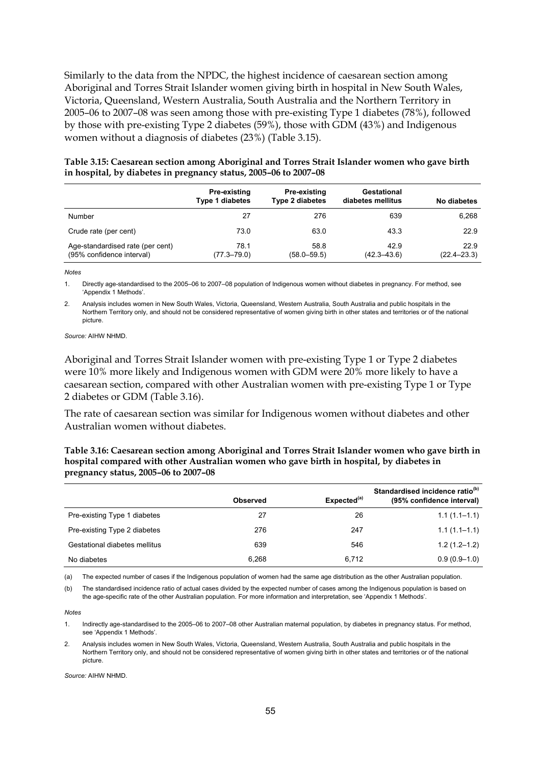Similarly to the data from the NPDC, the highest incidence of caesarean section among Aboriginal and Torres Strait Islander women giving birth in hospital in New South Wales, Victoria, Queensland, Western Australia, South Australia and the Northern Territory in 2005–06 to 2007–08 was seen among those with pre-existing Type 1 diabetes (78%), followed by those with pre-existing Type 2 diabetes (59%), those with GDM (43%) and Indigenous women without a diagnosis of diabetes (23%) (Table 3.15).

| Table 3.15: Caesarean section among Aboriginal and Torres Strait Islander women who gave birth |
|------------------------------------------------------------------------------------------------|
| in hospital, by diabetes in pregnancy status, 2005-06 to 2007-08                               |

|                                                               | Pre-existing<br><b>Type 1 diabetes</b> | Pre-existing<br><b>Type 2 diabetes</b> | Gestational<br>diabetes mellitus | No diabetes             |
|---------------------------------------------------------------|----------------------------------------|----------------------------------------|----------------------------------|-------------------------|
| Number                                                        | 27                                     | 276                                    | 639                              | 6.268                   |
| Crude rate (per cent)                                         | 73.0                                   | 63.0                                   | 43.3                             | 22.9                    |
| Age-standardised rate (per cent)<br>(95% confidence interval) | 78.1<br>$(77.3 - 79.0)$                | 58.8<br>$(58.0 - 59.5)$                | 42.9<br>$(42.3 - 43.6)$          | 22.9<br>$(22.4 - 23.3)$ |

*Notes*

1. Directly age-standardised to the 2005–06 to 2007–08 population of Indigenous women without diabetes in pregnancy. For method, see 'Appendix 1 Methods'.

2. Analysis includes women in New South Wales, Victoria, Queensland, Western Australia, South Australia and public hospitals in the Northern Territory only, and should not be considered representative of women giving birth in other states and territories or of the national picture.

*Source:* AIHW NHMD.

Aboriginal and Torres Strait Islander women with pre-existing Type 1 or Type 2 diabetes were 10% more likely and Indigenous women with GDM were 20% more likely to have a caesarean section, compared with other Australian women with pre-existing Type 1 or Type 2 diabetes or GDM (Table 3.16).

The rate of caesarean section was similar for Indigenous women without diabetes and other Australian women without diabetes.

**Table 3.16: Caesarean section among Aboriginal and Torres Strait Islander women who gave birth in hospital compared with other Australian women who gave birth in hospital, by diabetes in pregnancy status, 2005–06 to 2007–08** 

|                               | <b>Observed</b> | Expected <sup>(a)</sup> | Standardised incidence ratio <sup>(b)</sup><br>(95% confidence interval) |
|-------------------------------|-----------------|-------------------------|--------------------------------------------------------------------------|
| Pre-existing Type 1 diabetes  | 27              | 26                      | $1.1(1.1-1.1)$                                                           |
| Pre-existing Type 2 diabetes  | 276             | 247                     | $1.1(1.1 - 1.1)$                                                         |
| Gestational diabetes mellitus | 639             | 546                     | $1.2(1.2 - 1.2)$                                                         |
| No diabetes                   | 6.268           | 6,712                   | $0.9(0.9-1.0)$                                                           |

(a) The expected number of cases if the Indigenous population of women had the same age distribution as the other Australian population.

(b) The standardised incidence ratio of actual cases divided by the expected number of cases among the Indigenous population is based on the age-specific rate of the other Australian population. For more information and interpretation, see 'Appendix 1 Methods'.

*Notes* 

1. Indirectly age-standardised to the 2005–06 to 2007–08 other Australian maternal population, by diabetes in pregnancy status. For method, see 'Appendix 1 Methods'.

2. Analysis includes women in New South Wales, Victoria, Queensland, Western Australia, South Australia and public hospitals in the Northern Territory only, and should not be considered representative of women giving birth in other states and territories or of the national picture.

*Source:* AIHW NHMD.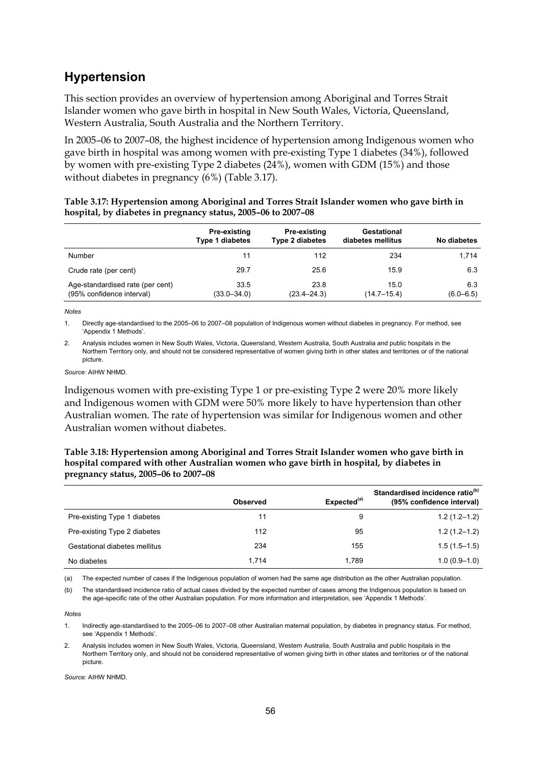### **Hypertension**

This section provides an overview of hypertension among Aboriginal and Torres Strait Islander women who gave birth in hospital in New South Wales, Victoria, Queensland, Western Australia, South Australia and the Northern Territory.

In 2005–06 to 2007–08, the highest incidence of hypertension among Indigenous women who gave birth in hospital was among women with pre-existing Type 1 diabetes (34%), followed by women with pre-existing Type 2 diabetes (24%), women with GDM (15%) and those without diabetes in pregnancy (6%) (Table 3.17).

| Table 3.17: Hypertension among Aboriginal and Torres Strait Islander women who gave birth in |
|----------------------------------------------------------------------------------------------|
| hospital, by diabetes in pregnancy status, 2005–06 to 2007–08                                |

|                                                               | Pre-existing<br><b>Type 1 diabetes</b> | Pre-existing<br><b>Type 2 diabetes</b> | Gestational<br>diabetes mellitus | No diabetes          |
|---------------------------------------------------------------|----------------------------------------|----------------------------------------|----------------------------------|----------------------|
| Number                                                        | 11                                     | 112                                    | 234                              | 1.714                |
| Crude rate (per cent)                                         | 29.7                                   | 25.6                                   | 15.9                             | 6.3                  |
| Age-standardised rate (per cent)<br>(95% confidence interval) | 33.5<br>$(33.0 - 34.0)$                | 23.8<br>$(23.4 - 24.3)$                | 15.0<br>$(14.7 - 15.4)$          | 6.3<br>$(6.0 - 6.5)$ |

*Notes*

1. Directly age-standardised to the 2005–06 to 2007–08 population of Indigenous women without diabetes in pregnancy. For method, see 'Appendix 1 Methods'.

2. Analysis includes women in New South Wales, Victoria, Queensland, Western Australia, South Australia and public hospitals in the Northern Territory only, and should not be considered representative of women giving birth in other states and territories or of the national picture.

*Source:* AIHW NHMD.

Indigenous women with pre-existing Type 1 or pre-existing Type 2 were 20% more likely and Indigenous women with GDM were 50% more likely to have hypertension than other Australian women. The rate of hypertension was similar for Indigenous women and other Australian women without diabetes.

**Table 3.18: Hypertension among Aboriginal and Torres Strait Islander women who gave birth in hospital compared with other Australian women who gave birth in hospital, by diabetes in pregnancy status, 2005–06 to 2007–08** 

|                               | <b>Observed</b> | Expected <sup>(a)</sup> | Standardised incidence ratio <sup>(b)</sup><br>(95% confidence interval) |
|-------------------------------|-----------------|-------------------------|--------------------------------------------------------------------------|
| Pre-existing Type 1 diabetes  | 11              | 9                       | $1.2(1.2 - 1.2)$                                                         |
| Pre-existing Type 2 diabetes  | 112             | 95                      | $1.2(1.2 - 1.2)$                                                         |
| Gestational diabetes mellitus | 234             | 155                     | $1.5(1.5-1.5)$                                                           |
| No diabetes                   | 1.714           | 1.789                   | $1.0(0.9 - 1.0)$                                                         |

(a) The expected number of cases if the Indigenous population of women had the same age distribution as the other Australian population.

(b) The standardised incidence ratio of actual cases divided by the expected number of cases among the Indigenous population is based on the age-specific rate of the other Australian population. For more information and interpretation, see 'Appendix 1 Methods'.

*Notes* 

1. Indirectly age-standardised to the 2005–06 to 2007–08 other Australian maternal population, by diabetes in pregnancy status. For method, see 'Appendix 1 Methods'.

2. Analysis includes women in New South Wales, Victoria, Queensland, Western Australia, South Australia and public hospitals in the Northern Territory only, and should not be considered representative of women giving birth in other states and territories or of the national picture.

*Source:* AIHW NHMD.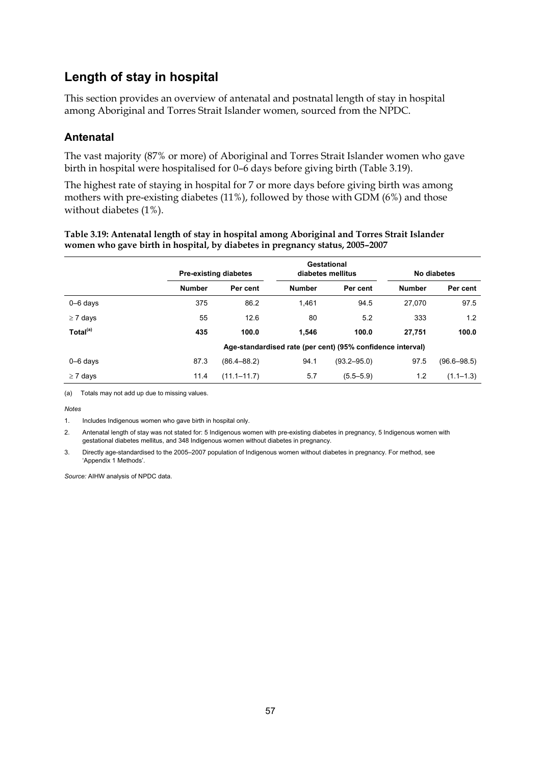### **Length of stay in hospital**

This section provides an overview of antenatal and postnatal length of stay in hospital among Aboriginal and Torres Strait Islander women, sourced from the NPDC.

### **Antenatal**

The vast majority (87% or more) of Aboriginal and Torres Strait Islander women who gave birth in hospital were hospitalised for 0–6 days before giving birth (Table 3.19).

The highest rate of staying in hospital for 7 or more days before giving birth was among mothers with pre-existing diabetes (11%), followed by those with GDM (6%) and those without diabetes (1%).

| Table 3.19: Antenatal length of stay in hospital among Aboriginal and Torres Strait Islander |
|----------------------------------------------------------------------------------------------|
| women who gave birth in hospital, by diabetes in pregnancy status, 2005-2007                 |

|                      |                                                            | <b>Pre-existing diabetes</b> |               | Gestational<br>diabetes mellitus |               | No diabetes     |
|----------------------|------------------------------------------------------------|------------------------------|---------------|----------------------------------|---------------|-----------------|
|                      | <b>Number</b>                                              | Per cent                     | <b>Number</b> | Per cent                         | <b>Number</b> | Per cent        |
| $0 - 6$ days         | 375                                                        | 86.2                         | 1,461         | 94.5                             | 27.070        | 97.5            |
| $\geq 7$ days        | 55                                                         | 12.6                         | 80            | 5.2                              | 333           | 1.2             |
| Total <sup>(a)</sup> | 435                                                        | 100.0                        | 1.546         | 100.0                            | 27.751        | 100.0           |
|                      | Age-standardised rate (per cent) (95% confidence interval) |                              |               |                                  |               |                 |
| $0 - 6$ days         | 87.3                                                       | $(86.4 - 88.2)$              | 94.1          | $(93.2 - 95.0)$                  | 97.5          | $(96.6 - 98.5)$ |
| $\geq 7$ days        | 11.4                                                       | $(11.1 - 11.7)$              | 5.7           | $(5.5 - 5.9)$                    | 1.2           | $(1.1 - 1.3)$   |

(a) Totals may not add up due to missing values.

*Notes* 

1. Includes Indigenous women who gave birth in hospital only.

2. Antenatal length of stay was not stated for: 5 Indigenous women with pre-existing diabetes in pregnancy, 5 Indigenous women with gestational diabetes mellitus, and 348 Indigenous women without diabetes in pregnancy.

3. Directly age-standardised to the 2005–2007 population of Indigenous women without diabetes in pregnancy. For method, see 'Appendix 1 Methods'.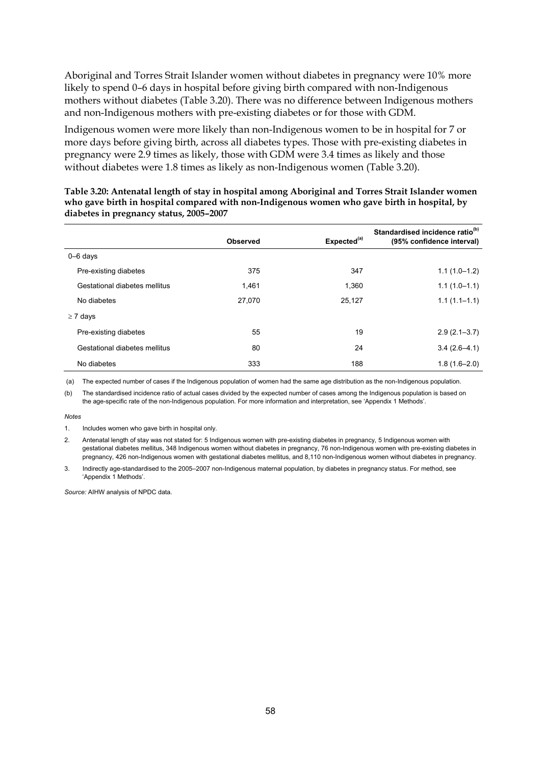Aboriginal and Torres Strait Islander women without diabetes in pregnancy were 10% more likely to spend 0–6 days in hospital before giving birth compared with non-Indigenous mothers without diabetes (Table 3.20). There was no difference between Indigenous mothers and non-Indigenous mothers with pre-existing diabetes or for those with GDM.

Indigenous women were more likely than non-Indigenous women to be in hospital for 7 or more days before giving birth, across all diabetes types. Those with pre-existing diabetes in pregnancy were 2.9 times as likely, those with GDM were 3.4 times as likely and those without diabetes were 1.8 times as likely as non-Indigenous women (Table 3.20).

|                               | <b>Observed</b> | Expected <sup>(a)</sup> | Standardised incidence ratio <sup>(b)</sup><br>(95% confidence interval) |
|-------------------------------|-----------------|-------------------------|--------------------------------------------------------------------------|
| $0 - 6$ days                  |                 |                         |                                                                          |
| Pre-existing diabetes         | 375             | 347                     | $1.1(1.0-1.2)$                                                           |
| Gestational diabetes mellitus | 1.461           | 1,360                   | $1.1(1.0-1.1)$                                                           |
| No diabetes                   | 27.070          | 25,127                  | $1.1(1.1 - 1.1)$                                                         |
| $\geq 7$ days                 |                 |                         |                                                                          |
| Pre-existing diabetes         | 55              | 19                      | $2.9(2.1 - 3.7)$                                                         |
| Gestational diabetes mellitus | 80              | 24                      | $3.4(2.6-4.1)$                                                           |
| No diabetes                   | 333             | 188                     | $1.8(1.6 - 2.0)$                                                         |

**Table 3.20: Antenatal length of stay in hospital among Aboriginal and Torres Strait Islander women who gave birth in hospital compared with non-Indigenous women who gave birth in hospital, by diabetes in pregnancy status, 2005–2007** 

(a) The expected number of cases if the Indigenous population of women had the same age distribution as the non-Indigenous population.

(b) The standardised incidence ratio of actual cases divided by the expected number of cases among the Indigenous population is based on the age-specific rate of the non-Indigenous population. For more information and interpretation, see 'Appendix 1 Methods'.

*Notes* 

<sup>1.</sup> Includes women who gave birth in hospital only.

<sup>2.</sup> Antenatal length of stay was not stated for: 5 Indigenous women with pre-existing diabetes in pregnancy, 5 Indigenous women with gestational diabetes mellitus, 348 Indigenous women without diabetes in pregnancy, 76 non-Indigenous women with pre-existing diabetes in pregnancy, 426 non-Indigenous women with gestational diabetes mellitus, and 8,110 non-Indigenous women without diabetes in pregnancy.

<sup>3.</sup> Indirectly age-standardised to the 2005–2007 non-Indigenous maternal population, by diabetes in pregnancy status. For method, see 'Appendix 1 Methods'.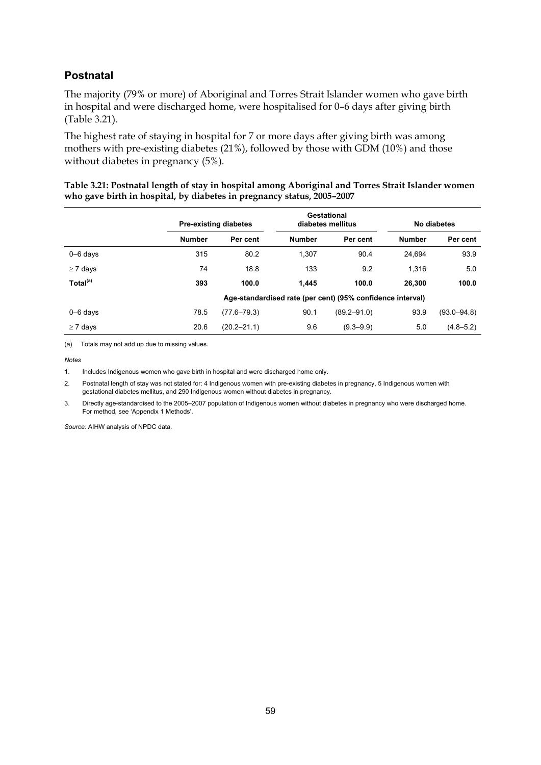### **Postnatal**

The majority (79% or more) of Aboriginal and Torres Strait Islander women who gave birth in hospital and were discharged home, were hospitalised for 0–6 days after giving birth (Table 3.21).

The highest rate of staying in hospital for 7 or more days after giving birth was among mothers with pre-existing diabetes (21%), followed by those with GDM (10%) and those without diabetes in pregnancy (5%).

| Table 3.21: Postnatal length of stay in hospital among Aboriginal and Torres Strait Islander women |
|----------------------------------------------------------------------------------------------------|
| who gave birth in hospital, by diabetes in pregnancy status, 2005-2007                             |

|                      |                                                            | <b>Pre-existing diabetes</b> |               | Gestational<br>diabetes mellitus |               | No diabetes     |
|----------------------|------------------------------------------------------------|------------------------------|---------------|----------------------------------|---------------|-----------------|
|                      | <b>Number</b>                                              | Per cent                     | <b>Number</b> | Per cent                         | <b>Number</b> | Per cent        |
| $0 - 6$ davs         | 315                                                        | 80.2                         | 1.307         | 90.4                             | 24.694        | 93.9            |
| $\geq 7$ days        | 74                                                         | 18.8                         | 133           | 9.2                              | 1.316         | 5.0             |
| Total <sup>(a)</sup> | 393                                                        | 100.0                        | 1.445         | 100.0                            | 26.300        | 100.0           |
|                      | Age-standardised rate (per cent) (95% confidence interval) |                              |               |                                  |               |                 |
| $0 - 6$ days         | 78.5                                                       | $(77.6 - 79.3)$              | 90.1          | $(89.2 - 91.0)$                  | 93.9          | $(93.0 - 94.8)$ |
| $\geq 7$ days        | 20.6                                                       | $(20.2 - 21.1)$              | 9.6           | $(9.3 - 9.9)$                    | 5.0           | $(4.8 - 5.2)$   |

(a) Totals may not add up due to missing values.

*Notes*

1. Includes Indigenous women who gave birth in hospital and were discharged home only.

2. Postnatal length of stay was not stated for: 4 Indigenous women with pre-existing diabetes in pregnancy, 5 Indigenous women with gestational diabetes mellitus, and 290 Indigenous women without diabetes in pregnancy.

3. Directly age-standardised to the 2005–2007 population of Indigenous women without diabetes in pregnancy who were discharged home. For method, see 'Appendix 1 Methods'.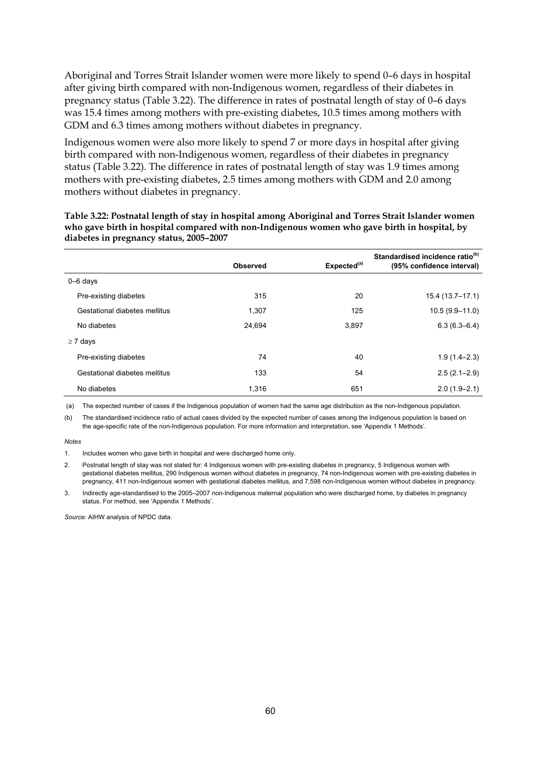Aboriginal and Torres Strait Islander women were more likely to spend 0–6 days in hospital after giving birth compared with non-Indigenous women, regardless of their diabetes in pregnancy status (Table 3.22). The difference in rates of postnatal length of stay of 0–6 days was 15.4 times among mothers with pre-existing diabetes, 10.5 times among mothers with GDM and 6.3 times among mothers without diabetes in pregnancy.

Indigenous women were also more likely to spend 7 or more days in hospital after giving birth compared with non-Indigenous women, regardless of their diabetes in pregnancy status (Table 3.22). The difference in rates of postnatal length of stay was 1.9 times among mothers with pre-existing diabetes, 2.5 times among mothers with GDM and 2.0 among mothers without diabetes in pregnancy.

**Table 3.22: Postnatal length of stay in hospital among Aboriginal and Torres Strait Islander women who gave birth in hospital compared with non-Indigenous women who gave birth in hospital, by diabetes in pregnancy status, 2005–2007** 

|                               | <b>Observed</b> | Expected <sup>(a)</sup> | Standardised incidence ratio <sup>(b)</sup><br>(95% confidence interval) |
|-------------------------------|-----------------|-------------------------|--------------------------------------------------------------------------|
| $0 - 6$ days                  |                 |                         |                                                                          |
| Pre-existing diabetes         | 315             | 20                      | 15.4 (13.7–17.1)                                                         |
| Gestational diabetes mellitus | 1,307           | 125                     | $10.5(9.9 - 11.0)$                                                       |
| No diabetes                   | 24,694          | 3,897                   | $6.3(6.3 - 6.4)$                                                         |
| $\geq 7$ days                 |                 |                         |                                                                          |
| Pre-existing diabetes         | 74              | 40                      | $1.9(1.4 - 2.3)$                                                         |
| Gestational diabetes mellitus | 133             | 54                      | $2.5(2.1 - 2.9)$                                                         |
| No diabetes                   | 1.316           | 651                     | $2.0(1.9 - 2.1)$                                                         |

(a) The expected number of cases if the Indigenous population of women had the same age distribution as the non-Indigenous population.

(b) The standardised incidence ratio of actual cases divided by the expected number of cases among the Indigenous population is based on the age-specific rate of the non-Indigenous population. For more information and interpretation, see 'Appendix 1 Methods'.

*Notes*

1. Includes women who gave birth in hospital and were discharged home only.

2. Postnatal length of stay was not stated for: 4 Indigenous women with pre-existing diabetes in pregnancy, 5 Indigenous women with gestational diabetes mellitus, 290 Indigenous women without diabetes in pregnancy, 74 non-Indigenous women with pre-existing diabetes in pregnancy, 411 non-Indigenous women with gestational diabetes mellitus, and 7,598 non-Indigenous women without diabetes in pregnancy.

3. Indirectly age-standardised to the 2005–2007 non-Indigenous maternal population who were discharged home, by diabetes in pregnancy status. For method, see 'Appendix 1 Methods'.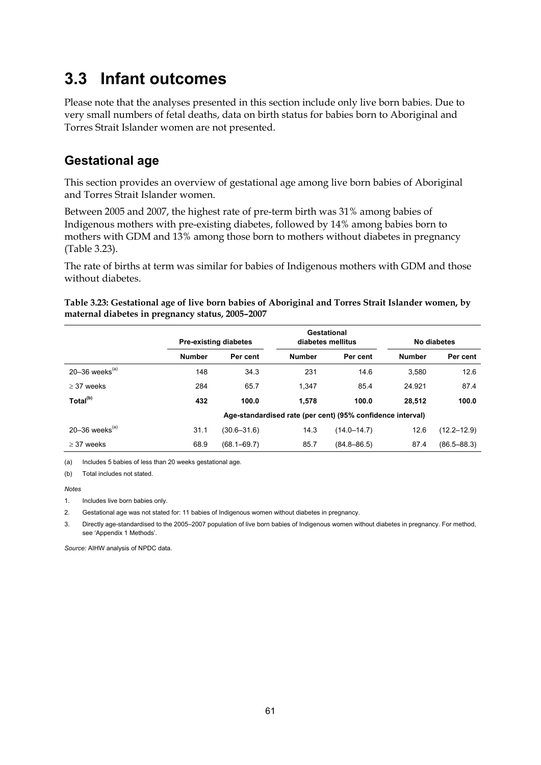# **3.3 Infant outcomes**

Please note that the analyses presented in this section include only live born babies. Due to very small numbers of fetal deaths, data on birth status for babies born to Aboriginal and Torres Strait Islander women are not presented.

### **Gestational age**

This section provides an overview of gestational age among live born babies of Aboriginal and Torres Strait Islander women.

Between 2005 and 2007, the highest rate of pre-term birth was 31% among babies of Indigenous mothers with pre-existing diabetes, followed by 14% among babies born to mothers with GDM and 13% among those born to mothers without diabetes in pregnancy (Table 3.23).

The rate of births at term was similar for babies of Indigenous mothers with GDM and those without diabetes.

|                                |                                                            | <b>Pre-existing diabetes</b> |               | Gestational<br>diabetes mellitus |               | No diabetes     |
|--------------------------------|------------------------------------------------------------|------------------------------|---------------|----------------------------------|---------------|-----------------|
|                                | <b>Number</b>                                              | Per cent                     | <b>Number</b> | Per cent                         | <b>Number</b> | Per cent        |
| 20–36 weeks $(a)$              | 148                                                        | 34.3                         | 231           | 14.6                             | 3.580         | 12.6            |
| $>$ 37 weeks                   | 284                                                        | 65.7                         | 1.347         | 85.4                             | 24.921        | 87.4            |
| Total <sup>(b)</sup>           | 432                                                        | 100.0                        | 1.578         | 100.0                            | 28.512        | 100.0           |
|                                | Age-standardised rate (per cent) (95% confidence interval) |                              |               |                                  |               |                 |
| $20 - 36$ weeks <sup>(a)</sup> | 31.1                                                       | $(30.6 - 31.6)$              | 14.3          | $(14.0 - 14.7)$                  | 12.6          | $(12.2 - 12.9)$ |
| $>$ 37 weeks                   | 68.9                                                       | $(68.1 - 69.7)$              | 85.7          | $(84.8 - 86.5)$                  | 87.4          | $(86.5 - 88.3)$ |

**Table 3.23: Gestational age of live born babies of Aboriginal and Torres Strait Islander women, by maternal diabetes in pregnancy status, 2005–2007** 

(a) Includes 5 babies of less than 20 weeks gestational age.

(b) Total includes not stated.

#### *Notes*

1. Includes live born babies only.

2. Gestational age was not stated for: 11 babies of Indigenous women without diabetes in pregnancy.

3. Directly age-standardised to the 2005–2007 population of live born babies of Indigenous women without diabetes in pregnancy. For method, see 'Appendix 1 Methods'.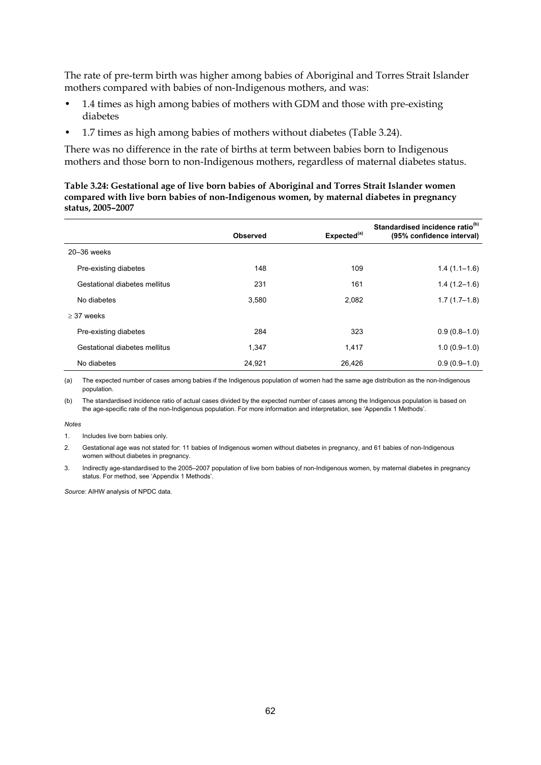The rate of pre-term birth was higher among babies of Aboriginal and Torres Strait Islander mothers compared with babies of non-Indigenous mothers, and was:

- 1.4 times as high among babies of mothers with GDM and those with pre-existing diabetes
- 1.7 times as high among babies of mothers without diabetes (Table 3.24).

There was no difference in the rate of births at term between babies born to Indigenous mothers and those born to non-Indigenous mothers, regardless of maternal diabetes status.

#### **Table 3.24: Gestational age of live born babies of Aboriginal and Torres Strait Islander women compared with live born babies of non-Indigenous women, by maternal diabetes in pregnancy status, 2005–2007**

|                               | <b>Observed</b> | Expected <sup>(a)</sup> | Standardised incidence ratio <sup>(b)</sup><br>(95% confidence interval) |
|-------------------------------|-----------------|-------------------------|--------------------------------------------------------------------------|
| $20 - 36$ weeks               |                 |                         |                                                                          |
| Pre-existing diabetes         | 148             | 109                     | $1.4(1.1-1.6)$                                                           |
| Gestational diabetes mellitus | 231             | 161                     | $1.4(1.2-1.6)$                                                           |
| No diabetes                   | 3.580           | 2,082                   | $1.7(1.7-1.8)$                                                           |
| $>$ 37 weeks                  |                 |                         |                                                                          |
| Pre-existing diabetes         | 284             | 323                     | $0.9(0.8-1.0)$                                                           |
| Gestational diabetes mellitus | 1,347           | 1,417                   | $1.0(0.9-1.0)$                                                           |
| No diabetes                   | 24,921          | 26,426                  | $0.9(0.9-1.0)$                                                           |

(a) The expected number of cases among babies if the Indigenous population of women had the same age distribution as the non-Indigenous population.

(b) The standardised incidence ratio of actual cases divided by the expected number of cases among the Indigenous population is based on the age-specific rate of the non-Indigenous population. For more information and interpretation, see 'Appendix 1 Methods'.

#### *Notes*

1. Includes live born babies only.

2. Gestational age was not stated for: 11 babies of Indigenous women without diabetes in pregnancy, and 61 babies of non-Indigenous women without diabetes in pregnancy.

3. Indirectly age-standardised to the 2005–2007 population of live born babies of non-Indigenous women, by maternal diabetes in pregnancy status. For method, see 'Appendix 1 Methods'.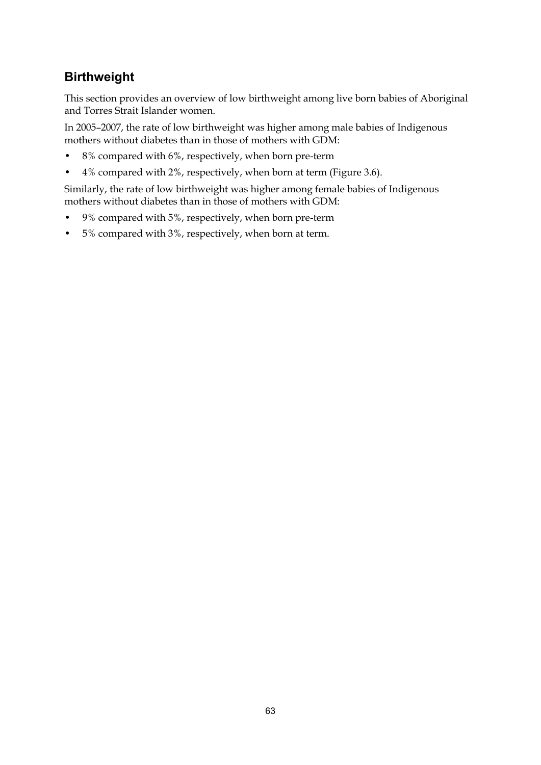### **Birthweight**

This section provides an overview of low birthweight among live born babies of Aboriginal and Torres Strait Islander women.

In 2005–2007, the rate of low birthweight was higher among male babies of Indigenous mothers without diabetes than in those of mothers with GDM:

- 8% compared with 6%, respectively, when born pre-term
- 4% compared with 2%, respectively, when born at term (Figure 3.6).

Similarly, the rate of low birthweight was higher among female babies of Indigenous mothers without diabetes than in those of mothers with GDM:

- 9% compared with 5%, respectively, when born pre-term
- 5% compared with 3%, respectively, when born at term.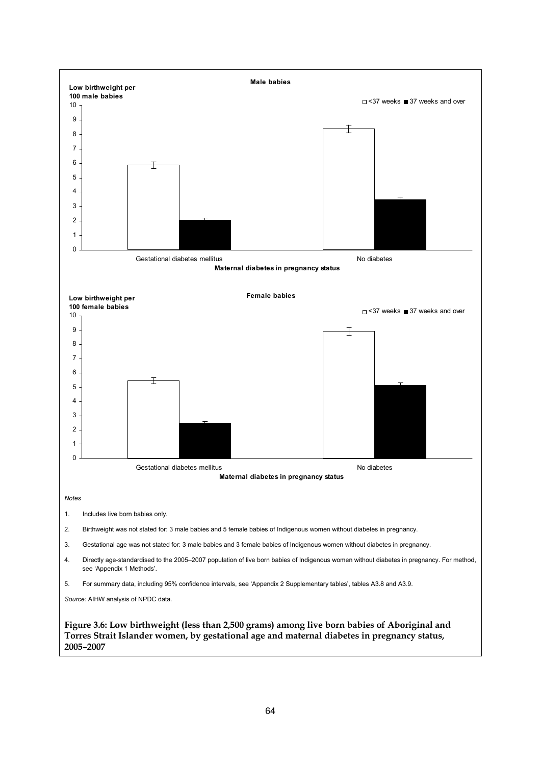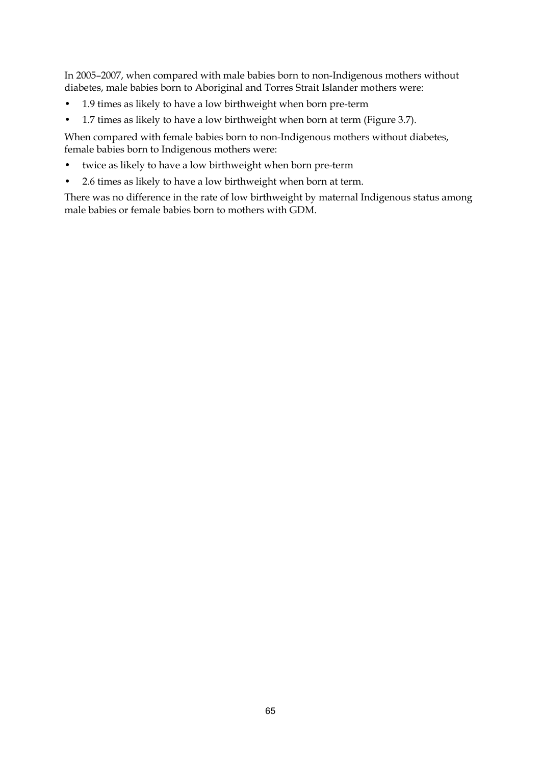In 2005–2007, when compared with male babies born to non-Indigenous mothers without diabetes, male babies born to Aboriginal and Torres Strait Islander mothers were:

- 1.9 times as likely to have a low birthweight when born pre-term
- 1.7 times as likely to have a low birthweight when born at term (Figure 3.7).

When compared with female babies born to non-Indigenous mothers without diabetes, female babies born to Indigenous mothers were:

- twice as likely to have a low birthweight when born pre-term
- 2.6 times as likely to have a low birthweight when born at term.

There was no difference in the rate of low birthweight by maternal Indigenous status among male babies or female babies born to mothers with GDM.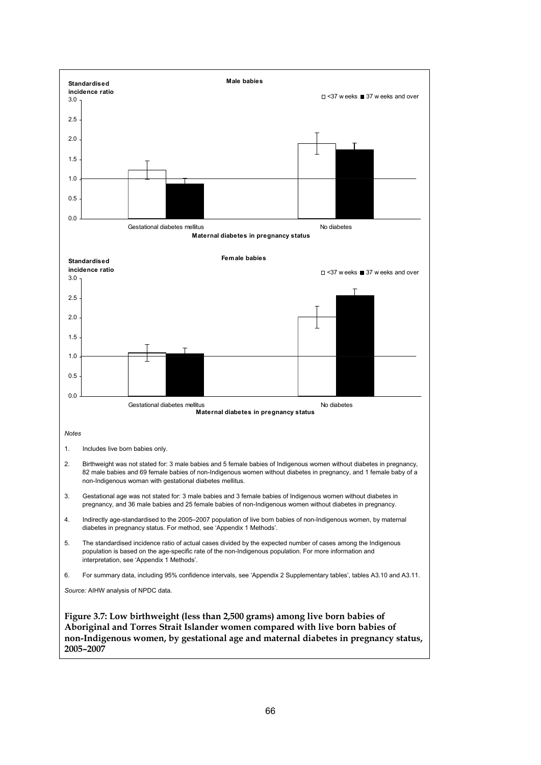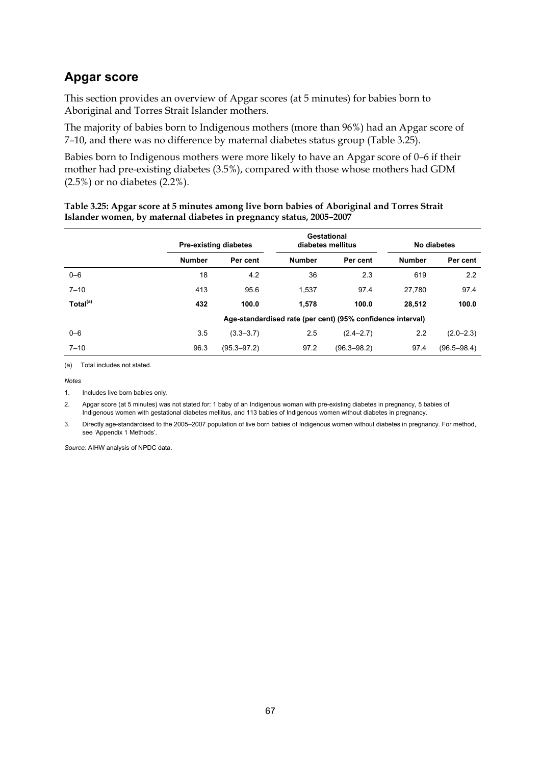### **Apgar score**

This section provides an overview of Apgar scores (at 5 minutes) for babies born to Aboriginal and Torres Strait Islander mothers.

The majority of babies born to Indigenous mothers (more than 96%) had an Apgar score of 7–10, and there was no difference by maternal diabetes status group (Table 3.25).

Babies born to Indigenous mothers were more likely to have an Apgar score of 0–6 if their mother had pre-existing diabetes (3.5%), compared with those whose mothers had GDM (2.5%) or no diabetes (2.2%).

|                      |               | <b>Pre-existing diabetes</b>                               |               | Gestational<br>diabetes mellitus |               | No diabetes     |  |
|----------------------|---------------|------------------------------------------------------------|---------------|----------------------------------|---------------|-----------------|--|
|                      | <b>Number</b> | Per cent                                                   | <b>Number</b> | Per cent                         | <b>Number</b> | Per cent        |  |
| $0 - 6$              | 18            | 4.2                                                        | 36            | 2.3                              | 619           | 2.2             |  |
| $7 - 10$             | 413           | 95.6                                                       | 1,537         | 97.4                             | 27.780        | 97.4            |  |
| Total <sup>(a)</sup> | 432           | 100.0                                                      | 1.578         | 100.0                            | 28,512        | 100.0           |  |
|                      |               | Age-standardised rate (per cent) (95% confidence interval) |               |                                  |               |                 |  |
| $0 - 6$              | 3.5           | $(3.3 - 3.7)$                                              | 2.5           | $(2.4 - 2.7)$                    | 2.2           | $(2.0 - 2.3)$   |  |
| $7 - 10$             | 96.3          | $(95.3 - 97.2)$                                            | 97.2          | $(96.3 - 98.2)$                  | 97.4          | $(96.5 - 98.4)$ |  |

#### **Table 3.25: Apgar score at 5 minutes among live born babies of Aboriginal and Torres Strait Islander women, by maternal diabetes in pregnancy status, 2005–2007**

(a) Total includes not stated.

*Notes*

1. Includes live born babies only.

2. Apgar score (at 5 minutes) was not stated for: 1 baby of an Indigenous woman with pre-existing diabetes in pregnancy, 5 babies of Indigenous women with gestational diabetes mellitus, and 113 babies of Indigenous women without diabetes in pregnancy.

3. Directly age-standardised to the 2005–2007 population of live born babies of Indigenous women without diabetes in pregnancy. For method, see 'Appendix 1 Methods'.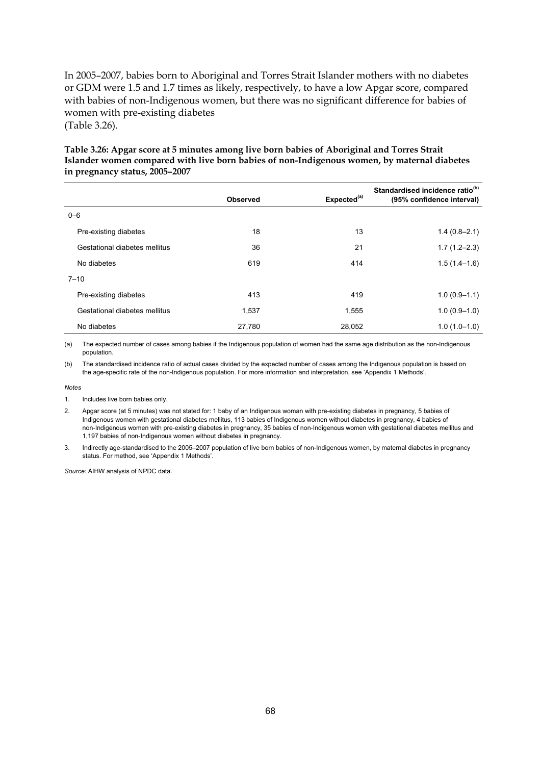In 2005–2007, babies born to Aboriginal and Torres Strait Islander mothers with no diabetes or GDM were 1.5 and 1.7 times as likely, respectively, to have a low Apgar score, compared with babies of non-Indigenous women, but there was no significant difference for babies of women with pre-existing diabetes (Table 3.26).

#### **Table 3.26: Apgar score at 5 minutes among live born babies of Aboriginal and Torres Strait Islander women compared with live born babies of non-Indigenous women, by maternal diabetes in pregnancy status, 2005–2007**

|                               | <b>Observed</b> | Expected <sup>(a)</sup> | Standardised incidence ratio <sup>(b)</sup><br>(95% confidence interval) |
|-------------------------------|-----------------|-------------------------|--------------------------------------------------------------------------|
| $0 - 6$                       |                 |                         |                                                                          |
| Pre-existing diabetes         | 18              | 13                      | $1.4(0.8 - 2.1)$                                                         |
| Gestational diabetes mellitus | 36              | 21                      | $1.7(1.2 - 2.3)$                                                         |
| No diabetes                   | 619             | 414                     | $1.5(1.4-1.6)$                                                           |
| $7 - 10$                      |                 |                         |                                                                          |
| Pre-existing diabetes         | 413             | 419                     | $1.0(0.9-1.1)$                                                           |
| Gestational diabetes mellitus | 1.537           | 1,555                   | $1.0(0.9-1.0)$                                                           |
| No diabetes                   | 27,780          | 28,052                  | $1.0(1.0-1.0)$                                                           |

(a) The expected number of cases among babies if the Indigenous population of women had the same age distribution as the non-Indigenous population.

(b) The standardised incidence ratio of actual cases divided by the expected number of cases among the Indigenous population is based on the age-specific rate of the non-Indigenous population. For more information and interpretation, see 'Appendix 1 Methods'.

#### *Notes*

- 1. Includes live born babies only.
- 2. Apgar score (at 5 minutes) was not stated for: 1 baby of an Indigenous woman with pre-existing diabetes in pregnancy, 5 babies of Indigenous women with gestational diabetes mellitus, 113 babies of Indigenous women without diabetes in pregnancy, 4 babies of non-Indigenous women with pre-existing diabetes in pregnancy, 35 babies of non-Indigenous women with gestational diabetes mellitus and 1,197 babies of non-Indigenous women without diabetes in pregnancy.
- 3. Indirectly age-standardised to the 2005–2007 population of live born babies of non-Indigenous women, by maternal diabetes in pregnancy status. For method, see 'Appendix 1 Methods'.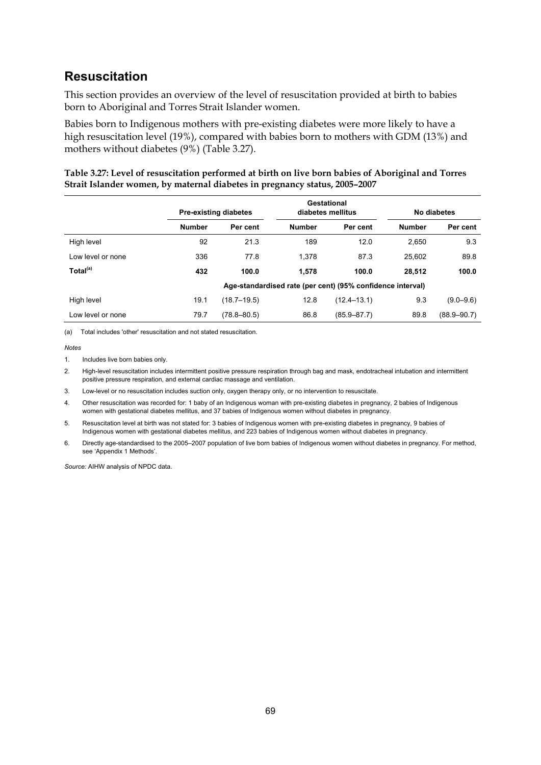### **Resuscitation**

This section provides an overview of the level of resuscitation provided at birth to babies born to Aboriginal and Torres Strait Islander women.

Babies born to Indigenous mothers with pre-existing diabetes were more likely to have a high resuscitation level (19%), compared with babies born to mothers with GDM (13%) and mothers without diabetes (9%) (Table 3.27).

| Table 3.27: Level of resuscitation performed at birth on live born babies of Aboriginal and Torres |
|----------------------------------------------------------------------------------------------------|
| Strait Islander women, by maternal diabetes in pregnancy status, 2005-2007                         |

|                      |                                                            | Gestational<br><b>Pre-existing diabetes</b><br>diabetes mellitus |               | No diabetes     |               |                 |
|----------------------|------------------------------------------------------------|------------------------------------------------------------------|---------------|-----------------|---------------|-----------------|
|                      | <b>Number</b>                                              | Per cent                                                         | <b>Number</b> | Per cent        | <b>Number</b> | Per cent        |
| High level           | 92                                                         | 21.3                                                             | 189           | 12.0            | 2.650         | 9.3             |
| Low level or none    | 336                                                        | 77.8                                                             | 1.378         | 87.3            | 25.602        | 89.8            |
| Total <sup>(a)</sup> | 432                                                        | 100.0                                                            | 1.578         | 100.0           | 28.512        | 100.0           |
|                      | Age-standardised rate (per cent) (95% confidence interval) |                                                                  |               |                 |               |                 |
| High level           | 19.1                                                       | $(18.7 - 19.5)$                                                  | 12.8          | $(12.4 - 13.1)$ | 9.3           | $(9.0 - 9.6)$   |
| Low level or none    | 79.7                                                       | $(78.8 - 80.5)$                                                  | 86.8          | $(85.9 - 87.7)$ | 89.8          | $(88.9 - 90.7)$ |

(a) Total includes 'other' resuscitation and not stated resuscitation.

*Notes*

1. Includes live born babies only.

2. High-level resuscitation includes intermittent positive pressure respiration through bag and mask, endotracheal intubation and intermittent positive pressure respiration, and external cardiac massage and ventilation.

3. Low-level or no resuscitation includes suction only, oxygen therapy only, or no intervention to resuscitate.

4. Other resuscitation was recorded for: 1 baby of an Indigenous woman with pre-existing diabetes in pregnancy, 2 babies of Indigenous women with gestational diabetes mellitus, and 37 babies of Indigenous women without diabetes in pregnancy.

5. Resuscitation level at birth was not stated for: 3 babies of Indigenous women with pre-existing diabetes in pregnancy, 9 babies of Indigenous women with gestational diabetes mellitus, and 223 babies of Indigenous women without diabetes in pregnancy.

6. Directly age-standardised to the 2005–2007 population of live born babies of Indigenous women without diabetes in pregnancy. For method, see 'Appendix 1 Methods'.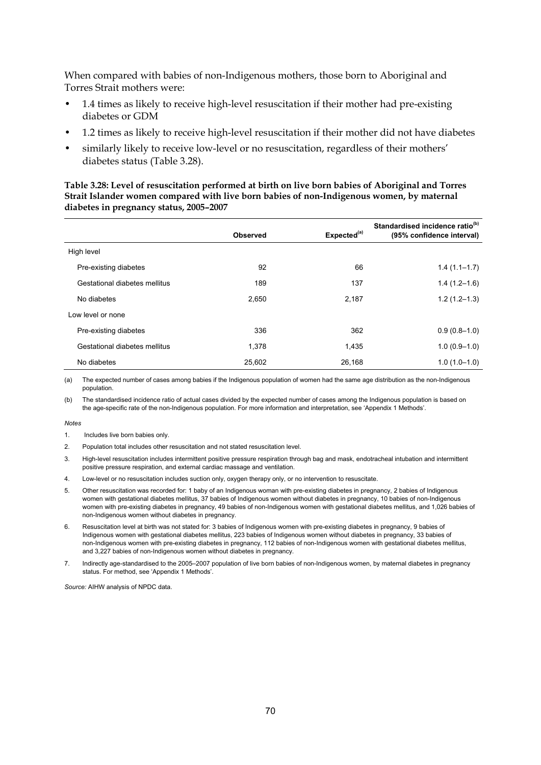When compared with babies of non-Indigenous mothers, those born to Aboriginal and Torres Strait mothers were:

- 1.4 times as likely to receive high-level resuscitation if their mother had pre-existing diabetes or GDM
- 1.2 times as likely to receive high-level resuscitation if their mother did not have diabetes
- similarly likely to receive low-level or no resuscitation, regardless of their mothers' diabetes status (Table 3.28).

#### **Table 3.28: Level of resuscitation performed at birth on live born babies of Aboriginal and Torres Strait Islander women compared with live born babies of non-Indigenous women, by maternal diabetes in pregnancy status, 2005–2007**

|                               | <b>Observed</b> | Expected <sup>(a)</sup> | Standardised incidence ratio <sup>(b)</sup><br>(95% confidence interval) |
|-------------------------------|-----------------|-------------------------|--------------------------------------------------------------------------|
| High level                    |                 |                         |                                                                          |
| Pre-existing diabetes         | 92              | 66                      | $1.4(1.1-1.7)$                                                           |
| Gestational diabetes mellitus | 189             | 137                     | $1.4(1.2-1.6)$                                                           |
| No diabetes                   | 2,650           | 2,187                   | $1.2(1.2 - 1.3)$                                                         |
| Low level or none             |                 |                         |                                                                          |
| Pre-existing diabetes         | 336             | 362                     | $0.9(0.8-1.0)$                                                           |
| Gestational diabetes mellitus | 1,378           | 1,435                   | $1.0(0.9-1.0)$                                                           |
| No diabetes                   | 25,602          | 26.168                  | $1.0(1.0-1.0)$                                                           |

(a) The expected number of cases among babies if the Indigenous population of women had the same age distribution as the non-Indigenous population.

(b) The standardised incidence ratio of actual cases divided by the expected number of cases among the Indigenous population is based on the age-specific rate of the non-Indigenous population. For more information and interpretation, see 'Appendix 1 Methods'.

#### *Notes*

- 1. Includes live born babies only.
- 2. Population total includes other resuscitation and not stated resuscitation level.
- 3. High-level resuscitation includes intermittent positive pressure respiration through bag and mask, endotracheal intubation and intermittent positive pressure respiration, and external cardiac massage and ventilation.
- 4. Low-level or no resuscitation includes suction only, oxygen therapy only, or no intervention to resuscitate.
- 5. Other resuscitation was recorded for: 1 baby of an Indigenous woman with pre-existing diabetes in pregnancy, 2 babies of Indigenous women with gestational diabetes mellitus, 37 babies of Indigenous women without diabetes in pregnancy, 10 babies of non-Indigenous women with pre-existing diabetes in pregnancy, 49 babies of non-Indigenous women with gestational diabetes mellitus, and 1,026 babies of non-Indigenous women without diabetes in pregnancy.
- 6. Resuscitation level at birth was not stated for: 3 babies of Indigenous women with pre-existing diabetes in pregnancy, 9 babies of Indigenous women with gestational diabetes mellitus, 223 babies of Indigenous women without diabetes in pregnancy, 33 babies of non-Indigenous women with pre-existing diabetes in pregnancy, 112 babies of non-Indigenous women with gestational diabetes mellitus, and 3,227 babies of non-Indigenous women without diabetes in pregnancy.
- 7. Indirectly age-standardised to the 2005–2007 population of live born babies of non-Indigenous women, by maternal diabetes in pregnancy status. For method, see 'Appendix 1 Methods'.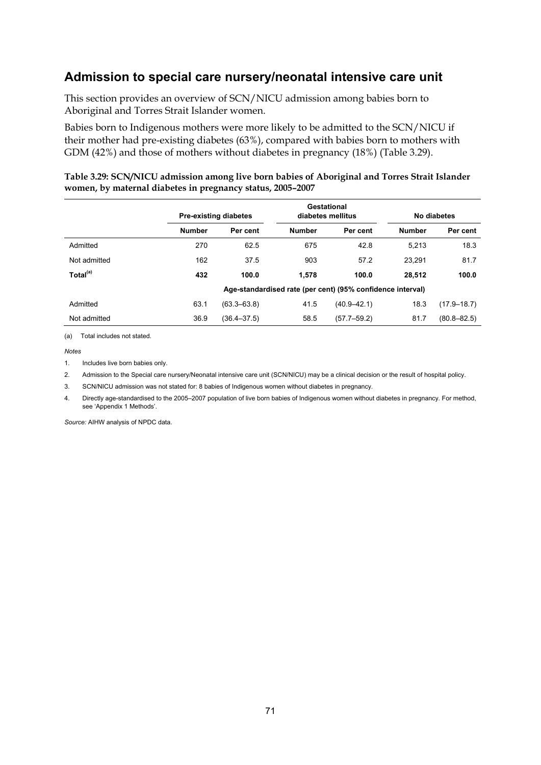### **Admission to special care nursery/neonatal intensive care unit**

This section provides an overview of SCN/NICU admission among babies born to Aboriginal and Torres Strait Islander women.

Babies born to Indigenous mothers were more likely to be admitted to the SCN/NICU if their mother had pre-existing diabetes (63%), compared with babies born to mothers with GDM (42%) and those of mothers without diabetes in pregnancy (18%) (Table 3.29).

|                      |                                                            | Gestational<br><b>Pre-existing diabetes</b><br>diabetes mellitus |               | No diabetes     |               |                 |
|----------------------|------------------------------------------------------------|------------------------------------------------------------------|---------------|-----------------|---------------|-----------------|
|                      | <b>Number</b>                                              | Per cent                                                         | <b>Number</b> | Per cent        | <b>Number</b> | Per cent        |
| Admitted             | 270                                                        | 62.5                                                             | 675           | 42.8            | 5.213         | 18.3            |
| Not admitted         | 162                                                        | 37.5                                                             | 903           | 57.2            | 23.291        | 81.7            |
| Total <sup>(a)</sup> | 432                                                        | 100.0                                                            | 1,578         | 100.0           | 28,512        | 100.0           |
|                      | Age-standardised rate (per cent) (95% confidence interval) |                                                                  |               |                 |               |                 |
| Admitted             | 63.1                                                       | $(63.3 - 63.8)$                                                  | 41.5          | $(40.9 - 42.1)$ | 18.3          | $(17.9 - 18.7)$ |
| Not admitted         | 36.9                                                       | $(36.4 - 37.5)$                                                  | 58.5          | $(57.7 - 59.2)$ | 81.7          | $(80.8 - 82.5)$ |

#### **Table 3.29: SCN/NICU admission among live born babies of Aboriginal and Torres Strait Islander women, by maternal diabetes in pregnancy status, 2005–2007**

(a) Total includes not stated.

*Notes*

1. Includes live born babies only

2. Admission to the Special care nursery/Neonatal intensive care unit (SCN/NICU) may be a clinical decision or the result of hospital policy.

3. SCN/NICU admission was not stated for: 8 babies of Indigenous women without diabetes in pregnancy.

4. Directly age-standardised to the 2005–2007 population of live born babies of Indigenous women without diabetes in pregnancy. For method, see 'Appendix 1 Methods'.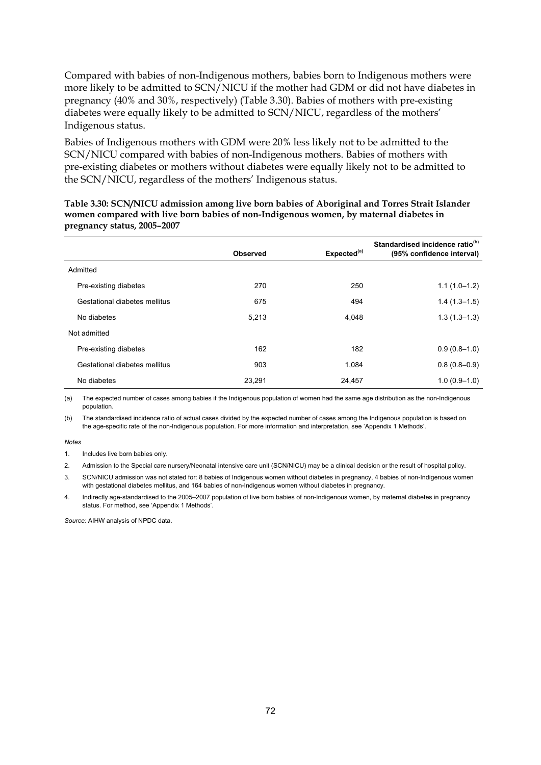Compared with babies of non-Indigenous mothers, babies born to Indigenous mothers were more likely to be admitted to SCN/NICU if the mother had GDM or did not have diabetes in pregnancy (40% and 30%, respectively) (Table 3.30). Babies of mothers with pre-existing diabetes were equally likely to be admitted to SCN/NICU, regardless of the mothers' Indigenous status.

Babies of Indigenous mothers with GDM were 20% less likely not to be admitted to the SCN/NICU compared with babies of non-Indigenous mothers. Babies of mothers with pre-existing diabetes or mothers without diabetes were equally likely not to be admitted to the SCN/NICU, regardless of the mothers' Indigenous status.

#### **Table 3.30: SCN/NICU admission among live born babies of Aboriginal and Torres Strait Islander women compared with live born babies of non-Indigenous women, by maternal diabetes in pregnancy status, 2005–2007**

|                               | <b>Observed</b> | Expected <sup>(a)</sup> | Standardised incidence ratio <sup>(b)</sup><br>(95% confidence interval) |
|-------------------------------|-----------------|-------------------------|--------------------------------------------------------------------------|
| Admitted                      |                 |                         |                                                                          |
| Pre-existing diabetes         | 270             | 250                     | $1.1(1.0-1.2)$                                                           |
| Gestational diabetes mellitus | 675             | 494                     | $1.4(1.3-1.5)$                                                           |
| No diabetes                   | 5,213           | 4,048                   | $1.3(1.3 - 1.3)$                                                         |
| Not admitted                  |                 |                         |                                                                          |
| Pre-existing diabetes         | 162             | 182                     | $0.9(0.8-1.0)$                                                           |
| Gestational diabetes mellitus | 903             | 1,084                   | $0.8(0.8-0.9)$                                                           |
| No diabetes                   | 23,291          | 24,457                  | $1.0(0.9 - 1.0)$                                                         |

(a) The expected number of cases among babies if the Indigenous population of women had the same age distribution as the non-Indigenous population.

(b) The standardised incidence ratio of actual cases divided by the expected number of cases among the Indigenous population is based on the age-specific rate of the non-Indigenous population. For more information and interpretation, see 'Appendix 1 Methods'.

#### *Notes*

1. Includes live born babies only.

2. Admission to the Special care nursery/Neonatal intensive care unit (SCN/NICU) may be a clinical decision or the result of hospital policy.

3. SCN/NICU admission was not stated for: 8 babies of Indigenous women without diabetes in pregnancy, 4 babies of non-Indigenous women with gestational diabetes mellitus, and 164 babies of non-Indigenous women without diabetes in pregnancy.

4. Indirectly age-standardised to the 2005–2007 population of live born babies of non-Indigenous women, by maternal diabetes in pregnancy status. For method, see 'Appendix 1 Methods'.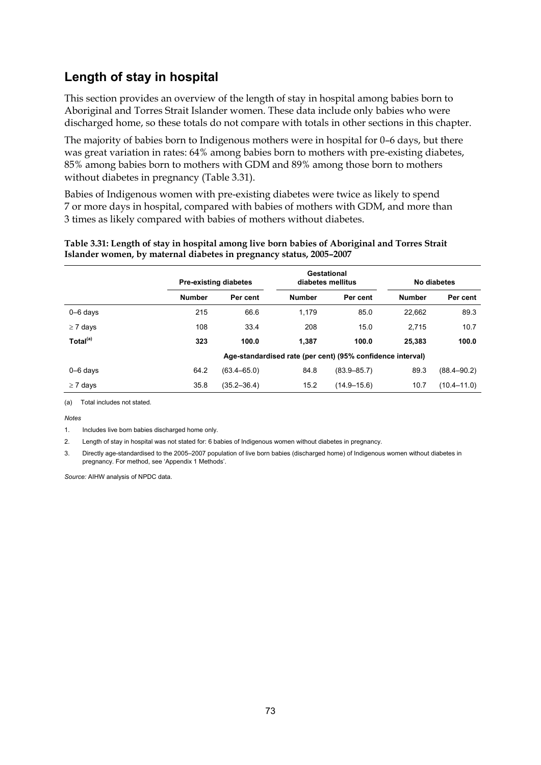### **Length of stay in hospital**

This section provides an overview of the length of stay in hospital among babies born to Aboriginal and Torres Strait Islander women. These data include only babies who were discharged home, so these totals do not compare with totals in other sections in this chapter.

The majority of babies born to Indigenous mothers were in hospital for 0–6 days, but there was great variation in rates: 64% among babies born to mothers with pre-existing diabetes, 85% among babies born to mothers with GDM and 89% among those born to mothers without diabetes in pregnancy (Table 3.31).

Babies of Indigenous women with pre-existing diabetes were twice as likely to spend 7 or more days in hospital, compared with babies of mothers with GDM, and more than 3 times as likely compared with babies of mothers without diabetes.

|                      |                                                            | Gestational<br><b>Pre-existing diabetes</b><br>diabetes mellitus |               |                 | No diabetes   |                 |  |
|----------------------|------------------------------------------------------------|------------------------------------------------------------------|---------------|-----------------|---------------|-----------------|--|
|                      | <b>Number</b>                                              | Per cent                                                         | <b>Number</b> | Per cent        | <b>Number</b> | Per cent        |  |
| $0 - 6$ days         | 215                                                        | 66.6                                                             | 1,179         | 85.0            | 22,662        | 89.3            |  |
| $\geq 7$ days        | 108                                                        | 33.4                                                             | 208           | 15.0            | 2.715         | 10.7            |  |
| Total <sup>(a)</sup> | 323                                                        | 100.0                                                            | 1.387         | 100.0           | 25,383        | 100.0           |  |
|                      | Age-standardised rate (per cent) (95% confidence interval) |                                                                  |               |                 |               |                 |  |
| $0 - 6$ days         | 64.2                                                       | $(63.4 - 65.0)$                                                  | 84.8          | $(83.9 - 85.7)$ | 89.3          | $(88.4 - 90.2)$ |  |
| $\geq 7$ days        | 35.8                                                       | $(35.2 - 36.4)$                                                  | 15.2          | $(14.9 - 15.6)$ | 10.7          | $(10.4 - 11.0)$ |  |

#### **Table 3.31: Length of stay in hospital among live born babies of Aboriginal and Torres Strait Islander women, by maternal diabetes in pregnancy status, 2005–2007**

(a) Total includes not stated.

*Notes*

2. Length of stay in hospital was not stated for: 6 babies of Indigenous women without diabetes in pregnancy.

3. Directly age-standardised to the 2005–2007 population of live born babies (discharged home) of Indigenous women without diabetes in pregnancy. For method, see 'Appendix 1 Methods'.

<sup>1.</sup> Includes live born babies discharged home only.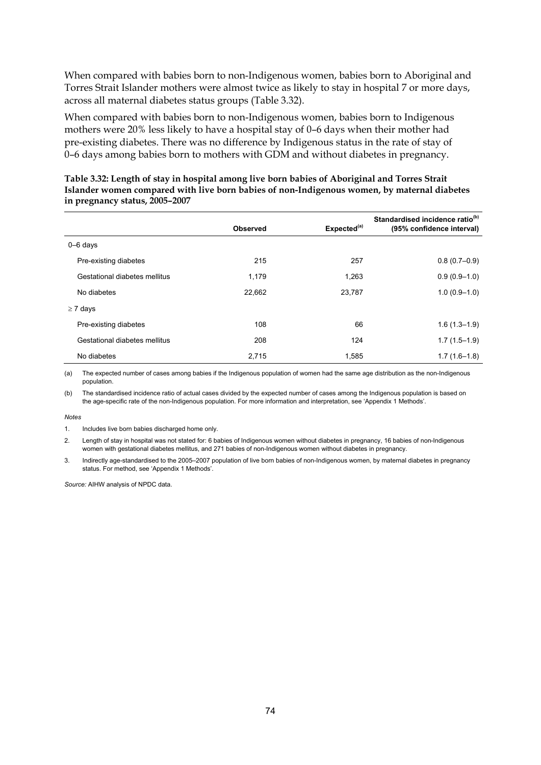When compared with babies born to non-Indigenous women, babies born to Aboriginal and Torres Strait Islander mothers were almost twice as likely to stay in hospital 7 or more days, across all maternal diabetes status groups (Table 3.32).

When compared with babies born to non-Indigenous women, babies born to Indigenous mothers were 20% less likely to have a hospital stay of 0–6 days when their mother had pre-existing diabetes. There was no difference by Indigenous status in the rate of stay of 0–6 days among babies born to mothers with GDM and without diabetes in pregnancy.

|                               | <b>Observed</b> | Expected <sup>(a)</sup> | Standardised incidence ratio <sup>(b)</sup><br>(95% confidence interval) |
|-------------------------------|-----------------|-------------------------|--------------------------------------------------------------------------|
| $0 - 6$ days                  |                 |                         |                                                                          |
| Pre-existing diabetes         | 215             | 257                     | $0.8(0.7-0.9)$                                                           |
| Gestational diabetes mellitus | 1,179           | 1,263                   | $0.9(0.9-1.0)$                                                           |
| No diabetes                   | 22,662          | 23,787                  | $1.0(0.9-1.0)$                                                           |
| $\geq 7$ days                 |                 |                         |                                                                          |
| Pre-existing diabetes         | 108             | 66                      | $1.6(1.3-1.9)$                                                           |
| Gestational diabetes mellitus | 208             | 124                     | $1.7(1.5-1.9)$                                                           |
| No diabetes                   | 2,715           | 1,585                   | $1.7(1.6-1.8)$                                                           |

**Table 3.32: Length of stay in hospital among live born babies of Aboriginal and Torres Strait Islander women compared with live born babies of non-Indigenous women, by maternal diabetes in pregnancy status, 2005–2007** 

(a) The expected number of cases among babies if the Indigenous population of women had the same age distribution as the non-Indigenous population.

(b) The standardised incidence ratio of actual cases divided by the expected number of cases among the Indigenous population is based on the age-specific rate of the non-Indigenous population. For more information and interpretation, see 'Appendix 1 Methods'.

*Notes*

- 2. Length of stay in hospital was not stated for: 6 babies of Indigenous women without diabetes in pregnancy, 16 babies of non-Indigenous women with gestational diabetes mellitus, and 271 babies of non-Indigenous women without diabetes in pregnancy.
- 3. Indirectly age-standardised to the 2005–2007 population of live born babies of non-Indigenous women, by maternal diabetes in pregnancy status. For method, see 'Appendix 1 Methods'.

<sup>1.</sup> Includes live born babies discharged home only.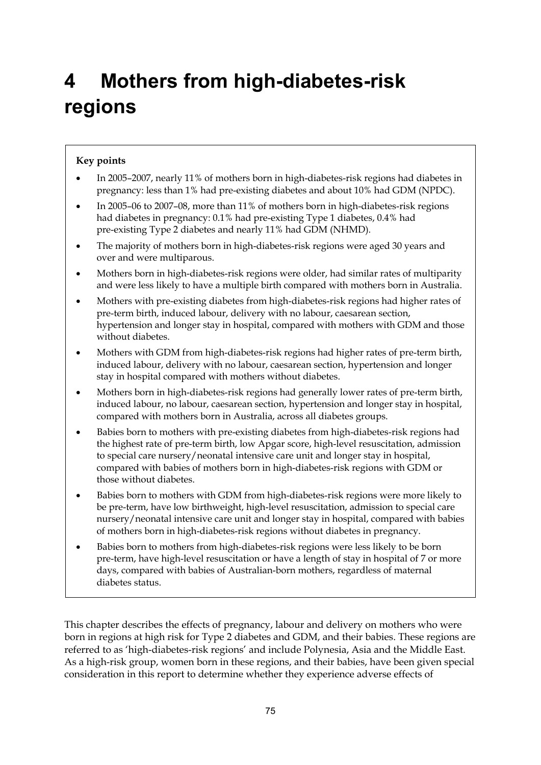# **4 Mothers from high-diabetes-risk regions**

### **Key points**

- In 2005–2007, nearly 11% of mothers born in high-diabetes-risk regions had diabetes in pregnancy: less than 1% had pre-existing diabetes and about 10% had GDM (NPDC).
- In 2005–06 to 2007–08, more than 11% of mothers born in high-diabetes-risk regions had diabetes in pregnancy: 0.1% had pre-existing Type 1 diabetes, 0.4% had pre-existing Type 2 diabetes and nearly 11% had GDM (NHMD).
- The majority of mothers born in high-diabetes-risk regions were aged 30 years and over and were multiparous.
- Mothers born in high-diabetes-risk regions were older, had similar rates of multiparity and were less likely to have a multiple birth compared with mothers born in Australia.
- Mothers with pre-existing diabetes from high-diabetes-risk regions had higher rates of pre-term birth, induced labour, delivery with no labour, caesarean section, hypertension and longer stay in hospital, compared with mothers with GDM and those without diabetes.
- Mothers with GDM from high-diabetes-risk regions had higher rates of pre-term birth, induced labour, delivery with no labour, caesarean section, hypertension and longer stay in hospital compared with mothers without diabetes.
- Mothers born in high-diabetes-risk regions had generally lower rates of pre-term birth, induced labour, no labour, caesarean section, hypertension and longer stay in hospital, compared with mothers born in Australia, across all diabetes groups.
- Babies born to mothers with pre-existing diabetes from high-diabetes-risk regions had the highest rate of pre-term birth, low Apgar score, high-level resuscitation, admission to special care nursery/neonatal intensive care unit and longer stay in hospital, compared with babies of mothers born in high-diabetes-risk regions with GDM or those without diabetes.
- Babies born to mothers with GDM from high-diabetes-risk regions were more likely to be pre-term, have low birthweight, high-level resuscitation, admission to special care nursery/neonatal intensive care unit and longer stay in hospital, compared with babies of mothers born in high-diabetes-risk regions without diabetes in pregnancy.
- Babies born to mothers from high-diabetes-risk regions were less likely to be born pre-term, have high-level resuscitation or have a length of stay in hospital of 7 or more days, compared with babies of Australian-born mothers, regardless of maternal diabetes status.

This chapter describes the effects of pregnancy, labour and delivery on mothers who were born in regions at high risk for Type 2 diabetes and GDM, and their babies. These regions are referred to as 'high-diabetes-risk regions' and include Polynesia, Asia and the Middle East. As a high-risk group, women born in these regions, and their babies, have been given special consideration in this report to determine whether they experience adverse effects of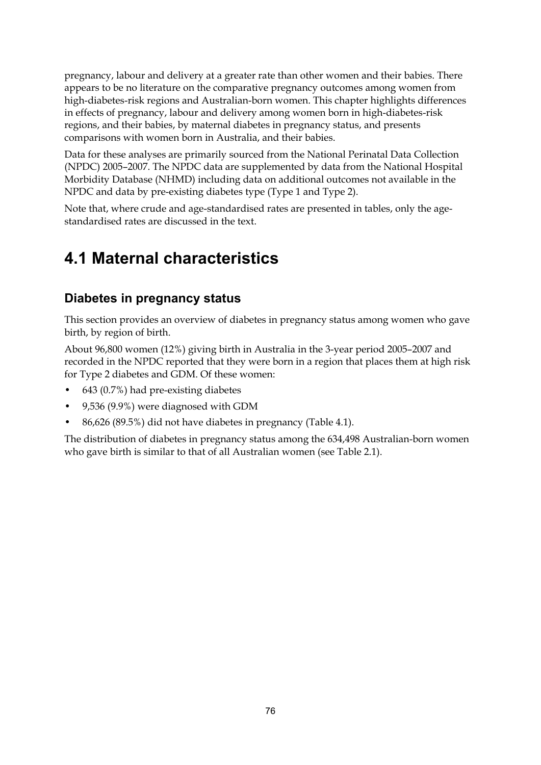pregnancy, labour and delivery at a greater rate than other women and their babies. There appears to be no literature on the comparative pregnancy outcomes among women from high-diabetes-risk regions and Australian-born women. This chapter highlights differences in effects of pregnancy, labour and delivery among women born in high-diabetes-risk regions, and their babies, by maternal diabetes in pregnancy status, and presents comparisons with women born in Australia, and their babies.

Data for these analyses are primarily sourced from the National Perinatal Data Collection (NPDC) 2005–2007. The NPDC data are supplemented by data from the National Hospital Morbidity Database (NHMD) including data on additional outcomes not available in the NPDC and data by pre-existing diabetes type (Type 1 and Type 2).

Note that, where crude and age-standardised rates are presented in tables, only the agestandardised rates are discussed in the text.

## **4.1 Maternal characteristics**

### **Diabetes in pregnancy status**

This section provides an overview of diabetes in pregnancy status among women who gave birth, by region of birth.

About 96,800 women (12%) giving birth in Australia in the 3-year period 2005–2007 and recorded in the NPDC reported that they were born in a region that places them at high risk for Type 2 diabetes and GDM. Of these women:

- 643 (0.7%) had pre-existing diabetes
- 9,536 (9.9%) were diagnosed with GDM
- 86,626 (89.5%) did not have diabetes in pregnancy (Table 4.1).

The distribution of diabetes in pregnancy status among the 634,498 Australian-born women who gave birth is similar to that of all Australian women (see Table 2.1).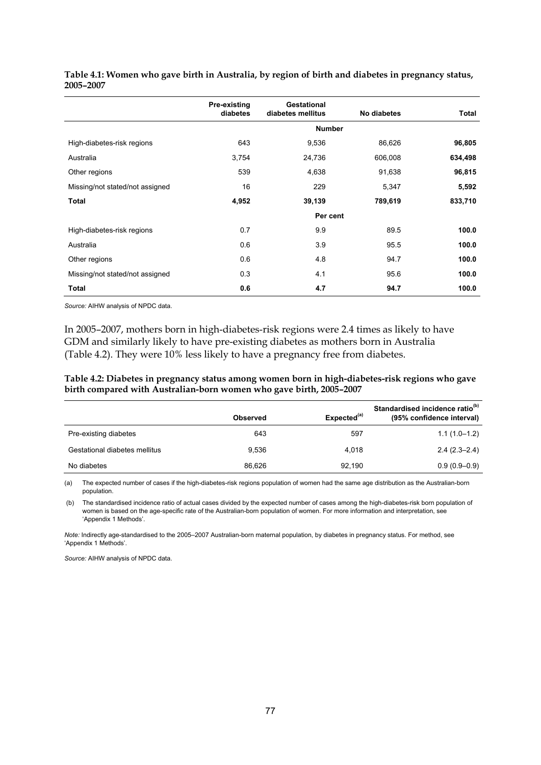|                                 | Pre-existing<br>diabetes | Gestational<br>diabetes mellitus | No diabetes | Total   |
|---------------------------------|--------------------------|----------------------------------|-------------|---------|
|                                 |                          | <b>Number</b>                    |             |         |
| High-diabetes-risk regions      | 643                      | 9,536                            | 86,626      | 96,805  |
| Australia                       | 3,754                    | 24,736                           | 606,008     | 634,498 |
| Other regions                   | 539                      | 4,638                            | 91,638      | 96,815  |
| Missing/not stated/not assigned | 16                       | 229                              | 5,347       | 5,592   |
| <b>Total</b>                    | 4,952                    | 39,139                           | 789,619     | 833,710 |
|                                 |                          | Per cent                         |             |         |
| High-diabetes-risk regions      | 0.7                      | 9.9                              | 89.5        | 100.0   |
| Australia                       | 0.6                      | 3.9                              | 95.5        | 100.0   |
| Other regions                   | 0.6                      | 4.8                              | 94.7        | 100.0   |
| Missing/not stated/not assigned | 0.3                      | 4.1                              | 95.6        | 100.0   |
| Total                           | 0.6                      | 4.7                              | 94.7        | 100.0   |

**Table 4.1: Women who gave birth in Australia, by region of birth and diabetes in pregnancy status, 2005–2007** 

*Source:* AIHW analysis of NPDC data.

In 2005–2007, mothers born in high-diabetes-risk regions were 2.4 times as likely to have GDM and similarly likely to have pre-existing diabetes as mothers born in Australia (Table 4.2). They were 10% less likely to have a pregnancy free from diabetes.

**Table 4.2: Diabetes in pregnancy status among women born in high-diabetes-risk regions who gave birth compared with Australian-born women who gave birth, 2005–2007** 

|                               | <b>Observed</b> | Expected <sup>(a)</sup> | Standardised incidence ratio <sup>(b)</sup><br>(95% confidence interval) |
|-------------------------------|-----------------|-------------------------|--------------------------------------------------------------------------|
| Pre-existing diabetes         | 643             | 597                     | $1.1(1.0-1.2)$                                                           |
| Gestational diabetes mellitus | 9.536           | 4.018                   | $2.4(2.3-2.4)$                                                           |
| No diabetes                   | 86.626          | 92.190                  | $0.9(0.9-0.9)$                                                           |

(a) The expected number of cases if the high-diabetes-risk regions population of women had the same age distribution as the Australian-born population.

 (b) The standardised incidence ratio of actual cases divided by the expected number of cases among the high-diabetes-risk born population of women is based on the age-specific rate of the Australian-born population of women. For more information and interpretation, see 'Appendix 1 Methods'.

*Note:* Indirectly age-standardised to the 2005–2007 Australian-born maternal population, by diabetes in pregnancy status. For method, see 'Appendix 1 Methods'.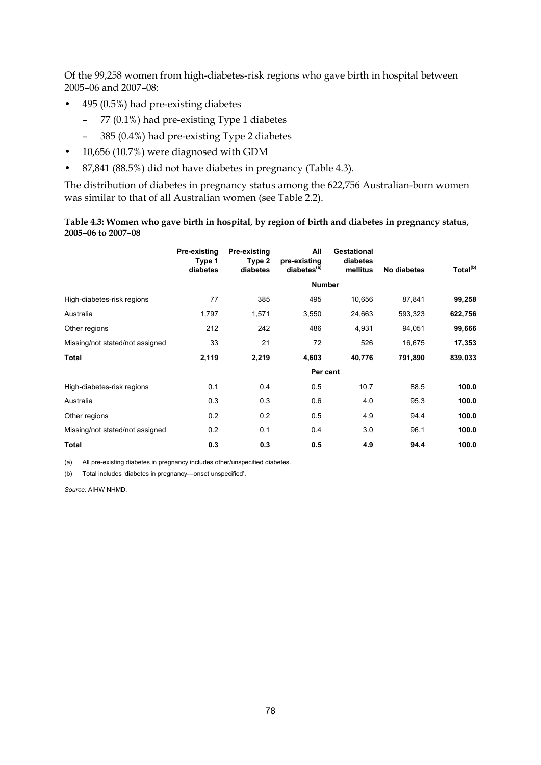Of the 99,258 women from high-diabetes-risk regions who gave birth in hospital between 2005–06 and 2007–08:

- 495 (0.5%) had pre-existing diabetes
	- 77 (0.1%) had pre-existing Type 1 diabetes
	- 385 (0.4%) had pre-existing Type 2 diabetes
- 10,656 (10.7%) were diagnosed with GDM
- 87,841 (88.5%) did not have diabetes in pregnancy (Table 4.3).

The distribution of diabetes in pregnancy status among the 622,756 Australian-born women was similar to that of all Australian women (see Table 2.2).

#### **Table 4.3: Women who gave birth in hospital, by region of birth and diabetes in pregnancy status, 2005–06 to 2007–08**

|                                 | Pre-existing<br>Type 1<br>diabetes | Pre-existing<br>Type 2<br>diabetes | All<br>pre-existing<br>diabetes <sup>(a)</sup> | Gestational<br>diabetes<br>mellitus | No diabetes | Total <sup>(b)</sup> |
|---------------------------------|------------------------------------|------------------------------------|------------------------------------------------|-------------------------------------|-------------|----------------------|
|                                 |                                    |                                    | <b>Number</b>                                  |                                     |             |                      |
| High-diabetes-risk regions      | 77                                 | 385                                | 495                                            | 10,656                              | 87,841      | 99,258               |
| Australia                       | 1,797                              | 1,571                              | 3,550                                          | 24,663                              | 593,323     | 622,756              |
| Other regions                   | 212                                | 242                                | 486                                            | 4,931                               | 94,051      | 99,666               |
| Missing/not stated/not assigned | 33                                 | 21                                 | 72                                             | 526                                 | 16,675      | 17,353               |
| <b>Total</b>                    | 2,119                              | 2,219                              | 4,603                                          | 40,776                              | 791,890     | 839,033              |
|                                 |                                    |                                    | Per cent                                       |                                     |             |                      |
| High-diabetes-risk regions      | 0.1                                | 0.4                                | 0.5                                            | 10.7                                | 88.5        | 100.0                |
| Australia                       | 0.3                                | 0.3                                | 0.6                                            | 4.0                                 | 95.3        | 100.0                |
| Other regions                   | 0.2                                | 0.2                                | 0.5                                            | 4.9                                 | 94.4        | 100.0                |
| Missing/not stated/not assigned | 0.2                                | 0.1                                | 0.4                                            | 3.0                                 | 96.1        | 100.0                |
| Total                           | 0.3                                | 0.3                                | 0.5                                            | 4.9                                 | 94.4        | 100.0                |

(a) All pre-existing diabetes in pregnancy includes other/unspecified diabetes.

(b) Total includes 'diabetes in pregnancy—onset unspecified'.

*Source:* AIHW NHMD.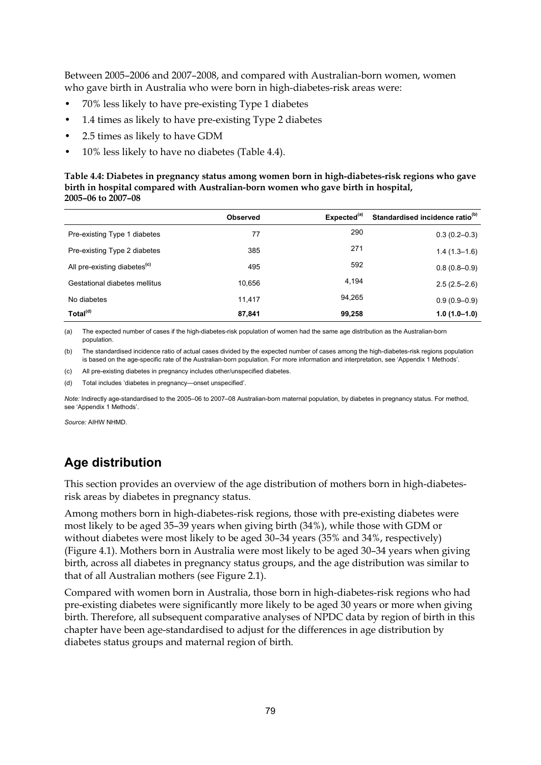Between 2005–2006 and 2007–2008, and compared with Australian-born women, women who gave birth in Australia who were born in high-diabetes-risk areas were:

- 70% less likely to have pre-existing Type 1 diabetes
- 1.4 times as likely to have pre-existing Type 2 diabetes
- 2.5 times as likely to have GDM
- 10% less likely to have no diabetes (Table 4.4).

#### **Table 4.4: Diabetes in pregnancy status among women born in high-diabetes-risk regions who gave birth in hospital compared with Australian-born women who gave birth in hospital, 2005–06 to 2007–08**

|                                          | <b>Observed</b> | Expected <sup>(a)</sup> | Standardised incidence ratio <sup>(b)</sup> |
|------------------------------------------|-----------------|-------------------------|---------------------------------------------|
| Pre-existing Type 1 diabetes             | 77              | 290                     | $0.3(0.2 - 0.3)$                            |
| Pre-existing Type 2 diabetes             | 385             | 271                     | $1.4(1.3-1.6)$                              |
| All pre-existing diabetes <sup>(c)</sup> | 495             | 592                     | $0.8(0.8-0.9)$                              |
| Gestational diabetes mellitus            | 10.656          | 4,194                   | $2.5(2.5-2.6)$                              |
| No diabetes                              | 11.417          | 94.265                  | $0.9(0.9 - 0.9)$                            |
| Total <sup>(d)</sup>                     | 87,841          | 99,258                  | $1.0(1.0-1.0)$                              |

(a) The expected number of cases if the high-diabetes-risk population of women had the same age distribution as the Australian-born population.

(b) The standardised incidence ratio of actual cases divided by the expected number of cases among the high-diabetes-risk regions population is based on the age-specific rate of the Australian-born population. For more information and interpretation, see 'Appendix 1 Methods'.

(c) All pre-existing diabetes in pregnancy includes other/unspecified diabetes.

(d) Total includes 'diabetes in pregnancy—onset unspecified'.

*Note:* Indirectly age-standardised to the 2005–06 to 2007–08 Australian-born maternal population, by diabetes in pregnancy status. For method, see 'Appendix 1 Methods'.

*Source:* AIHW NHMD.

### **Age distribution**

This section provides an overview of the age distribution of mothers born in high-diabetesrisk areas by diabetes in pregnancy status.

Among mothers born in high-diabetes-risk regions, those with pre-existing diabetes were most likely to be aged 35–39 years when giving birth (34%), while those with GDM or without diabetes were most likely to be aged 30–34 years (35% and 34%, respectively) (Figure 4.1). Mothers born in Australia were most likely to be aged 30–34 years when giving birth, across all diabetes in pregnancy status groups, and the age distribution was similar to that of all Australian mothers (see Figure 2.1).

Compared with women born in Australia, those born in high-diabetes-risk regions who had pre-existing diabetes were significantly more likely to be aged 30 years or more when giving birth. Therefore, all subsequent comparative analyses of NPDC data by region of birth in this chapter have been age-standardised to adjust for the differences in age distribution by diabetes status groups and maternal region of birth.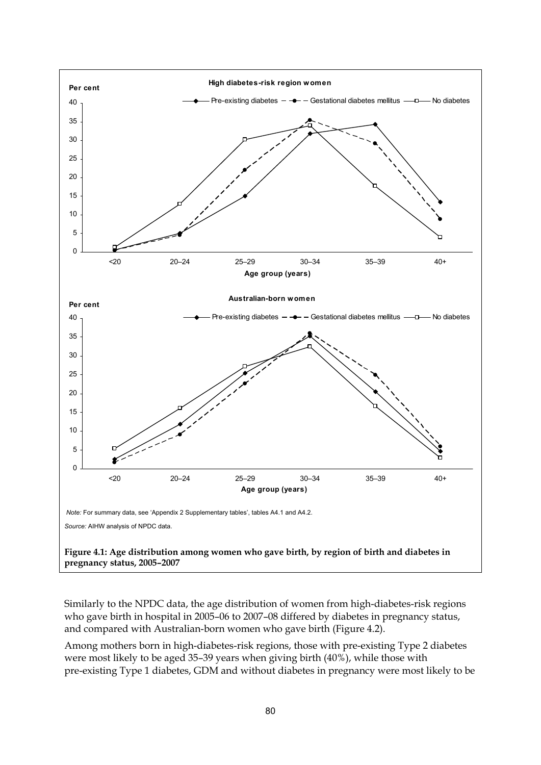

Similarly to the NPDC data, the age distribution of women from high-diabetes-risk regions who gave birth in hospital in 2005–06 to 2007–08 differed by diabetes in pregnancy status, and compared with Australian-born women who gave birth (Figure 4.2).

Among mothers born in high-diabetes-risk regions, those with pre-existing Type 2 diabetes were most likely to be aged 35–39 years when giving birth (40%), while those with pre-existing Type 1 diabetes, GDM and without diabetes in pregnancy were most likely to be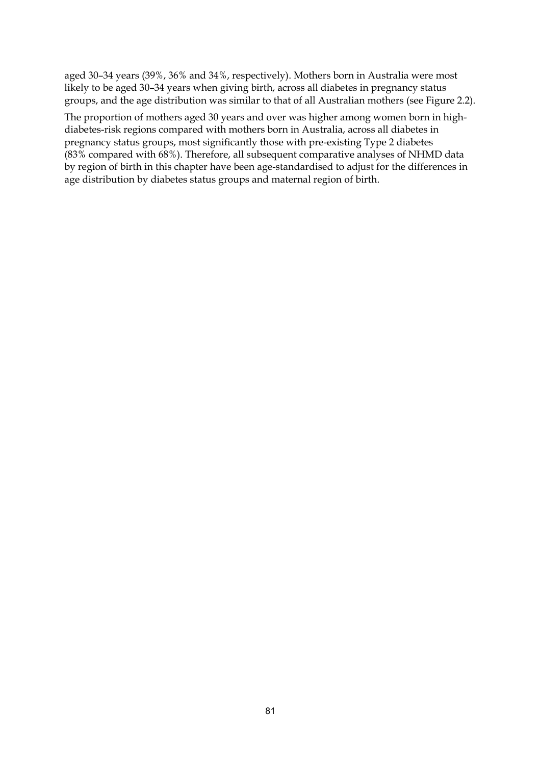aged 30–34 years (39%, 36% and 34%, respectively). Mothers born in Australia were most likely to be aged 30–34 years when giving birth, across all diabetes in pregnancy status groups, and the age distribution was similar to that of all Australian mothers (see Figure 2.2).

The proportion of mothers aged 30 years and over was higher among women born in highdiabetes-risk regions compared with mothers born in Australia, across all diabetes in pregnancy status groups, most significantly those with pre-existing Type 2 diabetes (83% compared with 68%). Therefore, all subsequent comparative analyses of NHMD data by region of birth in this chapter have been age-standardised to adjust for the differences in age distribution by diabetes status groups and maternal region of birth.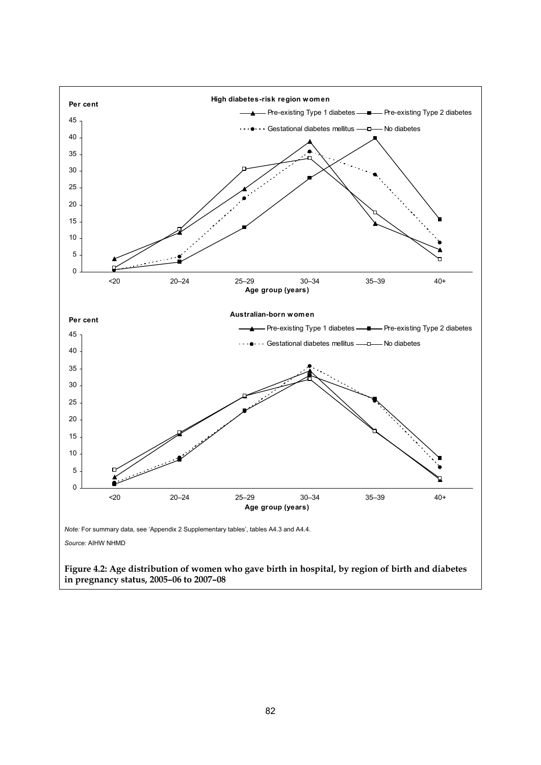

**Figure 4.2: Age distribution of women who gave birth in hospital, by region of birth and diabetes in pregnancy status, 2005–06 to 2007–08**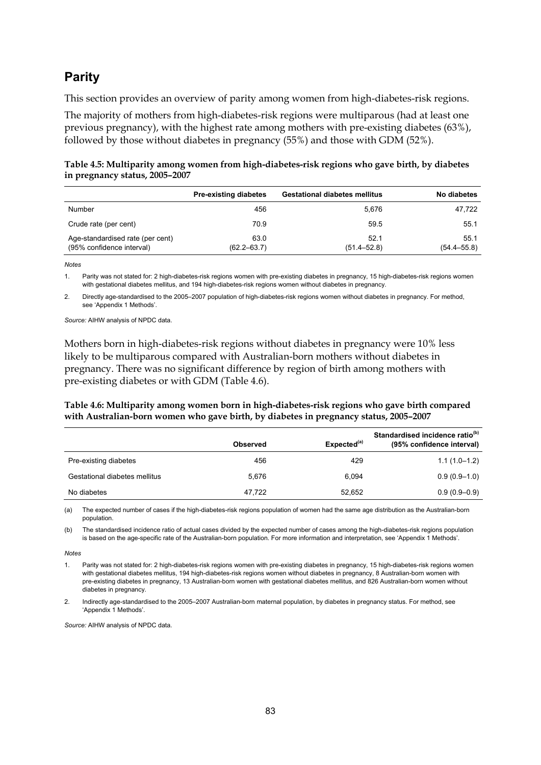### **Parity**

This section provides an overview of parity among women from high-diabetes-risk regions.

The majority of mothers from high-diabetes-risk regions were multiparous (had at least one previous pregnancy), with the highest rate among mothers with pre-existing diabetes (63%), followed by those without diabetes in pregnancy (55%) and those with GDM (52%).

| Table 4.5: Multiparity among women from high-diabetes-risk regions who gave birth, by diabetes |  |
|------------------------------------------------------------------------------------------------|--|
| in pregnancy status, 2005–2007                                                                 |  |

|                                                               | <b>Pre-existing diabetes</b> | <b>Gestational diabetes mellitus</b> | No diabetes             |
|---------------------------------------------------------------|------------------------------|--------------------------------------|-------------------------|
| Number                                                        | 456                          | 5.676                                | 47.722                  |
| Crude rate (per cent)                                         | 70.9                         | 59.5                                 | 55.1                    |
| Age-standardised rate (per cent)<br>(95% confidence interval) | 63.0<br>$(62.2 - 63.7)$      | 52.1<br>$(51.4 - 52.8)$              | 55.1<br>$(54.4 - 55.8)$ |

*Notes*

1. Parity was not stated for: 2 high-diabetes-risk regions women with pre-existing diabetes in pregnancy, 15 high-diabetes-risk regions women with gestational diabetes mellitus, and 194 high-diabetes-risk regions women without diabetes in pregnancy.

2. Directly age-standardised to the 2005–2007 population of high-diabetes-risk regions women without diabetes in pregnancy. For method, see 'Appendix 1 Methods'.

*Source:* AIHW analysis of NPDC data.

Mothers born in high-diabetes-risk regions without diabetes in pregnancy were 10% less likely to be multiparous compared with Australian-born mothers without diabetes in pregnancy. There was no significant difference by region of birth among mothers with pre-existing diabetes or with GDM (Table 4.6).

#### **Table 4.6: Multiparity among women born in high-diabetes-risk regions who gave birth compared with Australian-born women who gave birth, by diabetes in pregnancy status, 2005–2007**

|                               | Observed | Expected <sup>(a)</sup> | Standardised incidence ratio <sup>(b)</sup><br>(95% confidence interval) |
|-------------------------------|----------|-------------------------|--------------------------------------------------------------------------|
| Pre-existing diabetes         | 456      | 429                     | $1.1(1.0-1.2)$                                                           |
| Gestational diabetes mellitus | 5.676    | 6.094                   | $0.9(0.9-1.0)$                                                           |
| No diabetes                   | 47.722   | 52,652                  | $0.9(0.9-0.9)$                                                           |

(a) The expected number of cases if the high-diabetes-risk regions population of women had the same age distribution as the Australian-born population.

(b) The standardised incidence ratio of actual cases divided by the expected number of cases among the high-diabetes-risk regions population is based on the age-specific rate of the Australian-born population. For more information and interpretation, see 'Appendix 1 Methods'.

*Notes* 

1. Parity was not stated for: 2 high-diabetes-risk regions women with pre-existing diabetes in pregnancy, 15 high-diabetes-risk regions women with gestational diabetes mellitus, 194 high-diabetes-risk regions women without diabetes in pregnancy, 8 Australian-born women with pre-existing diabetes in pregnancy, 13 Australian-born women with gestational diabetes mellitus, and 826 Australian-born women without diabetes in pregnancy.

2. Indirectly age-standardised to the 2005–2007 Australian-born maternal population, by diabetes in pregnancy status. For method, see 'Appendix 1 Methods'.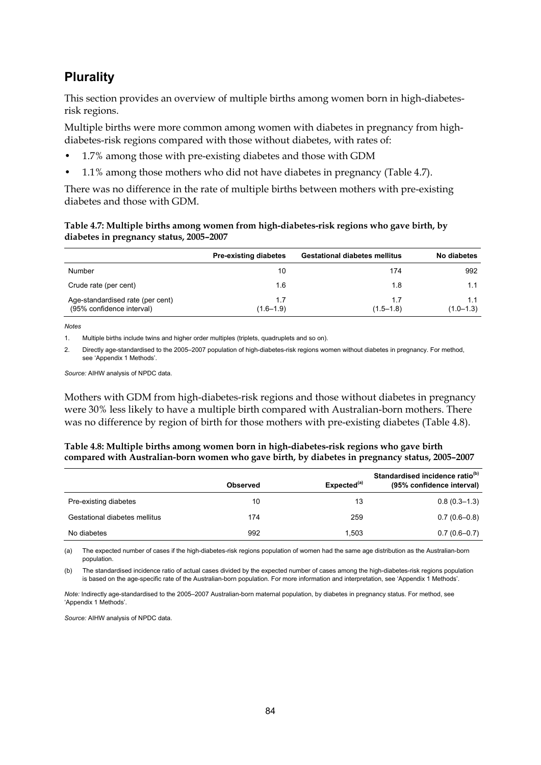### **Plurality**

This section provides an overview of multiple births among women born in high-diabetesrisk regions.

Multiple births were more common among women with diabetes in pregnancy from highdiabetes-risk regions compared with those without diabetes, with rates of:

- 1.7% among those with pre-existing diabetes and those with GDM
- 1.1% among those mothers who did not have diabetes in pregnancy (Table 4.7).

There was no difference in the rate of multiple births between mothers with pre-existing diabetes and those with GDM.

#### **Table 4.7: Multiple births among women from high-diabetes-risk regions who gave birth, by diabetes in pregnancy status, 2005–2007**

|                                                               | <b>Pre-existing diabetes</b> | <b>Gestational diabetes mellitus</b> | No diabetes          |
|---------------------------------------------------------------|------------------------------|--------------------------------------|----------------------|
| Number                                                        | 10                           | 174                                  | 992                  |
| Crude rate (per cent)                                         | 1.6                          | 1.8                                  | 1.1                  |
| Age-standardised rate (per cent)<br>(95% confidence interval) | 1.7<br>$(1.6 - 1.9)$         | 1.7<br>$(1.5 - 1.8)$                 | 1.1<br>$(1.0 - 1.3)$ |

*Notes*

1. Multiple births include twins and higher order multiples (triplets, quadruplets and so on).

2. Directly age-standardised to the 2005–2007 population of high-diabetes-risk regions women without diabetes in pregnancy. For method, see 'Appendix 1 Methods'.

*Source:* AIHW analysis of NPDC data.

Mothers with GDM from high-diabetes-risk regions and those without diabetes in pregnancy were 30% less likely to have a multiple birth compared with Australian-born mothers. There was no difference by region of birth for those mothers with pre-existing diabetes (Table 4.8).

#### **Table 4.8: Multiple births among women born in high-diabetes-risk regions who gave birth compared with Australian-born women who gave birth, by diabetes in pregnancy status, 2005–2007**

|                               | <b>Observed</b> | Expected <sup>(a)</sup> | Standardised incidence ratio <sup>(b)</sup><br>(95% confidence interval) |
|-------------------------------|-----------------|-------------------------|--------------------------------------------------------------------------|
| Pre-existing diabetes         | 10              | 13                      | $0.8(0.3-1.3)$                                                           |
| Gestational diabetes mellitus | 174             | 259                     | $0.7(0.6-0.8)$                                                           |
| No diabetes                   | 992             | 1.503                   | $0.7(0.6 - 0.7)$                                                         |

(a) The expected number of cases if the high-diabetes-risk regions population of women had the same age distribution as the Australian-born population.

(b) The standardised incidence ratio of actual cases divided by the expected number of cases among the high-diabetes-risk regions population is based on the age-specific rate of the Australian-born population. For more information and interpretation, see 'Appendix 1 Methods'.

*Note:* Indirectly age-standardised to the 2005–2007 Australian-born maternal population, by diabetes in pregnancy status. For method, see 'Appendix 1 Methods'.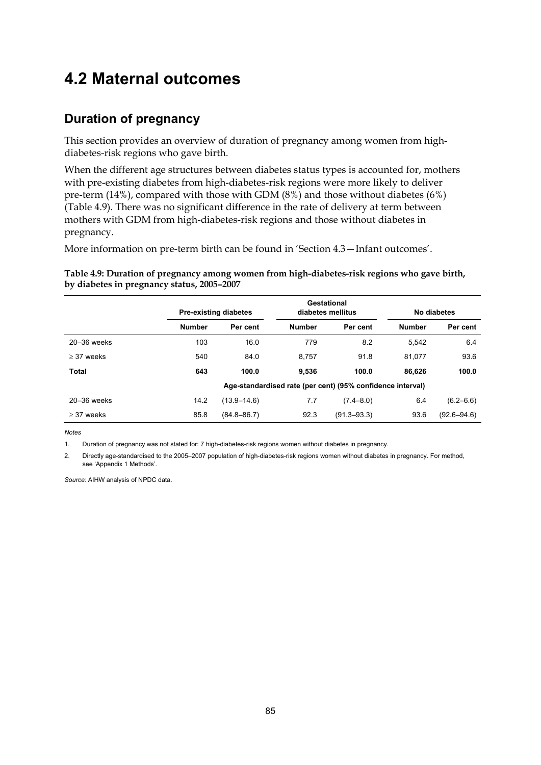## **4.2 Maternal outcomes**

### **Duration of pregnancy**

This section provides an overview of duration of pregnancy among women from highdiabetes-risk regions who gave birth.

When the different age structures between diabetes status types is accounted for, mothers with pre-existing diabetes from high-diabetes-risk regions were more likely to deliver pre-term (14%), compared with those with GDM (8%) and those without diabetes (6%) (Table 4.9). There was no significant difference in the rate of delivery at term between mothers with GDM from high-diabetes-risk regions and those without diabetes in pregnancy.

More information on pre-term birth can be found in 'Section 4.3—Infant outcomes'.

**Table 4.9: Duration of pregnancy among women from high-diabetes-risk regions who gave birth, by diabetes in pregnancy status, 2005–2007** 

|                 |               | <b>Pre-existing diabetes</b> |               | Gestational<br>diabetes mellitus                           |               | No diabetes     |
|-----------------|---------------|------------------------------|---------------|------------------------------------------------------------|---------------|-----------------|
|                 | <b>Number</b> | Per cent                     | <b>Number</b> | Per cent                                                   | <b>Number</b> | Per cent        |
| $20 - 36$ weeks | 103           | 16.0                         | 779           | 8.2                                                        | 5.542         | 6.4             |
| $\geq$ 37 weeks | 540           | 84.0                         | 8,757         | 91.8                                                       | 81.077        | 93.6            |
| <b>Total</b>    | 643           | 100.0                        | 9.536         | 100.0                                                      | 86.626        | 100.0           |
|                 |               |                              |               | Age-standardised rate (per cent) (95% confidence interval) |               |                 |
| 20-36 weeks     | 14.2          | $(13.9 - 14.6)$              | 7.7           | $(7.4 - 8.0)$                                              | 6.4           | $(6.2 - 6.6)$   |
| $\geq$ 37 weeks | 85.8          | $(84.8 - 86.7)$              | 92.3          | $(91.3 - 93.3)$                                            | 93.6          | $(92.6 - 94.6)$ |

*Notes*

1. Duration of pregnancy was not stated for: 7 high-diabetes-risk regions women without diabetes in pregnancy.

2. Directly age-standardised to the 2005–2007 population of high-diabetes-risk regions women without diabetes in pregnancy. For method, see 'Appendix 1 Methods'.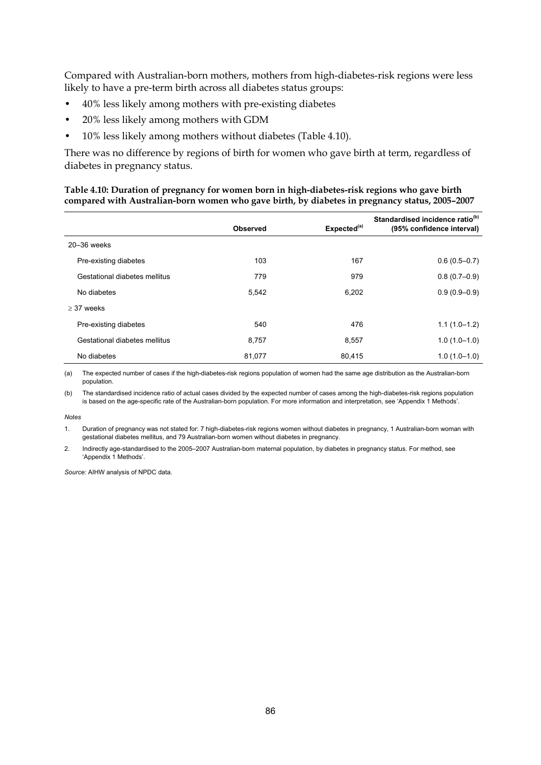Compared with Australian-born mothers, mothers from high-diabetes-risk regions were less likely to have a pre-term birth across all diabetes status groups:

- 40% less likely among mothers with pre-existing diabetes
- 20% less likely among mothers with GDM
- 10% less likely among mothers without diabetes (Table 4.10).

There was no difference by regions of birth for women who gave birth at term, regardless of diabetes in pregnancy status.

#### **Table 4.10: Duration of pregnancy for women born in high-diabetes-risk regions who gave birth compared with Australian-born women who gave birth, by diabetes in pregnancy status, 2005–2007**

|                               | Observed | Expected <sup>(a)</sup> | Standardised incidence ratio <sup>(b)</sup><br>(95% confidence interval) |
|-------------------------------|----------|-------------------------|--------------------------------------------------------------------------|
| $20 - 36$ weeks               |          |                         |                                                                          |
| Pre-existing diabetes         | 103      | 167                     | $0.6(0.5 - 0.7)$                                                         |
| Gestational diabetes mellitus | 779      | 979                     | $0.8(0.7-0.9)$                                                           |
| No diabetes                   | 5,542    | 6,202                   | $0.9(0.9-0.9)$                                                           |
| $>$ 37 weeks                  |          |                         |                                                                          |
| Pre-existing diabetes         | 540      | 476                     | $1.1(1.0-1.2)$                                                           |
| Gestational diabetes mellitus | 8,757    | 8,557                   | $1.0(1.0-1.0)$                                                           |
| No diabetes                   | 81,077   | 80,415                  | $1.0(1.0-1.0)$                                                           |

(a) The expected number of cases if the high-diabetes-risk regions population of women had the same age distribution as the Australian-born population.

(b) The standardised incidence ratio of actual cases divided by the expected number of cases among the high-diabetes-risk regions population is based on the age-specific rate of the Australian-born population. For more information and interpretation, see 'Appendix 1 Methods'.

*Notes* 

1. Duration of pregnancy was not stated for: 7 high-diabetes-risk regions women without diabetes in pregnancy, 1 Australian-born woman with gestational diabetes mellitus, and 79 Australian-born women without diabetes in pregnancy.

2. Indirectly age-standardised to the 2005–2007 Australian-born maternal population, by diabetes in pregnancy status. For method, see 'Appendix 1 Methods'.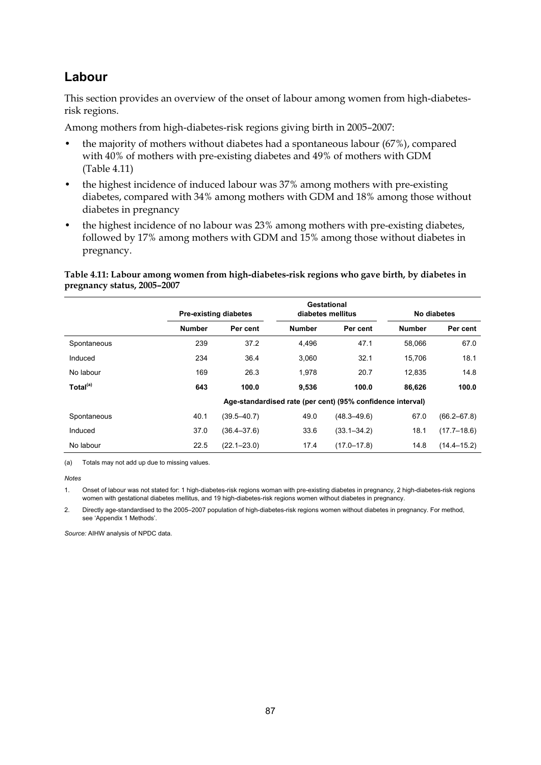### **Labour**

This section provides an overview of the onset of labour among women from high-diabetesrisk regions.

Among mothers from high-diabetes-risk regions giving birth in 2005–2007:

- the majority of mothers without diabetes had a spontaneous labour (67%), compared with 40% of mothers with pre-existing diabetes and 49% of mothers with GDM (Table 4.11)
- the highest incidence of induced labour was 37% among mothers with pre-existing diabetes, compared with 34% among mothers with GDM and 18% among those without diabetes in pregnancy
- the highest incidence of no labour was 23% among mothers with pre-existing diabetes, followed by 17% among mothers with GDM and 15% among those without diabetes in pregnancy.

#### **Table 4.11: Labour among women from high-diabetes-risk regions who gave birth, by diabetes in pregnancy status, 2005–2007**

|                      |               | <b>Pre-existing diabetes</b> |               | Gestational<br>diabetes mellitus                           |               | No diabetes     |
|----------------------|---------------|------------------------------|---------------|------------------------------------------------------------|---------------|-----------------|
|                      | <b>Number</b> | Per cent                     | <b>Number</b> | Per cent                                                   | <b>Number</b> | Per cent        |
| Spontaneous          | 239           | 37.2                         | 4,496         | 47.1                                                       | 58.066        | 67.0            |
| Induced              | 234           | 36.4                         | 3.060         | 32.1                                                       | 15.706        | 18.1            |
| No labour            | 169           | 26.3                         | 1.978         | 20.7                                                       | 12.835        | 14.8            |
| Total <sup>(a)</sup> | 643           | 100.0                        | 9,536         | 100.0                                                      | 86.626        | 100.0           |
|                      |               |                              |               | Age-standardised rate (per cent) (95% confidence interval) |               |                 |
| Spontaneous          | 40.1          | $(39.5 - 40.7)$              | 49.0          | $(48.3 - 49.6)$                                            | 67.0          | $(66.2 - 67.8)$ |
| Induced              | 37.0          | $(36.4 - 37.6)$              | 33.6          | $(33.1 - 34.2)$                                            | 18.1          | $(17.7 - 18.6)$ |
| No labour            | 22.5          | $(22.1 - 23.0)$              | 17.4          | $(17.0 - 17.8)$                                            | 14.8          | $(14.4 - 15.2)$ |

(a) Totals may not add up due to missing values.

*Notes*

2. Directly age-standardised to the 2005–2007 population of high-diabetes-risk regions women without diabetes in pregnancy. For method, see 'Appendix 1 Methods'.

<sup>1.</sup> Onset of labour was not stated for: 1 high-diabetes-risk regions woman with pre-existing diabetes in pregnancy, 2 high-diabetes-risk regions women with gestational diabetes mellitus, and 19 high-diabetes-risk regions women without diabetes in pregnancy.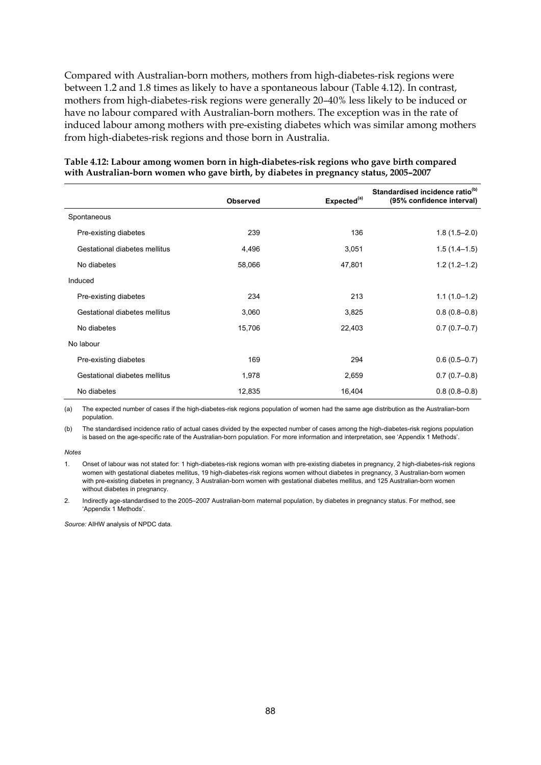Compared with Australian-born mothers, mothers from high-diabetes-risk regions were between 1.2 and 1.8 times as likely to have a spontaneous labour (Table 4.12). In contrast, mothers from high-diabetes-risk regions were generally 20–40% less likely to be induced or have no labour compared with Australian-born mothers. The exception was in the rate of induced labour among mothers with pre-existing diabetes which was similar among mothers from high-diabetes-risk regions and those born in Australia.

|                               | <b>Observed</b> | Expected <sup>(a)</sup> | Standardised incidence ratio <sup>(b)</sup><br>(95% confidence interval) |
|-------------------------------|-----------------|-------------------------|--------------------------------------------------------------------------|
| Spontaneous                   |                 |                         |                                                                          |
| Pre-existing diabetes         | 239             | 136                     | $1.8(1.5 - 2.0)$                                                         |
| Gestational diabetes mellitus | 4,496           | 3,051                   | $1.5(1.4-1.5)$                                                           |
| No diabetes                   | 58,066          | 47,801                  | $1.2(1.2 - 1.2)$                                                         |
| Induced                       |                 |                         |                                                                          |
| Pre-existing diabetes         | 234             | 213                     | $1.1(1.0-1.2)$                                                           |
| Gestational diabetes mellitus | 3,060           | 3,825                   | $0.8(0.8-0.8)$                                                           |
| No diabetes                   | 15,706          | 22,403                  | $0.7(0.7-0.7)$                                                           |
| No labour                     |                 |                         |                                                                          |
| Pre-existing diabetes         | 169             | 294                     | $0.6(0.5 - 0.7)$                                                         |
| Gestational diabetes mellitus | 1,978           | 2,659                   | $0.7(0.7-0.8)$                                                           |
| No diabetes                   | 12,835          | 16,404                  | $0.8(0.8-0.8)$                                                           |

#### **Table 4.12: Labour among women born in high-diabetes-risk regions who gave birth compared with Australian-born women who gave birth, by diabetes in pregnancy status, 2005–2007**

(a) The expected number of cases if the high-diabetes-risk regions population of women had the same age distribution as the Australian-born population.

(b) The standardised incidence ratio of actual cases divided by the expected number of cases among the high-diabetes-risk regions population is based on the age-specific rate of the Australian-born population. For more information and interpretation, see 'Appendix 1 Methods'.

*Notes* 

1. Onset of labour was not stated for: 1 high-diabetes-risk regions woman with pre-existing diabetes in pregnancy, 2 high-diabetes-risk regions women with gestational diabetes mellitus, 19 high-diabetes-risk regions women without diabetes in pregnancy, 3 Australian-born women with pre-existing diabetes in pregnancy, 3 Australian-born women with gestational diabetes mellitus, and 125 Australian-born women without diabetes in pregnancy.

2. Indirectly age-standardised to the 2005–2007 Australian-born maternal population, by diabetes in pregnancy status. For method, see 'Appendix 1 Methods'.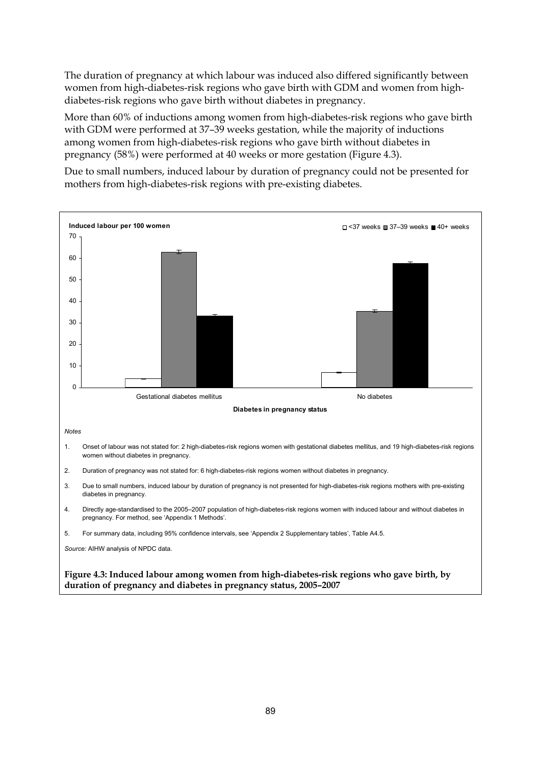The duration of pregnancy at which labour was induced also differed significantly between women from high-diabetes-risk regions who gave birth with GDM and women from highdiabetes-risk regions who gave birth without diabetes in pregnancy.

More than 60% of inductions among women from high-diabetes-risk regions who gave birth with GDM were performed at 37–39 weeks gestation, while the majority of inductions among women from high-diabetes-risk regions who gave birth without diabetes in pregnancy (58%) were performed at 40 weeks or more gestation (Figure 4.3).

Due to small numbers, induced labour by duration of pregnancy could not be presented for mothers from high-diabetes-risk regions with pre-existing diabetes.

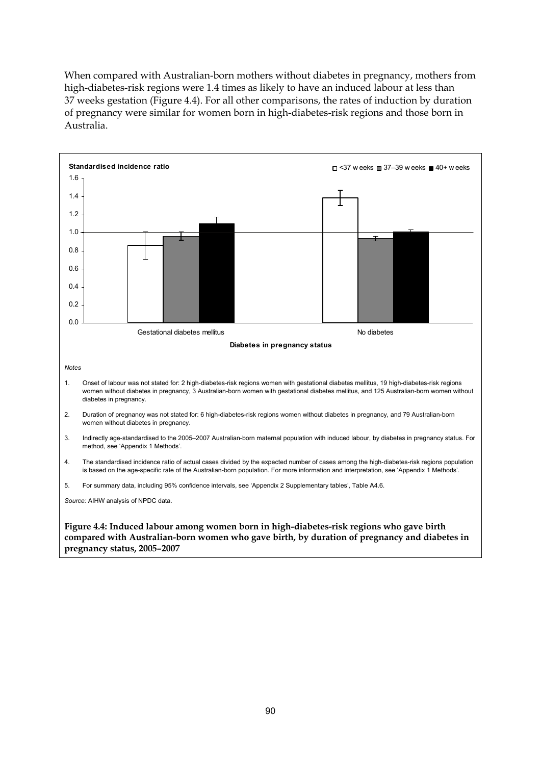When compared with Australian-born mothers without diabetes in pregnancy, mothers from high-diabetes-risk regions were 1.4 times as likely to have an induced labour at less than 37 weeks gestation (Figure 4.4). For all other comparisons, the rates of induction by duration of pregnancy were similar for women born in high-diabetes-risk regions and those born in Australia.



**compared with Australian-born women who gave birth, by duration of pregnancy and diabetes in pregnancy status, 2005–2007**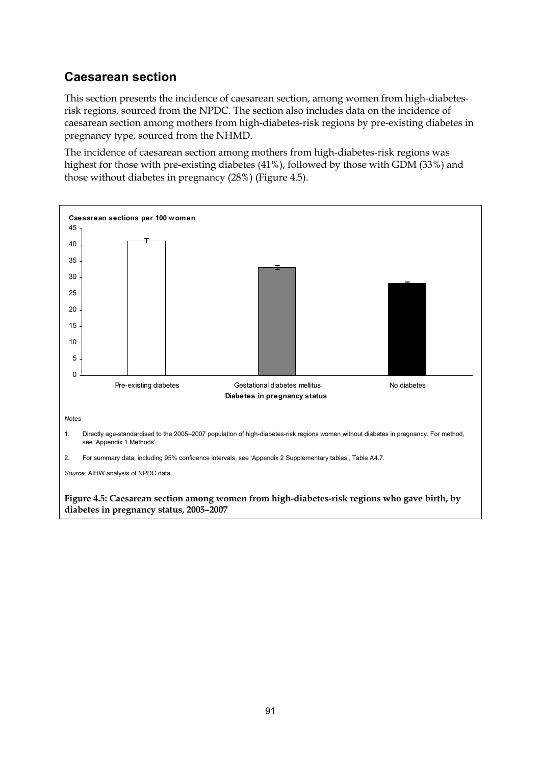### **Caesarean section**

This section presents the incidence of caesarean section, among women from high-diabetesrisk regions, sourced from the NPDC. The section also includes data on the incidence of caesarean section among mothers from high-diabetes-risk regions by pre-existing diabetes in pregnancy type, sourced from the NHMD.

The incidence of caesarean section among mothers from high-diabetes-risk regions was highest for those with pre-existing diabetes (41%), followed by those with GDM (33%) and those without diabetes in pregnancy (28%) (Figure 4.5).

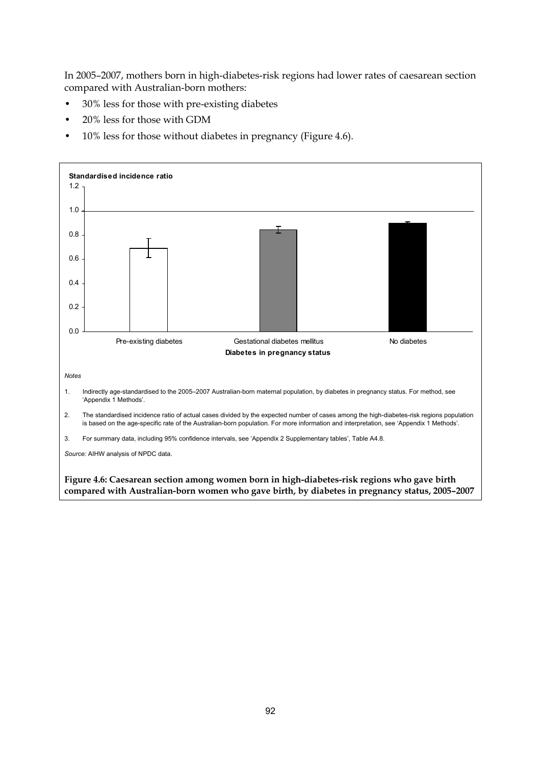In 2005–2007, mothers born in high-diabetes-risk regions had lower rates of caesarean section compared with Australian-born mothers:

- 30% less for those with pre-existing diabetes
- 20% less for those with GDM
- 10% less for those without diabetes in pregnancy (Figure 4.6).

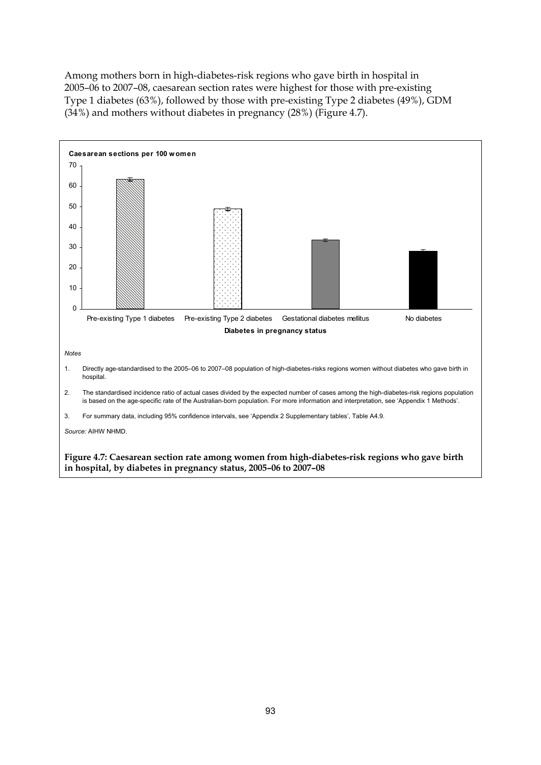Among mothers born in high-diabetes-risk regions who gave birth in hospital in 2005–06 to 2007–08, caesarean section rates were highest for those with pre-existing Type 1 diabetes (63%), followed by those with pre-existing Type 2 diabetes (49%), GDM (34%) and mothers without diabetes in pregnancy (28%) (Figure 4.7).

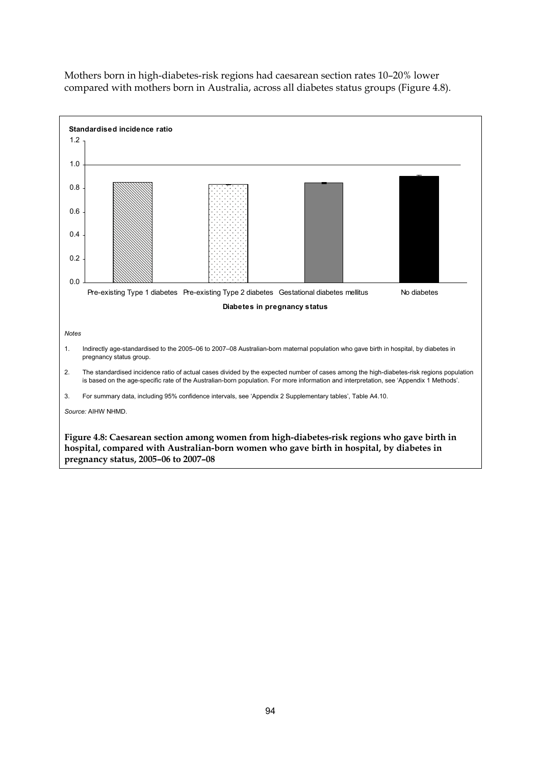

Mothers born in high-diabetes-risk regions had caesarean section rates 10–20% lower compared with mothers born in Australia, across all diabetes status groups (Figure 4.8).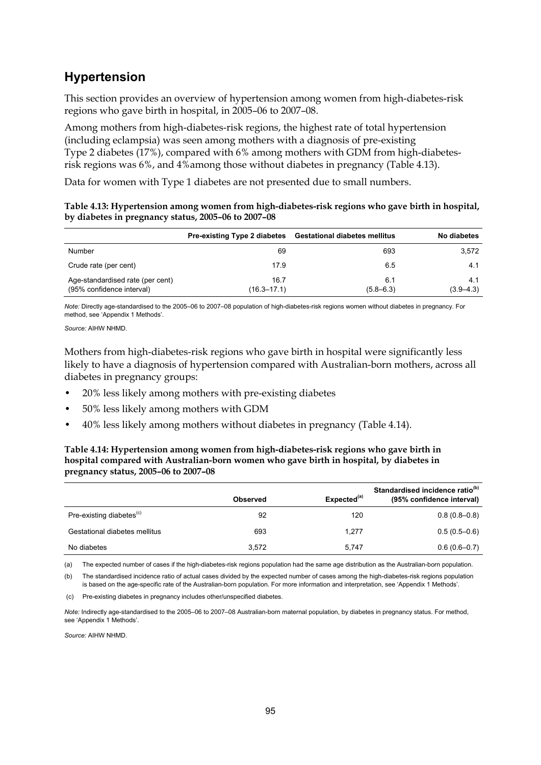### **Hypertension**

This section provides an overview of hypertension among women from high-diabetes-risk regions who gave birth in hospital, in 2005–06 to 2007–08.

Among mothers from high-diabetes-risk regions, the highest rate of total hypertension (including eclampsia) was seen among mothers with a diagnosis of pre-existing Type 2 diabetes (17%), compared with 6% among mothers with GDM from high-diabetesrisk regions was 6%, and 4%among those without diabetes in pregnancy (Table 4.13).

Data for women with Type 1 diabetes are not presented due to small numbers.

#### **Table 4.13: Hypertension among women from high-diabetes-risk regions who gave birth in hospital, by diabetes in pregnancy status, 2005–06 to 2007–08**

|                                                               | <b>Pre-existing Type 2 diabetes</b> | <b>Gestational diabetes mellitus</b> | No diabetes          |
|---------------------------------------------------------------|-------------------------------------|--------------------------------------|----------------------|
| Number                                                        | 69                                  | 693                                  | 3,572                |
| Crude rate (per cent)                                         | 17.9                                | 6.5                                  | 4.1                  |
| Age-standardised rate (per cent)<br>(95% confidence interval) | 16.7<br>(16.3–17.1)                 | 6.1<br>$(5.8 - 6.3)$                 | 4.1<br>$(3.9 - 4.3)$ |

*Note:* Directly age-standardised to the 2005–06 to 2007–08 population of high-diabetes-risk regions women without diabetes in pregnancy. For method, see 'Appendix 1 Methods'.

*Source:* AIHW NHMD.

Mothers from high-diabetes-risk regions who gave birth in hospital were significantly less likely to have a diagnosis of hypertension compared with Australian-born mothers, across all diabetes in pregnancy groups:

- 20% less likely among mothers with pre-existing diabetes
- 50% less likely among mothers with GDM
- 40% less likely among mothers without diabetes in pregnancy (Table 4.14).

#### **Table 4.14: Hypertension among women from high-diabetes-risk regions who gave birth in hospital compared with Australian-born women who gave birth in hospital, by diabetes in pregnancy status, 2005–06 to 2007–08**

|                                      | <b>Observed</b> | Expected <sup>(a)</sup> | Standardised incidence ratio <sup>(b)</sup><br>(95% confidence interval) |
|--------------------------------------|-----------------|-------------------------|--------------------------------------------------------------------------|
| Pre-existing diabetes <sup>(c)</sup> | 92              | 120                     | $0.8(0.8-0.8)$                                                           |
| Gestational diabetes mellitus        | 693             | 1.277                   | $0.5(0.5-0.6)$                                                           |
| No diabetes                          | 3.572           | 5.747                   | $0.6(0.6-0.7)$                                                           |

(a) The expected number of cases if the high-diabetes-risk regions population had the same age distribution as the Australian-born population.

(b) The standardised incidence ratio of actual cases divided by the expected number of cases among the high-diabetes-risk regions population is based on the age-specific rate of the Australian-born population. For more information and interpretation, see 'Appendix 1 Methods'.

(c) Pre-existing diabetes in pregnancy includes other/unspecified diabetes.

*Note:* Indirectly age-standardised to the 2005–06 to 2007–08 Australian-born maternal population, by diabetes in pregnancy status. For method, see 'Appendix 1 Methods'.

*Source:* AIHW NHMD.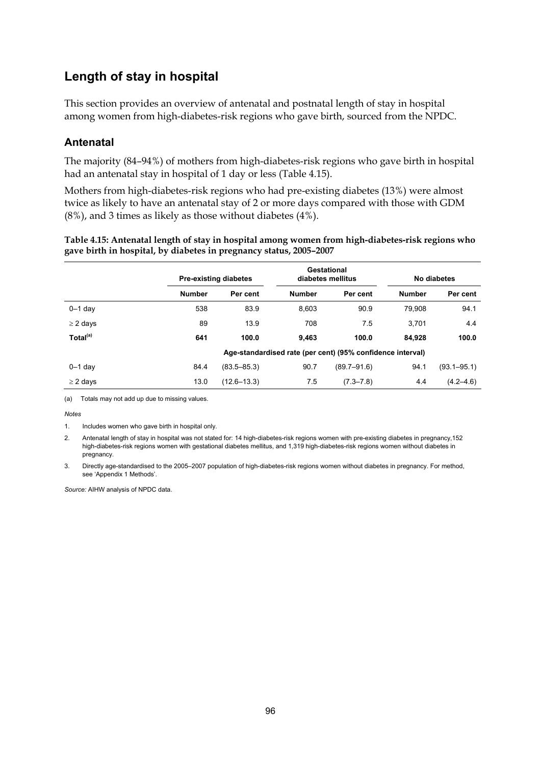### **Length of stay in hospital**

This section provides an overview of antenatal and postnatal length of stay in hospital among women from high-diabetes-risk regions who gave birth, sourced from the NPDC.

### **Antenatal**

The majority (84–94%) of mothers from high-diabetes-risk regions who gave birth in hospital had an antenatal stay in hospital of 1 day or less (Table 4.15).

Mothers from high-diabetes-risk regions who had pre-existing diabetes (13%) were almost twice as likely to have an antenatal stay of 2 or more days compared with those with GDM (8%), and 3 times as likely as those without diabetes (4%).

| Table 4.15: Antenatal length of stay in hospital among women from high-diabetes-risk regions who |
|--------------------------------------------------------------------------------------------------|
| gave birth in hospital, by diabetes in pregnancy status, 2005-2007                               |

|                      |                                                            | <b>Pre-existing diabetes</b> |               | Gestational<br>diabetes mellitus |               | No diabetes     |  |
|----------------------|------------------------------------------------------------|------------------------------|---------------|----------------------------------|---------------|-----------------|--|
|                      | <b>Number</b>                                              | Per cent                     | <b>Number</b> | Per cent                         | <b>Number</b> | Per cent        |  |
| $0-1$ day            | 538                                                        | 83.9                         | 8.603         | 90.9                             | 79.908        | 94.1            |  |
| $\geq$ 2 days        | 89                                                         | 13.9                         | 708           | 7.5                              | 3,701         | 4.4             |  |
| Total <sup>(a)</sup> | 641                                                        | 100.0                        | 9.463         | 100.0                            | 84.928        | 100.0           |  |
|                      | Age-standardised rate (per cent) (95% confidence interval) |                              |               |                                  |               |                 |  |
| $0 - 1$ day          | 84.4                                                       | $(83.5 - 85.3)$              | 90.7          | $(89.7 - 91.6)$                  | 94.1          | $(93.1 - 95.1)$ |  |
| $\geq$ 2 days        | 13.0                                                       | $(12.6 - 13.3)$              | 7.5           | $(7.3 - 7.8)$                    | 4.4           | $(4.2 - 4.6)$   |  |

(a) Totals may not add up due to missing values.

*Notes*

2. Antenatal length of stay in hospital was not stated for: 14 high-diabetes-risk regions women with pre-existing diabetes in pregnancy,152 high-diabetes-risk regions women with gestational diabetes mellitus, and 1,319 high-diabetes-risk regions women without diabetes in pregnancy.

3. Directly age-standardised to the 2005–2007 population of high-diabetes-risk regions women without diabetes in pregnancy. For method, see 'Appendix 1 Methods'.

<sup>1.</sup> Includes women who gave birth in hospital only.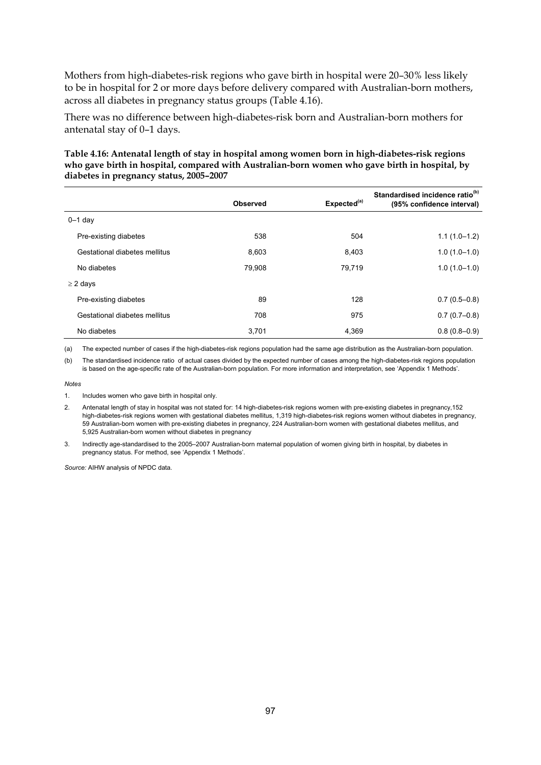Mothers from high-diabetes-risk regions who gave birth in hospital were 20–30% less likely to be in hospital for 2 or more days before delivery compared with Australian-born mothers, across all diabetes in pregnancy status groups (Table 4.16).

There was no difference between high-diabetes-risk born and Australian-born mothers for antenatal stay of 0–1 days.

#### **Table 4.16: Antenatal length of stay in hospital among women born in high-diabetes-risk regions who gave birth in hospital, compared with Australian-born women who gave birth in hospital, by diabetes in pregnancy status, 2005–2007**

|                               | <b>Observed</b> | Expected <sup>(a)</sup> | Standardised incidence ratio <sup>(b)</sup><br>(95% confidence interval) |
|-------------------------------|-----------------|-------------------------|--------------------------------------------------------------------------|
| $0-1$ day                     |                 |                         |                                                                          |
| Pre-existing diabetes         | 538             | 504                     | $1.1(1.0-1.2)$                                                           |
| Gestational diabetes mellitus | 8.603           | 8,403                   | $1.0(1.0-1.0)$                                                           |
| No diabetes                   | 79.908          | 79,719                  | $1.0(1.0-1.0)$                                                           |
| $\geq$ 2 days                 |                 |                         |                                                                          |
| Pre-existing diabetes         | 89              | 128                     | $0.7(0.5-0.8)$                                                           |
| Gestational diabetes mellitus | 708             | 975                     | $0.7(0.7-0.8)$                                                           |
| No diabetes                   | 3,701           | 4,369                   | $0.8(0.8-0.9)$                                                           |

(a) The expected number of cases if the high-diabetes-risk regions population had the same age distribution as the Australian-born population.

(b) The standardised incidence ratio of actual cases divided by the expected number of cases among the high-diabetes-risk regions population is based on the age-specific rate of the Australian-born population. For more information and interpretation, see 'Appendix 1 Methods'.

*Notes* 

2. Antenatal length of stay in hospital was not stated for: 14 high-diabetes-risk regions women with pre-existing diabetes in pregnancy,152 high-diabetes-risk regions women with gestational diabetes mellitus, 1,319 high-diabetes-risk regions women without diabetes in pregnancy, 59 Australian-born women with pre-existing diabetes in pregnancy, 224 Australian-born women with gestational diabetes mellitus, and 5,925 Australian-born women without diabetes in pregnancy

3. Indirectly age-standardised to the 2005–2007 Australian-born maternal population of women giving birth in hospital, by diabetes in pregnancy status. For method, see 'Appendix 1 Methods'.

<sup>1.</sup> Includes women who gave birth in hospital only.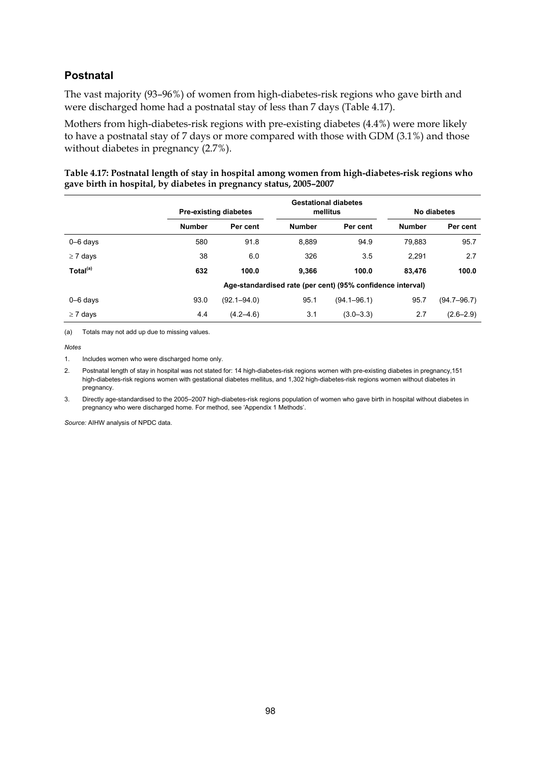### **Postnatal**

The vast majority (93–96%) of women from high-diabetes-risk regions who gave birth and were discharged home had a postnatal stay of less than 7 days (Table 4.17).

Mothers from high-diabetes-risk regions with pre-existing diabetes (4.4%) were more likely to have a postnatal stay of 7 days or more compared with those with GDM (3.1%) and those without diabetes in pregnancy (2.7%).

| Table 4.17: Postnatal length of stay in hospital among women from high-diabetes-risk regions who |
|--------------------------------------------------------------------------------------------------|
| gave birth in hospital, by diabetes in pregnancy status, 2005-2007                               |

|                      |                                                            | <b>Gestational diabetes</b><br>mellitus<br><b>Pre-existing diabetes</b> |               |                 | No diabetes   |               |  |
|----------------------|------------------------------------------------------------|-------------------------------------------------------------------------|---------------|-----------------|---------------|---------------|--|
|                      | <b>Number</b>                                              | Per cent                                                                | <b>Number</b> | Per cent        | <b>Number</b> | Per cent      |  |
| $0 - 6$ days         | 580                                                        | 91.8                                                                    | 8.889         | 94.9            | 79.883        | 95.7          |  |
| $\geq 7$ days        | 38                                                         | 6.0                                                                     | 326           | 3.5             | 2.291         | 2.7           |  |
| Total <sup>(a)</sup> | 632                                                        | 100.0                                                                   | 9.366         | 100.0           | 83.476        | 100.0         |  |
|                      | Age-standardised rate (per cent) (95% confidence interval) |                                                                         |               |                 |               |               |  |
| $0 - 6$ days         | 93.0                                                       | $(92.1 - 94.0)$                                                         | 95.1          | $(94.1 - 96.1)$ | 95.7          | (94.7–96.7)   |  |
| $\geq 7$ days        | 4.4                                                        | $(4.2 - 4.6)$                                                           | 3.1           | $(3.0 - 3.3)$   | 2.7           | $(2.6 - 2.9)$ |  |

(a) Totals may not add up due to missing values.

1. Includes women who were discharged home only.

2. Postnatal length of stay in hospital was not stated for: 14 high-diabetes-risk regions women with pre-existing diabetes in pregnancy,151 high-diabetes-risk regions women with gestational diabetes mellitus, and 1,302 high-diabetes-risk regions women without diabetes in pregnancy.

3. Directly age-standardised to the 2005–2007 high-diabetes-risk regions population of women who gave birth in hospital without diabetes in pregnancy who were discharged home. For method, see 'Appendix 1 Methods'.

*Notes*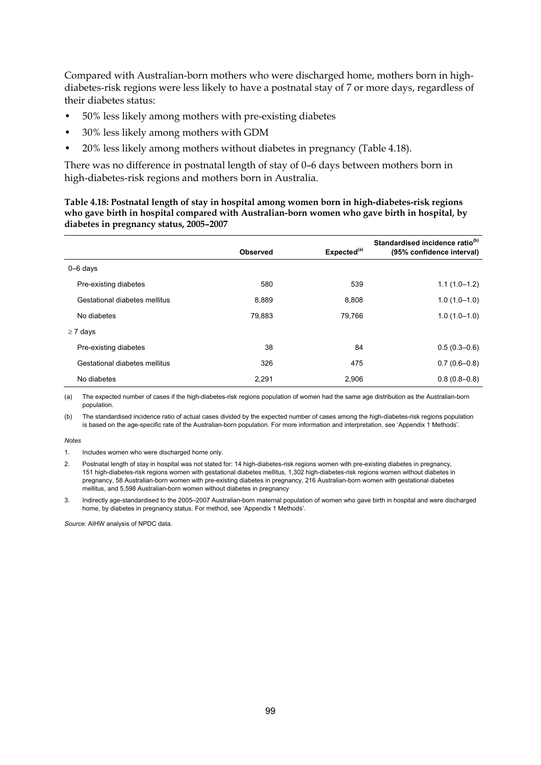Compared with Australian-born mothers who were discharged home, mothers born in highdiabetes-risk regions were less likely to have a postnatal stay of 7 or more days, regardless of their diabetes status:

- 50% less likely among mothers with pre-existing diabetes
- 30% less likely among mothers with GDM
- 20% less likely among mothers without diabetes in pregnancy (Table 4.18).

There was no difference in postnatal length of stay of 0–6 days between mothers born in high-diabetes-risk regions and mothers born in Australia.

**Table 4.18: Postnatal length of stay in hospital among women born in high-diabetes-risk regions who gave birth in hospital compared with Australian-born women who gave birth in hospital, by diabetes in pregnancy status, 2005–2007** 

|                               | <b>Observed</b> | Expected <sup>(a)</sup> | Standardised incidence ratio <sup>(b)</sup><br>(95% confidence interval) |
|-------------------------------|-----------------|-------------------------|--------------------------------------------------------------------------|
| $0 - 6$ days                  |                 |                         |                                                                          |
| Pre-existing diabetes         | 580             | 539                     | $1.1(1.0-1.2)$                                                           |
| Gestational diabetes mellitus | 8.889           | 8.808                   | $1.0(1.0-1.0)$                                                           |
| No diabetes                   | 79.883          | 79.766                  | $1.0(1.0-1.0)$                                                           |
| $\geq 7$ days                 |                 |                         |                                                                          |
| Pre-existing diabetes         | 38              | 84                      | $0.5(0.3-0.6)$                                                           |
| Gestational diabetes mellitus | 326             | 475                     | $0.7(0.6-0.8)$                                                           |
| No diabetes                   | 2.291           | 2,906                   | $0.8(0.8-0.8)$                                                           |

(a) The expected number of cases if the high-diabetes-risk regions population of women had the same age distribution as the Australian-born population.

(b) The standardised incidence ratio of actual cases divided by the expected number of cases among the high-diabetes-risk regions population is based on the age-specific rate of the Australian-born population. For more information and interpretation, see 'Appendix 1 Methods'.

#### *Notes*

1. Includes women who were discharged home only.

2. Postnatal length of stay in hospital was not stated for: 14 high-diabetes-risk regions women with pre-existing diabetes in pregnancy, 151 high-diabetes-risk regions women with gestational diabetes mellitus, 1,302 high-diabetes-risk regions women without diabetes in pregnancy, 58 Australian-born women with pre-existing diabetes in pregnancy, 216 Australian-born women with gestational diabetes mellitus, and 5,598 Australian-born women without diabetes in pregnancy

3. Indirectly age-standardised to the 2005–2007 Australian-born maternal population of women who gave birth in hospital and were discharged home, by diabetes in pregnancy status. For method, see 'Appendix 1 Methods'.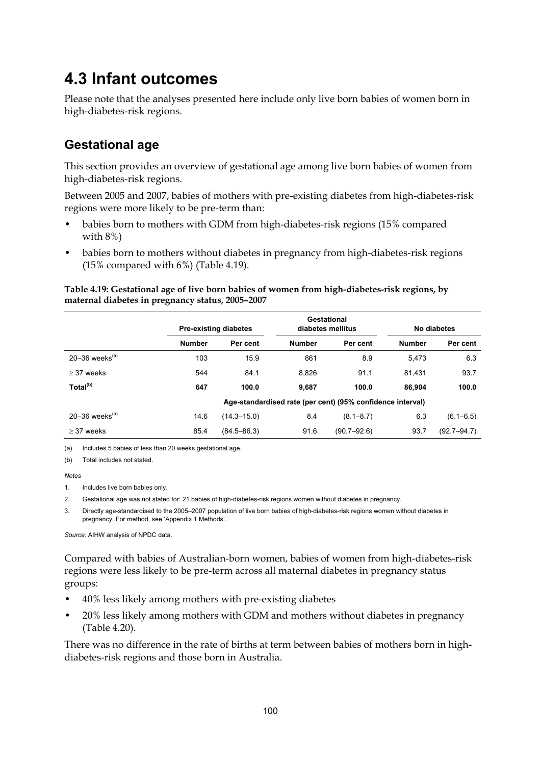## **4.3 Infant outcomes**

Please note that the analyses presented here include only live born babies of women born in high-diabetes-risk regions.

### **Gestational age**

This section provides an overview of gestational age among live born babies of women from high-diabetes-risk regions.

Between 2005 and 2007, babies of mothers with pre-existing diabetes from high-diabetes-risk regions were more likely to be pre-term than:

- babies born to mothers with GDM from high-diabetes-risk regions (15% compared with 8%)
- babies born to mothers without diabetes in pregnancy from high-diabetes-risk regions (15% compared with 6%) (Table 4.19).

#### **Table 4.19: Gestational age of live born babies of women from high-diabetes-risk regions, by maternal diabetes in pregnancy status, 2005–2007**

|                      |                                                            | Gestational<br><b>Pre-existing diabetes</b><br>diabetes mellitus |               |                 | No diabetes   |                 |
|----------------------|------------------------------------------------------------|------------------------------------------------------------------|---------------|-----------------|---------------|-----------------|
|                      | <b>Number</b>                                              | Per cent                                                         | <b>Number</b> | Per cent        | <b>Number</b> | Per cent        |
| 20-36 weeks $(a)$    | 103                                                        | 15.9                                                             | 861           | 8.9             | 5,473         | 6.3             |
| $>$ 37 weeks         | 544                                                        | 84.1                                                             | 8,826         | 91.1            | 81.431        | 93.7            |
| Total <sup>(b)</sup> | 647                                                        | 100.0                                                            | 9.687         | 100.0           | 86.904        | 100.0           |
|                      | Age-standardised rate (per cent) (95% confidence interval) |                                                                  |               |                 |               |                 |
| 20-36 weeks $(a)$    | 14.6                                                       | $(14.3 - 15.0)$                                                  | 8.4           | $(8.1 - 8.7)$   | 6.3           | $(6.1 - 6.5)$   |
| $>$ 37 weeks         | 85.4                                                       | $(84.5 - 86.3)$                                                  | 91.6          | $(90.7 - 92.6)$ | 93.7          | $(92.7 - 94.7)$ |

(a) Includes 5 babies of less than 20 weeks gestational age.

(b) Total includes not stated.

#### *Notes*

1. Includes live born babies only.

2. Gestational age was not stated for: 21 babies of high-diabetes-risk regions women without diabetes in pregnancy.

3. Directly age-standardised to the 2005–2007 population of live born babies of high-diabetes-risk regions women without diabetes in pregnancy. For method, see 'Appendix 1 Methods'.

*Source:* AIHW analysis of NPDC data.

Compared with babies of Australian-born women, babies of women from high-diabetes-risk regions were less likely to be pre-term across all maternal diabetes in pregnancy status groups:

- 40% less likely among mothers with pre-existing diabetes
- 20% less likely among mothers with GDM and mothers without diabetes in pregnancy (Table 4.20).

There was no difference in the rate of births at term between babies of mothers born in highdiabetes-risk regions and those born in Australia.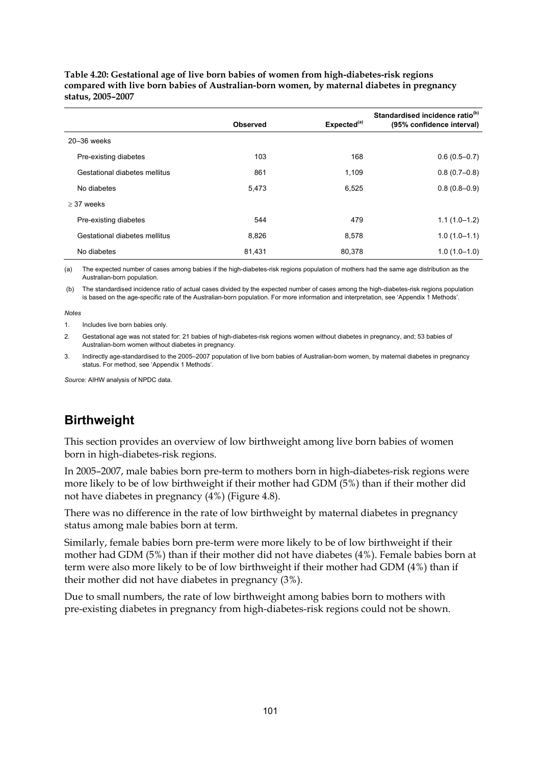|                               | Observed | Expected <sup>(a)</sup> | Standardised incidence ratio <sup>(b)</sup><br>(95% confidence interval) |
|-------------------------------|----------|-------------------------|--------------------------------------------------------------------------|
| $20 - 36$ weeks               |          |                         |                                                                          |
| Pre-existing diabetes         | 103      | 168                     | $0.6(0.5 - 0.7)$                                                         |
| Gestational diabetes mellitus | 861      | 1,109                   | $0.8(0.7-0.8)$                                                           |
| No diabetes                   | 5,473    | 6,525                   | $0.8(0.8-0.9)$                                                           |
| $>$ 37 weeks                  |          |                         |                                                                          |
| Pre-existing diabetes         | 544      | 479                     | $1.1(1.0-1.2)$                                                           |
| Gestational diabetes mellitus | 8,826    | 8,578                   | $1.0(1.0-1.1)$                                                           |
| No diabetes                   | 81,431   | 80,378                  | $1.0(1.0-1.0)$                                                           |

**Table 4.20: Gestational age of live born babies of women from high-diabetes-risk regions compared with live born babies of Australian-born women, by maternal diabetes in pregnancy status, 2005–2007** 

(a) The expected number of cases among babies if the high-diabetes-risk regions population of mothers had the same age distribution as the Australian-born population.

 (b) The standardised incidence ratio of actual cases divided by the expected number of cases among the high-diabetes-risk regions population is based on the age-specific rate of the Australian-born population. For more information and interpretation, see 'Appendix 1 Methods'.

#### *Notes*

1. Includes live born babies only.

2. Gestational age was not stated for: 21 babies of high-diabetes-risk regions women without diabetes in pregnancy, and; 53 babies of Australian-born women without diabetes in pregnancy.

3. Indirectly age-standardised to the 2005–2007 population of live born babies of Australian-born women, by maternal diabetes in pregnancy status. For method, see 'Appendix 1 Methods'.

*Source:* AIHW analysis of NPDC data.

# **Birthweight**

This section provides an overview of low birthweight among live born babies of women born in high-diabetes-risk regions.

In 2005–2007, male babies born pre-term to mothers born in high-diabetes-risk regions were more likely to be of low birthweight if their mother had GDM (5%) than if their mother did not have diabetes in pregnancy (4%) (Figure 4.8).

There was no difference in the rate of low birthweight by maternal diabetes in pregnancy status among male babies born at term.

Similarly, female babies born pre-term were more likely to be of low birthweight if their mother had GDM (5%) than if their mother did not have diabetes (4%). Female babies born at term were also more likely to be of low birthweight if their mother had GDM (4%) than if their mother did not have diabetes in pregnancy (3%).

Due to small numbers, the rate of low birthweight among babies born to mothers with pre-existing diabetes in pregnancy from high-diabetes-risk regions could not be shown.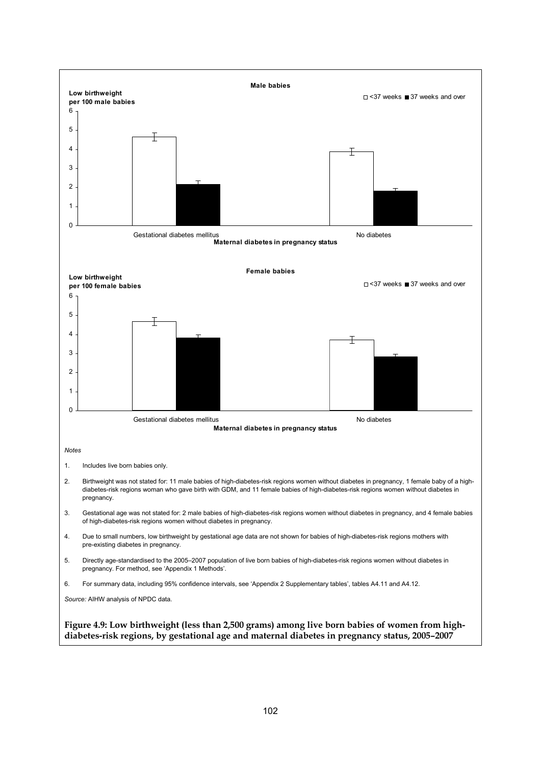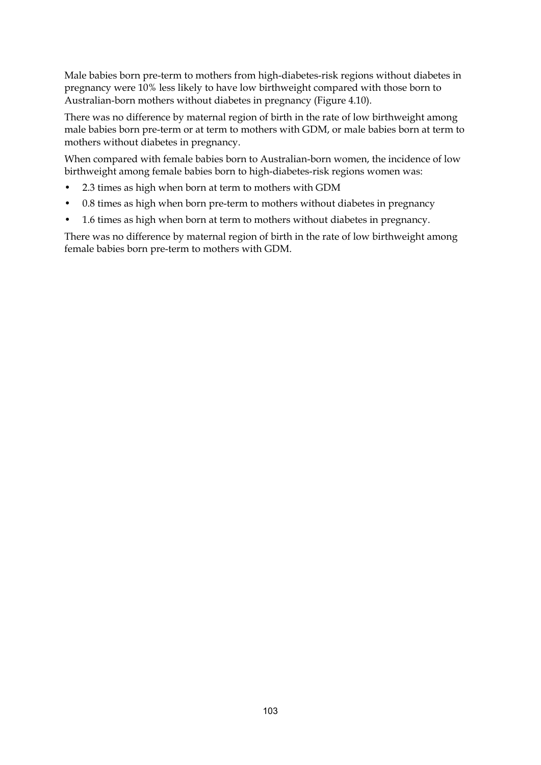Male babies born pre-term to mothers from high-diabetes-risk regions without diabetes in pregnancy were 10% less likely to have low birthweight compared with those born to Australian-born mothers without diabetes in pregnancy (Figure 4.10).

There was no difference by maternal region of birth in the rate of low birthweight among male babies born pre-term or at term to mothers with GDM, or male babies born at term to mothers without diabetes in pregnancy.

When compared with female babies born to Australian-born women, the incidence of low birthweight among female babies born to high-diabetes-risk regions women was:

- 2.3 times as high when born at term to mothers with GDM
- 0.8 times as high when born pre-term to mothers without diabetes in pregnancy
- 1.6 times as high when born at term to mothers without diabetes in pregnancy.

There was no difference by maternal region of birth in the rate of low birthweight among female babies born pre-term to mothers with GDM.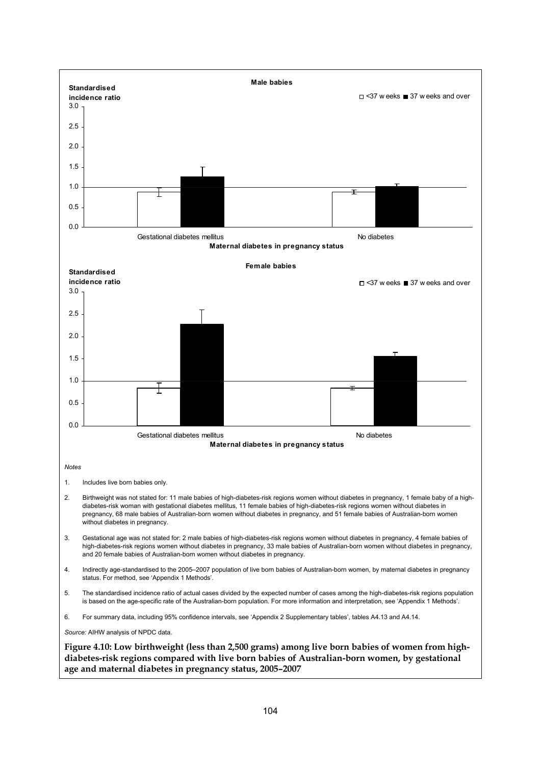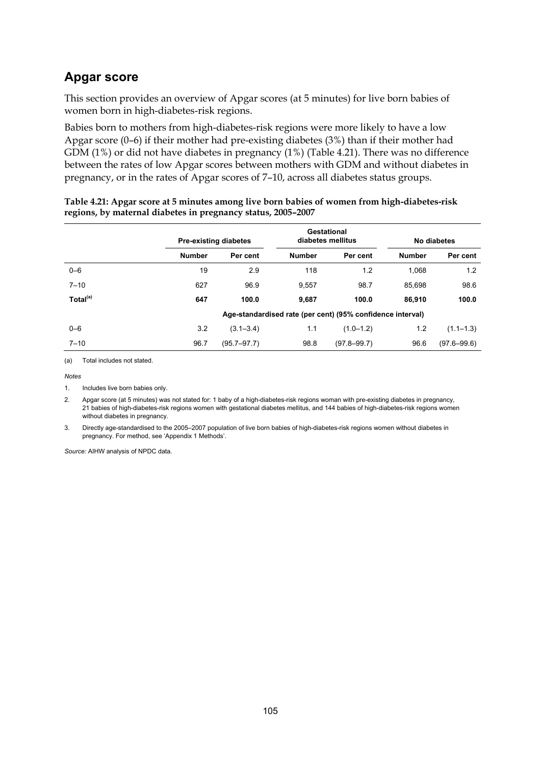## **Apgar score**

This section provides an overview of Apgar scores (at 5 minutes) for live born babies of women born in high-diabetes-risk regions.

Babies born to mothers from high-diabetes-risk regions were more likely to have a low Apgar score (0–6) if their mother had pre-existing diabetes (3%) than if their mother had GDM (1%) or did not have diabetes in pregnancy (1%) (Table 4.21). There was no difference between the rates of low Apgar scores between mothers with GDM and without diabetes in pregnancy, or in the rates of Apgar scores of 7–10, across all diabetes status groups.

|                      |               | <b>Pre-existing diabetes</b> | Gestational<br>diabetes mellitus |                                                            | No diabetes   |                 |
|----------------------|---------------|------------------------------|----------------------------------|------------------------------------------------------------|---------------|-----------------|
|                      | <b>Number</b> | Per cent                     | <b>Number</b>                    | Per cent                                                   | <b>Number</b> | Per cent        |
| $0 - 6$              | 19            | 2.9                          | 118                              | 1.2                                                        | 1,068         | 1.2             |
| $7 - 10$             | 627           | 96.9                         | 9.557                            | 98.7                                                       | 85.698        | 98.6            |
| Total <sup>(a)</sup> | 647           | 100.0                        | 9,687                            | 100.0                                                      | 86,910        | 100.0           |
|                      |               |                              |                                  | Age-standardised rate (per cent) (95% confidence interval) |               |                 |
| $0 - 6$              | 3.2           | $(3.1 - 3.4)$                | 1.1                              | $(1.0 - 1.2)$                                              | 1.2           | $(1.1 - 1.3)$   |
| $7 - 10$             | 96.7          | $(95.7 - 97.7)$              | 98.8                             | $(97.8 - 99.7)$                                            | 96.6          | $(97.6 - 99.6)$ |

| Table 4.21: Apgar score at 5 minutes among live born babies of women from high-diabetes-risk |
|----------------------------------------------------------------------------------------------|
| regions, by maternal diabetes in pregnancy status, 2005-2007                                 |

(a) Total includes not stated.

*Notes*

1. Includes live born babies only.

2. Apgar score (at 5 minutes) was not stated for: 1 baby of a high-diabetes-risk regions woman with pre-existing diabetes in pregnancy, 21 babies of high-diabetes-risk regions women with gestational diabetes mellitus, and 144 babies of high-diabetes-risk regions women without diabetes in pregnancy.

3. Directly age-standardised to the 2005–2007 population of live born babies of high-diabetes-risk regions women without diabetes in pregnancy. For method, see 'Appendix 1 Methods'.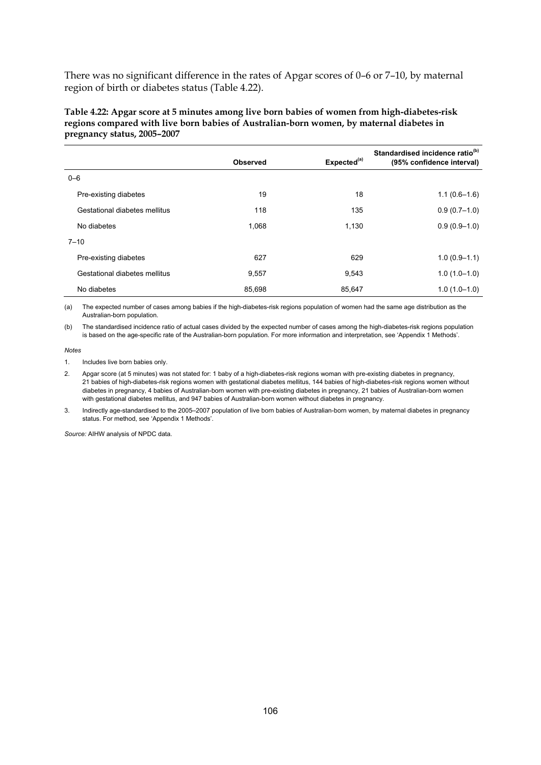There was no significant difference in the rates of Apgar scores of 0–6 or 7–10, by maternal region of birth or diabetes status (Table 4.22).

**Table 4.22: Apgar score at 5 minutes among live born babies of women from high-diabetes-risk regions compared with live born babies of Australian-born women, by maternal diabetes in pregnancy status, 2005–2007** 

|                               | <b>Observed</b> | Expected <sup>(a)</sup> | Standardised incidence ratio <sup>(b)</sup><br>(95% confidence interval) |
|-------------------------------|-----------------|-------------------------|--------------------------------------------------------------------------|
| $0 - 6$                       |                 |                         |                                                                          |
| Pre-existing diabetes         | 19              | 18                      | $1.1(0.6-1.6)$                                                           |
| Gestational diabetes mellitus | 118             | 135                     | $0.9(0.7-1.0)$                                                           |
| No diabetes                   | 1,068           | 1,130                   | $0.9(0.9-1.0)$                                                           |
| $7 - 10$                      |                 |                         |                                                                          |
| Pre-existing diabetes         | 627             | 629                     | $1.0(0.9-1.1)$                                                           |
| Gestational diabetes mellitus | 9,557           | 9,543                   | $1.0(1.0-1.0)$                                                           |
| No diabetes                   | 85,698          | 85,647                  | $1.0(1.0-1.0)$                                                           |

(a) The expected number of cases among babies if the high-diabetes-risk regions population of women had the same age distribution as the Australian-born population.

(b) The standardised incidence ratio of actual cases divided by the expected number of cases among the high-diabetes-risk regions population is based on the age-specific rate of the Australian-born population. For more information and interpretation, see 'Appendix 1 Methods'.

*Notes*

1. Includes live born babies only.

2. Apgar score (at 5 minutes) was not stated for: 1 baby of a high-diabetes-risk regions woman with pre-existing diabetes in pregnancy, 21 babies of high-diabetes-risk regions women with gestational diabetes mellitus, 144 babies of high-diabetes-risk regions women without diabetes in pregnancy, 4 babies of Australian-born women with pre-existing diabetes in pregnancy, 21 babies of Australian-born women with gestational diabetes mellitus, and 947 babies of Australian-born women without diabetes in pregnancy.

3. Indirectly age-standardised to the 2005–2007 population of live born babies of Australian-born women, by maternal diabetes in pregnancy status. For method, see 'Appendix 1 Methods'.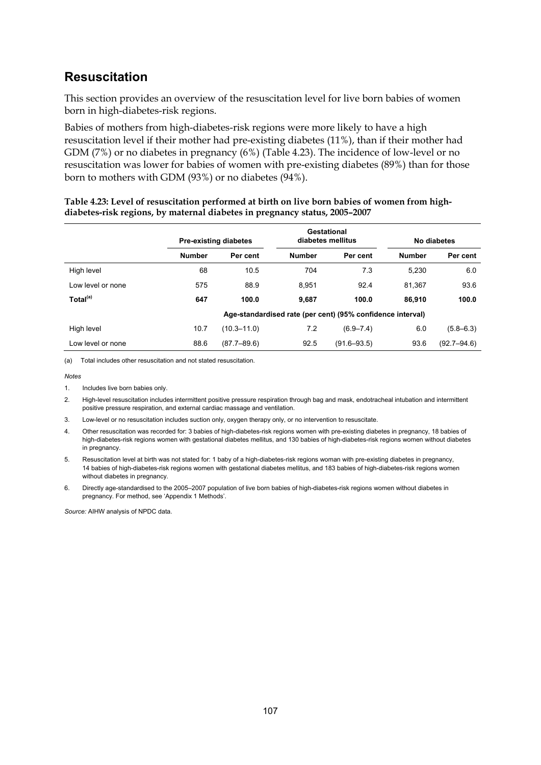## **Resuscitation**

This section provides an overview of the resuscitation level for live born babies of women born in high-diabetes-risk regions.

Babies of mothers from high-diabetes-risk regions were more likely to have a high resuscitation level if their mother had pre-existing diabetes (11%), than if their mother had GDM (7%) or no diabetes in pregnancy (6%) (Table 4.23). The incidence of low-level or no resuscitation was lower for babies of women with pre-existing diabetes (89%) than for those born to mothers with GDM (93%) or no diabetes (94%).

|                      |               | <b>Pre-existing diabetes</b> |               | Gestational<br>diabetes mellitus                           |               | No diabetes     |  |
|----------------------|---------------|------------------------------|---------------|------------------------------------------------------------|---------------|-----------------|--|
|                      | <b>Number</b> | Per cent                     | <b>Number</b> | Per cent                                                   | <b>Number</b> | Per cent        |  |
| High level           | 68            | 10.5                         | 704           | 7.3                                                        | 5.230         | 6.0             |  |
| Low level or none    | 575           | 88.9                         | 8.951         | 92.4                                                       | 81.367        | 93.6            |  |
| Total <sup>(a)</sup> | 647           | 100.0                        | 9.687         | 100.0                                                      | 86.910        | 100.0           |  |
|                      |               |                              |               | Age-standardised rate (per cent) (95% confidence interval) |               |                 |  |
| High level           | 10.7          | $(10.3 - 11.0)$              | 7.2           | $(6.9 - 7.4)$                                              | 6.0           | $(5.8 - 6.3)$   |  |
| Low level or none    | 88.6          | $(87.7 - 89.6)$              | 92.5          | $(91.6 - 93.5)$                                            | 93.6          | $(92.7 - 94.6)$ |  |

#### **Table 4.23: Level of resuscitation performed at birth on live born babies of women from highdiabetes-risk regions, by maternal diabetes in pregnancy status, 2005–2007**

(a) Total includes other resuscitation and not stated resuscitation.

#### *Notes*

1. Includes live born babies only.

- 2. High-level resuscitation includes intermittent positive pressure respiration through bag and mask, endotracheal intubation and intermittent positive pressure respiration, and external cardiac massage and ventilation.
- 3. Low-level or no resuscitation includes suction only, oxygen therapy only, or no intervention to resuscitate.

4. Other resuscitation was recorded for: 3 babies of high-diabetes-risk regions women with pre-existing diabetes in pregnancy, 18 babies of high-diabetes-risk regions women with gestational diabetes mellitus, and 130 babies of high-diabetes-risk regions women without diabetes in pregnancy.

- 5. Resuscitation level at birth was not stated for: 1 baby of a high-diabetes-risk regions woman with pre-existing diabetes in pregnancy, 14 babies of high-diabetes-risk regions women with gestational diabetes mellitus, and 183 babies of high-diabetes-risk regions women without diabetes in pregnancy.
- 6. Directly age-standardised to the 2005–2007 population of live born babies of high-diabetes-risk regions women without diabetes in pregnancy. For method, see 'Appendix 1 Methods'.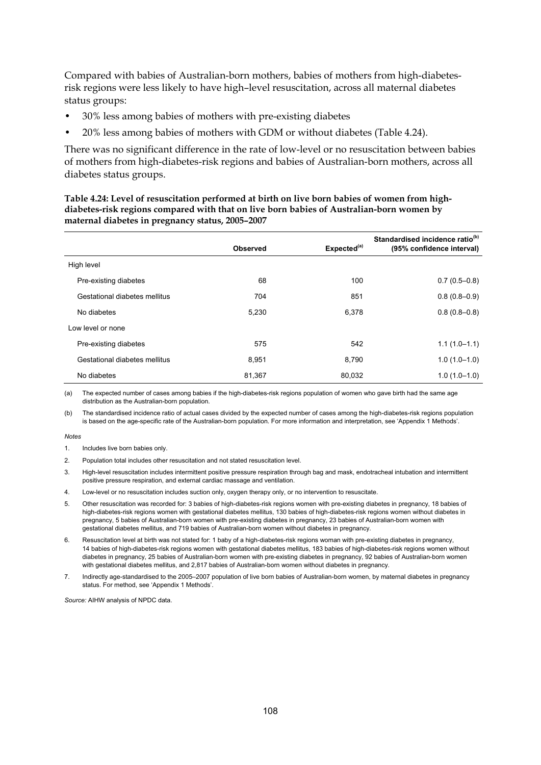Compared with babies of Australian-born mothers, babies of mothers from high-diabetesrisk regions were less likely to have high–level resuscitation, across all maternal diabetes status groups:

- 30% less among babies of mothers with pre-existing diabetes
- 20% less among babies of mothers with GDM or without diabetes (Table 4.24).

There was no significant difference in the rate of low-level or no resuscitation between babies of mothers from high-diabetes-risk regions and babies of Australian-born mothers, across all diabetes status groups.

**Table 4.24: Level of resuscitation performed at birth on live born babies of women from highdiabetes-risk regions compared with that on live born babies of Australian-born women by maternal diabetes in pregnancy status, 2005–2007** 

|                               | Observed | Expected <sup>(a)</sup> | Standardised incidence ratio <sup>(b)</sup><br>(95% confidence interval) |
|-------------------------------|----------|-------------------------|--------------------------------------------------------------------------|
| High level                    |          |                         |                                                                          |
| Pre-existing diabetes         | 68       | 100                     | $0.7(0.5-0.8)$                                                           |
| Gestational diabetes mellitus | 704      | 851                     | $0.8(0.8-0.9)$                                                           |
| No diabetes                   | 5,230    | 6,378                   | $0.8(0.8-0.8)$                                                           |
| Low level or none             |          |                         |                                                                          |
| Pre-existing diabetes         | 575      | 542                     | $1.1(1.0-1.1)$                                                           |
| Gestational diabetes mellitus | 8.951    | 8,790                   | $1.0(1.0-1.0)$                                                           |
| No diabetes                   | 81,367   | 80.032                  | $1.0(1.0-1.0)$                                                           |

(a) The expected number of cases among babies if the high-diabetes-risk regions population of women who gave birth had the same age distribution as the Australian-born population.

(b) The standardised incidence ratio of actual cases divided by the expected number of cases among the high-diabetes-risk regions population is based on the age-specific rate of the Australian-born population. For more information and interpretation, see 'Appendix 1 Methods'.

#### *Notes*

- 1. Includes live born babies only.
- 2. Population total includes other resuscitation and not stated resuscitation level.
- 3. High-level resuscitation includes intermittent positive pressure respiration through bag and mask, endotracheal intubation and intermittent positive pressure respiration, and external cardiac massage and ventilation.
- 4. Low-level or no resuscitation includes suction only, oxygen therapy only, or no intervention to resuscitate.
- 5. Other resuscitation was recorded for: 3 babies of high-diabetes-risk regions women with pre-existing diabetes in pregnancy, 18 babies of high-diabetes-risk regions women with gestational diabetes mellitus, 130 babies of high-diabetes-risk regions women without diabetes in pregnancy, 5 babies of Australian-born women with pre-existing diabetes in pregnancy, 23 babies of Australian-born women with gestational diabetes mellitus, and 719 babies of Australian-born women without diabetes in pregnancy.
- 6. Resuscitation level at birth was not stated for: 1 baby of a high-diabetes-risk regions woman with pre-existing diabetes in pregnancy, 14 babies of high-diabetes-risk regions women with gestational diabetes mellitus, 183 babies of high-diabetes-risk regions women without diabetes in pregnancy, 25 babies of Australian-born women with pre-existing diabetes in pregnancy, 92 babies of Australian-born women with gestational diabetes mellitus, and 2,817 babies of Australian-born women without diabetes in pregnancy.
- 7. Indirectly age-standardised to the 2005–2007 population of live born babies of Australian-born women, by maternal diabetes in pregnancy status. For method, see 'Appendix 1 Methods'.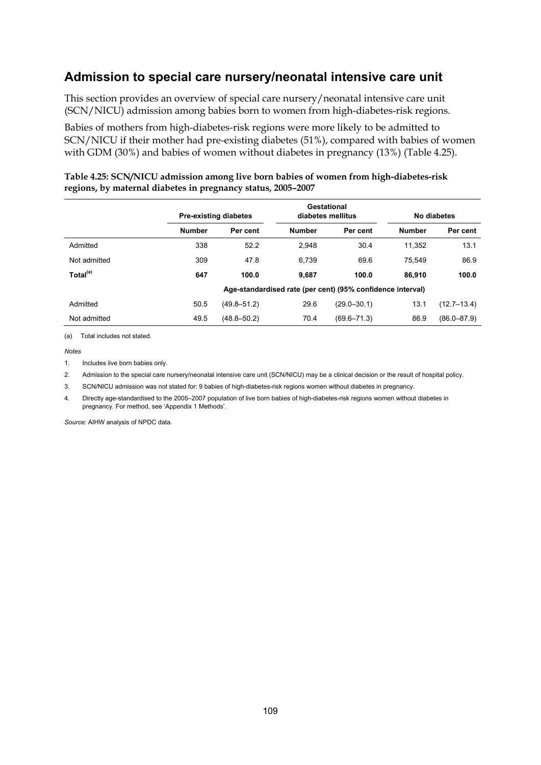## **Admission to special care nursery/neonatal intensive care unit**

This section provides an overview of special care nursery/neonatal intensive care unit (SCN/NICU) admission among babies born to women from high-diabetes-risk regions.

Babies of mothers from high-diabetes-risk regions were more likely to be admitted to SCN/NICU if their mother had pre-existing diabetes (51%), compared with babies of women with GDM (30%) and babies of women without diabetes in pregnancy (13%) (Table 4.25).

|                      |               | Gestational<br><b>Pre-existing diabetes</b><br>diabetes mellitus |               |                                                            | No diabetes   |                 |  |
|----------------------|---------------|------------------------------------------------------------------|---------------|------------------------------------------------------------|---------------|-----------------|--|
|                      | <b>Number</b> | Per cent                                                         | <b>Number</b> | Per cent                                                   | <b>Number</b> | Per cent        |  |
| Admitted             | 338           | 52.2                                                             | 2.948         | 30.4                                                       | 11.352        | 13.1            |  |
| Not admitted         | 309           | 47.8                                                             | 6.739         | 69.6                                                       | 75.549        | 86.9            |  |
| Total <sup>(a)</sup> | 647           | 100.0                                                            | 9.687         | 100.0                                                      | 86.910        | 100.0           |  |
|                      |               |                                                                  |               | Age-standardised rate (per cent) (95% confidence interval) |               |                 |  |
| Admitted             | 50.5          | $(49.8 - 51.2)$                                                  | 29.6          | $(29.0 - 30.1)$                                            | 13.1          | $(12.7 - 13.4)$ |  |
| Not admitted         | 49.5          | $(48.8 - 50.2)$                                                  | 70.4          | $(69.6 - 71.3)$                                            | 86.9          | $(86.0 - 87.9)$ |  |

#### **Table 4.25: SCN/NICU admission among live born babies of women from high-diabetes-risk regions, by maternal diabetes in pregnancy status, 2005–2007**

(a) Total includes not stated.

*Notes*

1. Includes live born babies only

2. Admission to the special care nursery/neonatal intensive care unit (SCN/NICU) may be a clinical decision or the result of hospital policy.

3. SCN/NICU admission was not stated for: 9 babies of high-diabetes-risk regions women without diabetes in pregnancy.

4. Directly age-standardised to the 2005–2007 population of live born babies of high-diabetes-risk regions women without diabetes in pregnancy. For method, see 'Appendix 1 Methods'.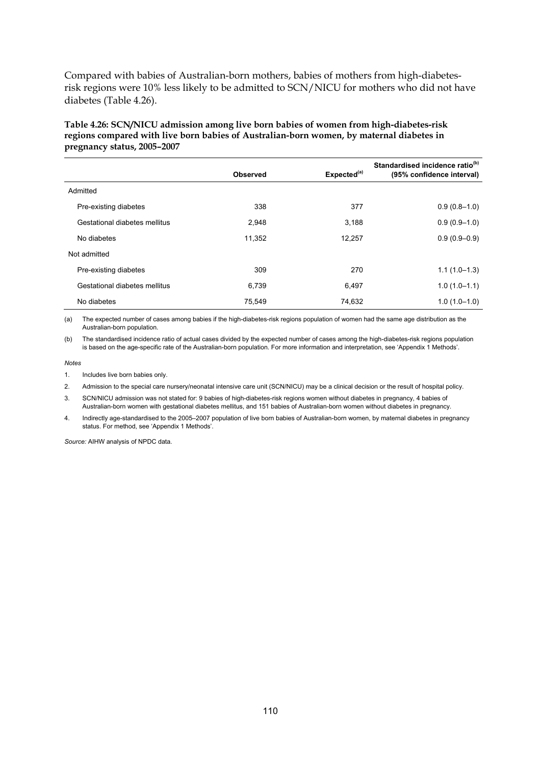Compared with babies of Australian-born mothers, babies of mothers from high-diabetesrisk regions were 10% less likely to be admitted to SCN/NICU for mothers who did not have diabetes (Table 4.26).

| Standardised incidence ratio <sup>(b)</sup>                                              |  |
|------------------------------------------------------------------------------------------|--|
| pregnancy status, 2005-2007                                                              |  |
| regions compared with live born babies of Australian-born women, by maternal diabetes in |  |
| Table 4.26: SCN/NICU admission among live born babies of women from high-diabetes-risk   |  |

|                               | <b>Observed</b> | Expected <sup>(a)</sup> | Standardised incluence ratio of<br>(95% confidence interval) |
|-------------------------------|-----------------|-------------------------|--------------------------------------------------------------|
| Admitted                      |                 |                         |                                                              |
| Pre-existing diabetes         | 338             | 377                     | $0.9(0.8-1.0)$                                               |
| Gestational diabetes mellitus | 2,948           | 3,188                   | $0.9(0.9-1.0)$                                               |
| No diabetes                   | 11.352          | 12.257                  | $0.9(0.9-0.9)$                                               |
| Not admitted                  |                 |                         |                                                              |
| Pre-existing diabetes         | 309             | 270                     | $1.1(1.0-1.3)$                                               |
| Gestational diabetes mellitus | 6,739           | 6,497                   | $1.0(1.0-1.1)$                                               |
| No diabetes                   | 75,549          | 74,632                  | $1.0(1.0-1.0)$                                               |

(a) The expected number of cases among babies if the high-diabetes-risk regions population of women had the same age distribution as the Australian-born population.

(b) The standardised incidence ratio of actual cases divided by the expected number of cases among the high-diabetes-risk regions population is based on the age-specific rate of the Australian-born population. For more information and interpretation, see 'Appendix 1 Methods'.

#### *Notes*

1. Includes live born babies only.

2. Admission to the special care nursery/neonatal intensive care unit (SCN/NICU) may be a clinical decision or the result of hospital policy.

3. SCN/NICU admission was not stated for: 9 babies of high-diabetes-risk regions women without diabetes in pregnancy, 4 babies of Australian-born women with gestational diabetes mellitus, and 151 babies of Australian-born women without diabetes in pregnancy.

4. Indirectly age-standardised to the 2005–2007 population of live born babies of Australian-born women, by maternal diabetes in pregnancy status. For method, see 'Appendix 1 Methods'.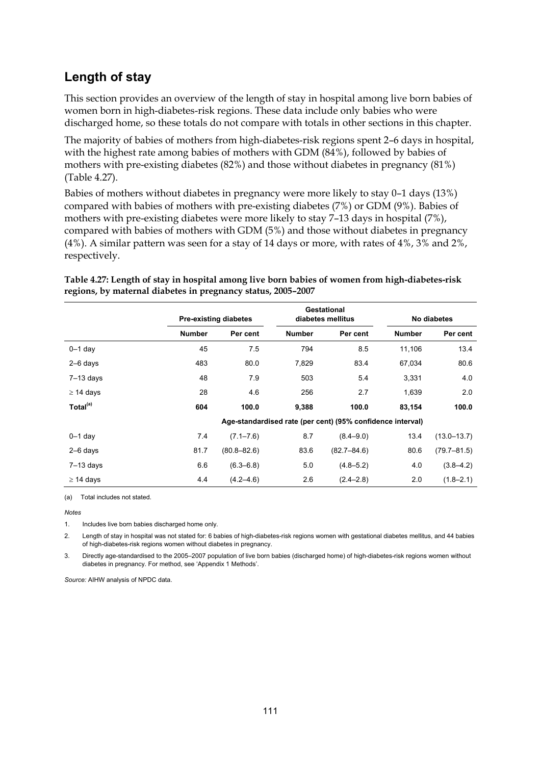## **Length of stay**

This section provides an overview of the length of stay in hospital among live born babies of women born in high-diabetes-risk regions. These data include only babies who were discharged home, so these totals do not compare with totals in other sections in this chapter.

The majority of babies of mothers from high-diabetes-risk regions spent 2–6 days in hospital, with the highest rate among babies of mothers with GDM (84%), followed by babies of mothers with pre-existing diabetes (82%) and those without diabetes in pregnancy (81%) (Table 4.27).

Babies of mothers without diabetes in pregnancy were more likely to stay 0–1 days (13%) compared with babies of mothers with pre-existing diabetes (7%) or GDM (9%). Babies of mothers with pre-existing diabetes were more likely to stay 7–13 days in hospital (7%), compared with babies of mothers with GDM (5%) and those without diabetes in pregnancy (4%). A similar pattern was seen for a stay of 14 days or more, with rates of 4%, 3% and 2%, respectively.

|                      |               | <b>Pre-existing diabetes</b> |               | Gestational<br>diabetes mellitus                           |               | No diabetes     |  |
|----------------------|---------------|------------------------------|---------------|------------------------------------------------------------|---------------|-----------------|--|
|                      | <b>Number</b> | Per cent                     | <b>Number</b> | Per cent                                                   | <b>Number</b> | Per cent        |  |
| $0-1$ day            | 45            | 7.5                          | 794           | 8.5                                                        | 11,106        | 13.4            |  |
| $2-6$ days           | 483           | 80.0                         | 7,829         | 83.4                                                       | 67,034        | 80.6            |  |
| $7-13$ days          | 48            | 7.9                          | 503           | 5.4                                                        | 3,331         | 4.0             |  |
| $\geq$ 14 days       | 28            | 4.6                          | 256           | 2.7                                                        | 1,639         | 2.0             |  |
| Total <sup>(a)</sup> | 604           | 100.0                        | 9,388         | 100.0                                                      | 83,154        | 100.0           |  |
|                      |               |                              |               | Age-standardised rate (per cent) (95% confidence interval) |               |                 |  |
| $0 - 1$ day          | 7.4           | $(7.1 - 7.6)$                | 8.7           | $(8.4 - 9.0)$                                              | 13.4          | $(13.0 - 13.7)$ |  |
| $2-6$ days           | 81.7          | $(80.8 - 82.6)$              | 83.6          | $(82.7 - 84.6)$                                            | 80.6          | $(79.7 - 81.5)$ |  |
| $7-13$ days          | 6.6           | $(6.3 - 6.8)$                | 5.0           | $(4.8 - 5.2)$                                              | 4.0           | $(3.8 - 4.2)$   |  |
| $\geq$ 14 days       | 4.4           | $(4.2 - 4.6)$                | 2.6           | $(2.4 - 2.8)$                                              | 2.0           | $(1.8 - 2.1)$   |  |

#### **Table 4.27: Length of stay in hospital among live born babies of women from high-diabetes-risk regions, by maternal diabetes in pregnancy status, 2005–2007**

(a) Total includes not stated.

*Notes*

1. Includes live born babies discharged home only.

2. Length of stay in hospital was not stated for: 6 babies of high-diabetes-risk regions women with gestational diabetes mellitus, and 44 babies of high-diabetes-risk regions women without diabetes in pregnancy.

3. Directly age-standardised to the 2005–2007 population of live born babies (discharged home) of high-diabetes-risk regions women without diabetes in pregnancy. For method, see 'Appendix 1 Methods'.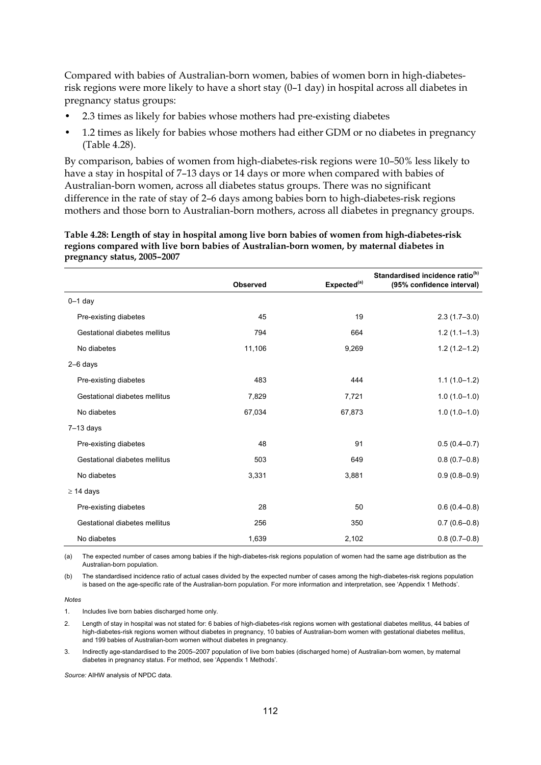Compared with babies of Australian-born women, babies of women born in high-diabetesrisk regions were more likely to have a short stay (0–1 day) in hospital across all diabetes in pregnancy status groups:

- 2.3 times as likely for babies whose mothers had pre-existing diabetes
- 1.2 times as likely for babies whose mothers had either GDM or no diabetes in pregnancy (Table 4.28).

By comparison, babies of women from high-diabetes-risk regions were 10–50% less likely to have a stay in hospital of 7–13 days or 14 days or more when compared with babies of Australian-born women, across all diabetes status groups. There was no significant difference in the rate of stay of 2–6 days among babies born to high-diabetes-risk regions mothers and those born to Australian-born mothers, across all diabetes in pregnancy groups.

**Table 4.28: Length of stay in hospital among live born babies of women from high-diabetes-risk regions compared with live born babies of Australian-born women, by maternal diabetes in pregnancy status, 2005–2007** 

|                               | <b>Observed</b> | Expected <sup>(a)</sup> | Standardised incidence ratio <sup>(b)</sup><br>(95% confidence interval) |
|-------------------------------|-----------------|-------------------------|--------------------------------------------------------------------------|
| $0-1$ day                     |                 |                         |                                                                          |
| Pre-existing diabetes         | 45              | 19                      | $2.3(1.7-3.0)$                                                           |
| Gestational diabetes mellitus | 794             | 664                     | $1.2(1.1-1.3)$                                                           |
| No diabetes                   | 11,106          | 9,269                   | $1.2(1.2 - 1.2)$                                                         |
| $2-6$ days                    |                 |                         |                                                                          |
| Pre-existing diabetes         | 483             | 444                     | $1.1(1.0-1.2)$                                                           |
| Gestational diabetes mellitus | 7,829           | 7,721                   | $1.0(1.0-1.0)$                                                           |
| No diabetes                   | 67,034          | 67,873                  | $1.0(1.0-1.0)$                                                           |
| $7-13$ days                   |                 |                         |                                                                          |
| Pre-existing diabetes         | 48              | 91                      | $0.5(0.4-0.7)$                                                           |
| Gestational diabetes mellitus | 503             | 649                     | $0.8(0.7-0.8)$                                                           |
| No diabetes                   | 3,331           | 3,881                   | $0.9(0.8 - 0.9)$                                                         |
| $\geq$ 14 days                |                 |                         |                                                                          |
| Pre-existing diabetes         | 28              | 50                      | $0.6(0.4-0.8)$                                                           |
| Gestational diabetes mellitus | 256             | 350                     | $0.7(0.6-0.8)$                                                           |
| No diabetes                   | 1,639           | 2,102                   | $0.8(0.7-0.8)$                                                           |

(a) The expected number of cases among babies if the high-diabetes-risk regions population of women had the same age distribution as the Australian-born population.

(b) The standardised incidence ratio of actual cases divided by the expected number of cases among the high-diabetes-risk regions population is based on the age-specific rate of the Australian-born population. For more information and interpretation, see 'Appendix 1 Methods'.

*Notes*

1. Includes live born babies discharged home only.

2. Length of stay in hospital was not stated for: 6 babies of high-diabetes-risk regions women with gestational diabetes mellitus, 44 babies of high-diabetes-risk regions women without diabetes in pregnancy, 10 babies of Australian-born women with gestational diabetes mellitus, and 199 babies of Australian-born women without diabetes in pregnancy.

3. Indirectly age-standardised to the 2005–2007 population of live born babies (discharged home) of Australian-born women, by maternal diabetes in pregnancy status. For method, see 'Appendix 1 Methods'.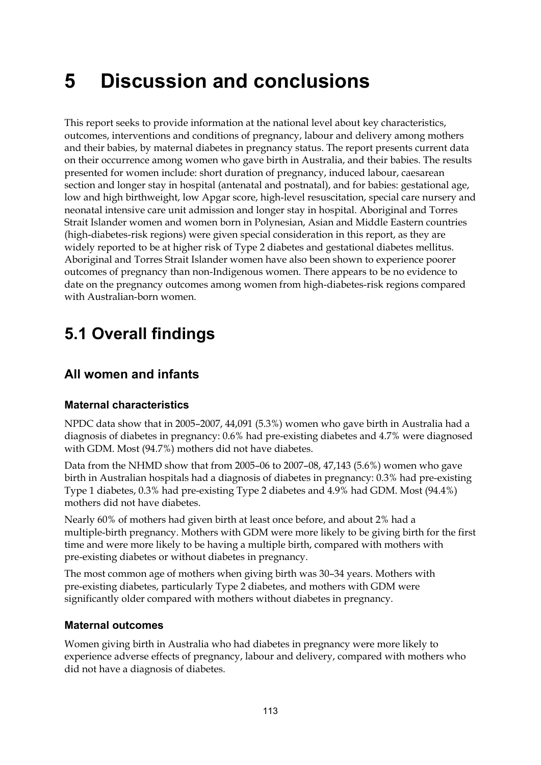# **5 Discussion and conclusions**

This report seeks to provide information at the national level about key characteristics, outcomes, interventions and conditions of pregnancy, labour and delivery among mothers and their babies, by maternal diabetes in pregnancy status. The report presents current data on their occurrence among women who gave birth in Australia, and their babies. The results presented for women include: short duration of pregnancy, induced labour, caesarean section and longer stay in hospital (antenatal and postnatal), and for babies: gestational age, low and high birthweight, low Apgar score, high-level resuscitation, special care nursery and neonatal intensive care unit admission and longer stay in hospital. Aboriginal and Torres Strait Islander women and women born in Polynesian, Asian and Middle Eastern countries (high-diabetes-risk regions) were given special consideration in this report, as they are widely reported to be at higher risk of Type 2 diabetes and gestational diabetes mellitus. Aboriginal and Torres Strait Islander women have also been shown to experience poorer outcomes of pregnancy than non-Indigenous women. There appears to be no evidence to date on the pregnancy outcomes among women from high-diabetes-risk regions compared with Australian-born women.

# **5.1 Overall findings**

# **All women and infants**

## **Maternal characteristics**

NPDC data show that in 2005–2007, 44,091 (5.3%) women who gave birth in Australia had a diagnosis of diabetes in pregnancy: 0.6% had pre-existing diabetes and 4.7% were diagnosed with GDM. Most (94.7%) mothers did not have diabetes.

Data from the NHMD show that from 2005–06 to 2007–08, 47,143 (5.6%) women who gave birth in Australian hospitals had a diagnosis of diabetes in pregnancy: 0.3% had pre-existing Type 1 diabetes, 0.3% had pre-existing Type 2 diabetes and 4.9% had GDM. Most (94.4%) mothers did not have diabetes.

Nearly 60% of mothers had given birth at least once before, and about 2% had a multiple-birth pregnancy. Mothers with GDM were more likely to be giving birth for the first time and were more likely to be having a multiple birth, compared with mothers with pre-existing diabetes or without diabetes in pregnancy.

The most common age of mothers when giving birth was 30–34 years. Mothers with pre-existing diabetes, particularly Type 2 diabetes, and mothers with GDM were significantly older compared with mothers without diabetes in pregnancy.

## **Maternal outcomes**

Women giving birth in Australia who had diabetes in pregnancy were more likely to experience adverse effects of pregnancy, labour and delivery, compared with mothers who did not have a diagnosis of diabetes.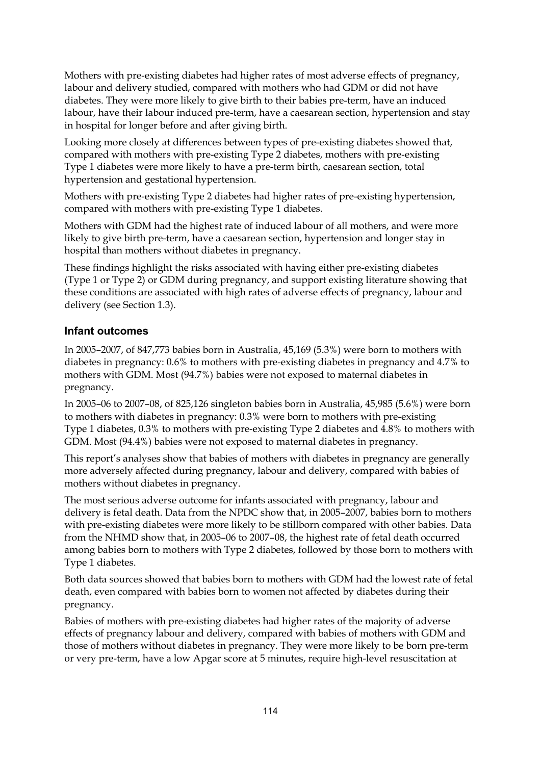Mothers with pre-existing diabetes had higher rates of most adverse effects of pregnancy, labour and delivery studied, compared with mothers who had GDM or did not have diabetes. They were more likely to give birth to their babies pre-term, have an induced labour, have their labour induced pre-term, have a caesarean section, hypertension and stay in hospital for longer before and after giving birth.

Looking more closely at differences between types of pre-existing diabetes showed that, compared with mothers with pre-existing Type 2 diabetes, mothers with pre-existing Type 1 diabetes were more likely to have a pre-term birth, caesarean section, total hypertension and gestational hypertension.

Mothers with pre-existing Type 2 diabetes had higher rates of pre-existing hypertension, compared with mothers with pre-existing Type 1 diabetes.

Mothers with GDM had the highest rate of induced labour of all mothers, and were more likely to give birth pre-term, have a caesarean section, hypertension and longer stay in hospital than mothers without diabetes in pregnancy.

These findings highlight the risks associated with having either pre-existing diabetes (Type 1 or Type 2) or GDM during pregnancy, and support existing literature showing that these conditions are associated with high rates of adverse effects of pregnancy, labour and delivery (see Section 1.3).

## **Infant outcomes**

In 2005–2007, of 847,773 babies born in Australia, 45,169 (5.3%) were born to mothers with diabetes in pregnancy: 0.6% to mothers with pre-existing diabetes in pregnancy and 4.7% to mothers with GDM. Most (94.7%) babies were not exposed to maternal diabetes in pregnancy.

In 2005–06 to 2007–08, of 825,126 singleton babies born in Australia, 45,985 (5.6%) were born to mothers with diabetes in pregnancy: 0.3% were born to mothers with pre-existing Type 1 diabetes, 0.3% to mothers with pre-existing Type 2 diabetes and 4.8% to mothers with GDM. Most (94.4%) babies were not exposed to maternal diabetes in pregnancy.

This report's analyses show that babies of mothers with diabetes in pregnancy are generally more adversely affected during pregnancy, labour and delivery, compared with babies of mothers without diabetes in pregnancy.

The most serious adverse outcome for infants associated with pregnancy, labour and delivery is fetal death. Data from the NPDC show that, in 2005–2007, babies born to mothers with pre-existing diabetes were more likely to be stillborn compared with other babies. Data from the NHMD show that, in 2005–06 to 2007–08, the highest rate of fetal death occurred among babies born to mothers with Type 2 diabetes, followed by those born to mothers with Type 1 diabetes.

Both data sources showed that babies born to mothers with GDM had the lowest rate of fetal death, even compared with babies born to women not affected by diabetes during their pregnancy.

Babies of mothers with pre-existing diabetes had higher rates of the majority of adverse effects of pregnancy labour and delivery, compared with babies of mothers with GDM and those of mothers without diabetes in pregnancy. They were more likely to be born pre-term or very pre-term, have a low Apgar score at 5 minutes, require high-level resuscitation at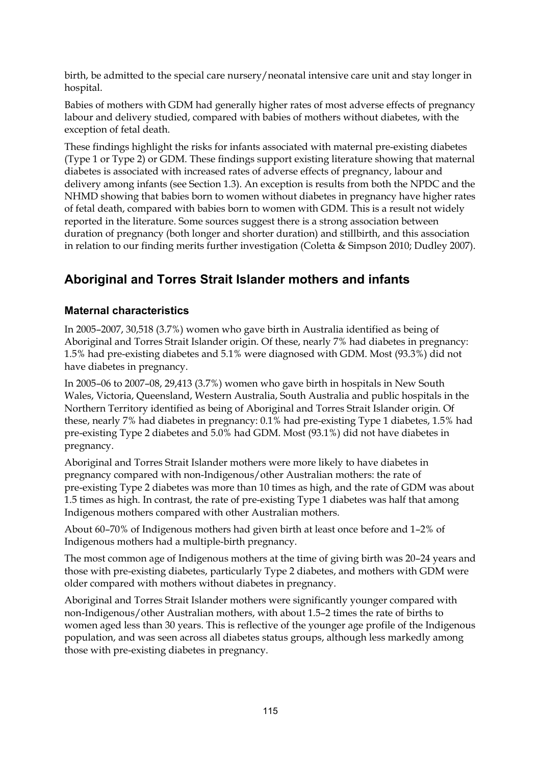birth, be admitted to the special care nursery/neonatal intensive care unit and stay longer in hospital.

Babies of mothers with GDM had generally higher rates of most adverse effects of pregnancy labour and delivery studied, compared with babies of mothers without diabetes, with the exception of fetal death.

These findings highlight the risks for infants associated with maternal pre-existing diabetes (Type 1 or Type 2) or GDM. These findings support existing literature showing that maternal diabetes is associated with increased rates of adverse effects of pregnancy, labour and delivery among infants (see Section 1.3). An exception is results from both the NPDC and the NHMD showing that babies born to women without diabetes in pregnancy have higher rates of fetal death, compared with babies born to women with GDM. This is a result not widely reported in the literature. Some sources suggest there is a strong association between duration of pregnancy (both longer and shorter duration) and stillbirth, and this association in relation to our finding merits further investigation (Coletta & Simpson 2010; Dudley 2007).

# **Aboriginal and Torres Strait Islander mothers and infants**

## **Maternal characteristics**

In 2005–2007, 30,518 (3.7%) women who gave birth in Australia identified as being of Aboriginal and Torres Strait Islander origin. Of these, nearly 7% had diabetes in pregnancy: 1.5% had pre-existing diabetes and 5.1% were diagnosed with GDM. Most (93.3%) did not have diabetes in pregnancy.

In 2005–06 to 2007–08, 29,413 (3.7%) women who gave birth in hospitals in New South Wales, Victoria, Queensland, Western Australia, South Australia and public hospitals in the Northern Territory identified as being of Aboriginal and Torres Strait Islander origin. Of these, nearly 7% had diabetes in pregnancy: 0.1% had pre-existing Type 1 diabetes, 1.5% had pre-existing Type 2 diabetes and 5.0% had GDM. Most (93.1%) did not have diabetes in pregnancy.

Aboriginal and Torres Strait Islander mothers were more likely to have diabetes in pregnancy compared with non-Indigenous/other Australian mothers: the rate of pre-existing Type 2 diabetes was more than 10 times as high, and the rate of GDM was about 1.5 times as high. In contrast, the rate of pre-existing Type 1 diabetes was half that among Indigenous mothers compared with other Australian mothers.

About 60–70% of Indigenous mothers had given birth at least once before and 1–2% of Indigenous mothers had a multiple-birth pregnancy.

The most common age of Indigenous mothers at the time of giving birth was 20–24 years and those with pre-existing diabetes, particularly Type 2 diabetes, and mothers with GDM were older compared with mothers without diabetes in pregnancy.

Aboriginal and Torres Strait Islander mothers were significantly younger compared with non-Indigenous/other Australian mothers, with about 1.5–2 times the rate of births to women aged less than 30 years. This is reflective of the younger age profile of the Indigenous population, and was seen across all diabetes status groups, although less markedly among those with pre-existing diabetes in pregnancy.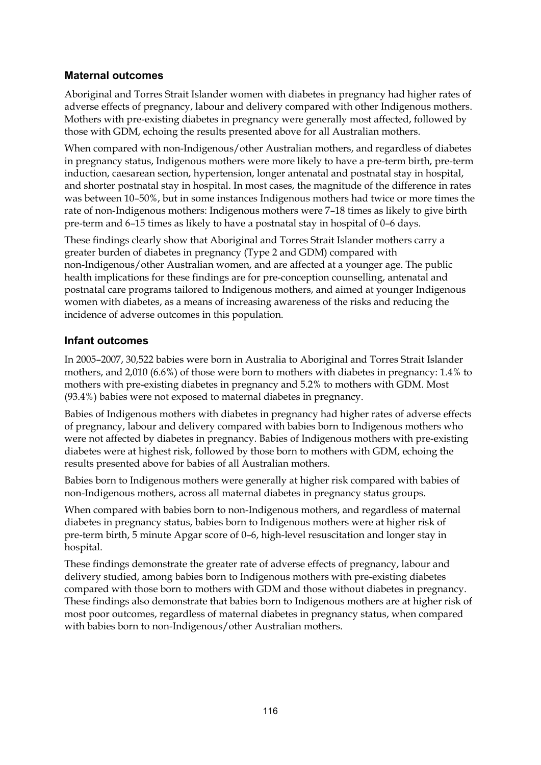### **Maternal outcomes**

Aboriginal and Torres Strait Islander women with diabetes in pregnancy had higher rates of adverse effects of pregnancy, labour and delivery compared with other Indigenous mothers. Mothers with pre-existing diabetes in pregnancy were generally most affected, followed by those with GDM, echoing the results presented above for all Australian mothers.

When compared with non-Indigenous/other Australian mothers, and regardless of diabetes in pregnancy status, Indigenous mothers were more likely to have a pre-term birth, pre-term induction, caesarean section, hypertension, longer antenatal and postnatal stay in hospital, and shorter postnatal stay in hospital. In most cases, the magnitude of the difference in rates was between 10–50%, but in some instances Indigenous mothers had twice or more times the rate of non-Indigenous mothers: Indigenous mothers were 7–18 times as likely to give birth pre-term and 6–15 times as likely to have a postnatal stay in hospital of 0–6 days.

These findings clearly show that Aboriginal and Torres Strait Islander mothers carry a greater burden of diabetes in pregnancy (Type 2 and GDM) compared with non-Indigenous/other Australian women, and are affected at a younger age. The public health implications for these findings are for pre-conception counselling, antenatal and postnatal care programs tailored to Indigenous mothers, and aimed at younger Indigenous women with diabetes, as a means of increasing awareness of the risks and reducing the incidence of adverse outcomes in this population.

### **Infant outcomes**

In 2005–2007, 30,522 babies were born in Australia to Aboriginal and Torres Strait Islander mothers, and 2,010 (6.6%) of those were born to mothers with diabetes in pregnancy: 1.4% to mothers with pre-existing diabetes in pregnancy and 5.2% to mothers with GDM. Most (93.4%) babies were not exposed to maternal diabetes in pregnancy.

Babies of Indigenous mothers with diabetes in pregnancy had higher rates of adverse effects of pregnancy, labour and delivery compared with babies born to Indigenous mothers who were not affected by diabetes in pregnancy. Babies of Indigenous mothers with pre-existing diabetes were at highest risk, followed by those born to mothers with GDM, echoing the results presented above for babies of all Australian mothers.

Babies born to Indigenous mothers were generally at higher risk compared with babies of non-Indigenous mothers, across all maternal diabetes in pregnancy status groups.

When compared with babies born to non-Indigenous mothers, and regardless of maternal diabetes in pregnancy status, babies born to Indigenous mothers were at higher risk of pre-term birth, 5 minute Apgar score of 0–6, high-level resuscitation and longer stay in hospital.

These findings demonstrate the greater rate of adverse effects of pregnancy, labour and delivery studied, among babies born to Indigenous mothers with pre-existing diabetes compared with those born to mothers with GDM and those without diabetes in pregnancy. These findings also demonstrate that babies born to Indigenous mothers are at higher risk of most poor outcomes, regardless of maternal diabetes in pregnancy status, when compared with babies born to non-Indigenous/other Australian mothers.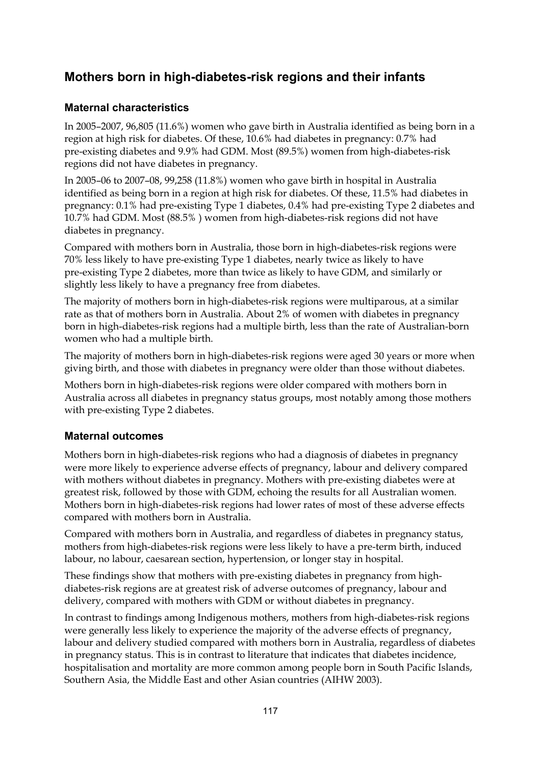# **Mothers born in high-diabetes-risk regions and their infants**

## **Maternal characteristics**

In 2005–2007, 96,805 (11.6%) women who gave birth in Australia identified as being born in a region at high risk for diabetes. Of these, 10.6% had diabetes in pregnancy: 0.7% had pre-existing diabetes and 9.9% had GDM. Most (89.5%) women from high-diabetes-risk regions did not have diabetes in pregnancy.

In 2005–06 to 2007–08, 99,258 (11.8%) women who gave birth in hospital in Australia identified as being born in a region at high risk for diabetes. Of these, 11.5% had diabetes in pregnancy: 0.1% had pre-existing Type 1 diabetes, 0.4% had pre-existing Type 2 diabetes and 10.7% had GDM. Most (88.5% ) women from high-diabetes-risk regions did not have diabetes in pregnancy.

Compared with mothers born in Australia, those born in high-diabetes-risk regions were 70% less likely to have pre-existing Type 1 diabetes, nearly twice as likely to have pre-existing Type 2 diabetes, more than twice as likely to have GDM, and similarly or slightly less likely to have a pregnancy free from diabetes.

The majority of mothers born in high-diabetes-risk regions were multiparous, at a similar rate as that of mothers born in Australia. About 2% of women with diabetes in pregnancy born in high-diabetes-risk regions had a multiple birth, less than the rate of Australian-born women who had a multiple birth.

The majority of mothers born in high-diabetes-risk regions were aged 30 years or more when giving birth, and those with diabetes in pregnancy were older than those without diabetes.

Mothers born in high-diabetes-risk regions were older compared with mothers born in Australia across all diabetes in pregnancy status groups, most notably among those mothers with pre-existing Type 2 diabetes.

## **Maternal outcomes**

Mothers born in high-diabetes-risk regions who had a diagnosis of diabetes in pregnancy were more likely to experience adverse effects of pregnancy, labour and delivery compared with mothers without diabetes in pregnancy. Mothers with pre-existing diabetes were at greatest risk, followed by those with GDM, echoing the results for all Australian women. Mothers born in high-diabetes-risk regions had lower rates of most of these adverse effects compared with mothers born in Australia.

Compared with mothers born in Australia, and regardless of diabetes in pregnancy status, mothers from high-diabetes-risk regions were less likely to have a pre-term birth, induced labour, no labour, caesarean section, hypertension, or longer stay in hospital.

These findings show that mothers with pre-existing diabetes in pregnancy from highdiabetes-risk regions are at greatest risk of adverse outcomes of pregnancy, labour and delivery, compared with mothers with GDM or without diabetes in pregnancy.

In contrast to findings among Indigenous mothers, mothers from high-diabetes-risk regions were generally less likely to experience the majority of the adverse effects of pregnancy, labour and delivery studied compared with mothers born in Australia, regardless of diabetes in pregnancy status. This is in contrast to literature that indicates that diabetes incidence, hospitalisation and mortality are more common among people born in South Pacific Islands, Southern Asia, the Middle East and other Asian countries (AIHW 2003).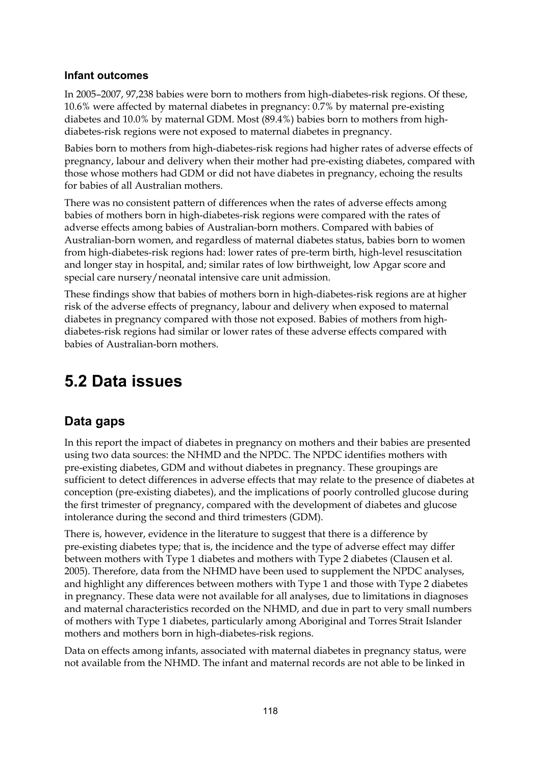#### **Infant outcomes**

In 2005–2007, 97,238 babies were born to mothers from high-diabetes-risk regions. Of these, 10.6% were affected by maternal diabetes in pregnancy: 0.7% by maternal pre-existing diabetes and 10.0% by maternal GDM. Most (89.4%) babies born to mothers from highdiabetes-risk regions were not exposed to maternal diabetes in pregnancy.

Babies born to mothers from high-diabetes-risk regions had higher rates of adverse effects of pregnancy, labour and delivery when their mother had pre-existing diabetes, compared with those whose mothers had GDM or did not have diabetes in pregnancy, echoing the results for babies of all Australian mothers.

There was no consistent pattern of differences when the rates of adverse effects among babies of mothers born in high-diabetes-risk regions were compared with the rates of adverse effects among babies of Australian-born mothers. Compared with babies of Australian-born women, and regardless of maternal diabetes status, babies born to women from high-diabetes-risk regions had: lower rates of pre-term birth, high-level resuscitation and longer stay in hospital, and; similar rates of low birthweight, low Apgar score and special care nursery/neonatal intensive care unit admission.

These findings show that babies of mothers born in high-diabetes-risk regions are at higher risk of the adverse effects of pregnancy, labour and delivery when exposed to maternal diabetes in pregnancy compared with those not exposed. Babies of mothers from highdiabetes-risk regions had similar or lower rates of these adverse effects compared with babies of Australian-born mothers.

# **5.2 Data issues**

# **Data gaps**

In this report the impact of diabetes in pregnancy on mothers and their babies are presented using two data sources: the NHMD and the NPDC. The NPDC identifies mothers with pre-existing diabetes, GDM and without diabetes in pregnancy. These groupings are sufficient to detect differences in adverse effects that may relate to the presence of diabetes at conception (pre-existing diabetes), and the implications of poorly controlled glucose during the first trimester of pregnancy, compared with the development of diabetes and glucose intolerance during the second and third trimesters (GDM).

There is, however, evidence in the literature to suggest that there is a difference by pre-existing diabetes type; that is, the incidence and the type of adverse effect may differ between mothers with Type 1 diabetes and mothers with Type 2 diabetes (Clausen et al. 2005). Therefore, data from the NHMD have been used to supplement the NPDC analyses, and highlight any differences between mothers with Type 1 and those with Type 2 diabetes in pregnancy. These data were not available for all analyses, due to limitations in diagnoses and maternal characteristics recorded on the NHMD, and due in part to very small numbers of mothers with Type 1 diabetes, particularly among Aboriginal and Torres Strait Islander mothers and mothers born in high-diabetes-risk regions.

Data on effects among infants, associated with maternal diabetes in pregnancy status, were not available from the NHMD. The infant and maternal records are not able to be linked in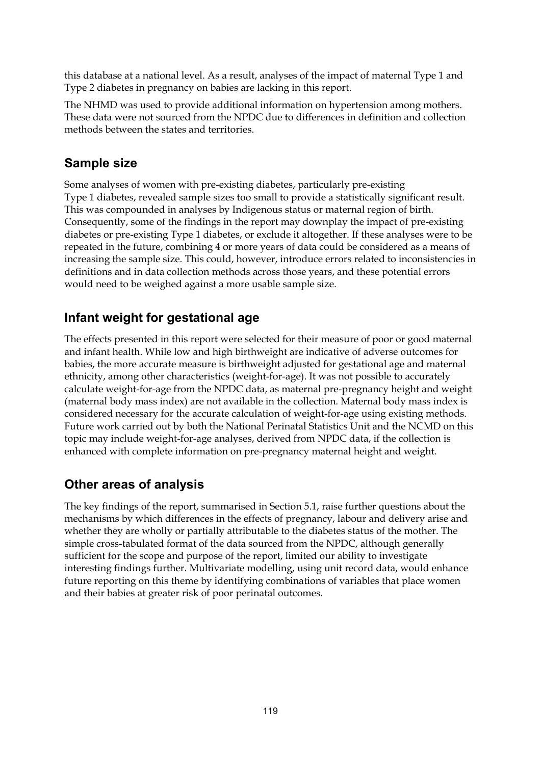this database at a national level. As a result, analyses of the impact of maternal Type 1 and Type 2 diabetes in pregnancy on babies are lacking in this report.

The NHMD was used to provide additional information on hypertension among mothers. These data were not sourced from the NPDC due to differences in definition and collection methods between the states and territories.

# **Sample size**

Some analyses of women with pre-existing diabetes, particularly pre-existing Type 1 diabetes, revealed sample sizes too small to provide a statistically significant result. This was compounded in analyses by Indigenous status or maternal region of birth. Consequently, some of the findings in the report may downplay the impact of pre-existing diabetes or pre-existing Type 1 diabetes, or exclude it altogether. If these analyses were to be repeated in the future, combining 4 or more years of data could be considered as a means of increasing the sample size. This could, however, introduce errors related to inconsistencies in definitions and in data collection methods across those years, and these potential errors would need to be weighed against a more usable sample size.

# **Infant weight for gestational age**

The effects presented in this report were selected for their measure of poor or good maternal and infant health. While low and high birthweight are indicative of adverse outcomes for babies, the more accurate measure is birthweight adjusted for gestational age and maternal ethnicity, among other characteristics (weight-for-age). It was not possible to accurately calculate weight-for-age from the NPDC data, as maternal pre-pregnancy height and weight (maternal body mass index) are not available in the collection. Maternal body mass index is considered necessary for the accurate calculation of weight-for-age using existing methods. Future work carried out by both the National Perinatal Statistics Unit and the NCMD on this topic may include weight-for-age analyses, derived from NPDC data, if the collection is enhanced with complete information on pre-pregnancy maternal height and weight.

# **Other areas of analysis**

The key findings of the report, summarised in Section 5.1, raise further questions about the mechanisms by which differences in the effects of pregnancy, labour and delivery arise and whether they are wholly or partially attributable to the diabetes status of the mother. The simple cross-tabulated format of the data sourced from the NPDC, although generally sufficient for the scope and purpose of the report, limited our ability to investigate interesting findings further. Multivariate modelling, using unit record data, would enhance future reporting on this theme by identifying combinations of variables that place women and their babies at greater risk of poor perinatal outcomes.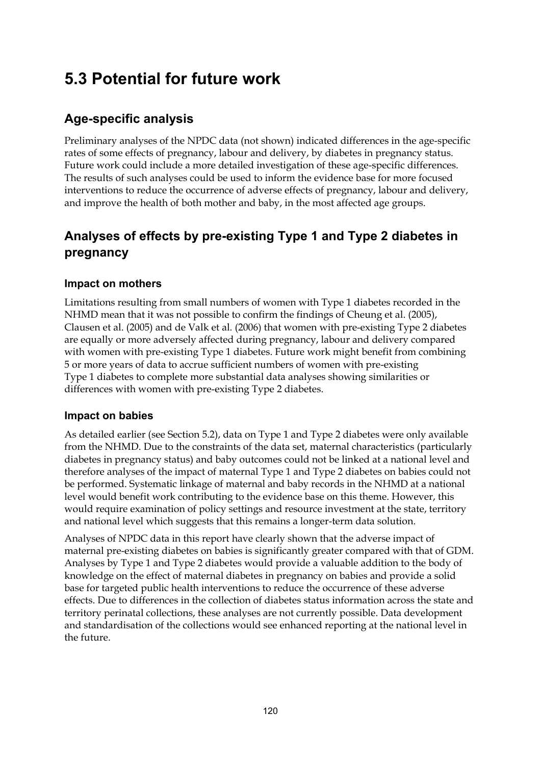# **5.3 Potential for future work**

# **Age-specific analysis**

Preliminary analyses of the NPDC data (not shown) indicated differences in the age-specific rates of some effects of pregnancy, labour and delivery, by diabetes in pregnancy status. Future work could include a more detailed investigation of these age-specific differences. The results of such analyses could be used to inform the evidence base for more focused interventions to reduce the occurrence of adverse effects of pregnancy, labour and delivery, and improve the health of both mother and baby, in the most affected age groups.

# **Analyses of effects by pre-existing Type 1 and Type 2 diabetes in pregnancy**

## **Impact on mothers**

Limitations resulting from small numbers of women with Type 1 diabetes recorded in the NHMD mean that it was not possible to confirm the findings of Cheung et al. (2005), Clausen et al. (2005) and de Valk et al. (2006) that women with pre-existing Type 2 diabetes are equally or more adversely affected during pregnancy, labour and delivery compared with women with pre-existing Type 1 diabetes. Future work might benefit from combining 5 or more years of data to accrue sufficient numbers of women with pre-existing Type 1 diabetes to complete more substantial data analyses showing similarities or differences with women with pre-existing Type 2 diabetes.

## **Impact on babies**

As detailed earlier (see Section 5.2), data on Type 1 and Type 2 diabetes were only available from the NHMD. Due to the constraints of the data set, maternal characteristics (particularly diabetes in pregnancy status) and baby outcomes could not be linked at a national level and therefore analyses of the impact of maternal Type 1 and Type 2 diabetes on babies could not be performed. Systematic linkage of maternal and baby records in the NHMD at a national level would benefit work contributing to the evidence base on this theme. However, this would require examination of policy settings and resource investment at the state, territory and national level which suggests that this remains a longer-term data solution.

Analyses of NPDC data in this report have clearly shown that the adverse impact of maternal pre-existing diabetes on babies is significantly greater compared with that of GDM. Analyses by Type 1 and Type 2 diabetes would provide a valuable addition to the body of knowledge on the effect of maternal diabetes in pregnancy on babies and provide a solid base for targeted public health interventions to reduce the occurrence of these adverse effects. Due to differences in the collection of diabetes status information across the state and territory perinatal collections, these analyses are not currently possible. Data development and standardisation of the collections would see enhanced reporting at the national level in the future.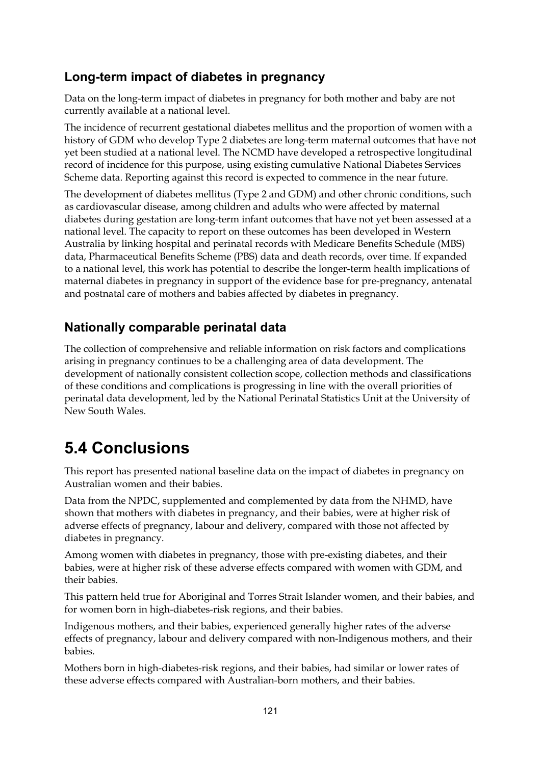# **Long-term impact of diabetes in pregnancy**

Data on the long-term impact of diabetes in pregnancy for both mother and baby are not currently available at a national level.

The incidence of recurrent gestational diabetes mellitus and the proportion of women with a history of GDM who develop Type 2 diabetes are long-term maternal outcomes that have not yet been studied at a national level. The NCMD have developed a retrospective longitudinal record of incidence for this purpose, using existing cumulative National Diabetes Services Scheme data. Reporting against this record is expected to commence in the near future.

The development of diabetes mellitus (Type 2 and GDM) and other chronic conditions, such as cardiovascular disease, among children and adults who were affected by maternal diabetes during gestation are long-term infant outcomes that have not yet been assessed at a national level. The capacity to report on these outcomes has been developed in Western Australia by linking hospital and perinatal records with Medicare Benefits Schedule (MBS) data, Pharmaceutical Benefits Scheme (PBS) data and death records, over time. If expanded to a national level, this work has potential to describe the longer-term health implications of maternal diabetes in pregnancy in support of the evidence base for pre-pregnancy, antenatal and postnatal care of mothers and babies affected by diabetes in pregnancy.

# **Nationally comparable perinatal data**

The collection of comprehensive and reliable information on risk factors and complications arising in pregnancy continues to be a challenging area of data development. The development of nationally consistent collection scope, collection methods and classifications of these conditions and complications is progressing in line with the overall priorities of perinatal data development, led by the National Perinatal Statistics Unit at the University of New South Wales.

# **5.4 Conclusions**

This report has presented national baseline data on the impact of diabetes in pregnancy on Australian women and their babies.

Data from the NPDC, supplemented and complemented by data from the NHMD, have shown that mothers with diabetes in pregnancy, and their babies, were at higher risk of adverse effects of pregnancy, labour and delivery, compared with those not affected by diabetes in pregnancy.

Among women with diabetes in pregnancy, those with pre-existing diabetes, and their babies, were at higher risk of these adverse effects compared with women with GDM, and their babies.

This pattern held true for Aboriginal and Torres Strait Islander women, and their babies, and for women born in high-diabetes-risk regions, and their babies.

Indigenous mothers, and their babies, experienced generally higher rates of the adverse effects of pregnancy, labour and delivery compared with non-Indigenous mothers, and their babies.

Mothers born in high-diabetes-risk regions, and their babies, had similar or lower rates of these adverse effects compared with Australian-born mothers, and their babies.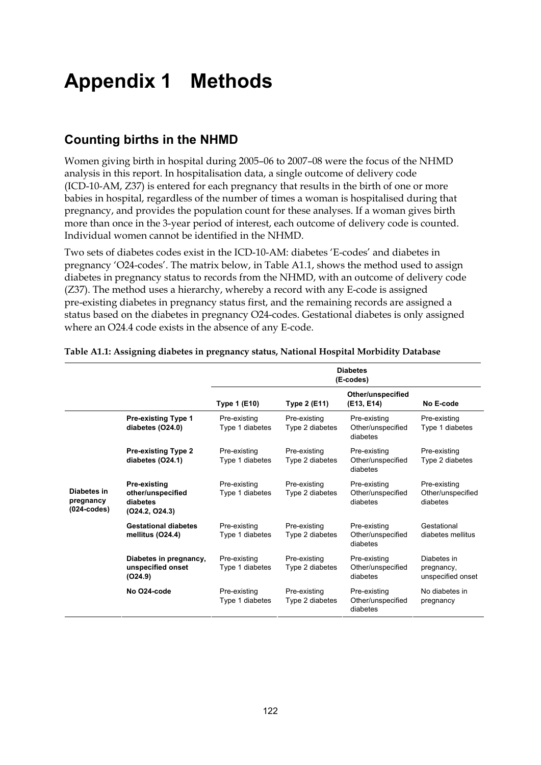# **Appendix 1 Methods**

## **Counting births in the NHMD**

Women giving birth in hospital during 2005–06 to 2007–08 were the focus of the NHMD analysis in this report. In hospitalisation data, a single outcome of delivery code (ICD-10-AM, Z37) is entered for each pregnancy that results in the birth of one or more babies in hospital, regardless of the number of times a woman is hospitalised during that pregnancy, and provides the population count for these analyses. If a woman gives birth more than once in the 3-year period of interest, each outcome of delivery code is counted. Individual women cannot be identified in the NHMD.

Two sets of diabetes codes exist in the ICD-10-AM: diabetes 'E-codes' and diabetes in pregnancy 'O24-codes'. The matrix below, in Table A1.1, shows the method used to assign diabetes in pregnancy status to records from the NHMD, with an outcome of delivery code (Z37). The method uses a hierarchy, whereby a record with any E-code is assigned pre-existing diabetes in pregnancy status first, and the remaining records are assigned a status based on the diabetes in pregnancy O24-codes. Gestational diabetes is only assigned where an O24.4 code exists in the absence of any E-code.

|                                           |                                                                 | <b>Diabetes</b><br>(E-codes)    |                                 |                                               |                                                |
|-------------------------------------------|-----------------------------------------------------------------|---------------------------------|---------------------------------|-----------------------------------------------|------------------------------------------------|
|                                           |                                                                 | <b>Type 1 (E10)</b>             | <b>Type 2 (E11)</b>             | Other/unspecified<br>(E13, E14)               | No E-code                                      |
|                                           | <b>Pre-existing Type 1</b><br>diabetes (O24.0)                  | Pre-existing<br>Type 1 diabetes | Pre-existing<br>Type 2 diabetes | Pre-existing<br>Other/unspecified<br>diabetes | Pre-existing<br>Type 1 diabetes                |
|                                           | <b>Pre-existing Type 2</b><br>diabetes (O24.1)                  | Pre-existing<br>Type 1 diabetes | Pre-existing<br>Type 2 diabetes | Pre-existing<br>Other/unspecified<br>diabetes | Pre-existing<br>Type 2 diabetes                |
| Diabetes in<br>pregnancy<br>$(024-codes)$ | Pre-existing<br>other/unspecified<br>diabetes<br>(024.2, 024.3) | Pre-existing<br>Type 1 diabetes | Pre-existing<br>Type 2 diabetes | Pre-existing<br>Other/unspecified<br>diabetes | Pre-existing<br>Other/unspecified<br>diabetes  |
|                                           | <b>Gestational diabetes</b><br>mellitus (O24.4)                 | Pre-existing<br>Type 1 diabetes | Pre-existing<br>Type 2 diabetes | Pre-existing<br>Other/unspecified<br>diabetes | Gestational<br>diabetes mellitus               |
|                                           | Diabetes in pregnancy,<br>unspecified onset<br>(O24.9)          | Pre-existing<br>Type 1 diabetes | Pre-existing<br>Type 2 diabetes | Pre-existing<br>Other/unspecified<br>diabetes | Diabetes in<br>pregnancy,<br>unspecified onset |
|                                           | No O24-code                                                     | Pre-existing<br>Type 1 diabetes | Pre-existing<br>Type 2 diabetes | Pre-existing<br>Other/unspecified<br>diabetes | No diabetes in<br>pregnancy                    |

#### **Table A1.1: Assigning diabetes in pregnancy status, National Hospital Morbidity Database**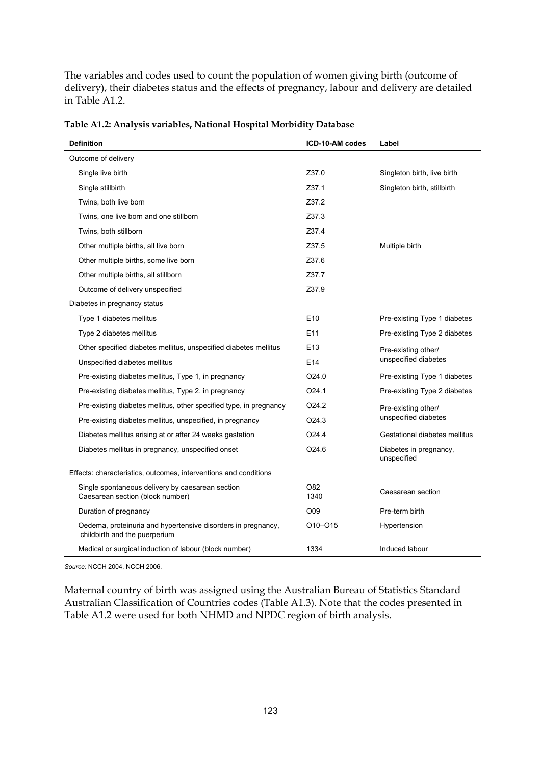The variables and codes used to count the population of women giving birth (outcome of delivery), their diabetes status and the effects of pregnancy, labour and delivery are detailed in Table A1.2.

| <b>Definition</b>                                                                             | ICD-10-AM codes   | Label                                 |
|-----------------------------------------------------------------------------------------------|-------------------|---------------------------------------|
| Outcome of delivery                                                                           |                   |                                       |
| Single live birth                                                                             | Z37.0             | Singleton birth, live birth           |
| Single stillbirth                                                                             | Z37.1             | Singleton birth, stillbirth           |
| Twins, both live born                                                                         | Z37.2             |                                       |
| Twins, one live born and one stillborn                                                        | Z37.3             |                                       |
| Twins, both stillborn                                                                         | Z37.4             |                                       |
| Other multiple births, all live born                                                          | Z37.5             | Multiple birth                        |
| Other multiple births, some live born                                                         | Z37.6             |                                       |
| Other multiple births, all stillborn                                                          | Z37.7             |                                       |
| Outcome of delivery unspecified                                                               | Z37.9             |                                       |
| Diabetes in pregnancy status                                                                  |                   |                                       |
| Type 1 diabetes mellitus                                                                      | E <sub>10</sub>   | Pre-existing Type 1 diabetes          |
| Type 2 diabetes mellitus                                                                      | E11               | Pre-existing Type 2 diabetes          |
| Other specified diabetes mellitus, unspecified diabetes mellitus                              | E13               | Pre-existing other/                   |
| Unspecified diabetes mellitus                                                                 | E14               | unspecified diabetes                  |
| Pre-existing diabetes mellitus, Type 1, in pregnancy                                          | O24.0             | Pre-existing Type 1 diabetes          |
| Pre-existing diabetes mellitus, Type 2, in pregnancy                                          | O <sub>24.1</sub> | Pre-existing Type 2 diabetes          |
| Pre-existing diabetes mellitus, other specified type, in pregnancy                            | O <sub>24.2</sub> | Pre-existing other/                   |
| Pre-existing diabetes mellitus, unspecified, in pregnancy                                     | O <sub>24.3</sub> | unspecified diabetes                  |
| Diabetes mellitus arising at or after 24 weeks gestation                                      | O24.4             | Gestational diabetes mellitus         |
| Diabetes mellitus in pregnancy, unspecified onset                                             | O <sub>24.6</sub> | Diabetes in pregnancy,<br>unspecified |
| Effects: characteristics, outcomes, interventions and conditions                              |                   |                                       |
| Single spontaneous delivery by caesarean section<br>Caesarean section (block number)          | O82<br>1340       | Caesarean section                     |
| Duration of pregnancy                                                                         | O09               | Pre-term birth                        |
| Oedema, proteinuria and hypertensive disorders in pregnancy,<br>childbirth and the puerperium | 010-015           | Hypertension                          |
| Medical or surgical induction of labour (block number)                                        | 1334              | Induced labour                        |

**Table A1.2: Analysis variables, National Hospital Morbidity Database** 

*Source:* NCCH 2004, NCCH 2006.

Maternal country of birth was assigned using the Australian Bureau of Statistics Standard Australian Classification of Countries codes (Table A1.3). Note that the codes presented in Table A1.2 were used for both NHMD and NPDC region of birth analysis.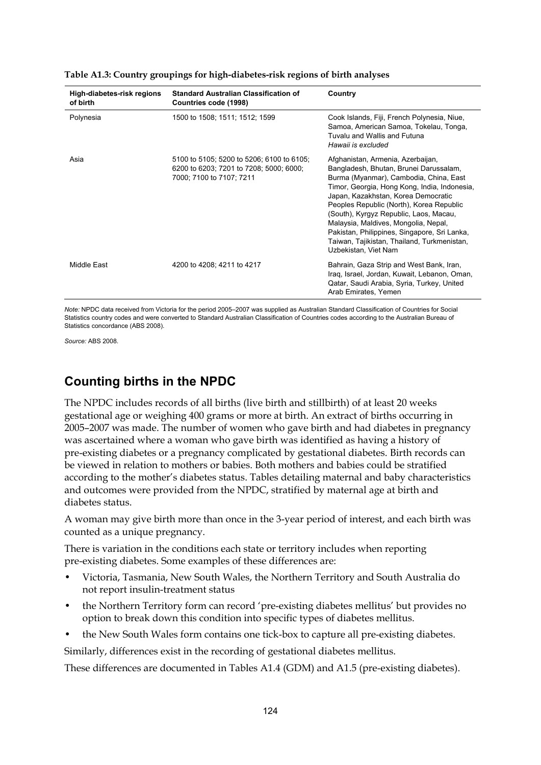| High-diabetes-risk regions<br>of birth | <b>Standard Australian Classification of</b><br>Countries code (1998)                                            | Country                                                                                                                                                                                                                                                                                                                                                                                                                                                           |
|----------------------------------------|------------------------------------------------------------------------------------------------------------------|-------------------------------------------------------------------------------------------------------------------------------------------------------------------------------------------------------------------------------------------------------------------------------------------------------------------------------------------------------------------------------------------------------------------------------------------------------------------|
| Polynesia                              | 1500 to 1508; 1511; 1512; 1599                                                                                   | Cook Islands, Fiji, French Polynesia, Niue,<br>Samoa, American Samoa, Tokelau, Tonga,<br>Tuvalu and Wallis and Futuna<br>Hawaii is excluded                                                                                                                                                                                                                                                                                                                       |
| Asia                                   | 5100 to 5105; 5200 to 5206; 6100 to 6105;<br>6200 to 6203; 7201 to 7208; 5000; 6000;<br>7000; 7100 to 7107; 7211 | Afghanistan, Armenia, Azerbaijan,<br>Bangladesh, Bhutan, Brunei Darussalam,<br>Burma (Myanmar), Cambodia, China, East<br>Timor, Georgia, Hong Kong, India, Indonesia,<br>Japan, Kazakhstan, Korea Democratic<br>Peoples Republic (North), Korea Republic<br>(South), Kyrgyz Republic, Laos, Macau,<br>Malaysia, Maldives, Mongolia, Nepal,<br>Pakistan, Philippines, Singapore, Sri Lanka,<br>Taiwan, Tajikistan, Thailand, Turkmenistan,<br>Uzbekistan, Viet Nam |
| Middle East                            | 4200 to 4208; 4211 to 4217                                                                                       | Bahrain, Gaza Strip and West Bank, Iran,<br>Iraq, Israel, Jordan, Kuwait, Lebanon, Oman,<br>Qatar, Saudi Arabia, Syria, Turkey, United<br>Arab Emirates, Yemen                                                                                                                                                                                                                                                                                                    |

**Table A1.3: Country groupings for high-diabetes-risk regions of birth analyses** 

*Note:* NPDC data received from Victoria for the period 2005–2007 was supplied as Australian Standard Classification of Countries for Social Statistics country codes and were converted to Standard Australian Classification of Countries codes according to the Australian Bureau of Statistics concordance (ABS 2008).

*Source:* ABS 2008.

## **Counting births in the NPDC**

The NPDC includes records of all births (live birth and stillbirth) of at least 20 weeks gestational age or weighing 400 grams or more at birth. An extract of births occurring in 2005–2007 was made. The number of women who gave birth and had diabetes in pregnancy was ascertained where a woman who gave birth was identified as having a history of pre-existing diabetes or a pregnancy complicated by gestational diabetes. Birth records can be viewed in relation to mothers or babies. Both mothers and babies could be stratified according to the mother's diabetes status. Tables detailing maternal and baby characteristics and outcomes were provided from the NPDC, stratified by maternal age at birth and diabetes status.

A woman may give birth more than once in the 3-year period of interest, and each birth was counted as a unique pregnancy.

There is variation in the conditions each state or territory includes when reporting pre-existing diabetes. Some examples of these differences are:

- Victoria, Tasmania, New South Wales, the Northern Territory and South Australia do not report insulin-treatment status
- the Northern Territory form can record 'pre-existing diabetes mellitus' but provides no option to break down this condition into specific types of diabetes mellitus.
- the New South Wales form contains one tick-box to capture all pre-existing diabetes.

Similarly, differences exist in the recording of gestational diabetes mellitus.

These differences are documented in Tables A1.4 (GDM) and A1.5 (pre-existing diabetes).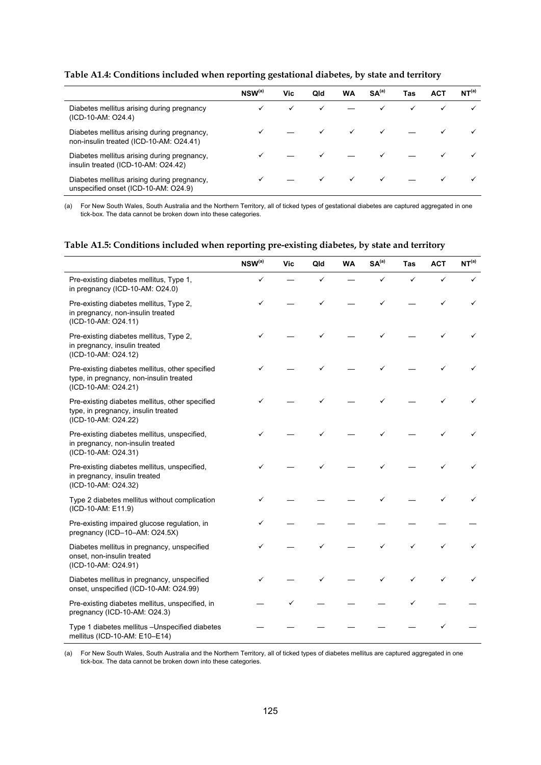#### **Table A1.4: Conditions included when reporting gestational diabetes, by state and territory**

|                                                                                        | $NSW^{(a)}$ | Vic | Qld | WA | SA <sup>(a)</sup> | Tas | <b>ACT</b> | NT <sup>(a)</sup> |
|----------------------------------------------------------------------------------------|-------------|-----|-----|----|-------------------|-----|------------|-------------------|
| Diabetes mellitus arising during pregnancy<br>(ICD-10-AM: O24.4)                       |             |     |     |    |                   | ✓   |            |                   |
| Diabetes mellitus arising during pregnancy,<br>non-insulin treated (ICD-10-AM: O24.41) |             |     |     |    |                   |     |            |                   |
| Diabetes mellitus arising during pregnancy,<br>insulin treated (ICD-10-AM: O24.42)     |             |     |     |    |                   |     |            |                   |
| Diabetes mellitus arising during pregnancy,<br>unspecified onset (ICD-10-AM: O24.9)    |             |     |     |    |                   |     |            |                   |

(a) For New South Wales, South Australia and the Northern Territory, all of ticked types of gestational diabetes are captured aggregated in one tick-box. The data cannot be broken down into these categories.

#### **Table A1.5: Conditions included when reporting pre-existing diabetes, by state and territory**

|                                                                                                                   | $NSW^{(a)}$ | Vic | Qld | <b>WA</b> | SA <sup>(a)</sup> | <b>Tas</b> | <b>ACT</b> | NT <sup>(a)</sup> |
|-------------------------------------------------------------------------------------------------------------------|-------------|-----|-----|-----------|-------------------|------------|------------|-------------------|
| Pre-existing diabetes mellitus, Type 1,<br>in pregnancy (ICD-10-AM: O24.0)                                        | ✓           |     | ✓   |           | ✓                 | ✓          | ✓          | ✓                 |
| Pre-existing diabetes mellitus, Type 2,<br>in pregnancy, non-insulin treated<br>(ICD-10-AM: O24.11)               |             |     |     |           |                   |            | ✓          | ✓                 |
| Pre-existing diabetes mellitus, Type 2,<br>in pregnancy, insulin treated<br>(ICD-10-AM: O24.12)                   |             |     |     |           |                   |            |            |                   |
| Pre-existing diabetes mellitus, other specified<br>type, in pregnancy, non-insulin treated<br>(ICD-10-AM: O24.21) |             |     |     |           |                   |            |            |                   |
| Pre-existing diabetes mellitus, other specified<br>type, in pregnancy, insulin treated<br>(ICD-10-AM: O24.22)     |             |     |     |           |                   |            |            |                   |
| Pre-existing diabetes mellitus, unspecified,<br>in pregnancy, non-insulin treated<br>(ICD-10-AM: O24.31)          |             |     |     |           |                   |            |            |                   |
| Pre-existing diabetes mellitus, unspecified,<br>in pregnancy, insulin treated<br>(ICD-10-AM: O24.32)              |             |     |     |           |                   |            |            |                   |
| Type 2 diabetes mellitus without complication<br>(ICD-10-AM: E11.9)                                               |             |     |     |           |                   |            |            |                   |
| Pre-existing impaired glucose regulation, in<br>pregnancy (ICD-10-AM: O24.5X)                                     | ✓           |     |     |           |                   |            |            |                   |
| Diabetes mellitus in pregnancy, unspecified<br>onset, non-insulin treated<br>(ICD-10-AM: O24.91)                  | ✓           |     |     |           |                   |            | ✓          |                   |
| Diabetes mellitus in pregnancy, unspecified<br>onset, unspecified (ICD-10-AM: O24.99)                             |             |     |     |           |                   |            |            |                   |
| Pre-existing diabetes mellitus, unspecified, in<br>pregnancy (ICD-10-AM: O24.3)                                   |             |     |     |           |                   |            |            |                   |
| Type 1 diabetes mellitus - Unspecified diabetes<br>mellitus (ICD-10-AM: E10-E14)                                  |             |     |     |           |                   |            |            |                   |

(a) For New South Wales, South Australia and the Northern Territory, all of ticked types of diabetes mellitus are captured aggregated in one tick-box. The data cannot be broken down into these categories.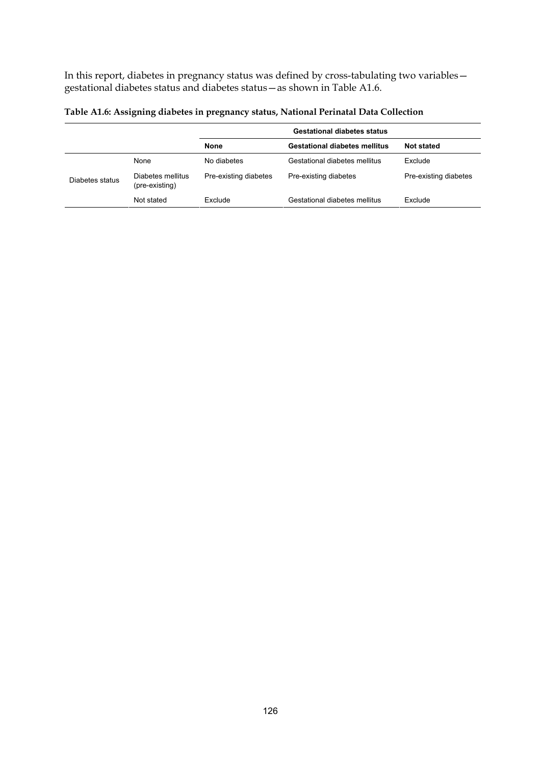In this report, diabetes in pregnancy status was defined by cross-tabulating two variables gestational diabetes status and diabetes status—as shown in Table A1.6.

|                 |                                     |                       | <b>Gestational diabetes status</b>   |                       |
|-----------------|-------------------------------------|-----------------------|--------------------------------------|-----------------------|
|                 |                                     | <b>None</b>           | <b>Gestational diabetes mellitus</b> | <b>Not stated</b>     |
|                 | None                                | No diabetes           | Gestational diabetes mellitus        | Exclude               |
| Diabetes status | Diabetes mellitus<br>(pre-existing) | Pre-existing diabetes | Pre-existing diabetes                | Pre-existing diabetes |
|                 | Not stated                          | Exclude               | Gestational diabetes mellitus        | Exclude               |

**Table A1.6: Assigning diabetes in pregnancy status, National Perinatal Data Collection**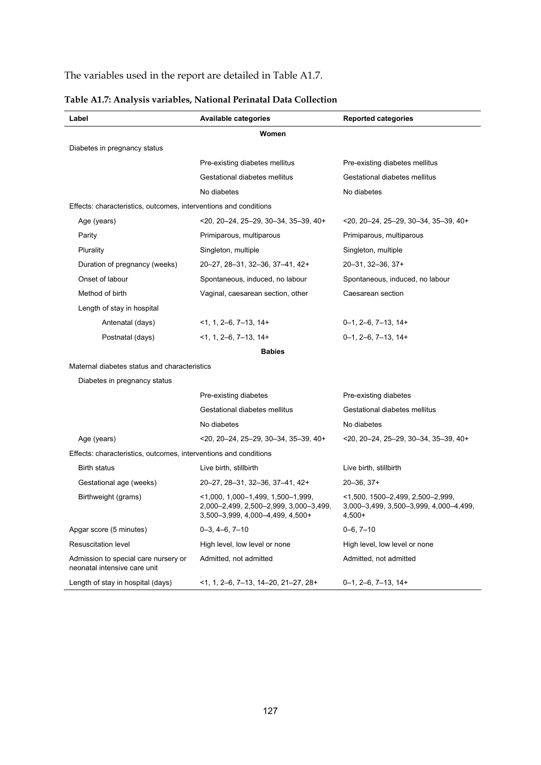## The variables used in the report are detailed in Table A1.7.

| Label                                                                | Available categories                                                                                               | <b>Reported categories</b>                                                              |
|----------------------------------------------------------------------|--------------------------------------------------------------------------------------------------------------------|-----------------------------------------------------------------------------------------|
|                                                                      | Women                                                                                                              |                                                                                         |
| Diabetes in pregnancy status                                         |                                                                                                                    |                                                                                         |
|                                                                      | Pre-existing diabetes mellitus                                                                                     | Pre-existing diabetes mellitus                                                          |
|                                                                      | Gestational diabetes mellitus                                                                                      | Gestational diabetes mellitus                                                           |
|                                                                      | No diabetes                                                                                                        | No diabetes                                                                             |
| Effects: characteristics, outcomes, interventions and conditions     |                                                                                                                    |                                                                                         |
| Age (years)                                                          | $20, 20 - 24, 25 - 29, 30 - 34, 35 - 39, 40 +$                                                                     | $20, 20 - 24, 25 - 29, 30 - 34, 35 - 39, 40 +$                                          |
| Parity                                                               | Primiparous, multiparous                                                                                           | Primiparous, multiparous                                                                |
| Plurality                                                            | Singleton, multiple                                                                                                | Singleton, multiple                                                                     |
| Duration of pregnancy (weeks)                                        | 20-27, 28-31, 32-36, 37-41, 42+                                                                                    | 20-31, 32-36, 37+                                                                       |
| Onset of labour                                                      | Spontaneous, induced, no labour                                                                                    | Spontaneous, induced, no labour                                                         |
| Method of birth                                                      | Vaginal, caesarean section, other                                                                                  | Caesarean section                                                                       |
| Length of stay in hospital                                           |                                                                                                                    |                                                                                         |
| Antenatal (days)                                                     | $<$ 1, 1, 2–6, 7–13, 14+                                                                                           | $0-1$ , $2-6$ , $7-13$ , $14+$                                                          |
| Postnatal (days)                                                     | $<$ 1, 1, 2–6, 7–13, 14+                                                                                           | $0-1$ , $2-6$ , $7-13$ , $14+$                                                          |
|                                                                      | <b>Babies</b>                                                                                                      |                                                                                         |
| Maternal diabetes status and characteristics                         |                                                                                                                    |                                                                                         |
| Diabetes in pregnancy status                                         |                                                                                                                    |                                                                                         |
|                                                                      | Pre-existing diabetes                                                                                              | Pre-existing diabetes                                                                   |
|                                                                      | Gestational diabetes mellitus                                                                                      | Gestational diabetes mellitus                                                           |
|                                                                      | No diabetes                                                                                                        | No diabetes                                                                             |
| Age (years)                                                          | $20, 20 - 24, 25 - 29, 30 - 34, 35 - 39, 40 +$                                                                     | $20, 20 - 24, 25 - 29, 30 - 34, 35 - 39, 40 +$                                          |
| Effects: characteristics, outcomes, interventions and conditions     |                                                                                                                    |                                                                                         |
| Birth status                                                         | Live birth, stillbirth                                                                                             | Live birth, stillbirth                                                                  |
| Gestational age (weeks)                                              | 20-27, 28-31, 32-36, 37-41, 42+                                                                                    | $20 - 36, 37 +$                                                                         |
| Birthweight (grams)                                                  | $<$ 1,000, 1,000-1,499, 1,500-1,999,<br>2,000-2,499, 2,500-2,999, 3,000-3,499,<br>3,500-3,999, 4,000-4,499, 4,500+ | $<$ 1,500, 1500-2,499, 2,500-2,999,<br>3,000-3,499, 3,500-3,999, 4,000-4,499,<br>4,500+ |
| Apgar score (5 minutes)                                              | $0-3, 4-6, 7-10$                                                                                                   | $0 - 6, 7 - 10$                                                                         |
| Resuscitation level                                                  | High level, low level or none                                                                                      | High level, low level or none                                                           |
| Admission to special care nursery or<br>neonatal intensive care unit | Admitted, not admitted                                                                                             | Admitted, not admitted                                                                  |
| Length of stay in hospital (days)                                    | $<$ 1, 1, 2-6, 7-13, 14-20, 21-27, 28+                                                                             | $0-1$ , $2-6$ , $7-13$ , $14+$                                                          |

## **Table A1.7: Analysis variables, National Perinatal Data Collection**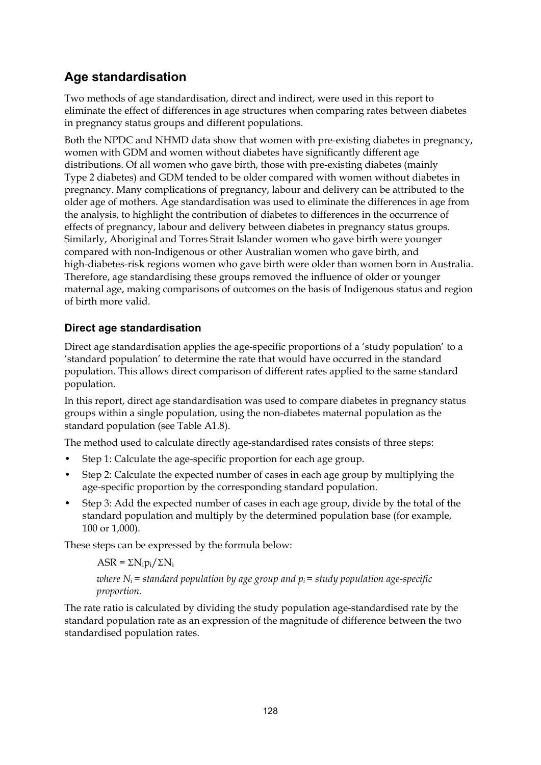# **Age standardisation**

Two methods of age standardisation, direct and indirect, were used in this report to eliminate the effect of differences in age structures when comparing rates between diabetes in pregnancy status groups and different populations.

Both the NPDC and NHMD data show that women with pre-existing diabetes in pregnancy, women with GDM and women without diabetes have significantly different age distributions. Of all women who gave birth, those with pre-existing diabetes (mainly Type 2 diabetes) and GDM tended to be older compared with women without diabetes in pregnancy. Many complications of pregnancy, labour and delivery can be attributed to the older age of mothers. Age standardisation was used to eliminate the differences in age from the analysis, to highlight the contribution of diabetes to differences in the occurrence of effects of pregnancy, labour and delivery between diabetes in pregnancy status groups. Similarly, Aboriginal and Torres Strait Islander women who gave birth were younger compared with non-Indigenous or other Australian women who gave birth, and high-diabetes-risk regions women who gave birth were older than women born in Australia. Therefore, age standardising these groups removed the influence of older or younger maternal age, making comparisons of outcomes on the basis of Indigenous status and region of birth more valid.

## **Direct age standardisation**

Direct age standardisation applies the age-specific proportions of a 'study population' to a 'standard population' to determine the rate that would have occurred in the standard population. This allows direct comparison of different rates applied to the same standard population.

In this report, direct age standardisation was used to compare diabetes in pregnancy status groups within a single population, using the non-diabetes maternal population as the standard population (see Table A1.8).

The method used to calculate directly age-standardised rates consists of three steps:

- Step 1: Calculate the age-specific proportion for each age group.
- Step 2: Calculate the expected number of cases in each age group by multiplying the age-specific proportion by the corresponding standard population.
- Step 3: Add the expected number of cases in each age group, divide by the total of the standard population and multiply by the determined population base (for example, 100 or 1,000).

These steps can be expressed by the formula below:

```
ASR = \sum N_i p_i / \sum N_i
```
*where*  $N_i$  = standard population by age group and  $p_i$  = study population age-specific *proportion.* 

The rate ratio is calculated by dividing the study population age-standardised rate by the standard population rate as an expression of the magnitude of difference between the two standardised population rates.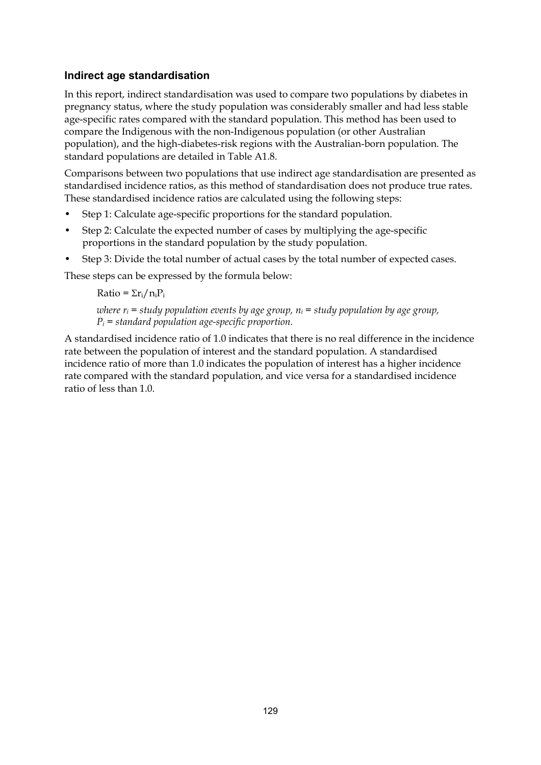### **Indirect age standardisation**

In this report, indirect standardisation was used to compare two populations by diabetes in pregnancy status, where the study population was considerably smaller and had less stable age-specific rates compared with the standard population. This method has been used to compare the Indigenous with the non-Indigenous population (or other Australian population), and the high-diabetes-risk regions with the Australian-born population. The standard populations are detailed in Table A1.8.

Comparisons between two populations that use indirect age standardisation are presented as standardised incidence ratios, as this method of standardisation does not produce true rates. These standardised incidence ratios are calculated using the following steps:

- Step 1: Calculate age-specific proportions for the standard population.
- Step 2: Calculate the expected number of cases by multiplying the age-specific proportions in the standard population by the study population.
- Step 3: Divide the total number of actual cases by the total number of expected cases.

These steps can be expressed by the formula below:

 $Ratio = \sum r_i / n_i P_i$ 

*where*  $r_i$  *= study population events by age group,*  $n_i$  *= study population by age group, Pi = standard population age-specific proportion.* 

A standardised incidence ratio of 1.0 indicates that there is no real difference in the incidence rate between the population of interest and the standard population. A standardised incidence ratio of more than 1.0 indicates the population of interest has a higher incidence rate compared with the standard population, and vice versa for a standardised incidence ratio of less than 1.0.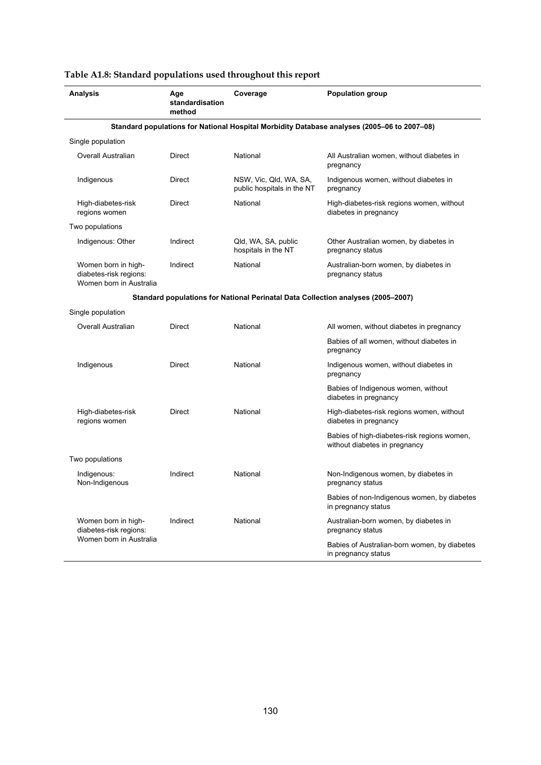| <b>Analysis</b>                                                          | Age<br>standardisation<br>method | Coverage                                             | <b>Population group</b>                                                                     |
|--------------------------------------------------------------------------|----------------------------------|------------------------------------------------------|---------------------------------------------------------------------------------------------|
|                                                                          |                                  |                                                      | Standard populations for National Hospital Morbidity Database analyses (2005-06 to 2007-08) |
| Single population                                                        |                                  |                                                      |                                                                                             |
| Overall Australian                                                       | Direct                           | National                                             | All Australian women, without diabetes in<br>pregnancy                                      |
| Indigenous                                                               | Direct                           | NSW, Vic, Qld, WA, SA,<br>public hospitals in the NT | Indigenous women, without diabetes in<br>pregnancy                                          |
| High-diabetes-risk<br>regions women                                      | Direct                           | National                                             | High-diabetes-risk regions women, without<br>diabetes in pregnancy                          |
| Two populations                                                          |                                  |                                                      |                                                                                             |
| Indigenous: Other                                                        | Indirect                         | Qld, WA, SA, public<br>hospitals in the NT           | Other Australian women, by diabetes in<br>pregnancy status                                  |
| Women born in high-<br>diabetes-risk regions:<br>Women born in Australia | Indirect                         | National                                             | Australian-born women, by diabetes in<br>pregnancy status                                   |
|                                                                          |                                  |                                                      | Standard populations for National Perinatal Data Collection analyses (2005–2007)            |
| Single population                                                        |                                  |                                                      |                                                                                             |
| Overall Australian                                                       | Direct                           | National                                             | All women, without diabetes in pregnancy                                                    |
|                                                                          |                                  |                                                      | Babies of all women, without diabetes in<br>pregnancy                                       |
| Indigenous                                                               | Direct                           | National                                             | Indigenous women, without diabetes in<br>pregnancy                                          |
|                                                                          |                                  |                                                      | Babies of Indigenous women, without<br>diabetes in pregnancy                                |
| High-diabetes-risk<br>regions women                                      | Direct                           | National                                             | High-diabetes-risk regions women, without<br>diabetes in pregnancy                          |
|                                                                          |                                  |                                                      | Babies of high-diabetes-risk regions women,<br>without diabetes in pregnancy                |
| Two populations                                                          |                                  |                                                      |                                                                                             |
| Indigenous:<br>Non-Indigenous                                            | Indirect                         | National                                             | Non-Indigenous women, by diabetes in<br>pregnancy status                                    |
|                                                                          |                                  |                                                      | Babies of non-Indigenous women, by diabetes<br>in pregnancy status                          |
| Women born in high-<br>diabetes-risk regions:                            | Indirect                         | National                                             | Australian-born women, by diabetes in<br>pregnancy status                                   |
| Women born in Australia                                                  |                                  |                                                      | Babies of Australian-born women, by diabetes<br>in pregnancy status                         |

### **Table A1.8: Standard populations used throughout this report**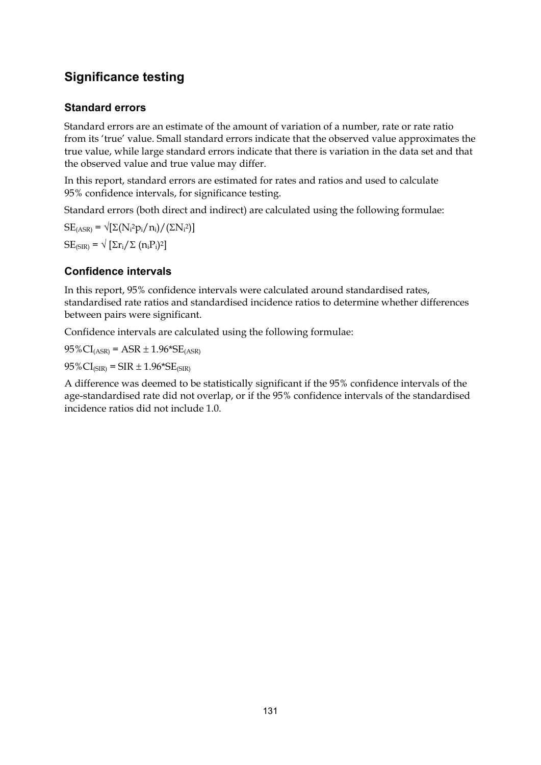# **Significance testing**

## **Standard errors**

Standard errors are an estimate of the amount of variation of a number, rate or rate ratio from its 'true' value. Small standard errors indicate that the observed value approximates the true value, while large standard errors indicate that there is variation in the data set and that the observed value and true value may differ.

In this report, standard errors are estimated for rates and ratios and used to calculate 95% confidence intervals, for significance testing.

Standard errors (both direct and indirect) are calculated using the following formulae:

 $SE_{(ASR)} = \sqrt{\left[\Sigma(N_i^2 p_i/n_i)/(2N_i^2)\right]}$  $SE_{(SIR)} = \sqrt{\sum r_i / \sum (n_i P_i)^2}$ 

## **Confidence intervals**

In this report, 95% confidence intervals were calculated around standardised rates, standardised rate ratios and standardised incidence ratios to determine whether differences between pairs were significant.

Confidence intervals are calculated using the following formulae:

 $95\%CI_{(ASR)} = ASR \pm 1.96*SE_{(ASR)}$ 

 $95\%CI_{(SIR)} = SIR \pm 1.96*SE_{(SIR)}$ 

A difference was deemed to be statistically significant if the 95% confidence intervals of the age-standardised rate did not overlap, or if the 95% confidence intervals of the standardised incidence ratios did not include 1.0.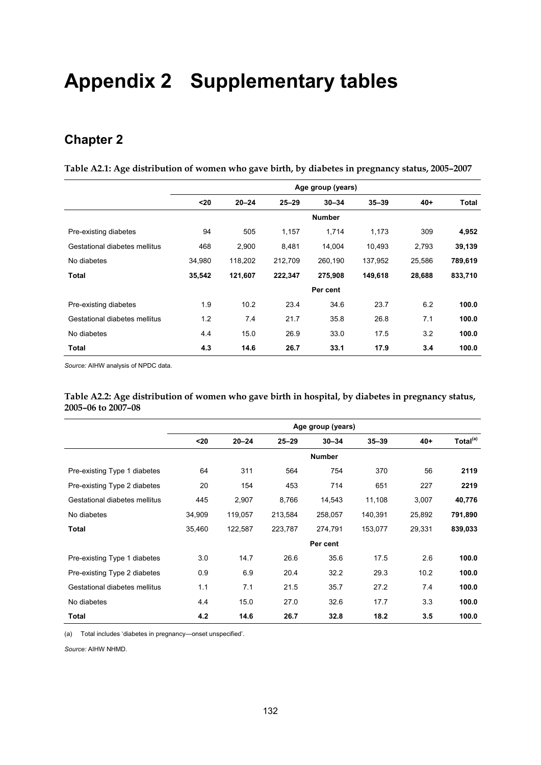# **Appendix 2 Supplementary tables**

# **Chapter 2**

**Table A2.1: Age distribution of women who gave birth, by diabetes in pregnancy status, 2005–2007** 

|                               | Age group (years) |           |           |               |           |        |         |
|-------------------------------|-------------------|-----------|-----------|---------------|-----------|--------|---------|
|                               | $20$              | $20 - 24$ | $25 - 29$ | $30 - 34$     | $35 - 39$ | $40+$  | Total   |
|                               |                   |           |           | <b>Number</b> |           |        |         |
| Pre-existing diabetes         | 94                | 505       | 1,157     | 1,714         | 1,173     | 309    | 4,952   |
| Gestational diabetes mellitus | 468               | 2,900     | 8,481     | 14.004        | 10.493    | 2,793  | 39,139  |
| No diabetes                   | 34,980            | 118,202   | 212,709   | 260,190       | 137,952   | 25,586 | 789,619 |
| <b>Total</b>                  | 35,542            | 121,607   | 222,347   | 275,908       | 149,618   | 28,688 | 833,710 |
|                               |                   |           |           | Per cent      |           |        |         |
| Pre-existing diabetes         | 1.9               | 10.2      | 23.4      | 34.6          | 23.7      | 6.2    | 100.0   |
| Gestational diabetes mellitus | 1.2               | 7.4       | 21.7      | 35.8          | 26.8      | 7.1    | 100.0   |
| No diabetes                   | 4.4               | 15.0      | 26.9      | 33.0          | 17.5      | 3.2    | 100.0   |
| Total                         | 4.3               | 14.6      | 26.7      | 33.1          | 17.9      | 3.4    | 100.0   |

*Source:* AIHW analysis of NPDC data.

**Table A2.2: Age distribution of women who gave birth in hospital, by diabetes in pregnancy status, 2005–06 to 2007–08** 

|                               | Age group (years) |           |           |               |           |        |                      |
|-------------------------------|-------------------|-----------|-----------|---------------|-----------|--------|----------------------|
|                               | $20$              | $20 - 24$ | $25 - 29$ | $30 - 34$     | $35 - 39$ | $40 +$ | Total <sup>(a)</sup> |
|                               |                   |           |           | <b>Number</b> |           |        |                      |
| Pre-existing Type 1 diabetes  | 64                | 311       | 564       | 754           | 370       | 56     | 2119                 |
| Pre-existing Type 2 diabetes  | 20                | 154       | 453       | 714           | 651       | 227    | 2219                 |
| Gestational diabetes mellitus | 445               | 2,907     | 8,766     | 14,543        | 11,108    | 3,007  | 40,776               |
| No diabetes                   | 34,909            | 119,057   | 213,584   | 258,057       | 140,391   | 25,892 | 791,890              |
| Total                         | 35,460            | 122,587   | 223,787   | 274,791       | 153,077   | 29,331 | 839,033              |
|                               |                   |           |           | Per cent      |           |        |                      |
| Pre-existing Type 1 diabetes  | 3.0               | 14.7      | 26.6      | 35.6          | 17.5      | 2.6    | 100.0                |
| Pre-existing Type 2 diabetes  | 0.9               | 6.9       | 20.4      | 32.2          | 29.3      | 10.2   | 100.0                |
| Gestational diabetes mellitus | 1.1               | 7.1       | 21.5      | 35.7          | 27.2      | 7.4    | 100.0                |
| No diabetes                   | 4.4               | 15.0      | 27.0      | 32.6          | 17.7      | 3.3    | 100.0                |
| Total                         | 4.2               | 14.6      | 26.7      | 32.8          | 18.2      | 3.5    | 100.0                |

(a) Total includes 'diabetes in pregnancy—onset unspecified'.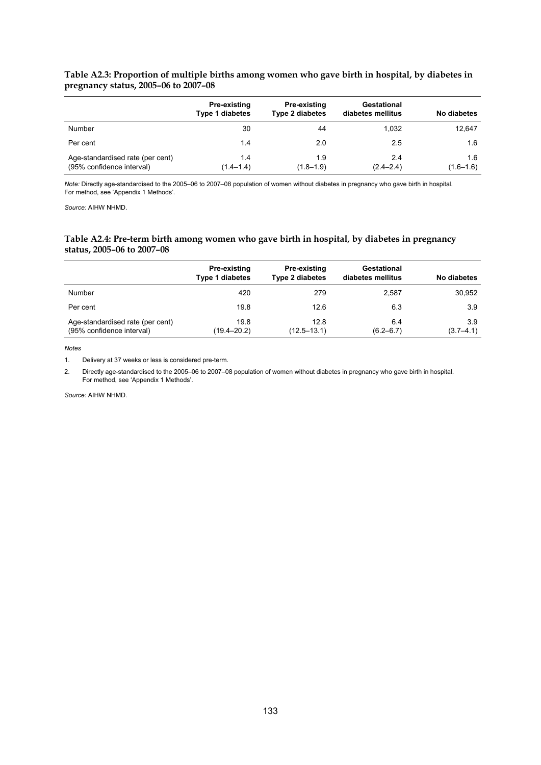#### **Table A2.3: Proportion of multiple births among women who gave birth in hospital, by diabetes in pregnancy status, 2005–06 to 2007–08**

|                                                               | Pre-existing<br><b>Type 1 diabetes</b> | <b>Pre-existing</b><br><b>Type 2 diabetes</b> | Gestational<br>diabetes mellitus | No diabetes          |
|---------------------------------------------------------------|----------------------------------------|-----------------------------------------------|----------------------------------|----------------------|
| Number                                                        | 30                                     | 44                                            | 1.032                            | 12,647               |
| Per cent                                                      | 1.4                                    | 2.0                                           | 2.5                              | 1.6                  |
| Age-standardised rate (per cent)<br>(95% confidence interval) | 1.4<br>$(1.4 - 1.4)$                   | 1.9<br>$(1.8 - 1.9)$                          | 2.4<br>$(2.4 - 2.4)$             | 1.6<br>$(1.6 - 1.6)$ |

*Note:* Directly age-standardised to the 2005–06 to 2007–08 population of women without diabetes in pregnancy who gave birth in hospital. For method, see 'Appendix 1 Methods'.

*Source:* AIHW NHMD.

#### **Table A2.4: Pre-term birth among women who gave birth in hospital, by diabetes in pregnancy status, 2005–06 to 2007–08**

|                                                               | Pre-existing<br><b>Type 1 diabetes</b> | Pre-existing<br><b>Type 2 diabetes</b> | Gestational<br>diabetes mellitus | No diabetes          |
|---------------------------------------------------------------|----------------------------------------|----------------------------------------|----------------------------------|----------------------|
| Number                                                        | 420                                    | 279                                    | 2.587                            | 30.952               |
| Per cent                                                      | 19.8                                   | 12.6                                   | 6.3                              | 3.9                  |
| Age-standardised rate (per cent)<br>(95% confidence interval) | 19.8<br>(19.4–20.2)                    | 12.8<br>$(12.5 - 13.1)$                | 6.4<br>$(6.2 - 6.7)$             | 3.9<br>$(3.7 - 4.1)$ |

*Notes*

1. Delivery at 37 weeks or less is considered pre-term.

2. Directly age-standardised to the 2005–06 to 2007–08 population of women without diabetes in pregnancy who gave birth in hospital. For method, see 'Appendix 1 Methods'.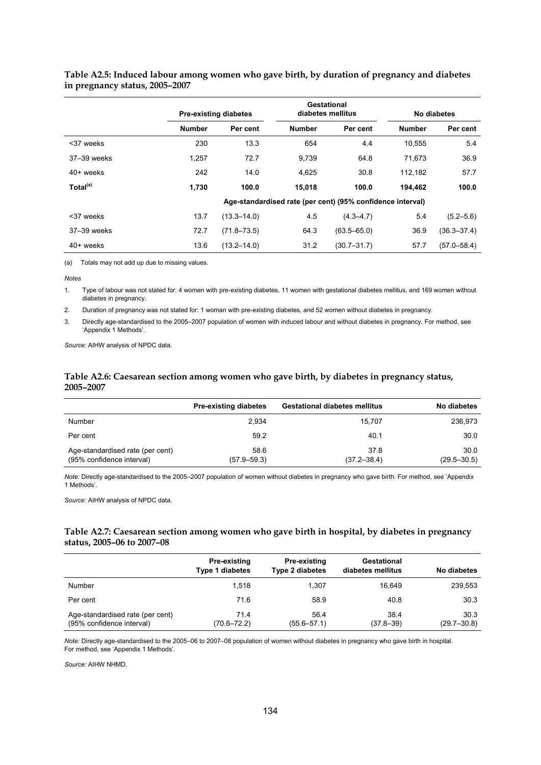|                      |               | <b>Pre-existing diabetes</b> | Gestational<br>diabetes mellitus |                                                            | No diabetes   |                 |
|----------------------|---------------|------------------------------|----------------------------------|------------------------------------------------------------|---------------|-----------------|
|                      | <b>Number</b> | Per cent                     | <b>Number</b>                    | Per cent                                                   | <b>Number</b> | Per cent        |
| <37 weeks            | 230           | 13.3                         | 654                              | 4.4                                                        | 10,555        | 5.4             |
| 37–39 weeks          | 1,257         | 72.7                         | 9,739                            | 64.8                                                       | 71.673        | 36.9            |
| $40+$ weeks          | 242           | 14.0                         | 4,625                            | 30.8                                                       | 112,182       | 57.7            |
| Total <sup>(a)</sup> | 1.730         | 100.0                        | 15.018                           | 100.0                                                      | 194.462       | 100.0           |
|                      |               |                              |                                  | Age-standardised rate (per cent) (95% confidence interval) |               |                 |
| <37 weeks            | 13.7          | $(13.3 - 14.0)$              | 4.5                              | $(4.3 - 4.7)$                                              | 5.4           | $(5.2 - 5.6)$   |
| 37-39 weeks          | 72.7          | $(71.8 - 73.5)$              | 64.3                             | $(63.5 - 65.0)$                                            | 36.9          | $(36.3 - 37.4)$ |
| 40+ weeks            | 13.6          | $(13.2 - 14.0)$              | 31.2                             | $(30.7 - 31.7)$                                            | 57.7          | $(57.0 - 58.4)$ |

#### **Table A2.5: Induced labour among women who gave birth, by duration of pregnancy and diabetes in pregnancy status, 2005–2007**

(a) Totals may not add up due to missing values.

*Notes*

1. Type of labour was not stated for: 4 women with pre-existing diabetes, 11 women with gestational diabetes mellitus, and 169 women without diabetes in pregnancy.

2. Duration of pregnancy was not stated for: 1 woman with pre-existing diabetes, and 52 women without diabetes in pregnancy.

3. Directly age-standardised to the 2005–2007 population of women with induced labour and without diabetes in pregnancy. For method, see 'Appendix 1 Methods'.

*Source:* AIHW analysis of NPDC data.

#### **Table A2.6: Caesarean section among women who gave birth, by diabetes in pregnancy status, 2005–2007**

|                                                               | <b>Pre-existing diabetes</b> | <b>Gestational diabetes mellitus</b> | No diabetes             |
|---------------------------------------------------------------|------------------------------|--------------------------------------|-------------------------|
| Number                                                        | 2.934                        | 15.707                               | 236,973                 |
| Per cent                                                      | 59.2                         | 40.1                                 | 30.0                    |
| Age-standardised rate (per cent)<br>(95% confidence interval) | 58.6<br>$(57.9 - 59.3)$      | 37.8<br>$(37.2 - 38.4)$              | 30.0<br>$(29.5 - 30.5)$ |

*Note:* Directly age-standardised to the 2005–2007 population of women without diabetes in pregnancy who gave birth. For method, see 'Appendix 1 Methods'.

*Source:* AIHW analysis of NPDC data.

#### **Table A2.7: Caesarean section among women who gave birth in hospital, by diabetes in pregnancy status, 2005–06 to 2007–08**

|                                                               | Pre-existing<br><b>Type 1 diabetes</b> | Pre-existing<br><b>Type 2 diabetes</b> | Gestational<br>diabetes mellitus | No diabetes             |
|---------------------------------------------------------------|----------------------------------------|----------------------------------------|----------------------------------|-------------------------|
| Number                                                        | 1.518                                  | 1.307                                  | 16.649                           | 239,553                 |
| Per cent                                                      | 71.6                                   | 58.9                                   | 40.8                             | 30.3                    |
| Age-standardised rate (per cent)<br>(95% confidence interval) | 71.4<br>$(70.6 - 72.2)$                | 56.4<br>$(55.6 - 57.1)$                | 38.4<br>$(37.8 - 39)$            | 30.3<br>$(29.7 - 30.8)$ |

*Note:* Directly age-standardised to the 2005–06 to 2007–08 population of women without diabetes in pregnancy who gave birth in hospital. For method, see 'Appendix 1 Methods'.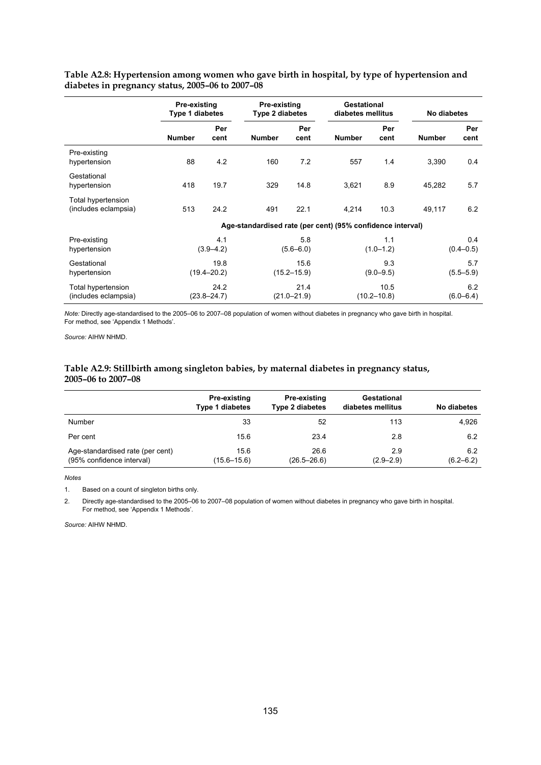|                                            | <b>Pre-existing</b><br><b>Type 1 diabetes</b>              |             | Pre-existing<br>Type 2 diabetes |             | Gestational<br>diabetes mellitus |             | No diabetes          |                      |
|--------------------------------------------|------------------------------------------------------------|-------------|---------------------------------|-------------|----------------------------------|-------------|----------------------|----------------------|
|                                            | <b>Number</b>                                              | Per<br>cent | <b>Number</b>                   | Per<br>cent | <b>Number</b>                    | Per<br>cent | <b>Number</b>        | Per<br>cent          |
| Pre-existing<br>hypertension               | 88                                                         | 4.2         | 160                             | 7.2         | 557                              | 1.4         | 3,390                | 0.4                  |
| Gestational<br>hypertension                | 418                                                        | 19.7        | 329                             | 14.8        | 3,621                            | 8.9         | 45,282               | 5.7                  |
| Total hypertension<br>(includes eclampsia) | 513                                                        | 24.2        | 491                             | 22.1        | 4,214                            | 10.3        | 49,117               | 6.2                  |
|                                            | Age-standardised rate (per cent) (95% confidence interval) |             |                                 |             |                                  |             |                      |                      |
| Pre-existing<br>hypertension               | 4.1<br>$(3.9 - 4.2)$                                       |             | 5.8<br>$(5.6 - 6.0)$            |             | 1.1<br>$(1.0 - 1.2)$             |             | 0.4<br>$(0.4 - 0.5)$ |                      |
| Gestational<br>hypertension                | 19.8<br>$(19.4 - 20.2)$                                    |             | 15.6<br>$(15.2 - 15.9)$         |             | 9.3<br>$(9.0 - 9.5)$             |             |                      | 5.7<br>$(5.5 - 5.9)$ |
| Total hypertension<br>(includes eclampsia) | 24.2<br>$(23.8 - 24.7)$                                    |             | 21.4<br>$(21.0 - 21.9)$         |             | 10.5<br>$(10.2 - 10.8)$          |             |                      | 6.2<br>$(6.0 - 6.4)$ |

**Table A2.8: Hypertension among women who gave birth in hospital, by type of hypertension and diabetes in pregnancy status, 2005–06 to 2007–08** 

*Note:* Directly age-standardised to the 2005–06 to 2007–08 population of women without diabetes in pregnancy who gave birth in hospital. For method, see 'Appendix 1 Methods'.

*Source:* AIHW NHMD.

#### **Table A2.9: Stillbirth among singleton babies, by maternal diabetes in pregnancy status, 2005–06 to 2007–08**

|                                                               | Pre-existing<br><b>Type 1 diabetes</b> | Pre-existing<br><b>Type 2 diabetes</b> | Gestational<br>diabetes mellitus | No diabetes          |
|---------------------------------------------------------------|----------------------------------------|----------------------------------------|----------------------------------|----------------------|
| <b>Number</b>                                                 | 33                                     | 52                                     | 113                              | 4,926                |
| Per cent                                                      | 15.6                                   | 23.4                                   | 2.8                              | 6.2                  |
| Age-standardised rate (per cent)<br>(95% confidence interval) | 15.6<br>$(15.6 - 15.6)$                | 26.6<br>$(26.5 - 26.6)$                | 2.9<br>$(2.9 - 2.9)$             | 6.2<br>$(6.2 - 6.2)$ |

*Notes*

1. Based on a count of singleton births only.

2. Directly age-standardised to the 2005–06 to 2007–08 population of women without diabetes in pregnancy who gave birth in hospital. For method, see 'Appendix 1 Methods'.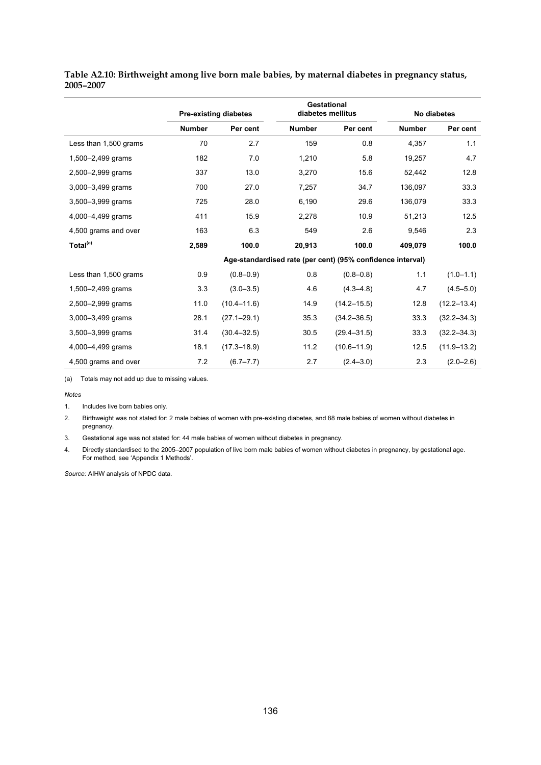|                       | <b>Pre-existing diabetes</b> |                 |                                                            | <b>Gestational</b><br>diabetes mellitus |               | No diabetes     |  |  |
|-----------------------|------------------------------|-----------------|------------------------------------------------------------|-----------------------------------------|---------------|-----------------|--|--|
|                       | <b>Number</b>                | Per cent        | <b>Number</b>                                              | Per cent                                | <b>Number</b> | Per cent        |  |  |
| Less than 1,500 grams | 70                           | 2.7             | 159                                                        | 0.8                                     | 4,357         | 1.1             |  |  |
| 1,500-2,499 grams     | 182                          | 7.0             | 1,210                                                      | 5.8                                     | 19,257        | 4.7             |  |  |
| 2,500-2,999 grams     | 337                          | 13.0            | 3,270                                                      | 15.6                                    | 52,442        | 12.8            |  |  |
| 3,000-3,499 grams     | 700                          | 27.0            | 7,257                                                      | 34.7                                    | 136,097       | 33.3            |  |  |
| 3,500-3,999 grams     | 725                          | 28.0            | 6,190                                                      | 29.6                                    | 136,079       | 33.3            |  |  |
| 4,000-4,499 grams     | 411                          | 15.9            | 2,278                                                      | 10.9                                    | 51,213        | 12.5            |  |  |
| 4,500 grams and over  | 163                          | 6.3             | 549                                                        | 2.6                                     | 9,546         | 2.3             |  |  |
| Total <sup>(a)</sup>  | 2,589                        | 100.0           | 20,913                                                     | 100.0                                   | 409,079       | 100.0           |  |  |
|                       |                              |                 | Age-standardised rate (per cent) (95% confidence interval) |                                         |               |                 |  |  |
| Less than 1,500 grams | 0.9                          | $(0.8 - 0.9)$   | 0.8                                                        | $(0.8 - 0.8)$                           | 1.1           | $(1.0 - 1.1)$   |  |  |
| 1,500-2,499 grams     | 3.3                          | $(3.0 - 3.5)$   | 4.6                                                        | $(4.3 - 4.8)$                           | 4.7           | $(4.5 - 5.0)$   |  |  |
| 2,500-2,999 grams     | 11.0                         | $(10.4 - 11.6)$ | 14.9                                                       | $(14.2 - 15.5)$                         | 12.8          | $(12.2 - 13.4)$ |  |  |
| 3,000-3,499 grams     | 28.1                         | $(27.1 - 29.1)$ | 35.3                                                       | $(34.2 - 36.5)$                         | 33.3          | $(32.2 - 34.3)$ |  |  |
| 3,500-3,999 grams     | 31.4                         | $(30.4 - 32.5)$ | 30.5                                                       | $(29.4 - 31.5)$                         | 33.3          | $(32.2 - 34.3)$ |  |  |
| 4,000-4,499 grams     | 18.1                         | $(17.3 - 18.9)$ | 11.2                                                       | $(10.6 - 11.9)$                         | 12.5          | $(11.9 - 13.2)$ |  |  |
| 4,500 grams and over  | 7.2                          | $(6.7 - 7.7)$   | 2.7                                                        | $(2.4 - 3.0)$                           | 2.3           | $(2.0 - 2.6)$   |  |  |

**Table A2.10: Birthweight among live born male babies, by maternal diabetes in pregnancy status, 2005–2007** 

(a) Totals may not add up due to missing values.

#### *Notes*

1. Includes live born babies only.

2. Birthweight was not stated for: 2 male babies of women with pre-existing diabetes, and 88 male babies of women without diabetes in pregnancy.

3. Gestational age was not stated for: 44 male babies of women without diabetes in pregnancy.

4. Directly standardised to the 2005–2007 population of live born male babies of women without diabetes in pregnancy, by gestational age. For method, see 'Appendix 1 Methods'.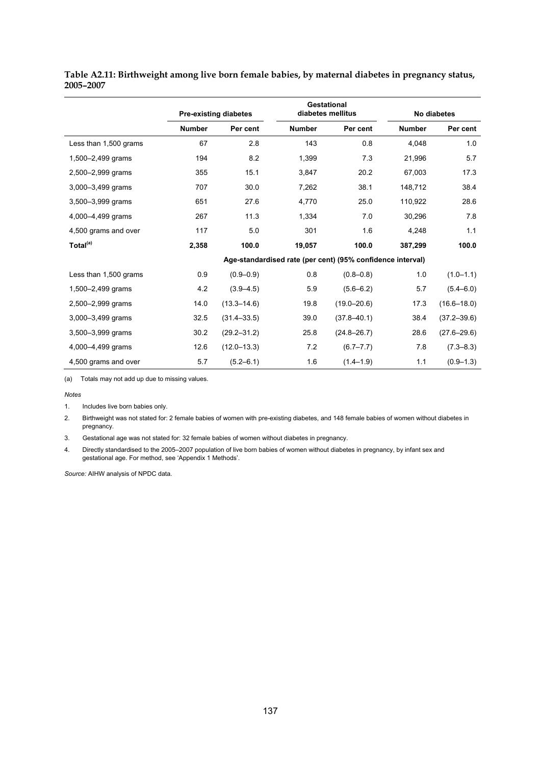|                       |               | <b>Gestational</b><br>diabetes mellitus<br><b>Pre-existing diabetes</b> |                                                            |                 |               | No diabetes     |
|-----------------------|---------------|-------------------------------------------------------------------------|------------------------------------------------------------|-----------------|---------------|-----------------|
|                       | <b>Number</b> | Per cent                                                                | <b>Number</b>                                              | Per cent        | <b>Number</b> | Per cent        |
| Less than 1,500 grams | 67            | 2.8                                                                     | 143                                                        | 0.8             | 4,048         | 1.0             |
| 1,500-2,499 grams     | 194           | 8.2                                                                     | 1,399                                                      | 7.3             | 21,996        | 5.7             |
| 2,500-2,999 grams     | 355           | 15.1                                                                    | 3,847                                                      | 20.2            | 67,003        | 17.3            |
| 3,000-3,499 grams     | 707           | 30.0                                                                    | 7,262                                                      | 38.1            | 148,712       | 38.4            |
| 3,500-3,999 grams     | 651           | 27.6                                                                    | 4,770                                                      | 25.0            | 110,922       | 28.6            |
| 4,000-4,499 grams     | 267           | 11.3                                                                    | 1,334                                                      | 7.0             | 30,296        | 7.8             |
| 4,500 grams and over  | 117           | 5.0                                                                     | 301                                                        | 1.6             | 4,248         | 1.1             |
| Total <sup>(a)</sup>  | 2,358         | 100.0                                                                   | 19,057                                                     | 100.0           | 387,299       | 100.0           |
|                       |               |                                                                         | Age-standardised rate (per cent) (95% confidence interval) |                 |               |                 |
| Less than 1,500 grams | 0.9           | $(0.9 - 0.9)$                                                           | 0.8                                                        | $(0.8 - 0.8)$   | 1.0           | $(1.0 - 1.1)$   |
| 1,500-2,499 grams     | 4.2           | $(3.9 - 4.5)$                                                           | 5.9                                                        | $(5.6 - 6.2)$   | 5.7           | $(5.4 - 6.0)$   |
| 2,500-2,999 grams     | 14.0          | $(13.3 - 14.6)$                                                         | 19.8                                                       | $(19.0 - 20.6)$ | 17.3          | $(16.6 - 18.0)$ |
| 3,000-3,499 grams     | 32.5          | $(31.4 - 33.5)$                                                         | 39.0                                                       | $(37.8 - 40.1)$ | 38.4          | $(37.2 - 39.6)$ |
| 3,500-3,999 grams     | 30.2          | $(29.2 - 31.2)$                                                         | 25.8                                                       | $(24.8 - 26.7)$ | 28.6          | $(27.6 - 29.6)$ |
| 4,000-4,499 grams     | 12.6          | $(12.0 - 13.3)$                                                         | 7.2                                                        | $(6.7 - 7.7)$   | 7.8           | $(7.3 - 8.3)$   |
| 4,500 grams and over  | 5.7           | $(5.2 - 6.1)$                                                           | 1.6                                                        | $(1.4 - 1.9)$   | 1.1           | $(0.9 - 1.3)$   |

<span id="page-144-0"></span>**Table A2.11: Birthweight among live born female babies, by maternal diabetes in pregnancy status, 2005–2007** 

(a) Totals may not add up due to missing values.

#### *Notes*

1. Includes live born babies only.

2. Birthweight was not stated for: 2 female babies of women with pre-existing diabetes, and 148 female babies of women without diabetes in pregnancy.

3. Gestational age was not stated for: 32 female babies of women without diabetes in pregnancy.

4. Directly standardised to the 2005–2007 population of live born babies of women without diabetes in pregnancy, by infant sex and gestational age. For method, see 'Appendix 1 Methods'.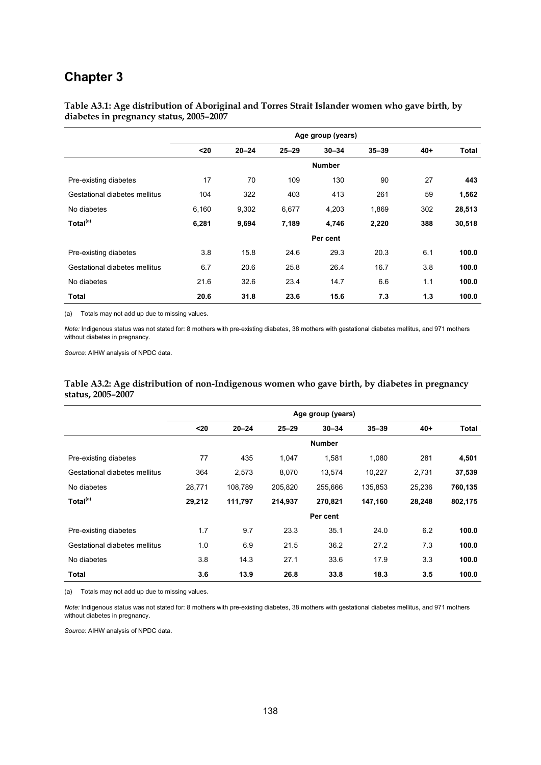## **Chapter 3**

<span id="page-145-0"></span>**Table A3.1: Age distribution of Aboriginal and Torres Strait Islander women who gave birth, by diabetes in pregnancy status, 2005–2007** 

|                               | Age group (years) |           |           |               |           |       |        |
|-------------------------------|-------------------|-----------|-----------|---------------|-----------|-------|--------|
|                               | $20$              | $20 - 24$ | $25 - 29$ | $30 - 34$     | $35 - 39$ | $40+$ | Total  |
|                               |                   |           |           | <b>Number</b> |           |       |        |
| Pre-existing diabetes         | 17                | 70        | 109       | 130           | 90        | 27    | 443    |
| Gestational diabetes mellitus | 104               | 322       | 403       | 413           | 261       | 59    | 1,562  |
| No diabetes                   | 6,160             | 9,302     | 6,677     | 4,203         | 1,869     | 302   | 28,513 |
| Total <sup>(a)</sup>          | 6,281             | 9,694     | 7,189     | 4,746         | 2,220     | 388   | 30,518 |
|                               |                   |           |           | Per cent      |           |       |        |
| Pre-existing diabetes         | 3.8               | 15.8      | 24.6      | 29.3          | 20.3      | 6.1   | 100.0  |
| Gestational diabetes mellitus | 6.7               | 20.6      | 25.8      | 26.4          | 16.7      | 3.8   | 100.0  |
| No diabetes                   | 21.6              | 32.6      | 23.4      | 14.7          | 6.6       | 1.1   | 100.0  |
| Total                         | 20.6              | 31.8      | 23.6      | 15.6          | 7.3       | 1.3   | 100.0  |

(a) Totals may not add up due to missing values.

*Note:* Indigenous status was not stated for: 8 mothers with pre-existing diabetes, 38 mothers with gestational diabetes mellitus, and 971 mothers without diabetes in pregnancy.

*Source:* AIHW analysis of NPDC data.

#### <span id="page-145-1"></span>**Table A3.2: Age distribution of non-Indigenous women who gave birth, by diabetes in pregnancy status, 2005–2007**

|                               | Age group (years) |           |           |               |           |        |         |
|-------------------------------|-------------------|-----------|-----------|---------------|-----------|--------|---------|
|                               | $20$              | $20 - 24$ | $25 - 29$ | $30 - 34$     | $35 - 39$ | $40 +$ | Total   |
|                               |                   |           |           | <b>Number</b> |           |        |         |
| Pre-existing diabetes         | 77                | 435       | 1.047     | 1,581         | 1,080     | 281    | 4,501   |
| Gestational diabetes mellitus | 364               | 2,573     | 8,070     | 13,574        | 10,227    | 2,731  | 37,539  |
| No diabetes                   | 28,771            | 108,789   | 205,820   | 255,666       | 135,853   | 25,236 | 760,135 |
| Total <sup>(a)</sup>          | 29,212            | 111,797   | 214,937   | 270,821       | 147,160   | 28,248 | 802,175 |
|                               |                   |           |           | Per cent      |           |        |         |
| Pre-existing diabetes         | 1.7               | 9.7       | 23.3      | 35.1          | 24.0      | 6.2    | 100.0   |
| Gestational diabetes mellitus | 1.0               | 6.9       | 21.5      | 36.2          | 27.2      | 7.3    | 100.0   |
| No diabetes                   | 3.8               | 14.3      | 27.1      | 33.6          | 17.9      | 3.3    | 100.0   |
| Total                         | 3.6               | 13.9      | 26.8      | 33.8          | 18.3      | 3.5    | 100.0   |

(a) Totals may not add up due to missing values.

*Note:* Indigenous status was not stated for: 8 mothers with pre-existing diabetes, 38 mothers with gestational diabetes mellitus, and 971 mothers without diabetes in pregnancy.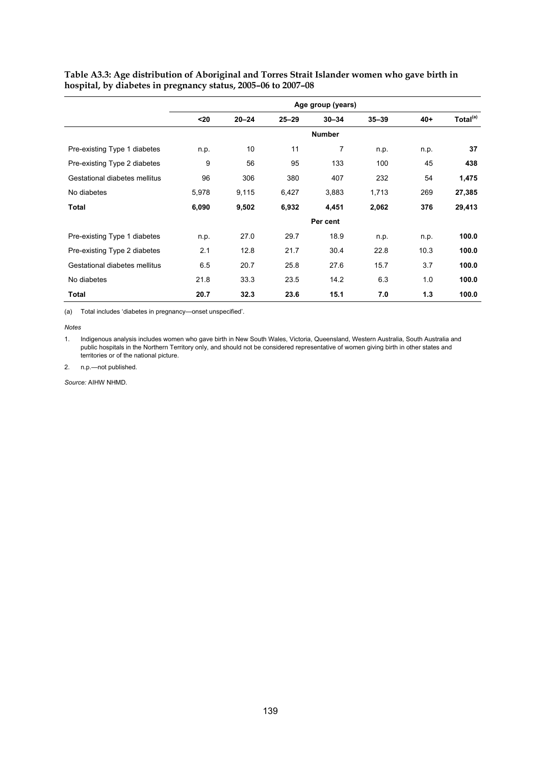|                               | Age group (years) |           |           |               |           |       |                      |
|-------------------------------|-------------------|-----------|-----------|---------------|-----------|-------|----------------------|
|                               | $20$              | $20 - 24$ | $25 - 29$ | $30 - 34$     | $35 - 39$ | $40+$ | Total <sup>(a)</sup> |
|                               |                   |           |           | <b>Number</b> |           |       |                      |
| Pre-existing Type 1 diabetes  | n.p.              | 10        | 11        | 7             | n.p.      | n.p.  | 37                   |
| Pre-existing Type 2 diabetes  | 9                 | 56        | 95        | 133           | 100       | 45    | 438                  |
| Gestational diabetes mellitus | 96                | 306       | 380       | 407           | 232       | 54    | 1,475                |
| No diabetes                   | 5,978             | 9,115     | 6,427     | 3,883         | 1,713     | 269   | 27,385               |
| Total                         | 6,090             | 9,502     | 6,932     | 4,451         | 2,062     | 376   | 29,413               |
|                               |                   |           |           | Per cent      |           |       |                      |
| Pre-existing Type 1 diabetes  | n.p.              | 27.0      | 29.7      | 18.9          | n.p.      | n.p.  | 100.0                |
| Pre-existing Type 2 diabetes  | 2.1               | 12.8      | 21.7      | 30.4          | 22.8      | 10.3  | 100.0                |
| Gestational diabetes mellitus | 6.5               | 20.7      | 25.8      | 27.6          | 15.7      | 3.7   | 100.0                |
| No diabetes                   | 21.8              | 33.3      | 23.5      | 14.2          | 6.3       | 1.0   | 100.0                |
| Total                         | 20.7              | 32.3      | 23.6      | 15.1          | 7.0       | 1.3   | 100.0                |

<span id="page-146-0"></span>**Table A3.3: Age distribution of Aboriginal and Torres Strait Islander women who gave birth in hospital, by diabetes in pregnancy status, 2005–06 to 2007–08** 

(a) Total includes 'diabetes in pregnancy—onset unspecified'.

*Notes* 

1. Indigenous analysis includes women who gave birth in New South Wales, Victoria, Queensland, Western Australia, South Australia and public hospitals in the Northern Territory only, and should not be considered representative of women giving birth in other states and territories or of the national picture.

2. n.p.—not published.

*Source:* AIHW NHMD.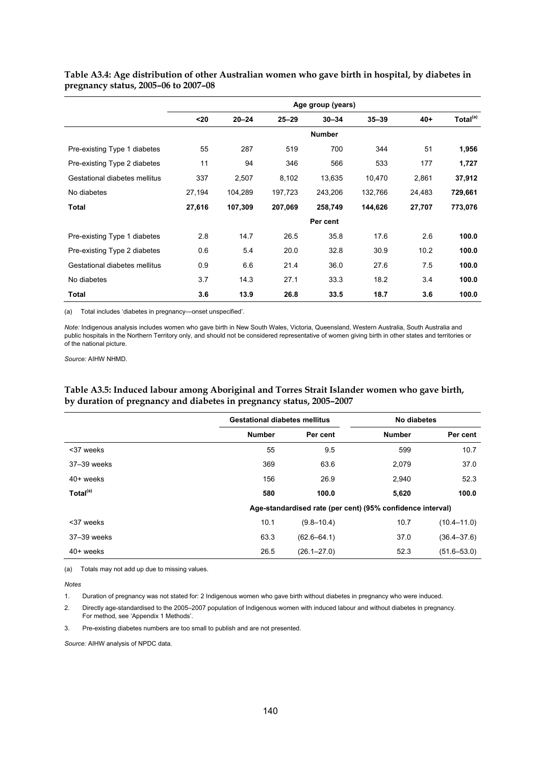|                               | Age group (years) |           |           |               |           |        |                      |
|-------------------------------|-------------------|-----------|-----------|---------------|-----------|--------|----------------------|
|                               | $20$              | $20 - 24$ | $25 - 29$ | $30 - 34$     | $35 - 39$ | $40+$  | Total <sup>(a)</sup> |
|                               |                   |           |           | <b>Number</b> |           |        |                      |
| Pre-existing Type 1 diabetes  | 55                | 287       | 519       | 700           | 344       | 51     | 1,956                |
| Pre-existing Type 2 diabetes  | 11                | 94        | 346       | 566           | 533       | 177    | 1,727                |
| Gestational diabetes mellitus | 337               | 2,507     | 8,102     | 13,635        | 10,470    | 2,861  | 37,912               |
| No diabetes                   | 27,194            | 104,289   | 197,723   | 243,206       | 132,766   | 24,483 | 729,661              |
| <b>Total</b>                  | 27,616            | 107,309   | 207,069   | 258,749       | 144,626   | 27,707 | 773,076              |
|                               |                   |           |           | Per cent      |           |        |                      |
| Pre-existing Type 1 diabetes  | 2.8               | 14.7      | 26.5      | 35.8          | 17.6      | 2.6    | 100.0                |
| Pre-existing Type 2 diabetes  | 0.6               | 5.4       | 20.0      | 32.8          | 30.9      | 10.2   | 100.0                |
| Gestational diabetes mellitus | 0.9               | 6.6       | 21.4      | 36.0          | 27.6      | 7.5    | 100.0                |
| No diabetes                   | 3.7               | 14.3      | 27.1      | 33.3          | 18.2      | 3.4    | 100.0                |
| Total                         | 3.6               | 13.9      | 26.8      | 33.5          | 18.7      | 3.6    | 100.0                |

<span id="page-147-0"></span>**Table A3.4: Age distribution of other Australian women who gave birth in hospital, by diabetes in pregnancy status, 2005–06 to 2007–08** 

(a) Total includes 'diabetes in pregnancy—onset unspecified'.

*Note:* Indigenous analysis includes women who gave birth in New South Wales, Victoria, Queensland, Western Australia, South Australia and public hospitals in the Northern Territory only, and should not be considered representative of women giving birth in other states and territories or of the national picture.

*Source:* AIHW NHMD.

#### <span id="page-147-1"></span>**Table A3.5: Induced labour among Aboriginal and Torres Strait Islander women who gave birth, by duration of pregnancy and diabetes in pregnancy status, 2005–2007**

|                      | <b>Gestational diabetes mellitus</b> |                 | No diabetes                                                |                 |
|----------------------|--------------------------------------|-----------------|------------------------------------------------------------|-----------------|
|                      | <b>Number</b>                        | Per cent        | <b>Number</b>                                              | Per cent        |
| <37 weeks            | 55                                   | 9.5             | 599                                                        | 10.7            |
| 37-39 weeks          | 369                                  | 63.6            | 2,079                                                      | 37.0            |
| $40+$ weeks          | 156                                  | 26.9            | 2,940                                                      | 52.3            |
| Total <sup>(a)</sup> | 580                                  | 100.0           | 5,620                                                      | 100.0           |
|                      |                                      |                 | Age-standardised rate (per cent) (95% confidence interval) |                 |
| <37 weeks            | 10.1                                 | $(9.8 - 10.4)$  | 10.7                                                       | $(10.4 - 11.0)$ |
| 37-39 weeks          | 63.3                                 | $(62.6 - 64.1)$ | 37.0                                                       | $(36.4 - 37.6)$ |
| 40+ weeks            | 26.5                                 | $(26.1 - 27.0)$ | 52.3                                                       | $(51.6 - 53.0)$ |

(a) Totals may not add up due to missing values.

*Notes* 

1. Duration of pregnancy was not stated for: 2 Indigenous women who gave birth without diabetes in pregnancy who were induced.

2. Directly age-standardised to the 2005–2007 population of Indigenous women with induced labour and without diabetes in pregnancy. For method, see 'Appendix 1 Methods'.

3. Pre-existing diabetes numbers are too small to publish and are not presented.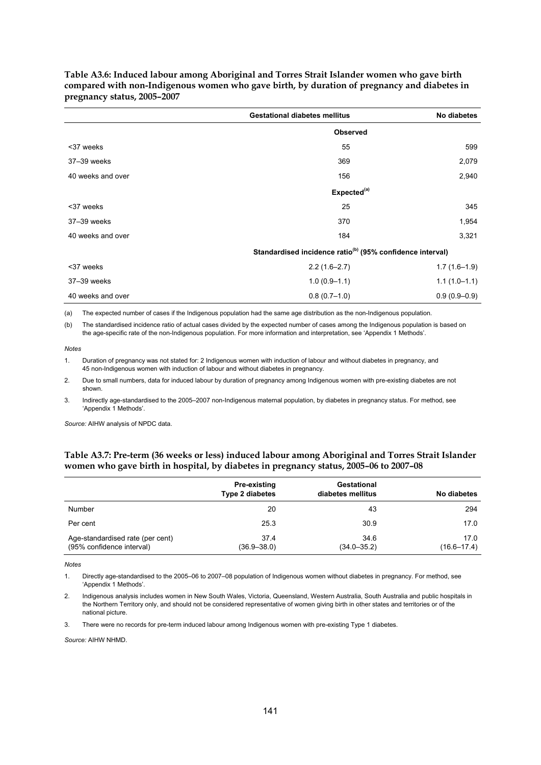|                   | <b>Gestational diabetes mellitus</b>                                  | No diabetes    |
|-------------------|-----------------------------------------------------------------------|----------------|
|                   | <b>Observed</b>                                                       |                |
| <37 weeks         | 55                                                                    | 599            |
| 37-39 weeks       | 369                                                                   | 2,079          |
| 40 weeks and over | 156                                                                   | 2,940          |
|                   | Expected <sup>(a)</sup>                                               |                |
| <37 weeks         | 25                                                                    | 345            |
| 37-39 weeks       | 370                                                                   | 1,954          |
| 40 weeks and over | 184                                                                   | 3,321          |
|                   | Standardised incidence ratio <sup>(b)</sup> (95% confidence interval) |                |
| <37 weeks         | $2.2(1.6-2.7)$                                                        | $1.7(1.6-1.9)$ |
| 37-39 weeks       | $1.0(0.9-1.1)$                                                        | $1.1(1.0-1.1)$ |
| 40 weeks and over | $0.8(0.7-1.0)$                                                        | $0.9(0.9-0.9)$ |

<span id="page-148-0"></span>**Table A3.6: Induced labour among Aboriginal and Torres Strait Islander women who gave birth compared with non-Indigenous women who gave birth, by duration of pregnancy and diabetes in pregnancy status, 2005–2007** 

(a) The expected number of cases if the Indigenous population had the same age distribution as the non-Indigenous population.

(b) The standardised incidence ratio of actual cases divided by the expected number of cases among the Indigenous population is based on the age-specific rate of the non-Indigenous population. For more information and interpretation, see 'Appendix 1 Methods'.

*Notes*

1. Duration of pregnancy was not stated for: 2 Indigenous women with induction of labour and without diabetes in pregnancy, and 45 non-Indigenous women with induction of labour and without diabetes in pregnancy.

2. Due to small numbers, data for induced labour by duration of pregnancy among Indigenous women with pre-existing diabetes are not shown.

3. Indirectly age-standardised to the 2005–2007 non-Indigenous maternal population, by diabetes in pregnancy status. For method, see 'Appendix 1 Methods'.

*Source:* AIHW analysis of NPDC data.

#### <span id="page-148-1"></span>**Table A3.7: Pre-term (36 weeks or less) induced labour among Aboriginal and Torres Strait Islander women who gave birth in hospital, by diabetes in pregnancy status, 2005–06 to 2007–08**

|                                                               | Pre-existing<br><b>Type 2 diabetes</b> | Gestational<br>diabetes mellitus | No diabetes             |
|---------------------------------------------------------------|----------------------------------------|----------------------------------|-------------------------|
| <b>Number</b>                                                 | 20                                     | 43                               | 294                     |
| Per cent                                                      | 25.3                                   | 30.9                             | 17.0                    |
| Age-standardised rate (per cent)<br>(95% confidence interval) | 37.4<br>$(36.9 - 38.0)$                | 34.6<br>$(34.0 - 35.2)$          | 17.0<br>$(16.6 - 17.4)$ |

*Notes*

1. Directly age-standardised to the 2005–06 to 2007–08 population of Indigenous women without diabetes in pregnancy. For method, see 'Appendix 1 Methods'.

2. Indigenous analysis includes women in New South Wales, Victoria, Queensland, Western Australia, South Australia and public hospitals in the Northern Territory only, and should not be considered representative of women giving birth in other states and territories or of the national picture.

3. There were no records for pre-term induced labour among Indigenous women with pre-existing Type 1 diabetes.

*Source:* AIHW NHMD.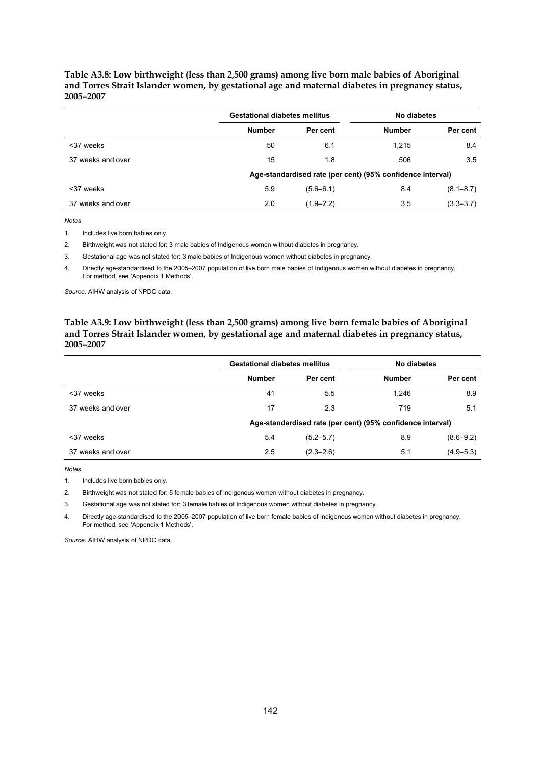#### <span id="page-149-0"></span>**Table A3.8: Low birthweight (less than 2,500 grams) among live born male babies of Aboriginal and Torres Strait Islander women, by gestational age and maternal diabetes in pregnancy status, 2005–2007**

|                   | <b>Gestational diabetes mellitus</b>                       |               | No diabetes   |               |  |  |
|-------------------|------------------------------------------------------------|---------------|---------------|---------------|--|--|
|                   | <b>Number</b>                                              | Per cent      | <b>Number</b> | Per cent      |  |  |
| <37 weeks         | 50                                                         | 6.1           | 1.215         | 8.4           |  |  |
| 37 weeks and over | 15                                                         | 1.8           | 506           | 3.5           |  |  |
|                   | Age-standardised rate (per cent) (95% confidence interval) |               |               |               |  |  |
| <37 weeks         | 5.9                                                        | $(5.6 - 6.1)$ | 8.4           | $(8.1 - 8.7)$ |  |  |
| 37 weeks and over | 2.0                                                        | $(1.9 - 2.2)$ | 3.5           | $(3.3 - 3.7)$ |  |  |

*Notes*

1. Includes live born babies only.

2. Birthweight was not stated for: 3 male babies of Indigenous women without diabetes in pregnancy.

3. Gestational age was not stated for: 3 male babies of Indigenous women without diabetes in pregnancy.

4. Directly age-standardised to the 2005–2007 population of live born male babies of Indigenous women without diabetes in pregnancy. For method, see 'Appendix 1 Methods'.

*Source:* AIHW analysis of NPDC data.

#### <span id="page-149-1"></span>**Table A3.9: Low birthweight (less than 2,500 grams) among live born female babies of Aboriginal and Torres Strait Islander women, by gestational age and maternal diabetes in pregnancy status, 2005–2007**

|                   | <b>Gestational diabetes mellitus</b> |               | No diabetes                                                |               |  |
|-------------------|--------------------------------------|---------------|------------------------------------------------------------|---------------|--|
|                   | <b>Number</b>                        | Per cent      | <b>Number</b>                                              | Per cent      |  |
| <37 weeks         | 41                                   | 5.5           | 1.246                                                      | 8.9           |  |
| 37 weeks and over | 17                                   | 2.3           | 719                                                        | 5.1           |  |
|                   |                                      |               | Age-standardised rate (per cent) (95% confidence interval) |               |  |
| <37 weeks         | 5.4                                  | $(5.2 - 5.7)$ | 8.9                                                        | $(8.6 - 9.2)$ |  |
| 37 weeks and over | 2.5                                  | $(2.3 - 2.6)$ | 5.1                                                        | $(4.9 - 5.3)$ |  |

*Notes*

1. Includes live born babies only.

2. Birthweight was not stated for: 5 female babies of Indigenous women without diabetes in pregnancy.

3. Gestational age was not stated for: 3 female babies of Indigenous women without diabetes in pregnancy.

4. Directly age-standardised to the 2005–2007 population of live born female babies of Indigenous women without diabetes in pregnancy. For method, see 'Appendix 1 Methods'.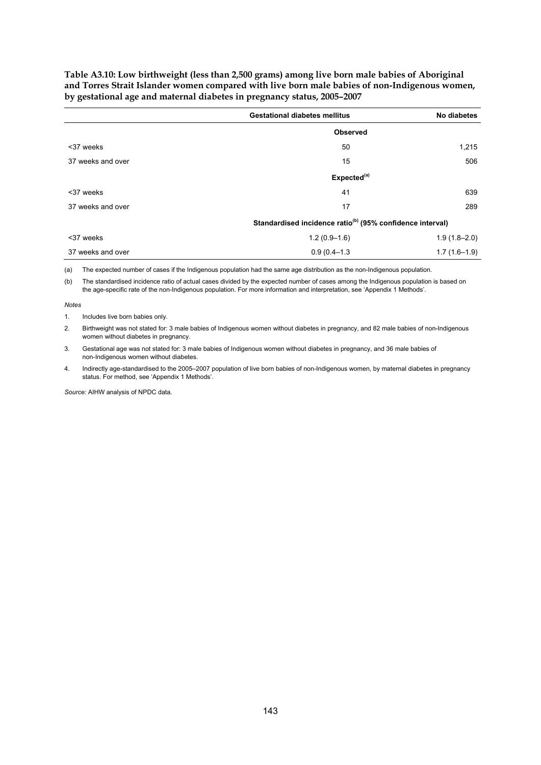<span id="page-150-0"></span>**Table A3.10: Low birthweight (less than 2,500 grams) among live born male babies of Aboriginal and Torres Strait Islander women compared with live born male babies of non-Indigenous women, by gestational age and maternal diabetes in pregnancy status, 2005–2007** 

|                   | <b>Gestational diabetes mellitus</b>                                  | No diabetes      |  |
|-------------------|-----------------------------------------------------------------------|------------------|--|
|                   | <b>Observed</b>                                                       |                  |  |
| <37 weeks         | 50                                                                    | 1,215            |  |
| 37 weeks and over | 15                                                                    | 506              |  |
|                   | Expected <sup>(a)</sup>                                               |                  |  |
| <37 weeks         | 41                                                                    | 639              |  |
| 37 weeks and over | 17                                                                    | 289              |  |
|                   | Standardised incidence ratio <sup>(b)</sup> (95% confidence interval) |                  |  |
| <37 weeks         | $1.2(0.9-1.6)$                                                        | $1.9(1.8 - 2.0)$ |  |
| 37 weeks and over | $0.9(0.4 - 1.3)$                                                      | $1.7(1.6-1.9)$   |  |

(a) The expected number of cases if the Indigenous population had the same age distribution as the non-Indigenous population.

(b) The standardised incidence ratio of actual cases divided by the expected number of cases among the Indigenous population is based on the age-specific rate of the non-Indigenous population. For more information and interpretation, see 'Appendix 1 Methods'.

*Notes*

1. Includes live born babies only.

2. Birthweight was not stated for: 3 male babies of Indigenous women without diabetes in pregnancy, and 82 male babies of non-Indigenous women without diabetes in pregnancy.

3. Gestational age was not stated for: 3 male babies of Indigenous women without diabetes in pregnancy, and 36 male babies of non-Indigenous women without diabetes.

4. Indirectly age-standardised to the 2005–2007 population of live born babies of non-Indigenous women, by maternal diabetes in pregnancy status. For method, see 'Appendix 1 Methods'.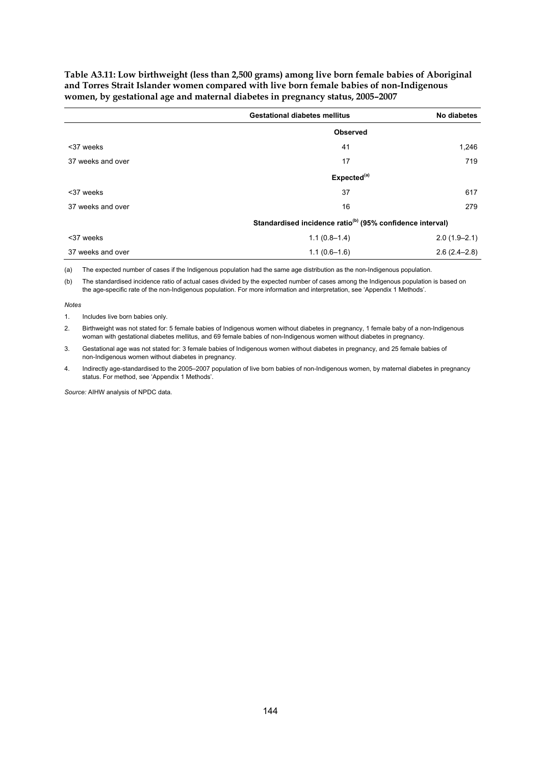<span id="page-151-0"></span>**Table A3.11: Low birthweight (less than 2,500 grams) among live born female babies of Aboriginal and Torres Strait Islander women compared with live born female babies of non-Indigenous women, by gestational age and maternal diabetes in pregnancy status, 2005–2007** 

|                   | <b>Gestational diabetes mellitus</b>                                  | No diabetes      |  |
|-------------------|-----------------------------------------------------------------------|------------------|--|
|                   | <b>Observed</b>                                                       |                  |  |
| <37 weeks         | 41                                                                    | 1,246            |  |
| 37 weeks and over | 17                                                                    | 719              |  |
|                   | Expected <sup>(a)</sup>                                               |                  |  |
| <37 weeks         | 37                                                                    | 617              |  |
| 37 weeks and over | 16                                                                    | 279              |  |
|                   | Standardised incidence ratio <sup>(b)</sup> (95% confidence interval) |                  |  |
| <37 weeks         | $1.1(0.8-1.4)$                                                        | $2.0(1.9 - 2.1)$ |  |
| 37 weeks and over | $1.1(0.6-1.6)$                                                        | $2.6(2.4-2.8)$   |  |

(a) The expected number of cases if the Indigenous population had the same age distribution as the non-Indigenous population.

(b) The standardised incidence ratio of actual cases divided by the expected number of cases among the Indigenous population is based on the age-specific rate of the non-Indigenous population. For more information and interpretation, see 'Appendix 1 Methods'.

*Notes*

1. Includes live born babies only.

2. Birthweight was not stated for: 5 female babies of Indigenous women without diabetes in pregnancy, 1 female baby of a non-Indigenous woman with gestational diabetes mellitus, and 69 female babies of non-Indigenous women without diabetes in pregnancy.

3. Gestational age was not stated for: 3 female babies of Indigenous women without diabetes in pregnancy, and 25 female babies of non-Indigenous women without diabetes in pregnancy.

4. Indirectly age-standardised to the 2005–2007 population of live born babies of non-Indigenous women, by maternal diabetes in pregnancy status. For method, see 'Appendix 1 Methods'.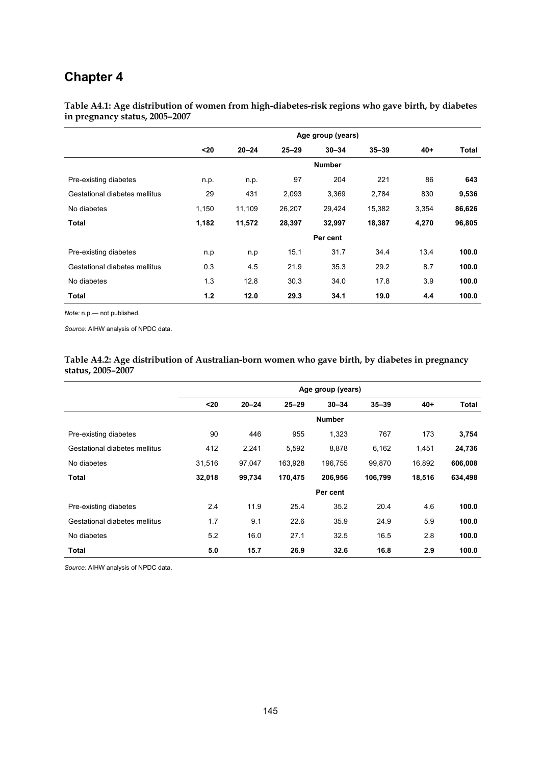## **Chapter 4**

<span id="page-152-0"></span>**Table A4.1: Age distribution of women from high-diabetes-risk regions who gave birth, by diabetes in pregnancy status, 2005–2007** 

|                               | Age group (years) |           |           |               |           |       |        |
|-------------------------------|-------------------|-----------|-----------|---------------|-----------|-------|--------|
|                               | $20$              | $20 - 24$ | $25 - 29$ | $30 - 34$     | $35 - 39$ | $40+$ | Total  |
|                               |                   |           |           | <b>Number</b> |           |       |        |
| Pre-existing diabetes         | n.p.              | n.p.      | 97        | 204           | 221       | 86    | 643    |
| Gestational diabetes mellitus | 29                | 431       | 2,093     | 3,369         | 2,784     | 830   | 9,536  |
| No diabetes                   | 1,150             | 11,109    | 26,207    | 29,424        | 15,382    | 3,354 | 86,626 |
| <b>Total</b>                  | 1,182             | 11,572    | 28,397    | 32,997        | 18,387    | 4,270 | 96,805 |
|                               |                   |           |           | Per cent      |           |       |        |
| Pre-existing diabetes         | n.p               | n.p       | 15.1      | 31.7          | 34.4      | 13.4  | 100.0  |
| Gestational diabetes mellitus | 0.3               | 4.5       | 21.9      | 35.3          | 29.2      | 8.7   | 100.0  |
| No diabetes                   | 1.3               | 12.8      | 30.3      | 34.0          | 17.8      | 3.9   | 100.0  |
| Total                         | 1.2               | 12.0      | 29.3      | 34.1          | 19.0      | 4.4   | 100.0  |

*Note:* n.p.— not published.

*Source:* AIHW analysis of NPDC data.

<span id="page-152-1"></span>

| Table A4.2: Age distribution of Australian-born women who gave birth, by diabetes in pregnancy |  |  |
|------------------------------------------------------------------------------------------------|--|--|
| status, 2005–2007                                                                              |  |  |

|                               | Age group (years) |           |           |               |           |        |         |
|-------------------------------|-------------------|-----------|-----------|---------------|-----------|--------|---------|
|                               | $20$              | $20 - 24$ | $25 - 29$ | $30 - 34$     | $35 - 39$ | $40 +$ | Total   |
|                               |                   |           |           | <b>Number</b> |           |        |         |
| Pre-existing diabetes         | 90                | 446       | 955       | 1,323         | 767       | 173    | 3,754   |
| Gestational diabetes mellitus | 412               | 2,241     | 5,592     | 8,878         | 6,162     | 1,451  | 24,736  |
| No diabetes                   | 31,516            | 97,047    | 163,928   | 196,755       | 99,870    | 16,892 | 606,008 |
| Total                         | 32,018            | 99,734    | 170,475   | 206,956       | 106,799   | 18,516 | 634,498 |
|                               |                   |           |           | Per cent      |           |        |         |
| Pre-existing diabetes         | 2.4               | 11.9      | 25.4      | 35.2          | 20.4      | 4.6    | 100.0   |
| Gestational diabetes mellitus | 1.7               | 9.1       | 22.6      | 35.9          | 24.9      | 5.9    | 100.0   |
| No diabetes                   | 5.2               | 16.0      | 27.1      | 32.5          | 16.5      | 2.8    | 100.0   |
| Total                         | 5.0               | 15.7      | 26.9      | 32.6          | 16.8      | 2.9    | 100.0   |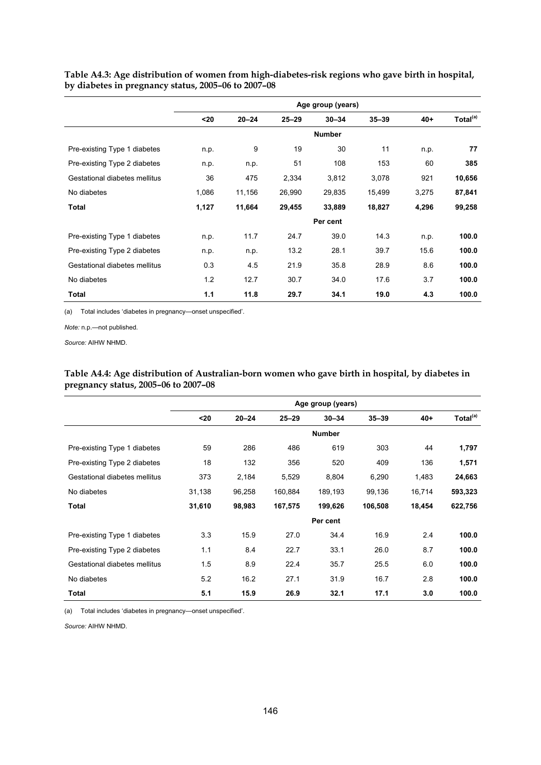|                               | Age group (years) |           |           |               |           |       |                      |
|-------------------------------|-------------------|-----------|-----------|---------------|-----------|-------|----------------------|
|                               | $20$              | $20 - 24$ | $25 - 29$ | $30 - 34$     | $35 - 39$ | $40+$ | Total <sup>(a)</sup> |
|                               |                   |           |           | <b>Number</b> |           |       |                      |
| Pre-existing Type 1 diabetes  | n.p.              | 9         | 19        | 30            | 11        | n.p.  | 77                   |
| Pre-existing Type 2 diabetes  | n.p.              | n.p.      | 51        | 108           | 153       | 60    | 385                  |
| Gestational diabetes mellitus | 36                | 475       | 2,334     | 3,812         | 3,078     | 921   | 10,656               |
| No diabetes                   | 1,086             | 11,156    | 26,990    | 29,835        | 15,499    | 3,275 | 87,841               |
| Total                         | 1,127             | 11,664    | 29,455    | 33,889        | 18,827    | 4,296 | 99,258               |
|                               |                   |           |           | Per cent      |           |       |                      |
| Pre-existing Type 1 diabetes  | n.p.              | 11.7      | 24.7      | 39.0          | 14.3      | n.p.  | 100.0                |
| Pre-existing Type 2 diabetes  | n.p.              | n.p.      | 13.2      | 28.1          | 39.7      | 15.6  | 100.0                |
| Gestational diabetes mellitus | 0.3               | 4.5       | 21.9      | 35.8          | 28.9      | 8.6   | 100.0                |
| No diabetes                   | 1.2               | 12.7      | 30.7      | 34.0          | 17.6      | 3.7   | 100.0                |
| Total                         | 1.1               | 11.8      | 29.7      | 34.1          | 19.0      | 4.3   | 100.0                |

<span id="page-153-0"></span>**Table A4.3: Age distribution of women from high-diabetes-risk regions who gave birth in hospital, by diabetes in pregnancy status, 2005–06 to 2007–08** 

(a) Total includes 'diabetes in pregnancy—onset unspecified'.

*Note:* n.p.—not published.

*Source:* AIHW NHMD.

<span id="page-153-1"></span>

|                                      | Table A4.4: Age distribution of Australian-born women who gave birth in hospital, by diabetes in |  |  |
|--------------------------------------|--------------------------------------------------------------------------------------------------|--|--|
| pregnancy status, 2005–06 to 2007–08 |                                                                                                  |  |  |

|                               | Age group (years) |           |           |               |           |        |                      |
|-------------------------------|-------------------|-----------|-----------|---------------|-----------|--------|----------------------|
|                               | $20$              | $20 - 24$ | $25 - 29$ | $30 - 34$     | $35 - 39$ | $40+$  | Total <sup>(a)</sup> |
|                               |                   |           |           | <b>Number</b> |           |        |                      |
| Pre-existing Type 1 diabetes  | 59                | 286       | 486       | 619           | 303       | 44     | 1,797                |
| Pre-existing Type 2 diabetes  | 18                | 132       | 356       | 520           | 409       | 136    | 1,571                |
| Gestational diabetes mellitus | 373               | 2,184     | 5,529     | 8,804         | 6,290     | 1,483  | 24,663               |
| No diabetes                   | 31,138            | 96,258    | 160,884   | 189,193       | 99,136    | 16,714 | 593,323              |
| <b>Total</b>                  | 31,610            | 98,983    | 167,575   | 199,626       | 106,508   | 18,454 | 622,756              |
|                               |                   |           |           | Per cent      |           |        |                      |
| Pre-existing Type 1 diabetes  | 3.3               | 15.9      | 27.0      | 34.4          | 16.9      | 2.4    | 100.0                |
| Pre-existing Type 2 diabetes  | 1.1               | 8.4       | 22.7      | 33.1          | 26.0      | 8.7    | 100.0                |
| Gestational diabetes mellitus | 1.5               | 8.9       | 22.4      | 35.7          | 25.5      | 6.0    | 100.0                |
| No diabetes                   | 5.2               | 16.2      | 27.1      | 31.9          | 16.7      | 2.8    | 100.0                |
| <b>Total</b>                  | 5.1               | 15.9      | 26.9      | 32.1          | 17.1      | 3.0    | 100.0                |

(a) Total includes 'diabetes in pregnancy—onset unspecified'.

*Source:* AIHW NHMD.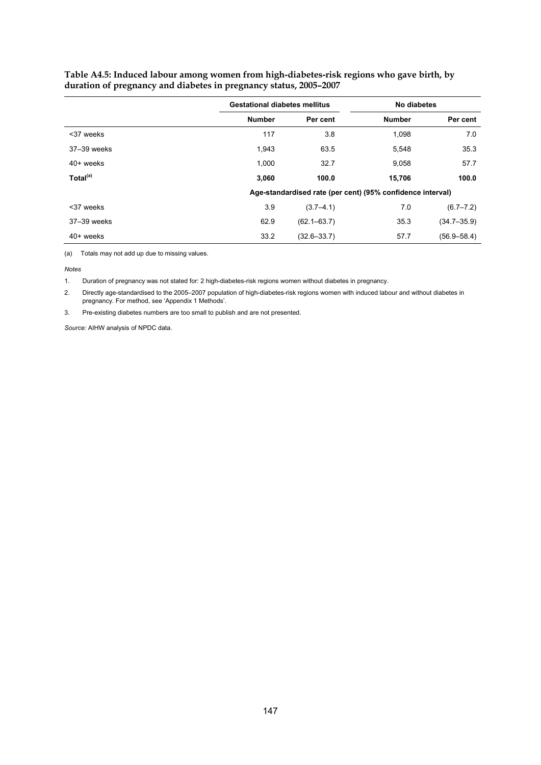|                      | <b>Gestational diabetes mellitus</b> |                 | No diabetes                                                |                 |
|----------------------|--------------------------------------|-----------------|------------------------------------------------------------|-----------------|
|                      | <b>Number</b>                        | Per cent        | <b>Number</b>                                              | Per cent        |
| <37 weeks            | 117                                  | 3.8             | 1.098                                                      | 7.0             |
| 37-39 weeks          | 1,943                                | 63.5            | 5,548                                                      | 35.3            |
| $40+$ weeks          | 1,000                                | 32.7            | 9,058                                                      | 57.7            |
| Total <sup>(a)</sup> | 3,060                                | 100.0           | 15,706                                                     | 100.0           |
|                      |                                      |                 | Age-standardised rate (per cent) (95% confidence interval) |                 |
| <37 weeks            | 3.9                                  | $(3.7 - 4.1)$   | 7.0                                                        | $(6.7 - 7.2)$   |
| 37-39 weeks          | 62.9                                 | $(62.1 - 63.7)$ | 35.3                                                       | $(34.7 - 35.9)$ |
| 40+ weeks            | 33.2                                 | $(32.6 - 33.7)$ | 57.7                                                       | $(56.9 - 58.4)$ |

<span id="page-154-0"></span>**Table A4.5: Induced labour among women from high-diabetes-risk regions who gave birth, by duration of pregnancy and diabetes in pregnancy status, 2005–2007** 

(a) Totals may not add up due to missing values.

*Notes*

1. Duration of pregnancy was not stated for: 2 high-diabetes-risk regions women without diabetes in pregnancy.

2. Directly age-standardised to the 2005–2007 population of high-diabetes-risk regions women with induced labour and without diabetes in pregnancy. For method, see 'Appendix 1 Methods'.

3. Pre-existing diabetes numbers are too small to publish and are not presented.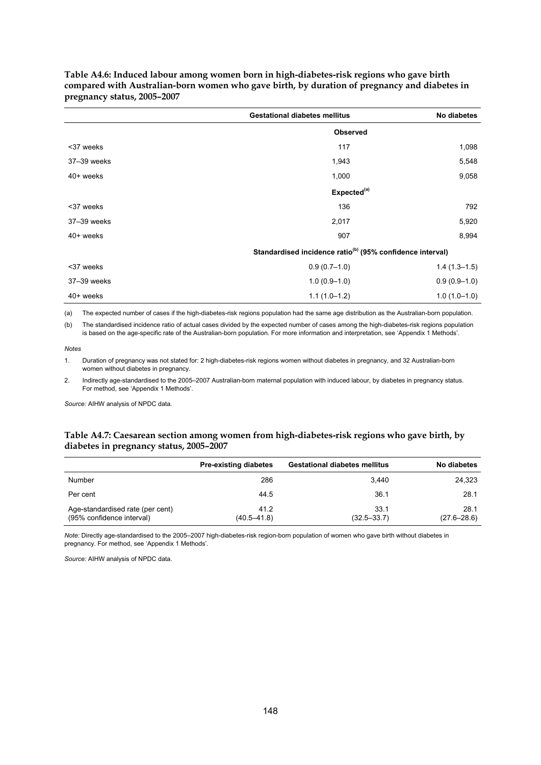|             | <b>Gestational diabetes mellitus</b>                                  | No diabetes    |
|-------------|-----------------------------------------------------------------------|----------------|
|             | <b>Observed</b>                                                       |                |
| <37 weeks   | 117                                                                   | 1,098          |
| 37-39 weeks | 1,943                                                                 | 5,548          |
| 40+ weeks   | 1,000                                                                 | 9,058          |
|             | Expected <sup>(a)</sup>                                               |                |
| <37 weeks   | 136                                                                   | 792            |
| 37-39 weeks | 2,017                                                                 | 5,920          |
| 40+ weeks   | 907                                                                   | 8,994          |
|             | Standardised incidence ratio <sup>(b)</sup> (95% confidence interval) |                |
| <37 weeks   | $0.9(0.7-1.0)$                                                        | $1.4(1.3-1.5)$ |
| 37-39 weeks | $1.0(0.9-1.0)$                                                        | $0.9(0.9-1.0)$ |
| 40+ weeks   | $1.1(1.0-1.2)$                                                        | $1.0(1.0-1.0)$ |

<span id="page-155-0"></span>**Table A4.6: Induced labour among women born in high-diabetes-risk regions who gave birth compared with Australian-born women who gave birth, by duration of pregnancy and diabetes in pregnancy status, 2005–2007** 

(a) The expected number of cases if the high-diabetes-risk regions population had the same age distribution as the Australian-born population.

(b) The standardised incidence ratio of actual cases divided by the expected number of cases among the high-diabetes-risk regions population is based on the age-specific rate of the Australian-born population. For more information and interpretation, see 'Appendix 1 Methods'.

*Notes* 

1. Duration of pregnancy was not stated for: 2 high-diabetes-risk regions women without diabetes in pregnancy, and 32 Australian-born women without diabetes in pregnancy.

2. Indirectly age-standardised to the 2005–2007 Australian-born maternal population with induced labour, by diabetes in pregnancy status. For method, see 'Appendix 1 Methods'.

*Source:* AIHW analysis of NPDC data.

#### <span id="page-155-1"></span>**Table A4.7: Caesarean section among women from high-diabetes-risk regions who gave birth, by diabetes in pregnancy status, 2005–2007**

|                                                               | <b>Pre-existing diabetes</b> | <b>Gestational diabetes mellitus</b> | No diabetes             |
|---------------------------------------------------------------|------------------------------|--------------------------------------|-------------------------|
| Number                                                        | 286                          | 3,440                                | 24,323                  |
| Per cent                                                      | 44.5                         | 36.1                                 | 28.1                    |
| Age-standardised rate (per cent)<br>(95% confidence interval) | 41.2<br>$(40.5 - 41.8)$      | 33.1<br>$(32.5 - 33.7)$              | 28.1<br>$(27.6 - 28.6)$ |

*Note:* Directly age-standardised to the 2005–2007 high-diabetes-risk region-born population of women who gave birth without diabetes in pregnancy. For method, see 'Appendix 1 Methods'.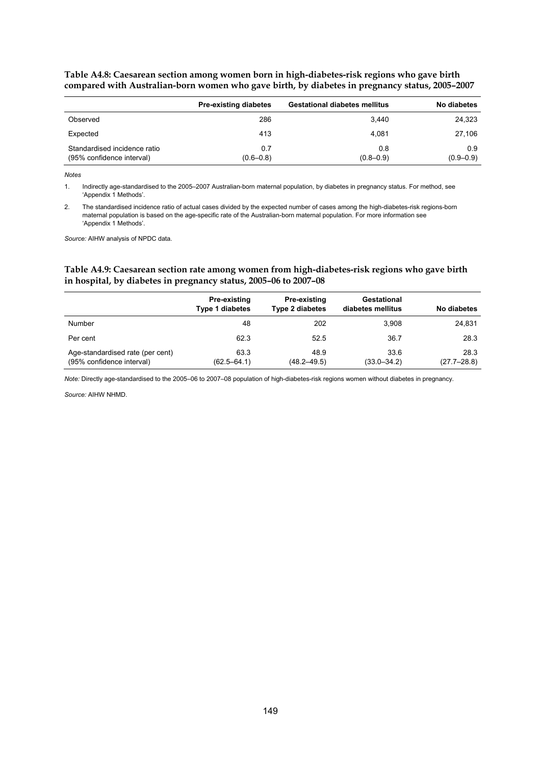|                                                           | <b>Pre-existing diabetes</b> | <b>Gestational diabetes mellitus</b> | No diabetes          |
|-----------------------------------------------------------|------------------------------|--------------------------------------|----------------------|
| Observed                                                  | 286                          | 3.440                                | 24,323               |
| Expected                                                  | 413                          | 4.081                                | 27,106               |
| Standardised incidence ratio<br>(95% confidence interval) | 0.7<br>$(0.6 - 0.8)$         | 0.8<br>$(0.8 - 0.9)$                 | 0.9<br>$(0.9 - 0.9)$ |

<span id="page-156-0"></span>**Table A4.8: Caesarean section among women born in high-diabetes-risk regions who gave birth compared with Australian-born women who gave birth, by diabetes in pregnancy status, 2005–2007** 

*Notes* 

1. Indirectly age-standardised to the 2005–2007 Australian-born maternal population, by diabetes in pregnancy status. For method, see 'Appendix 1 Methods'.

2. The standardised incidence ratio of actual cases divided by the expected number of cases among the high-diabetes-risk regions-born maternal population is based on the age-specific rate of the Australian-born maternal population. For more information see 'Appendix 1 Methods'.

*Source:* AIHW analysis of NPDC data.

#### <span id="page-156-1"></span>**Table A4.9: Caesarean section rate among women from high-diabetes-risk regions who gave birth in hospital, by diabetes in pregnancy status, 2005–06 to 2007–08**

|                                                               | Pre-existing<br><b>Type 1 diabetes</b> | <b>Pre-existing</b><br><b>Type 2 diabetes</b> | Gestational<br>diabetes mellitus | No diabetes             |
|---------------------------------------------------------------|----------------------------------------|-----------------------------------------------|----------------------------------|-------------------------|
| Number                                                        | 48                                     | 202                                           | 3.908                            | 24,831                  |
| Per cent                                                      | 62.3                                   | 52.5                                          | 36.7                             | 28.3                    |
| Age-standardised rate (per cent)<br>(95% confidence interval) | 63.3<br>$(62.5 - 64.1)$                | 48.9<br>$(48.2 - 49.5)$                       | 33.6<br>$(33.0 - 34.2)$          | 28.3<br>$(27.7 - 28.8)$ |

*Note:* Directly age-standardised to the 2005–06 to 2007–08 population of high-diabetes-risk regions women without diabetes in pregnancy.

*Source:* AIHW NHMD.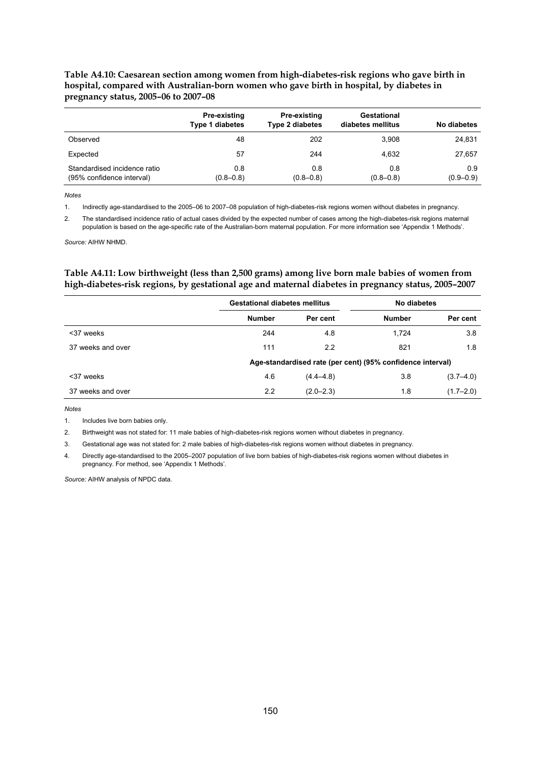#### <span id="page-157-0"></span>**Table A4.10: Caesarean section among women from high-diabetes-risk regions who gave birth in hospital, compared with Australian-born women who gave birth in hospital, by diabetes in pregnancy status, 2005–06 to 2007–08**

|                                                           | Pre-existing<br><b>Type 1 diabetes</b> | <b>Pre-existing</b><br><b>Type 2 diabetes</b> | Gestational<br>diabetes mellitus | No diabetes          |
|-----------------------------------------------------------|----------------------------------------|-----------------------------------------------|----------------------------------|----------------------|
| Observed                                                  | 48                                     | 202                                           | 3.908                            | 24,831               |
| Expected                                                  | 57                                     | 244                                           | 4.632                            | 27,657               |
| Standardised incidence ratio<br>(95% confidence interval) | 0.8<br>$(0.8 - 0.8)$                   | 0.8<br>$(0.8 - 0.8)$                          | 0.8<br>$(0.8 - 0.8)$             | 0.9<br>$(0.9 - 0.9)$ |

*Notes* 

1. Indirectly age-standardised to the 2005–06 to 2007–08 population of high-diabetes-risk regions women without diabetes in pregnancy.

2. The standardised incidence ratio of actual cases divided by the expected number of cases among the high-diabetes-risk regions maternal population is based on the age-specific rate of the Australian-born maternal population. For more information see 'Appendix 1 Methods'.

*Source:* AIHW NHMD.

#### <span id="page-157-1"></span>**Table A4.11: Low birthweight (less than 2,500 grams) among live born male babies of women from high-diabetes-risk regions, by gestational age and maternal diabetes in pregnancy status, 2005–2007**

|                   |               | <b>Gestational diabetes mellitus</b>                       |               | No diabetes   |
|-------------------|---------------|------------------------------------------------------------|---------------|---------------|
|                   | <b>Number</b> | Per cent                                                   | <b>Number</b> | Per cent      |
| <37 weeks         | 244           | 4.8                                                        | 1.724         | 3.8           |
| 37 weeks and over | 111           | 2.2                                                        | 821           | 1.8           |
|                   |               | Age-standardised rate (per cent) (95% confidence interval) |               |               |
| <37 weeks         | 4.6           | $(4.4 - 4.8)$                                              | 3.8           | $(3.7 - 4.0)$ |
| 37 weeks and over | 2.2           | $(2.0 - 2.3)$                                              | 1.8           | $(1.7 - 2.0)$ |

*Notes*

1. Includes live born babies only.

2. Birthweight was not stated for: 11 male babies of high-diabetes-risk regions women without diabetes in pregnancy.

3. Gestational age was not stated for: 2 male babies of high-diabetes-risk regions women without diabetes in pregnancy.

4. Directly age-standardised to the 2005–2007 population of live born babies of high-diabetes-risk regions women without diabetes in pregnancy. For method, see 'Appendix 1 Methods'.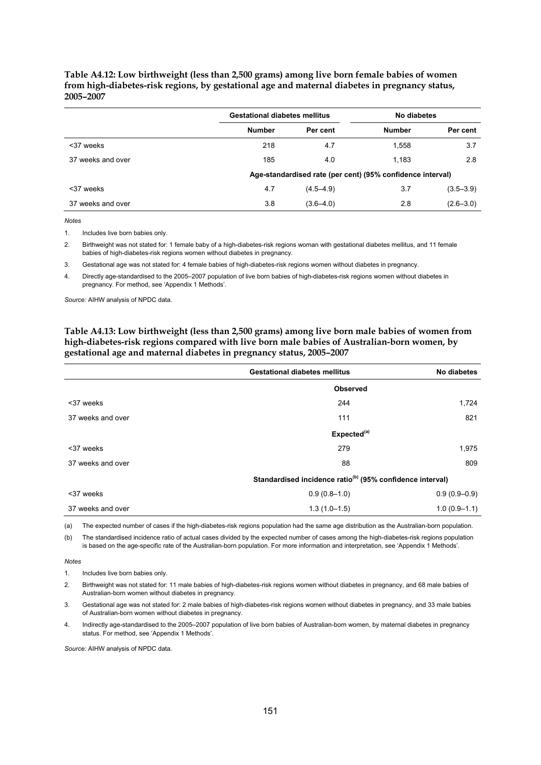#### <span id="page-158-0"></span>**Table A4.12: Low birthweight (less than 2,500 grams) among live born female babies of women from high-diabetes-risk regions, by gestational age and maternal diabetes in pregnancy status, 2005–2007**

|                                                            |               | <b>Gestational diabetes mellitus</b> | No diabetes   |               |
|------------------------------------------------------------|---------------|--------------------------------------|---------------|---------------|
|                                                            | <b>Number</b> | Per cent                             | <b>Number</b> | Per cent      |
| <37 weeks                                                  | 218           | 4.7                                  | 1,558         | 3.7           |
| 37 weeks and over                                          | 185           | 4.0                                  | 1.183         | 2.8           |
| Age-standardised rate (per cent) (95% confidence interval) |               |                                      |               |               |
| <37 weeks                                                  | 4.7           | $(4.5 - 4.9)$                        | 3.7           | $(3.5 - 3.9)$ |
| 37 weeks and over                                          | 3.8           | $(3.6 - 4.0)$                        | 2.8           | $(2.6 - 3.0)$ |

*Notes*

1. Includes live born babies only.

2. Birthweight was not stated for: 1 female baby of a high-diabetes-risk regions woman with gestational diabetes mellitus, and 11 female babies of high-diabetes-risk regions women without diabetes in pregnancy.

3. Gestational age was not stated for: 4 female babies of high-diabetes-risk regions women without diabetes in pregnancy.

4. Directly age-standardised to the 2005–2007 population of live born babies of high-diabetes-risk regions women without diabetes in pregnancy. For method, see 'Appendix 1 Methods'.

*Source:* AIHW analysis of NPDC data.

#### <span id="page-158-1"></span>**Table A4.13: Low birthweight (less than 2,500 grams) among live born male babies of women from high-diabetes-risk regions compared with live born male babies of Australian-born women, by gestational age and maternal diabetes in pregnancy status, 2005–2007**

|                   | <b>Gestational diabetes mellitus</b>                                  | No diabetes      |
|-------------------|-----------------------------------------------------------------------|------------------|
|                   | <b>Observed</b>                                                       |                  |
| <37 weeks         | 244                                                                   | 1,724            |
| 37 weeks and over | 111                                                                   | 821              |
|                   | Expected <sup>(a)</sup>                                               |                  |
| <37 weeks         | 279                                                                   | 1,975            |
| 37 weeks and over | 88                                                                    | 809              |
|                   | Standardised incidence ratio <sup>(b)</sup> (95% confidence interval) |                  |
| <37 weeks         | $0.9(0.8-1.0)$                                                        | $0.9(0.9 - 0.9)$ |
| 37 weeks and over | $1.3(1.0-1.5)$                                                        | $1.0(0.9-1.1)$   |

(a) The expected number of cases if the high-diabetes-risk regions population had the same age distribution as the Australian-born population.

(b) The standardised incidence ratio of actual cases divided by the expected number of cases among the high-diabetes-risk regions population is based on the age-specific rate of the Australian-born population. For more information and interpretation, see 'Appendix 1 Methods'.

*Notes*

1. Includes live born babies only.

2. Birthweight was not stated for: 11 male babies of high-diabetes-risk regions women without diabetes in pregnancy, and 68 male babies of Australian-born women without diabetes in pregnancy.

3. Gestational age was not stated for: 2 male babies of high-diabetes-risk regions women without diabetes in pregnancy, and 33 male babies of Australian-born women without diabetes in pregnancy.

4. Indirectly age-standardised to the 2005–2007 population of live born babies of Australian-born women, by maternal diabetes in pregnancy status. For method, see 'Appendix 1 Methods'.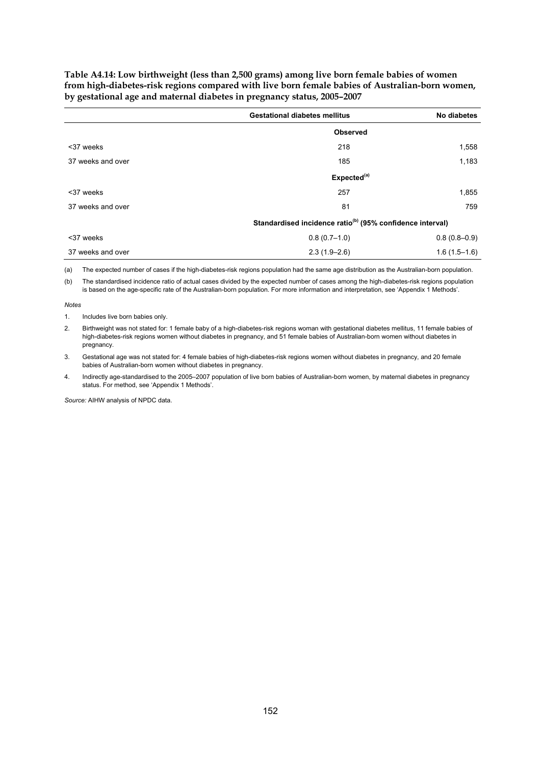<span id="page-159-0"></span>**Table A4.14: Low birthweight (less than 2,500 grams) among live born female babies of women from high-diabetes-risk regions compared with live born female babies of Australian-born women, by gestational age and maternal diabetes in pregnancy status, 2005–2007** 

|                   | <b>Gestational diabetes mellitus</b>                                  | No diabetes    |
|-------------------|-----------------------------------------------------------------------|----------------|
|                   | <b>Observed</b>                                                       |                |
| <37 weeks         | 218                                                                   | 1,558          |
| 37 weeks and over | 185                                                                   | 1,183          |
|                   | Expected <sup>(a)</sup>                                               |                |
| <37 weeks         | 257                                                                   | 1,855          |
| 37 weeks and over | 81                                                                    | 759            |
|                   | Standardised incidence ratio <sup>(b)</sup> (95% confidence interval) |                |
| <37 weeks         | $0.8(0.7-1.0)$                                                        | $0.8(0.8-0.9)$ |
| 37 weeks and over | $2.3(1.9-2.6)$                                                        | $1.6(1.5-1.6)$ |

(a) The expected number of cases if the high-diabetes-risk regions population had the same age distribution as the Australian-born population.

(b) The standardised incidence ratio of actual cases divided by the expected number of cases among the high-diabetes-risk regions population is based on the age-specific rate of the Australian-born population. For more information and interpretation, see 'Appendix 1 Methods'.

*Notes*

1. Includes live born babies only.

2. Birthweight was not stated for: 1 female baby of a high-diabetes-risk regions woman with gestational diabetes mellitus, 11 female babies of high-diabetes-risk regions women without diabetes in pregnancy, and 51 female babies of Australian-born women without diabetes in pregnancy.

3. Gestational age was not stated for: 4 female babies of high-diabetes-risk regions women without diabetes in pregnancy, and 20 female babies of Australian-born women without diabetes in pregnancy.

4. Indirectly age-standardised to the 2005–2007 population of live born babies of Australian-born women, by maternal diabetes in pregnancy status. For method, see 'Appendix 1 Methods'.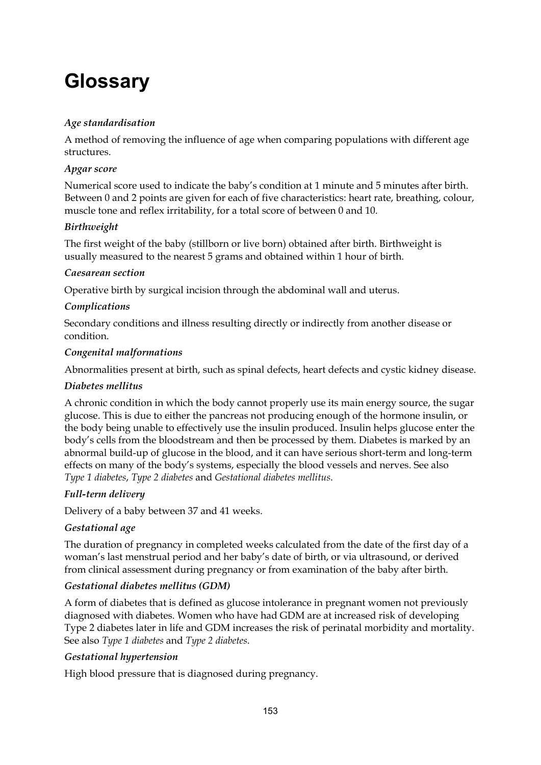# **Glossary**

## *Age standardisation*

A method of removing the influence of age when comparing populations with different age structures.

## *Apgar score*

Numerical score used to indicate the baby's condition at 1 minute and 5 minutes after birth. Between 0 and 2 points are given for each of five characteristics: heart rate, breathing, colour, muscle tone and reflex irritability, for a total score of between 0 and 10.

## *Birthweight*

The first weight of the baby (stillborn or live born) obtained after birth. Birthweight is usually measured to the nearest 5 grams and obtained within 1 hour of birth.

#### *Caesarean section*

Operative birth by surgical incision through the abdominal wall and uterus.

#### *Complications*

Secondary conditions and illness resulting directly or indirectly from another disease or condition.

#### *Congenital malformations*

Abnormalities present at birth, such as spinal defects, heart defects and cystic kidney disease.

#### *Diabetes mellitus*

A chronic condition in which the body cannot properly use its main energy source, the sugar glucose. This is due to either the pancreas not producing enough of the hormone insulin, or the body being unable to effectively use the insulin produced. Insulin helps glucose enter the body's cells from the bloodstream and then be processed by them. Diabetes is marked by an abnormal build-up of glucose in the blood, and it can have serious short-term and long-term effects on many of the body's systems, especially the blood vessels and nerves. See also *Type 1 diabetes*, *Type 2 diabetes* and *Gestational diabetes mellitus*.

## *Full-term delivery*

Delivery of a baby between 37 and 41 weeks.

#### *Gestational age*

The duration of pregnancy in completed weeks calculated from the date of the first day of a woman's last menstrual period and her baby's date of birth, or via ultrasound, or derived from clinical assessment during pregnancy or from examination of the baby after birth.

#### *Gestational diabetes mellitus (GDM)*

A form of diabetes that is defined as glucose intolerance in pregnant women not previously diagnosed with diabetes. Women who have had GDM are at increased risk of developing Type 2 diabetes later in life and GDM increases the risk of perinatal morbidity and mortality. See also *Type 1 diabetes* and *Type 2 diabetes*.

#### *Gestational hypertension*

High blood pressure that is diagnosed during pregnancy.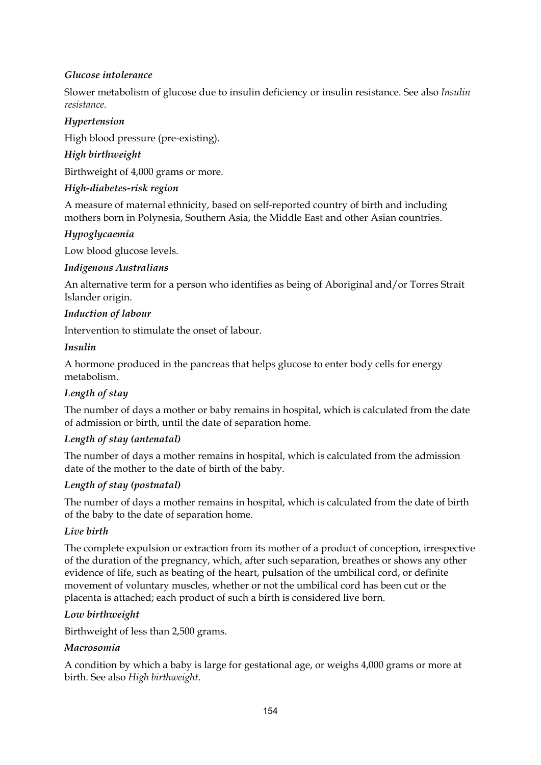## *Glucose intolerance*

Slower metabolism of glucose due to insulin deficiency or insulin resistance. See also *Insulin resistance*.

#### *Hypertension*

High blood pressure (pre-existing).

#### *High birthweight*

Birthweight of 4,000 grams or more.

#### *High-diabetes-risk region*

A measure of maternal ethnicity, based on self-reported country of birth and including mothers born in Polynesia, Southern Asia, the Middle East and other Asian countries.

#### *Hypoglycaemia*

Low blood glucose levels.

#### *Indigenous Australians*

An alternative term for a person who identifies as being of Aboriginal and/or Torres Strait Islander origin.

#### *Induction of labour*

Intervention to stimulate the onset of labour.

#### *Insulin*

A hormone produced in the pancreas that helps glucose to enter body cells for energy metabolism.

## *Length of stay*

The number of days a mother or baby remains in hospital, which is calculated from the date of admission or birth, until the date of separation home.

#### *Length of stay (antenatal)*

The number of days a mother remains in hospital, which is calculated from the admission date of the mother to the date of birth of the baby.

#### *Length of stay (postnatal)*

The number of days a mother remains in hospital, which is calculated from the date of birth of the baby to the date of separation home.

#### *Live birth*

The complete expulsion or extraction from its mother of a product of conception, irrespective of the duration of the pregnancy, which, after such separation, breathes or shows any other evidence of life, such as beating of the heart, pulsation of the umbilical cord, or definite movement of voluntary muscles, whether or not the umbilical cord has been cut or the placenta is attached; each product of such a birth is considered live born.

#### *Low birthweight*

Birthweight of less than 2,500 grams.

#### *Macrosomia*

A condition by which a baby is large for gestational age, or weighs 4,000 grams or more at birth. See also *High birthweight*.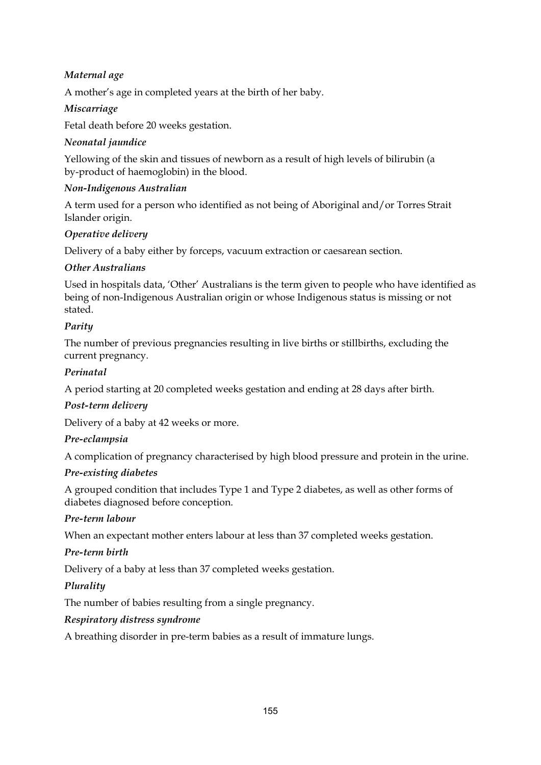## *Maternal age*

A mother's age in completed years at the birth of her baby.

## *Miscarriage*

Fetal death before 20 weeks gestation.

#### *Neonatal jaundice*

Yellowing of the skin and tissues of newborn as a result of high levels of bilirubin (a by-product of haemoglobin) in the blood.

#### *Non-Indigenous Australian*

A term used for a person who identified as not being of Aboriginal and/or Torres Strait Islander origin.

#### *Operative delivery*

Delivery of a baby either by forceps, vacuum extraction or caesarean section.

## *Other Australians*

Used in hospitals data, 'Other' Australians is the term given to people who have identified as being of non-Indigenous Australian origin or whose Indigenous status is missing or not stated.

## *Parity*

The number of previous pregnancies resulting in live births or stillbirths, excluding the current pregnancy.

## *Perinatal*

A period starting at 20 completed weeks gestation and ending at 28 days after birth.

#### *Post-term delivery*

Delivery of a baby at 42 weeks or more.

#### *Pre-eclampsia*

A complication of pregnancy characterised by high blood pressure and protein in the urine.

#### *Pre-existing diabetes*

A grouped condition that includes Type 1 and Type 2 diabetes, as well as other forms of diabetes diagnosed before conception.

#### *Pre-term labour*

When an expectant mother enters labour at less than 37 completed weeks gestation.

#### *Pre-term birth*

Delivery of a baby at less than 37 completed weeks gestation.

## *Plurality*

The number of babies resulting from a single pregnancy.

#### *Respiratory distress syndrome*

A breathing disorder in pre-term babies as a result of immature lungs.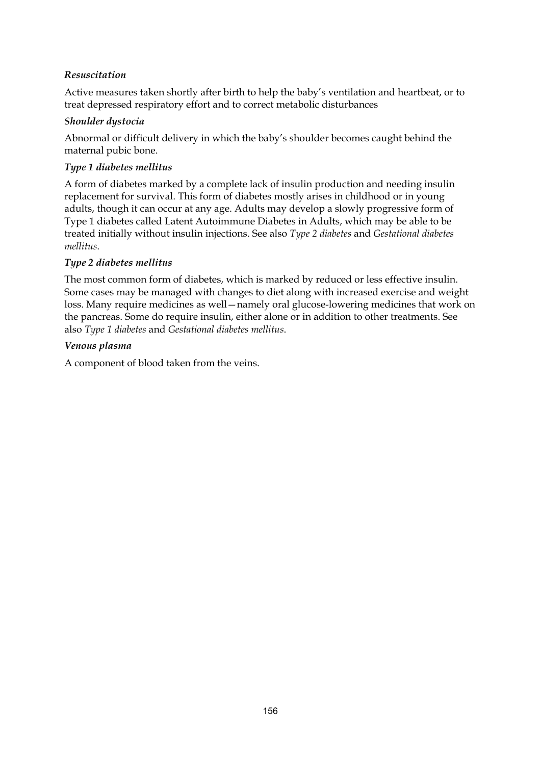## *Resuscitation*

Active measures taken shortly after birth to help the baby's ventilation and heartbeat, or to treat depressed respiratory effort and to correct metabolic disturbances

#### *Shoulder dystocia*

Abnormal or difficult delivery in which the baby's shoulder becomes caught behind the maternal pubic bone.

#### *Type 1 diabetes mellitus*

A form of diabetes marked by a complete lack of insulin production and needing insulin replacement for survival. This form of diabetes mostly arises in childhood or in young adults, though it can occur at any age. Adults may develop a slowly progressive form of Type 1 diabetes called Latent Autoimmune Diabetes in Adults, which may be able to be treated initially without insulin injections. See also *Type 2 diabetes* and *Gestational diabetes mellitus*.

#### *Type 2 diabetes mellitus*

The most common form of diabetes, which is marked by reduced or less effective insulin. Some cases may be managed with changes to diet along with increased exercise and weight loss. Many require medicines as well—namely oral glucose-lowering medicines that work on the pancreas. Some do require insulin, either alone or in addition to other treatments. See also *Type 1 diabetes* and *Gestational diabetes mellitus*.

#### *Venous plasma*

A component of blood taken from the veins.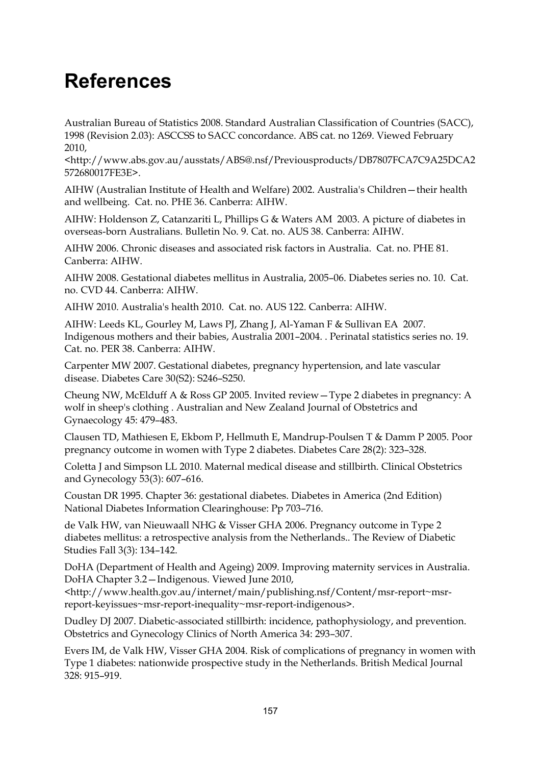## **References**

Australian Bureau of Statistics 2008. Standard Australian Classification of Countries (SACC), 1998 (Revision 2.03): ASCCSS to SACC concordance. ABS cat. no 1269. Viewed February 2010,

<http://www.abs.gov.au/ausstats/ABS@.nsf/Previousproducts/DB7807FCA7C9A25DCA2 572680017FE3E>.

AIHW (Australian Institute of Health and Welfare) 2002. Australia's Children—their health and wellbeing. Cat. no. PHE 36. Canberra: AIHW.

AIHW: Holdenson Z, Catanzariti L, Phillips G & Waters AM 2003. A picture of diabetes in overseas-born Australians. Bulletin No. 9. Cat. no. AUS 38. Canberra: AIHW.

AIHW 2006. Chronic diseases and associated risk factors in Australia. Cat. no. PHE 81. Canberra: AIHW.

AIHW 2008. Gestational diabetes mellitus in Australia, 2005–06. Diabetes series no. 10. Cat. no. CVD 44. Canberra: AIHW.

AIHW 2010. Australia's health 2010. Cat. no. AUS 122. Canberra: AIHW.

AIHW: Leeds KL, Gourley M, Laws PJ, Zhang J, Al-Yaman F & Sullivan EA 2007. Indigenous mothers and their babies, Australia 2001–2004. . Perinatal statistics series no. 19. Cat. no. PER 38. Canberra: AIHW.

Carpenter MW 2007. Gestational diabetes, pregnancy hypertension, and late vascular disease. Diabetes Care 30(S2): S246–S250.

Cheung NW, McElduff A & Ross GP 2005. Invited review—Type 2 diabetes in pregnancy: A wolf in sheep's clothing . Australian and New Zealand Journal of Obstetrics and Gynaecology 45: 479–483.

Clausen TD, Mathiesen E, Ekbom P, Hellmuth E, Mandrup-Poulsen T & Damm P 2005. Poor pregnancy outcome in women with Type 2 diabetes. Diabetes Care 28(2): 323–328.

Coletta J and Simpson LL 2010. Maternal medical disease and stillbirth. Clinical Obstetrics and Gynecology 53(3): 607–616.

Coustan DR 1995. Chapter 36: gestational diabetes. Diabetes in America (2nd Edition) National Diabetes Information Clearinghouse: Pp 703–716.

de Valk HW, van Nieuwaall NHG & Visser GHA 2006. Pregnancy outcome in Type 2 diabetes mellitus: a retrospective analysis from the Netherlands.. The Review of Diabetic Studies Fall 3(3): 134–142.

DoHA (Department of Health and Ageing) 2009. Improving maternity services in Australia. DoHA Chapter 3.2—Indigenous. Viewed June 2010,

<http://www.health.gov.au/internet/main/publishing.nsf/Content/msr-report~msrreport-keyissues~msr-report-inequality~msr-report-indigenous>.

Dudley DJ 2007. Diabetic-associated stillbirth: incidence, pathophysiology, and prevention. Obstetrics and Gynecology Clinics of North America 34: 293–307.

Evers IM, de Valk HW, Visser GHA 2004. Risk of complications of pregnancy in women with Type 1 diabetes: nationwide prospective study in the Netherlands. British Medical Journal 328: 915–919.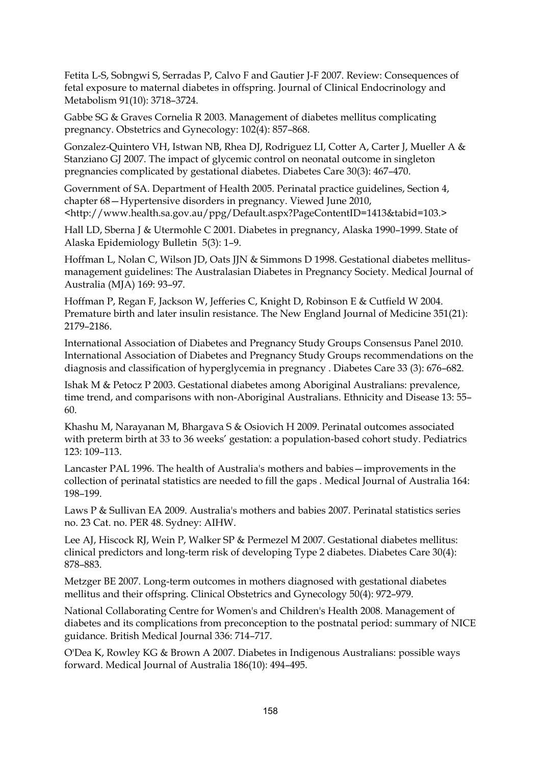Fetita L-S, Sobngwi S, Serradas P, Calvo F and Gautier J-F 2007. Review: Consequences of fetal exposure to maternal diabetes in offspring. Journal of Clinical Endocrinology and Metabolism 91(10): 3718–3724.

Gabbe SG & Graves Cornelia R 2003. Management of diabetes mellitus complicating pregnancy. Obstetrics and Gynecology: 102(4): 857–868.

Gonzalez-Quintero VH, Istwan NB, Rhea DJ, Rodriguez LI, Cotter A, Carter J, Mueller A & Stanziano GJ 2007. The impact of glycemic control on neonatal outcome in singleton pregnancies complicated by gestational diabetes. Diabetes Care 30(3): 467–470.

Government of SA. Department of Health 2005. Perinatal practice guidelines, Section 4, chapter 68—Hypertensive disorders in pregnancy. Viewed June 2010, <http://www.health.sa.gov.au/ppg/Default.aspx?PageContentID=1413&tabid=103.>

Hall LD, Sberna J & Utermohle C 2001. Diabetes in pregnancy, Alaska 1990–1999. State of Alaska Epidemiology Bulletin 5(3): 1–9.

Hoffman L, Nolan C, Wilson JD, Oats JJN & Simmons D 1998. Gestational diabetes mellitusmanagement guidelines: The Australasian Diabetes in Pregnancy Society. Medical Journal of Australia (MJA) 169: 93–97.

Hoffman P, Regan F, Jackson W, Jefferies C, Knight D, Robinson E & Cutfield W 2004. Premature birth and later insulin resistance. The New England Journal of Medicine 351(21): 2179–2186.

International Association of Diabetes and Pregnancy Study Groups Consensus Panel 2010. International Association of Diabetes and Pregnancy Study Groups recommendations on the diagnosis and classification of hyperglycemia in pregnancy . Diabetes Care 33 (3): 676–682.

Ishak M & Petocz P 2003. Gestational diabetes among Aboriginal Australians: prevalence, time trend, and comparisons with non-Aboriginal Australians. Ethnicity and Disease 13: 55– 60.

Khashu M, Narayanan M, Bhargava S & Osiovich H 2009. Perinatal outcomes associated with preterm birth at 33 to 36 weeks' gestation: a population-based cohort study. Pediatrics 123: 109–113.

Lancaster PAL 1996. The health of Australia's mothers and babies—improvements in the collection of perinatal statistics are needed to fill the gaps . Medical Journal of Australia 164: 198–199.

Laws P & Sullivan EA 2009. Australia's mothers and babies 2007. Perinatal statistics series no. 23 Cat. no. PER 48. Sydney: AIHW.

Lee AJ, Hiscock RJ, Wein P, Walker SP & Permezel M 2007. Gestational diabetes mellitus: clinical predictors and long-term risk of developing Type 2 diabetes. Diabetes Care 30(4): 878–883.

Metzger BE 2007. Long-term outcomes in mothers diagnosed with gestational diabetes mellitus and their offspring. Clinical Obstetrics and Gynecology 50(4): 972–979.

National Collaborating Centre for Women's and Children's Health 2008. Management of diabetes and its complications from preconception to the postnatal period: summary of NICE guidance. British Medical Journal 336: 714–717.

O'Dea K, Rowley KG & Brown A 2007. Diabetes in Indigenous Australians: possible ways forward. Medical Journal of Australia 186(10): 494–495.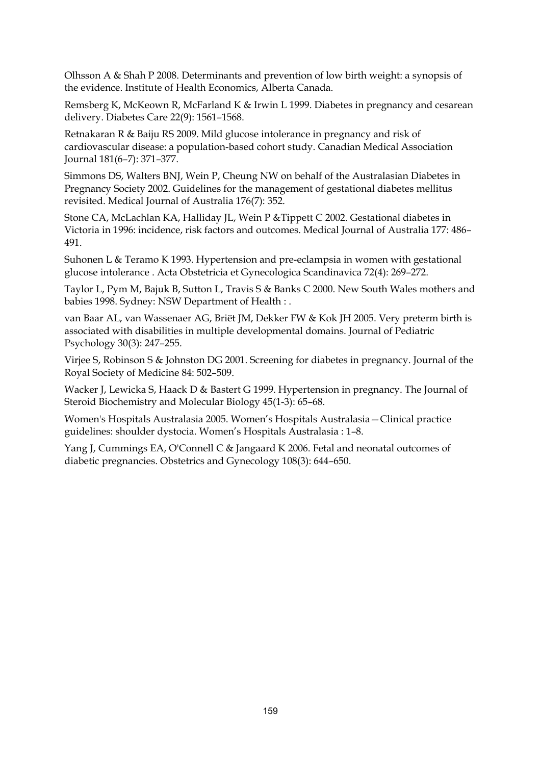Olhsson A & Shah P 2008. Determinants and prevention of low birth weight: a synopsis of the evidence. Institute of Health Economics, Alberta Canada.

Remsberg K, McKeown R, McFarland K & Irwin L 1999. Diabetes in pregnancy and cesarean delivery. Diabetes Care 22(9): 1561–1568.

Retnakaran R & Baiju RS 2009. Mild glucose intolerance in pregnancy and risk of cardiovascular disease: a population-based cohort study. Canadian Medical Association Journal 181(6–7): 371–377.

Simmons DS, Walters BNJ, Wein P, Cheung NW on behalf of the Australasian Diabetes in Pregnancy Society 2002. Guidelines for the management of gestational diabetes mellitus revisited. Medical Journal of Australia 176(7): 352.

Stone CA, McLachlan KA, Halliday JL, Wein P &Tippett C 2002. Gestational diabetes in Victoria in 1996: incidence, risk factors and outcomes. Medical Journal of Australia 177: 486– 491.

Suhonen L & Teramo K 1993. Hypertension and pre-eclampsia in women with gestational glucose intolerance . Acta Obstetricia et Gynecologica Scandinavica 72(4): 269–272.

Taylor L, Pym M, Bajuk B, Sutton L, Travis S & Banks C 2000. New South Wales mothers and babies 1998. Sydney: NSW Department of Health : .

van Baar AL, van Wassenaer AG, Briët JM, Dekker FW & Kok JH 2005. Very preterm birth is associated with disabilities in multiple developmental domains. Journal of Pediatric Psychology 30(3): 247–255.

Virjee S, Robinson S & Johnston DG 2001. Screening for diabetes in pregnancy. Journal of the Royal Society of Medicine 84: 502–509.

Wacker J, Lewicka S, Haack D & Bastert G 1999. Hypertension in pregnancy. The Journal of Steroid Biochemistry and Molecular Biology 45(1-3): 65–68.

Women's Hospitals Australasia 2005. Women's Hospitals Australasia—Clinical practice guidelines: shoulder dystocia. Women's Hospitals Australasia : 1–8.

Yang J, Cummings EA, O'Connell C & Jangaard K 2006. Fetal and neonatal outcomes of diabetic pregnancies. Obstetrics and Gynecology 108(3): 644–650.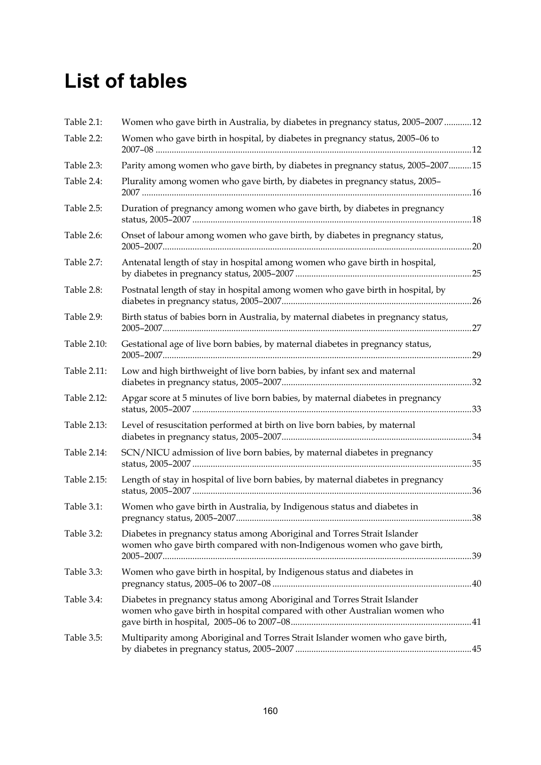# **List of tables**

| Table 2.1:  | Women who gave birth in Australia, by diabetes in pregnancy status, 2005-200712                                                                       |     |
|-------------|-------------------------------------------------------------------------------------------------------------------------------------------------------|-----|
| Table 2.2:  | Women who gave birth in hospital, by diabetes in pregnancy status, 2005-06 to                                                                         |     |
| Table 2.3:  | Parity among women who gave birth, by diabetes in pregnancy status, 2005-200715                                                                       |     |
| Table 2.4:  | Plurality among women who gave birth, by diabetes in pregnancy status, 2005-                                                                          |     |
| Table 2.5:  | Duration of pregnancy among women who gave birth, by diabetes in pregnancy                                                                            |     |
| Table 2.6:  | Onset of labour among women who gave birth, by diabetes in pregnancy status,                                                                          |     |
| Table 2.7:  | Antenatal length of stay in hospital among women who gave birth in hospital,                                                                          |     |
| Table 2.8:  | Postnatal length of stay in hospital among women who gave birth in hospital, by                                                                       |     |
| Table 2.9:  | Birth status of babies born in Australia, by maternal diabetes in pregnancy status,                                                                   |     |
| Table 2.10: | Gestational age of live born babies, by maternal diabetes in pregnancy status,                                                                        |     |
| Table 2.11: | Low and high birthweight of live born babies, by infant sex and maternal                                                                              |     |
| Table 2.12: | Apgar score at 5 minutes of live born babies, by maternal diabetes in pregnancy                                                                       |     |
| Table 2.13: | Level of resuscitation performed at birth on live born babies, by maternal                                                                            |     |
| Table 2.14: | SCN/NICU admission of live born babies, by maternal diabetes in pregnancy                                                                             |     |
| Table 2.15: | Length of stay in hospital of live born babies, by maternal diabetes in pregnancy                                                                     |     |
| Table 3.1:  | Women who gave birth in Australia, by Indigenous status and diabetes in                                                                               | .38 |
| Table 3.2:  | Diabetes in pregnancy status among Aboriginal and Torres Strait Islander<br>women who gave birth compared with non-Indigenous women who gave birth,   |     |
| Table 3.3:  | Women who gave birth in hospital, by Indigenous status and diabetes in                                                                                |     |
| Table 3.4:  | Diabetes in pregnancy status among Aboriginal and Torres Strait Islander<br>women who gave birth in hospital compared with other Australian women who |     |
| Table 3.5:  | Multiparity among Aboriginal and Torres Strait Islander women who gave birth,                                                                         |     |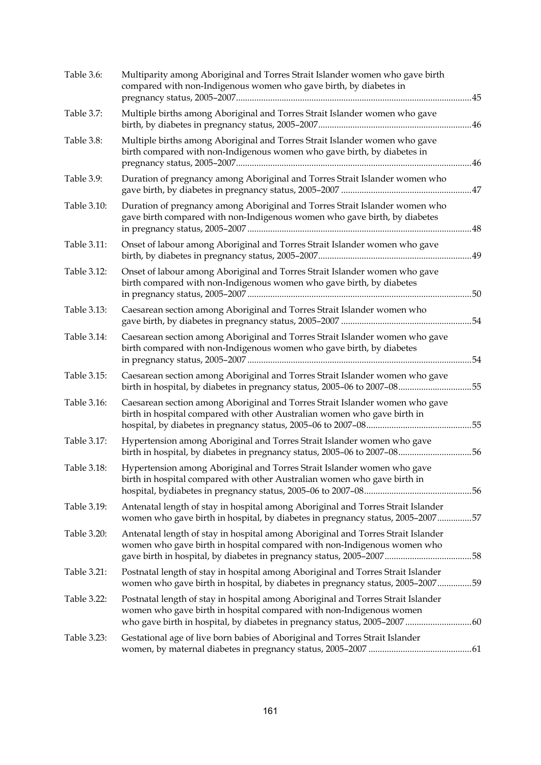| Table 3.6:  | Multiparity among Aboriginal and Torres Strait Islander women who gave birth<br>compared with non-Indigenous women who gave birth, by diabetes in                                                                                   |     |
|-------------|-------------------------------------------------------------------------------------------------------------------------------------------------------------------------------------------------------------------------------------|-----|
| Table 3.7:  | Multiple births among Aboriginal and Torres Strait Islander women who gave                                                                                                                                                          |     |
| Table 3.8:  | Multiple births among Aboriginal and Torres Strait Islander women who gave<br>birth compared with non-Indigenous women who gave birth, by diabetes in                                                                               | .46 |
| Table 3.9:  | Duration of pregnancy among Aboriginal and Torres Strait Islander women who                                                                                                                                                         |     |
| Table 3.10: | Duration of pregnancy among Aboriginal and Torres Strait Islander women who<br>gave birth compared with non-Indigenous women who gave birth, by diabetes                                                                            |     |
| Table 3.11: | Onset of labour among Aboriginal and Torres Strait Islander women who gave                                                                                                                                                          | .49 |
| Table 3.12: | Onset of labour among Aboriginal and Torres Strait Islander women who gave<br>birth compared with non-Indigenous women who gave birth, by diabetes                                                                                  | .50 |
| Table 3.13: | Caesarean section among Aboriginal and Torres Strait Islander women who                                                                                                                                                             | .54 |
| Table 3.14: | Caesarean section among Aboriginal and Torres Strait Islander women who gave<br>birth compared with non-Indigenous women who gave birth, by diabetes                                                                                | .54 |
| Table 3.15: | Caesarean section among Aboriginal and Torres Strait Islander women who gave<br>birth in hospital, by diabetes in pregnancy status, 2005-06 to 2007-08                                                                              | .55 |
| Table 3.16: | Caesarean section among Aboriginal and Torres Strait Islander women who gave<br>birth in hospital compared with other Australian women who gave birth in                                                                            |     |
| Table 3.17: | Hypertension among Aboriginal and Torres Strait Islander women who gave<br>birth in hospital, by diabetes in pregnancy status, 2005-06 to 2007-0856                                                                                 |     |
| Table 3.18: | Hypertension among Aboriginal and Torres Strait Islander women who gave<br>birth in hospital compared with other Australian women who gave birth in                                                                                 |     |
| Table 3.19: | Antenatal length of stay in hospital among Aboriginal and Torres Strait Islander<br>women who gave birth in hospital, by diabetes in pregnancy status, 2005–200757                                                                  |     |
| Table 3.20: | Antenatal length of stay in hospital among Aboriginal and Torres Strait Islander<br>women who gave birth in hospital compared with non-Indigenous women who<br>gave birth in hospital, by diabetes in pregnancy status, 2005-200758 |     |
| Table 3.21: | Postnatal length of stay in hospital among Aboriginal and Torres Strait Islander<br>women who gave birth in hospital, by diabetes in pregnancy status, 2005–200759                                                                  |     |
| Table 3.22: | Postnatal length of stay in hospital among Aboriginal and Torres Strait Islander<br>women who gave birth in hospital compared with non-Indigenous women<br>who gave birth in hospital, by diabetes in pregnancy status, 2005-200760 |     |
| Table 3.23: | Gestational age of live born babies of Aboriginal and Torres Strait Islander                                                                                                                                                        |     |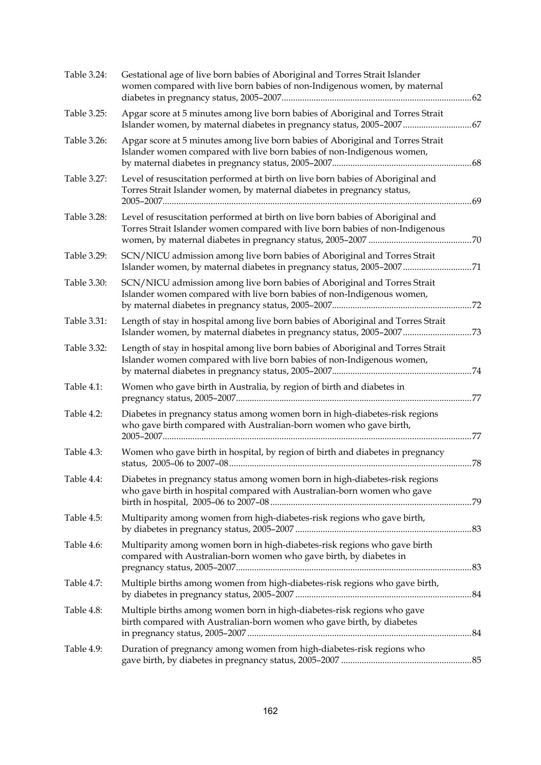| Table 3.24: | Gestational age of live born babies of Aboriginal and Torres Strait Islander<br>women compared with live born babies of non-Indigenous women, by maternal        |  |
|-------------|------------------------------------------------------------------------------------------------------------------------------------------------------------------|--|
| Table 3.25: | Apgar score at 5 minutes among live born babies of Aboriginal and Torres Strait<br>Islander women, by maternal diabetes in pregnancy status, 2005-2007  67       |  |
| Table 3.26: | Apgar score at 5 minutes among live born babies of Aboriginal and Torres Strait<br>Islander women compared with live born babies of non-Indigenous women,        |  |
| Table 3.27: | Level of resuscitation performed at birth on live born babies of Aboriginal and<br>Torres Strait Islander women, by maternal diabetes in pregnancy status,       |  |
| Table 3.28: | Level of resuscitation performed at birth on live born babies of Aboriginal and<br>Torres Strait Islander women compared with live born babies of non-Indigenous |  |
| Table 3.29: | SCN/NICU admission among live born babies of Aboriginal and Torres Strait<br>Islander women, by maternal diabetes in pregnancy status, 2005-2007 71              |  |
| Table 3.30: | SCN/NICU admission among live born babies of Aboriginal and Torres Strait<br>Islander women compared with live born babies of non-Indigenous women,              |  |
| Table 3.31: | Length of stay in hospital among live born babies of Aboriginal and Torres Strait                                                                                |  |
| Table 3.32: | Length of stay in hospital among live born babies of Aboriginal and Torres Strait<br>Islander women compared with live born babies of non-Indigenous women,      |  |
| Table 4.1:  | Women who gave birth in Australia, by region of birth and diabetes in                                                                                            |  |
| Table 4.2:  | Diabetes in pregnancy status among women born in high-diabetes-risk regions<br>who gave birth compared with Australian-born women who gave birth,                |  |
| Table 4.3:  | Women who gave birth in hospital, by region of birth and diabetes in pregnancy                                                                                   |  |
| Table 4.4:  | Diabetes in pregnancy status among women born in high-diabetes-risk regions<br>who gave birth in hospital compared with Australian-born women who gave           |  |
| Table 4.5:  | Multiparity among women from high-diabetes-risk regions who gave birth,                                                                                          |  |
| Table 4.6:  | Multiparity among women born in high-diabetes-risk regions who gave birth<br>compared with Australian-born women who gave birth, by diabetes in                  |  |
| Table 4.7:  | Multiple births among women from high-diabetes-risk regions who gave birth,                                                                                      |  |
| Table 4.8:  | Multiple births among women born in high-diabetes-risk regions who gave<br>birth compared with Australian-born women who gave birth, by diabetes                 |  |
| Table 4.9:  | Duration of pregnancy among women from high-diabetes-risk regions who                                                                                            |  |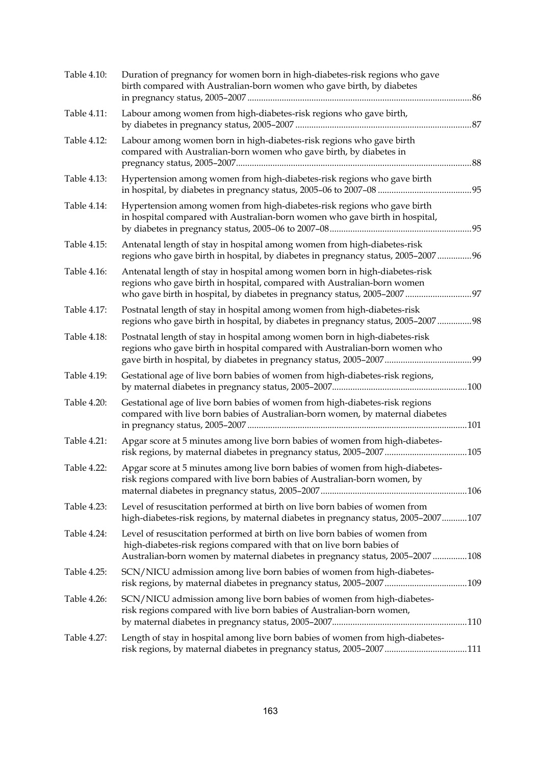| Table 4.10: | Duration of pregnancy for women born in high-diabetes-risk regions who gave<br>birth compared with Australian-born women who gave birth, by diabetes                                                                                 |      |
|-------------|--------------------------------------------------------------------------------------------------------------------------------------------------------------------------------------------------------------------------------------|------|
| Table 4.11: | Labour among women from high-diabetes-risk regions who gave birth,                                                                                                                                                                   | 87   |
| Table 4.12: | Labour among women born in high-diabetes-risk regions who gave birth<br>compared with Australian-born women who gave birth, by diabetes in                                                                                           | 88   |
| Table 4.13: | Hypertension among women from high-diabetes-risk regions who gave birth                                                                                                                                                              |      |
| Table 4.14: | Hypertension among women from high-diabetes-risk regions who gave birth<br>in hospital compared with Australian-born women who gave birth in hospital,                                                                               |      |
| Table 4.15: | Antenatal length of stay in hospital among women from high-diabetes-risk<br>regions who gave birth in hospital, by diabetes in pregnancy status, 2005-200796                                                                         |      |
| Table 4.16: | Antenatal length of stay in hospital among women born in high-diabetes-risk<br>regions who gave birth in hospital, compared with Australian-born women                                                                               |      |
| Table 4.17: | Postnatal length of stay in hospital among women from high-diabetes-risk<br>regions who gave birth in hospital, by diabetes in pregnancy status, 2005-2007 98                                                                        |      |
| Table 4.18: | Postnatal length of stay in hospital among women born in high-diabetes-risk<br>regions who gave birth in hospital compared with Australian-born women who                                                                            |      |
| Table 4.19: | Gestational age of live born babies of women from high-diabetes-risk regions,                                                                                                                                                        | .100 |
| Table 4.20: | Gestational age of live born babies of women from high-diabetes-risk regions<br>compared with live born babies of Australian-born women, by maternal diabetes                                                                        |      |
| Table 4.21: | Apgar score at 5 minutes among live born babies of women from high-diabetes-<br>risk regions, by maternal diabetes in pregnancy status, 2005-2007105                                                                                 |      |
| Table 4.22: | Apgar score at 5 minutes among live born babies of women from high-diabetes-<br>risk regions compared with live born babies of Australian-born women, by                                                                             |      |
| Table 4.23: | Level of resuscitation performed at birth on live born babies of women from<br>high-diabetes-risk regions, by maternal diabetes in pregnancy status, 2005–2007107                                                                    |      |
| Table 4.24: | Level of resuscitation performed at birth on live born babies of women from<br>high-diabetes-risk regions compared with that on live born babies of<br>Australian-born women by maternal diabetes in pregnancy status, 2005–2007 108 |      |
| Table 4.25: | SCN/NICU admission among live born babies of women from high-diabetes-                                                                                                                                                               |      |
| Table 4.26: | SCN/NICU admission among live born babies of women from high-diabetes-<br>risk regions compared with live born babies of Australian-born women,                                                                                      |      |
| Table 4.27: | Length of stay in hospital among live born babies of women from high-diabetes-<br>risk regions, by maternal diabetes in pregnancy status, 2005-2007111                                                                               |      |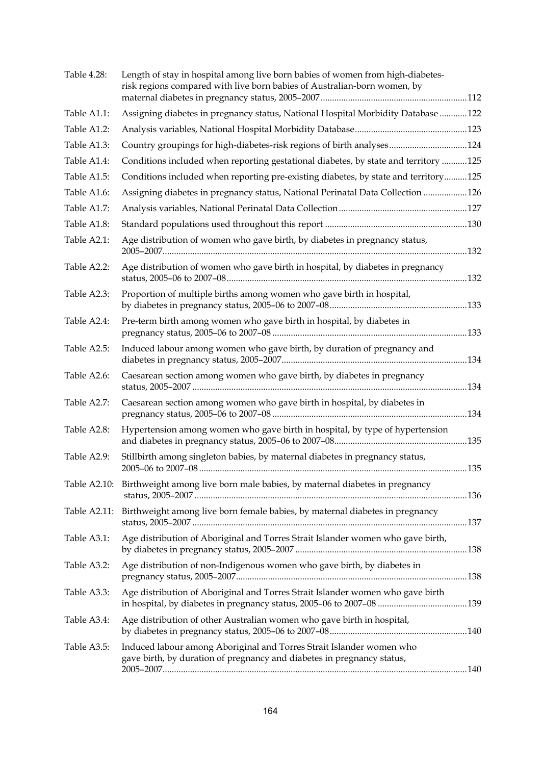| Table 4.28: | Length of stay in hospital among live born babies of women from high-diabetes-<br>risk regions compared with live born babies of Australian-born women, by |  |
|-------------|------------------------------------------------------------------------------------------------------------------------------------------------------------|--|
| Table A1.1: | Assigning diabetes in pregnancy status, National Hospital Morbidity Database 122                                                                           |  |
| Table A1.2: |                                                                                                                                                            |  |
| Table A1.3: | Country groupings for high-diabetes-risk regions of birth analyses124                                                                                      |  |
| Table A1.4: | Conditions included when reporting gestational diabetes, by state and territory 125                                                                        |  |
| Table A1.5: | Conditions included when reporting pre-existing diabetes, by state and territory125                                                                        |  |
| Table A1.6: | Assigning diabetes in pregnancy status, National Perinatal Data Collection 126                                                                             |  |
| Table A1.7: |                                                                                                                                                            |  |
| Table A1.8: |                                                                                                                                                            |  |
| Table A2.1: | Age distribution of women who gave birth, by diabetes in pregnancy status,                                                                                 |  |
| Table A2.2: | Age distribution of women who gave birth in hospital, by diabetes in pregnancy                                                                             |  |
| Table A2.3: | Proportion of multiple births among women who gave birth in hospital,                                                                                      |  |
| Table A2.4: | Pre-term birth among women who gave birth in hospital, by diabetes in                                                                                      |  |
| Table A2.5: | Induced labour among women who gave birth, by duration of pregnancy and                                                                                    |  |
| Table A2.6: | Caesarean section among women who gave birth, by diabetes in pregnancy                                                                                     |  |
| Table A2.7: | Caesarean section among women who gave birth in hospital, by diabetes in                                                                                   |  |
| Table A2.8: | Hypertension among women who gave birth in hospital, by type of hypertension                                                                               |  |
| Table A2.9: | Stillbirth among singleton babies, by maternal diabetes in pregnancy status,                                                                               |  |
|             | Table A2.10: Birthweight among live born male babies, by maternal diabetes in pregnancy                                                                    |  |
|             | Table A2.11: Birthweight among live born female babies, by maternal diabetes in pregnancy                                                                  |  |
| Table A3.1: | Age distribution of Aboriginal and Torres Strait Islander women who gave birth,                                                                            |  |
| Table A3.2: | Age distribution of non-Indigenous women who gave birth, by diabetes in                                                                                    |  |
| Table A3.3: | Age distribution of Aboriginal and Torres Strait Islander women who gave birth                                                                             |  |
| Table A3.4: | Age distribution of other Australian women who gave birth in hospital,                                                                                     |  |
| Table A3.5: | Induced labour among Aboriginal and Torres Strait Islander women who<br>gave birth, by duration of pregnancy and diabetes in pregnancy status,             |  |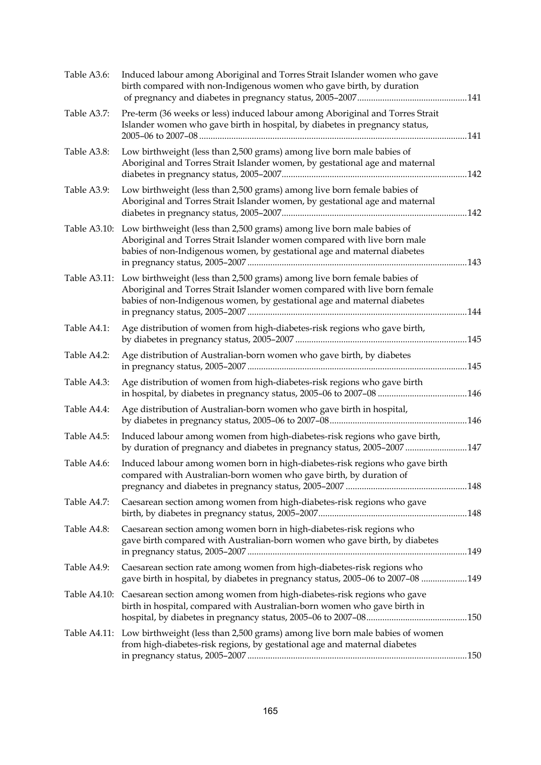| Table A3.6:  | Induced labour among Aboriginal and Torres Strait Islander women who gave<br>birth compared with non-Indigenous women who gave birth, by duration                                                                                               |  |
|--------------|-------------------------------------------------------------------------------------------------------------------------------------------------------------------------------------------------------------------------------------------------|--|
| Table A3.7:  | Pre-term (36 weeks or less) induced labour among Aboriginal and Torres Strait<br>Islander women who gave birth in hospital, by diabetes in pregnancy status,                                                                                    |  |
| Table A3.8:  | Low birthweight (less than 2,500 grams) among live born male babies of<br>Aboriginal and Torres Strait Islander women, by gestational age and maternal                                                                                          |  |
| Table A3.9:  | Low birthweight (less than 2,500 grams) among live born female babies of<br>Aboriginal and Torres Strait Islander women, by gestational age and maternal                                                                                        |  |
| Table A3.10: | Low birthweight (less than 2,500 grams) among live born male babies of<br>Aboriginal and Torres Strait Islander women compared with live born male<br>babies of non-Indigenous women, by gestational age and maternal diabetes                  |  |
|              | Table A3.11: Low birthweight (less than 2,500 grams) among live born female babies of<br>Aboriginal and Torres Strait Islander women compared with live born female<br>babies of non-Indigenous women, by gestational age and maternal diabetes |  |
| Table A4.1:  | Age distribution of women from high-diabetes-risk regions who gave birth,                                                                                                                                                                       |  |
| Table A4.2:  | Age distribution of Australian-born women who gave birth, by diabetes                                                                                                                                                                           |  |
| Table A4.3:  | Age distribution of women from high-diabetes-risk regions who gave birth                                                                                                                                                                        |  |
| Table A4.4:  | Age distribution of Australian-born women who gave birth in hospital,                                                                                                                                                                           |  |
| Table A4.5:  | Induced labour among women from high-diabetes-risk regions who gave birth,<br>by duration of pregnancy and diabetes in pregnancy status, 2005-2007 147                                                                                          |  |
| Table A4.6:  | Induced labour among women born in high-diabetes-risk regions who gave birth<br>compared with Australian-born women who gave birth, by duration of                                                                                              |  |
| Table A4.7:  | Caesarean section among women from high-diabetes-risk regions who gave                                                                                                                                                                          |  |
| Table A4.8:  | Caesarean section among women born in high-diabetes-risk regions who<br>gave birth compared with Australian-born women who gave birth, by diabetes                                                                                              |  |
| Table A4.9:  | Caesarean section rate among women from high-diabetes-risk regions who<br>gave birth in hospital, by diabetes in pregnancy status, 2005-06 to 2007-08 149                                                                                       |  |
|              | Table A4.10: Caesarean section among women from high-diabetes-risk regions who gave<br>birth in hospital, compared with Australian-born women who gave birth in                                                                                 |  |
|              | Table A4.11: Low birthweight (less than 2,500 grams) among live born male babies of women<br>from high-diabetes-risk regions, by gestational age and maternal diabetes                                                                          |  |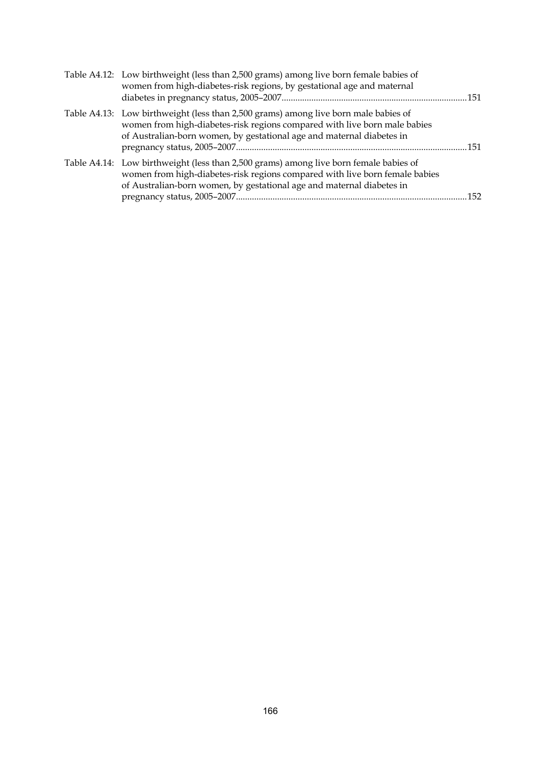| Table A4.12: Low birthweight (less than 2,500 grams) among live born female babies of<br>women from high-diabetes-risk regions, by gestational age and maternal                                                                               |  |
|-----------------------------------------------------------------------------------------------------------------------------------------------------------------------------------------------------------------------------------------------|--|
| Table A4.13: Low birthweight (less than 2,500 grams) among live born male babies of<br>women from high-diabetes-risk regions compared with live born male babies<br>of Australian-born women, by gestational age and maternal diabetes in     |  |
| Table A4.14: Low birthweight (less than 2,500 grams) among live born female babies of<br>women from high-diabetes-risk regions compared with live born female babies<br>of Australian-born women, by gestational age and maternal diabetes in |  |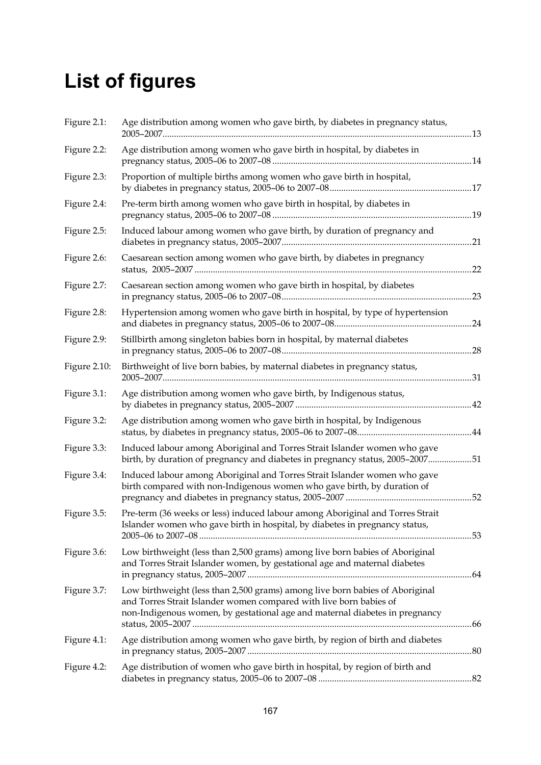# **List of figures**

| Figure 2.1:  | Age distribution among women who gave birth, by diabetes in pregnancy status,                                                                                                                                                     |     |
|--------------|-----------------------------------------------------------------------------------------------------------------------------------------------------------------------------------------------------------------------------------|-----|
| Figure 2.2:  | Age distribution among women who gave birth in hospital, by diabetes in                                                                                                                                                           |     |
| Figure 2.3:  | Proportion of multiple births among women who gave birth in hospital,                                                                                                                                                             |     |
| Figure 2.4:  | Pre-term birth among women who gave birth in hospital, by diabetes in                                                                                                                                                             |     |
| Figure 2.5:  | Induced labour among women who gave birth, by duration of pregnancy and                                                                                                                                                           |     |
| Figure 2.6:  | Caesarean section among women who gave birth, by diabetes in pregnancy                                                                                                                                                            |     |
| Figure 2.7:  | Caesarean section among women who gave birth in hospital, by diabetes                                                                                                                                                             | .23 |
| Figure 2.8:  | Hypertension among women who gave birth in hospital, by type of hypertension                                                                                                                                                      |     |
| Figure 2.9:  | Stillbirth among singleton babies born in hospital, by maternal diabetes                                                                                                                                                          |     |
| Figure 2.10: | Birthweight of live born babies, by maternal diabetes in pregnancy status,                                                                                                                                                        |     |
| Figure 3.1:  | Age distribution among women who gave birth, by Indigenous status,                                                                                                                                                                |     |
| Figure 3.2:  | Age distribution among women who gave birth in hospital, by Indigenous                                                                                                                                                            |     |
| Figure 3.3:  | Induced labour among Aboriginal and Torres Strait Islander women who gave<br>birth, by duration of pregnancy and diabetes in pregnancy status, 2005-200751                                                                        |     |
| Figure 3.4:  | Induced labour among Aboriginal and Torres Strait Islander women who gave<br>birth compared with non-Indigenous women who gave birth, by duration of                                                                              |     |
| Figure 3.5:  | Pre-term (36 weeks or less) induced labour among Aboriginal and Torres Strait<br>Islander women who gave birth in hospital, by diabetes in pregnancy status,                                                                      |     |
| Figure 3.6:  | Low birthweight (less than 2,500 grams) among live born babies of Aboriginal<br>and Torres Strait Islander women, by gestational age and maternal diabetes                                                                        |     |
| Figure 3.7:  | Low birthweight (less than 2,500 grams) among live born babies of Aboriginal<br>and Torres Strait Islander women compared with live born babies of<br>non-Indigenous women, by gestational age and maternal diabetes in pregnancy |     |
| Figure 4.1:  | Age distribution among women who gave birth, by region of birth and diabetes                                                                                                                                                      |     |
| Figure 4.2:  | Age distribution of women who gave birth in hospital, by region of birth and                                                                                                                                                      |     |